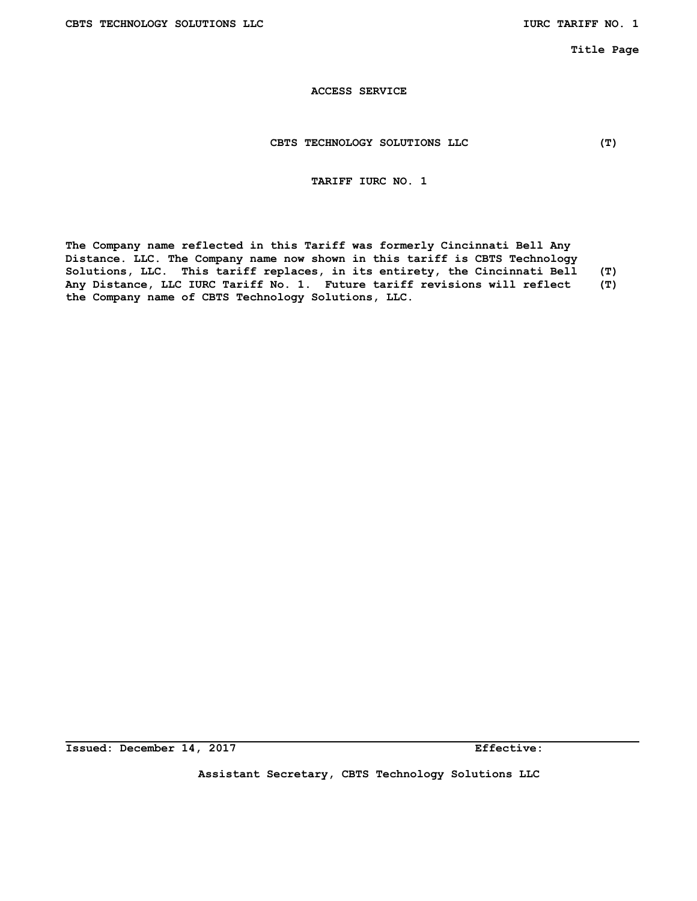#### **CBTS TECHNOLOGY SOLUTIONS LLC (T)**

## **TARIFF IURC NO. 1**

**The Company name reflected in this Tariff was formerly Cincinnati Bell Any Distance. LLC. The Company name now shown in this tariff is CBTS Technology Solutions, LLC. This tariff replaces, in its entirety, the Cincinnati Bell (T) Any Distance, LLC IURC Tariff No. 1. Future tariff revisions will reflect (T) the Company name of CBTS Technology Solutions, LLC.** 

**Issued: December 14, 2017 Effective:** 

**Assistant Secretary, CBTS Technology Solutions LLC**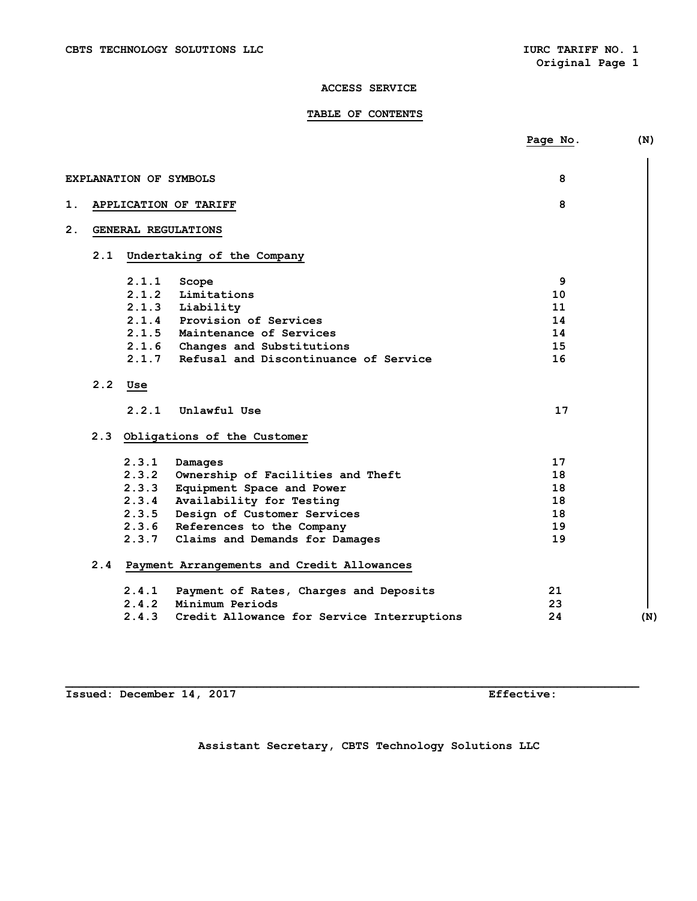## **TABLE OF CONTENTS**

|     |                        |                                                | Page No. | (N) |
|-----|------------------------|------------------------------------------------|----------|-----|
|     | EXPLANATION OF SYMBOLS |                                                | 8        |     |
|     |                        |                                                |          |     |
| 1.  |                        | APPLICATION OF TARIFF                          | 8        |     |
| 2.  | GENERAL REGULATIONS    |                                                |          |     |
| 2.1 |                        | Undertaking of the Company                     |          |     |
|     | 2.1.1                  | Scope                                          | 9        |     |
|     | 2.1.2                  | Limitations                                    | 10       |     |
|     | 2.1.3                  | Liability                                      | 11       |     |
|     | 2.1.4                  | Provision of Services                          | 14       |     |
|     |                        | 2.1.5 Maintenance of Services                  | 14       |     |
|     | 2.1.6                  | Changes and Substitutions                      | 15       |     |
|     | 2.1.7                  | Refusal and Discontinuance of Service          | 16       |     |
| 2.2 | Use                    |                                                |          |     |
|     | 2.2.1                  | Unlawful Use                                   | 17       |     |
|     |                        | 2.3 Obligations of the Customer                |          |     |
|     | 2.3.1                  | Damages                                        | 17       |     |
|     | 2.3.2                  | Ownership of Facilities and Theft              | 18       |     |
|     | 2.3.3                  | Equipment Space and Power                      | 18       |     |
|     | 2.3.4                  | Availability for Testing                       | 18       |     |
|     |                        | 2.3.5 Design of Customer Services              | 18       |     |
|     |                        | 2.3.6 References to the Company                | 19       |     |
|     |                        | 2.3.7 Claims and Demands for Damages           | 19       |     |
|     |                        | 2.4 Payment Arrangements and Credit Allowances |          |     |
|     | 2.4.1                  | Payment of Rates, Charges and Deposits         | 21       |     |
|     |                        | 2.4.2 Minimum Periods                          | 23       |     |
|     | 2.4.3                  | Credit Allowance for Service Interruptions     | 24       | (N) |
|     |                        |                                                |          |     |

**Issued: December 14, 2017 Effective:** 

**Assistant Secretary, CBTS Technology Solutions LLC**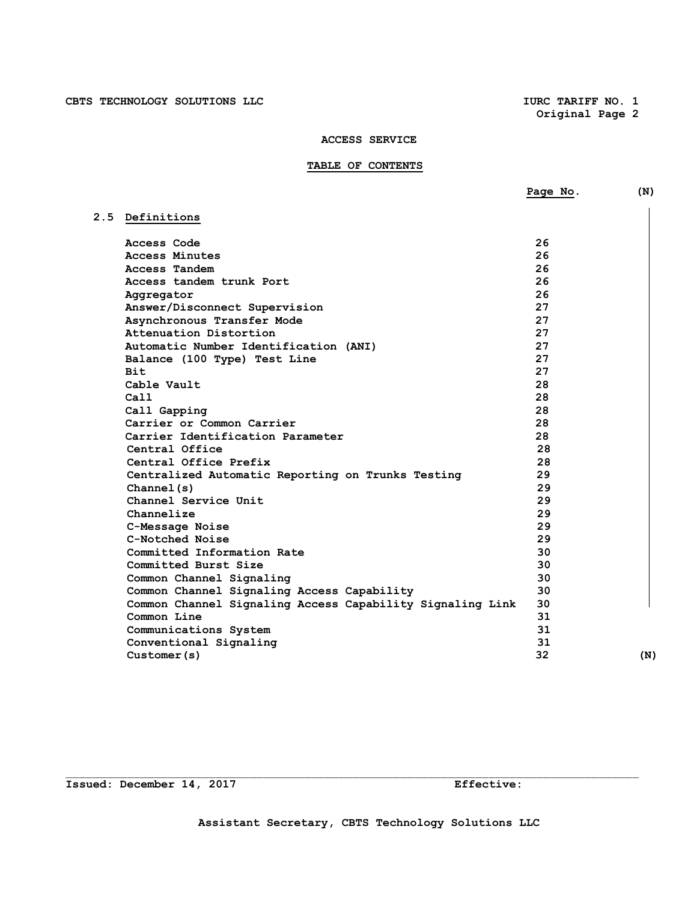## **ACCESS SERVICE**

# **TABLE OF CONTENTS**

|                                                           | Page No. | (N) |
|-----------------------------------------------------------|----------|-----|
| 2.5 Definitions                                           |          |     |
| Access Code                                               | 26       |     |
| Access Minutes                                            | 26       |     |
| Access Tandem                                             | 26       |     |
| Access tandem trunk Port                                  | 26       |     |
| Aggregator                                                | 26       |     |
| Answer/Disconnect Supervision                             | 27       |     |
| Asynchronous Transfer Mode                                | 27       |     |
| Attenuation Distortion                                    | 27       |     |
| Automatic Number Identification (ANI)                     | 27       |     |
| Balance (100 Type) Test Line                              | 27       |     |
| <b>Bit</b>                                                | 27       |     |
| Cable Vault                                               | 28       |     |
| Ca11                                                      | 28       |     |
| Call Gapping                                              | 28       |     |
| Carrier or Common Carrier                                 | 28       |     |
| Carrier Identification Parameter                          | 28       |     |
| Central Office                                            | 28       |     |
| Central Office Prefix                                     | 28       |     |
| Centralized Automatic Reporting on Trunks Testing         | 29       |     |
| Channel(s)                                                | 29       |     |
| Channel Service Unit                                      | 29       |     |
| Channelize                                                | 29       |     |
| C-Message Noise                                           | 29       |     |
| C-Notched Noise                                           | 29       |     |
| Committed Information Rate                                | 30       |     |
| Committed Burst Size                                      | 30       |     |
| Common Channel Signaling                                  | 30       |     |
| Common Channel Signaling Access Capability                | 30       |     |
| Common Channel Signaling Access Capability Signaling Link | 30       |     |
| Common Line                                               | 31       |     |
| Communications System                                     | 31       |     |
| Conventional Signaling                                    | 31       |     |
| Customer(s)                                               | 32       | (N) |

**Issued: December 14, 2017 Effective:**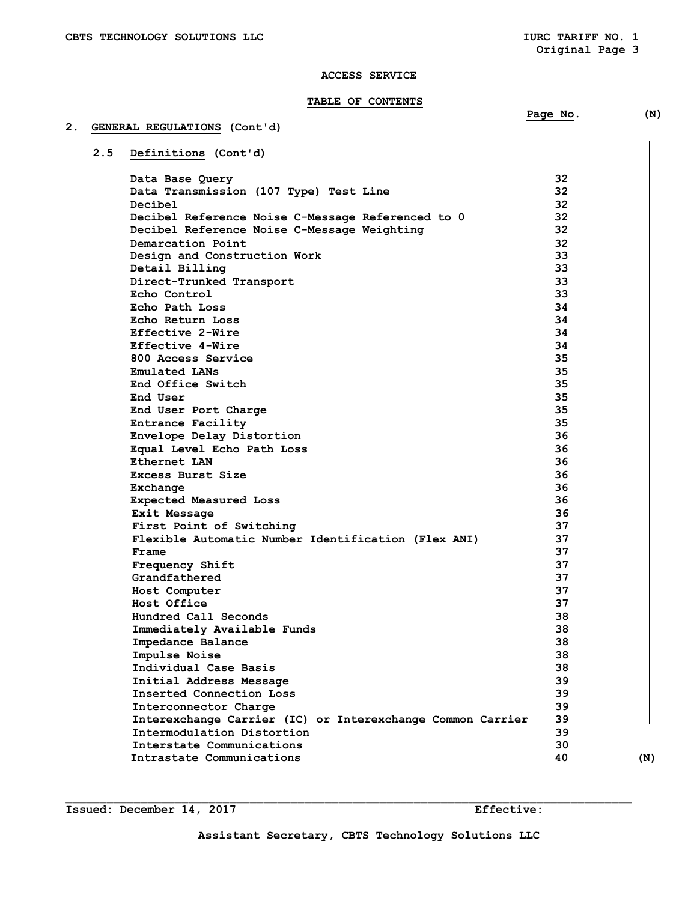## **TABLE OF CONTENTS**

## **2. GENERAL REGULATIONS (Cont'd)**

 **2.5 Definitions (Cont'd)** 

| Data Base Query                                            | 32 |     |
|------------------------------------------------------------|----|-----|
| Data Transmission (107 Type) Test Line                     | 32 |     |
| Decibel                                                    | 32 |     |
| Decibel Reference Noise C-Message Referenced to 0          | 32 |     |
| Decibel Reference Noise C-Message Weighting                | 32 |     |
| Demarcation Point                                          | 32 |     |
| Design and Construction Work                               | 33 |     |
| Detail Billing                                             | 33 |     |
| Direct-Trunked Transport                                   | 33 |     |
| Echo Control                                               | 33 |     |
| Echo Path Loss                                             | 34 |     |
| Echo Return Loss                                           | 34 |     |
| Effective 2-Wire                                           | 34 |     |
| Effective 4-Wire                                           | 34 |     |
| 800 Access Service                                         | 35 |     |
| Emulated LANs                                              | 35 |     |
| End Office Switch                                          | 35 |     |
| End User                                                   | 35 |     |
| End User Port Charge                                       | 35 |     |
| Entrance Facility                                          | 35 |     |
| Envelope Delay Distortion                                  | 36 |     |
| Equal Level Echo Path Loss                                 | 36 |     |
| Ethernet LAN                                               | 36 |     |
|                                                            | 36 |     |
| Excess Burst Size                                          | 36 |     |
| Exchange                                                   | 36 |     |
| Expected Measured Loss                                     |    |     |
| Exit Message                                               | 36 |     |
| First Point of Switching                                   | 37 |     |
| Flexible Automatic Number Identification (Flex ANI)        | 37 |     |
| Frame                                                      | 37 |     |
| Frequency Shift                                            | 37 |     |
| Grandfathered                                              | 37 |     |
| Host Computer                                              | 37 |     |
| Host Office                                                | 37 |     |
| Hundred Call Seconds                                       | 38 |     |
| Immediately Available Funds                                | 38 |     |
| Impedance Balance                                          | 38 |     |
| Impulse Noise                                              | 38 |     |
| Individual Case Basis                                      | 38 |     |
| Initial Address Message                                    | 39 |     |
| Inserted Connection Loss                                   | 39 |     |
| Interconnector Charge                                      | 39 |     |
| Interexchange Carrier (IC) or Interexchange Common Carrier | 39 |     |
| Intermodulation Distortion                                 | 39 |     |
| Interstate Communications                                  | 30 |     |
| Intrastate Communications                                  | 40 | (N) |

**Issued: December 14, 2017** Effective:

 $\mathcal{L}_\text{max}$ 

 **Page No. (N)**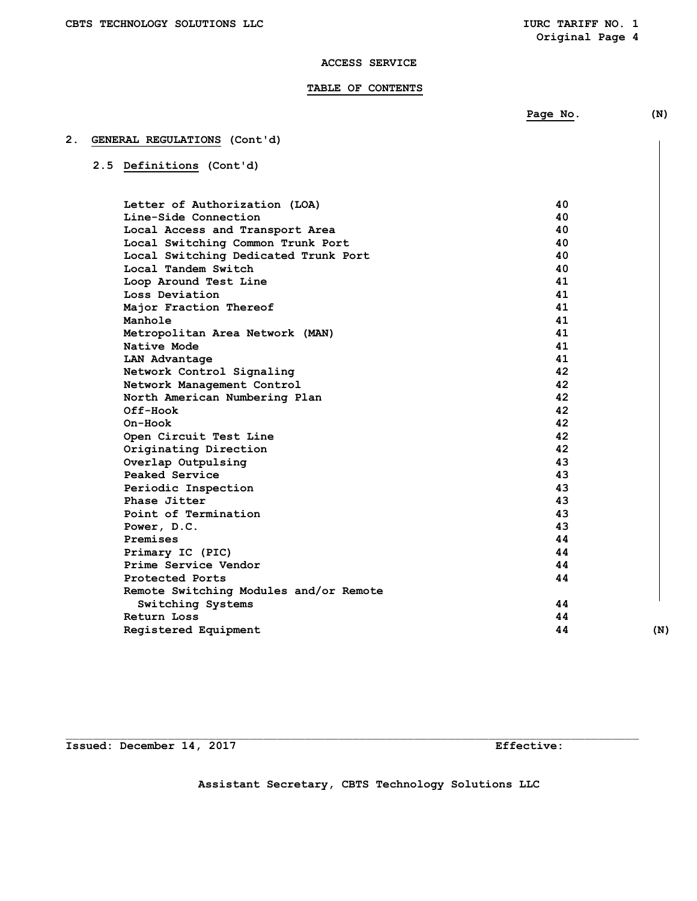## **ACCESS SERVICE**

## **TABLE OF CONTENTS**

**Page No.** (N)

# **2. GENERAL REGULATIONS (Cont'd)**

# **2.5 Definitions (Cont'd)**

| Letter of Authorization (LOA)          | 40 |     |
|----------------------------------------|----|-----|
| Line-Side Connection                   | 40 |     |
| Local Access and Transport Area        | 40 |     |
| Local Switching Common Trunk Port      | 40 |     |
| Local Switching Dedicated Trunk Port   | 40 |     |
| Local Tandem Switch                    | 40 |     |
| Loop Around Test Line                  | 41 |     |
| Loss Deviation                         | 41 |     |
| Major Fraction Thereof                 | 41 |     |
| Manhole                                | 41 |     |
| Metropolitan Area Network (MAN)        | 41 |     |
| Native Mode                            | 41 |     |
| LAN Advantage                          | 41 |     |
| Network Control Signaling              | 42 |     |
| Network Management Control             | 42 |     |
| North American Numbering Plan          | 42 |     |
| Off-Hook                               | 42 |     |
| On-Hook                                | 42 |     |
| Open Circuit Test Line                 | 42 |     |
| Originating Direction                  | 42 |     |
| Overlap Outpulsing                     | 43 |     |
| Peaked Service                         | 43 |     |
| Periodic Inspection                    | 43 |     |
| Phase Jitter                           | 43 |     |
| Point of Termination                   | 43 |     |
| Power, D.C.                            | 43 |     |
| Premises                               | 44 |     |
| Primary IC (PIC)                       | 44 |     |
| Prime Service Vendor                   | 44 |     |
| Protected Ports                        | 44 |     |
| Remote Switching Modules and/or Remote |    |     |
| Switching Systems                      | 44 |     |
| Return Loss                            | 44 |     |
| Registered Equipment                   | 44 | (N) |
|                                        |    |     |

**Issued: December 14, 2017 Effective:** 

**Assistant Secretary, CBTS Technology Solutions LLC**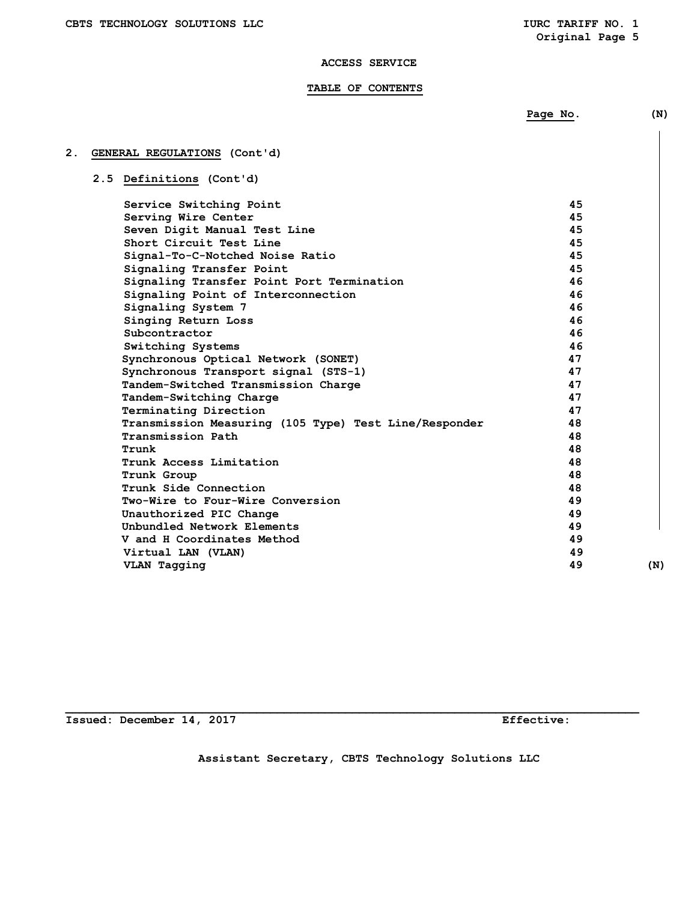#### **TABLE OF CONTENTS**

|    |                                                       | Page No. | (N) |
|----|-------------------------------------------------------|----------|-----|
|    |                                                       |          |     |
| 2. | GENERAL REGULATIONS (Cont'd)                          |          |     |
|    | 2.5 Definitions (Cont'd)                              |          |     |
|    |                                                       |          |     |
|    | Service Switching Point                               | 45       |     |
|    | Serving Wire Center                                   | 45       |     |
|    | Seven Digit Manual Test Line                          | 45       |     |
|    | Short Circuit Test Line                               | 45       |     |
|    | Signal-To-C-Notched Noise Ratio                       | 45       |     |
|    | Signaling Transfer Point                              | 45       |     |
|    | Signaling Transfer Point Port Termination             | 46       |     |
|    | Signaling Point of Interconnection                    | 46       |     |
|    | Signaling System 7                                    | 46       |     |
|    | Singing Return Loss                                   | 46       |     |
|    | Subcontractor                                         | 46       |     |
|    | Switching Systems                                     | 46       |     |
|    | Synchronous Optical Network (SONET)                   | 47       |     |
|    | Synchronous Transport signal (STS-1)                  | 47       |     |
|    | Tandem-Switched Transmission Charge                   | 47       |     |
|    | Tandem-Switching Charge                               | 47       |     |
|    | Terminating Direction                                 | 47       |     |
|    | Transmission Measuring (105 Type) Test Line/Responder | 48       |     |
|    | Transmission Path                                     | 48       |     |
|    | Trunk                                                 | 48       |     |
|    | Trunk Access Limitation                               | 48       |     |
|    | Trunk Group                                           | 48       |     |

# **2. GENERAL REGULATION**

 **V and H Coordinates Method 49** 

**\_\_\_\_\_\_\_\_\_\_\_\_\_\_\_\_\_\_\_\_\_\_\_\_\_\_\_\_\_\_\_\_\_\_\_\_\_\_\_\_\_\_\_\_\_\_\_\_\_\_\_\_\_\_\_\_\_\_\_\_\_\_\_\_\_\_\_\_\_\_\_\_\_\_\_\_\_\_\_\_\_\_\_\_ Issued: December 14, 2017 Effective:** 

**Assistant Secretary, CBTS Technology Solutions LLC** 

 **Trunk Side Connection 48 Two-Wire to Four-Wire Conversion 49 Unauthorized PIC Change 49 and 20 and 20 and 20 and 20 and 49 and 20 and 20 and 49 and 20 and 49 and 49 and 49 and 49 and 49 and 49 and 49 and 49 and 49 and 49 and 49 and 49 and 49 and 49 and 49 and 49 and 49 and 49 and 4** Unbundled Network Elements **49**<br> **V** and H Coordinates Method **49 49** 

 **Virtual LAN (VLAN) 49** 

 **VLAN Tagging 49 (N)**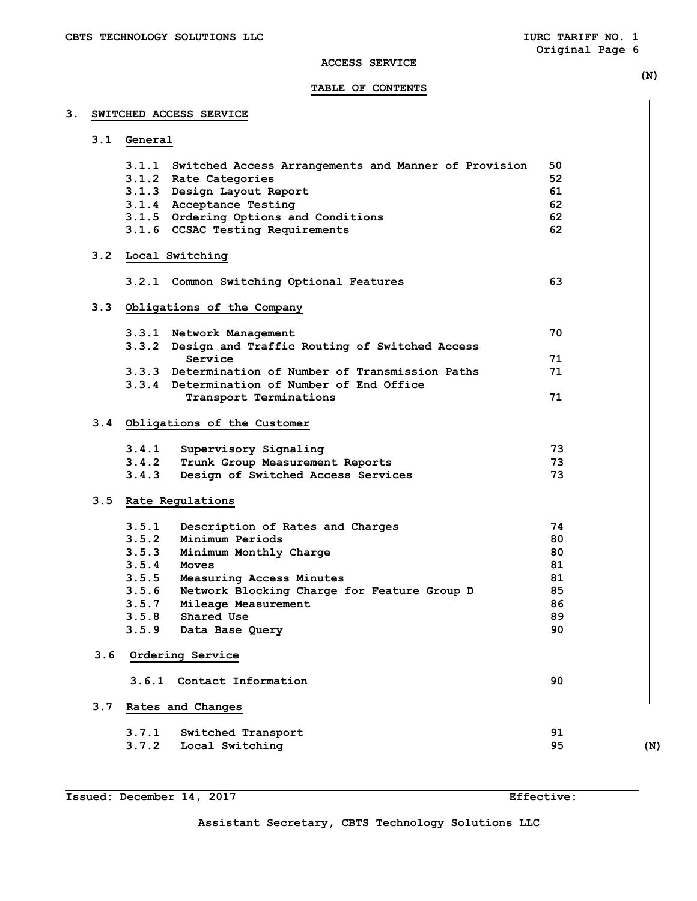## **ACCESS SERVICE**

## **TABLE OF CONTENTS**

## **3. SWITCHED ACCESS SERVICE**

|     | 3.1 General |                                                                                                    |    |     |
|-----|-------------|----------------------------------------------------------------------------------------------------|----|-----|
|     |             | 3.1.1 Switched Access Arrangements and Manner of Provision                                         | 50 |     |
|     |             | 3.1.2 Rate Categories                                                                              | 52 |     |
|     |             | 3.1.3 Design Layout Report                                                                         | 61 |     |
|     |             | 3.1.4 Acceptance Testing                                                                           | 62 |     |
|     |             | 3.1.5 Ordering Options and Conditions                                                              | 62 |     |
|     |             | 3.1.6 CCSAC Testing Requirements                                                                   | 62 |     |
| 3.2 |             | Local Switching                                                                                    |    |     |
|     |             | 3.2.1 Common Switching Optional Features                                                           | 63 |     |
|     |             | 3.3 Obligations of the Company                                                                     |    |     |
|     |             | 3.3.1 Network Management                                                                           | 70 |     |
|     |             | 3.3.2 Design and Traffic Routing of Switched Access                                                |    |     |
|     |             | Service                                                                                            | 71 |     |
|     |             | 3.3.3 Determination of Number of Transmission Paths<br>3.3.4 Determination of Number of End Office | 71 |     |
|     |             | Transport Terminations                                                                             | 71 |     |
|     |             | 3.4 Obligations of the Customer                                                                    |    |     |
|     | 3.4.1       | Supervisory Signaling                                                                              | 73 |     |
|     | 3.4.2       | Trunk Group Measurement Reports                                                                    | 73 |     |
|     | 3.4.3       | Design of Switched Access Services                                                                 | 73 |     |
|     |             | 3.5 Rate Regulations                                                                               |    |     |
|     | 3.5.1       | Description of Rates and Charges                                                                   | 74 |     |
|     | 3.5.2       | Minimum Periods                                                                                    | 80 |     |
|     | 3.5.3       | Minimum Monthly Charge                                                                             | 80 |     |
|     | 3.5.4       | Moves                                                                                              | 81 |     |
|     | 3.5.5       | Measuring Access Minutes                                                                           | 81 |     |
|     | 3.5.6       | Network Blocking Charge for Feature Group D                                                        | 85 |     |
|     | 3.5.7       | Mileage Measurement                                                                                | 86 |     |
|     |             | 3.5.8 Shared Use                                                                                   | 89 |     |
|     | 3.5.9       | Data Base Query                                                                                    | 90 |     |
| 3.6 |             | Ordering Service                                                                                   |    |     |
|     |             | 3.6.1 Contact Information                                                                          | 90 |     |
| 3.7 |             | Rates and Changes                                                                                  |    |     |
|     | 3.7.1       | Switched Transport                                                                                 | 91 |     |
|     | 3.7.2       | Local Switching                                                                                    | 95 | (N) |

 **(N)**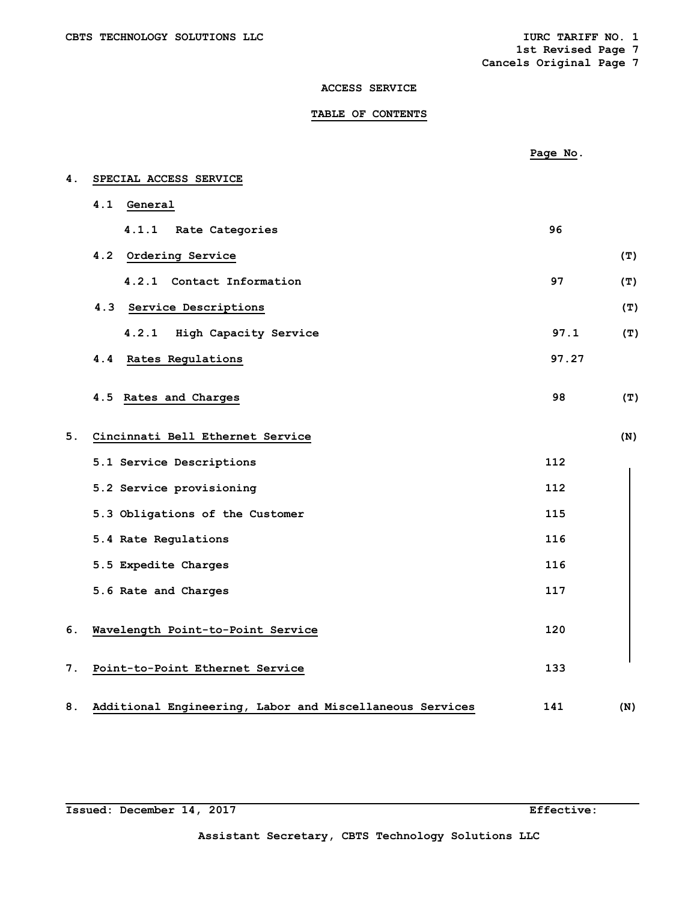**1st Revised Page 7** 

**Cancels Original Page 7** 

## **ACCESS SERVICE**

## **TABLE OF CONTENTS**

|    |                                                          | Page No. |     |
|----|----------------------------------------------------------|----------|-----|
| 4. | SPECIAL ACCESS SERVICE                                   |          |     |
|    | 4.1<br>General                                           |          |     |
|    | 4.1.1 Rate Categories                                    | 96       |     |
|    | 4.2 Ordering Service                                     |          | (T) |
|    | 4.2.1 Contact Information                                | 97       | (T) |
|    | 4.3 Service Descriptions                                 |          | (T) |
|    | 4.2.1 High Capacity Service                              | 97.1     | (T) |
|    | Rates Regulations<br>4.4                                 | 97.27    |     |
|    | 4.5 Rates and Charges                                    | 98       | (T) |
| 5. | Cincinnati Bell Ethernet Service                         |          | (N) |
|    | 5.1 Service Descriptions                                 | 112      |     |
|    | 5.2 Service provisioning                                 | 112      |     |
|    | 5.3 Obligations of the Customer                          | 115      |     |
|    | 5.4 Rate Regulations                                     | 116      |     |
|    | 5.5 Expedite Charges                                     | 116      |     |
|    | 5.6 Rate and Charges                                     | 117      |     |
| 6. | Wavelength Point-to-Point Service                        | 120      |     |
| 7. | Point-to-Point Ethernet Service                          | 133      |     |
| 8. | Additional Engineering, Labor and Miscellaneous Services | 141      | (N) |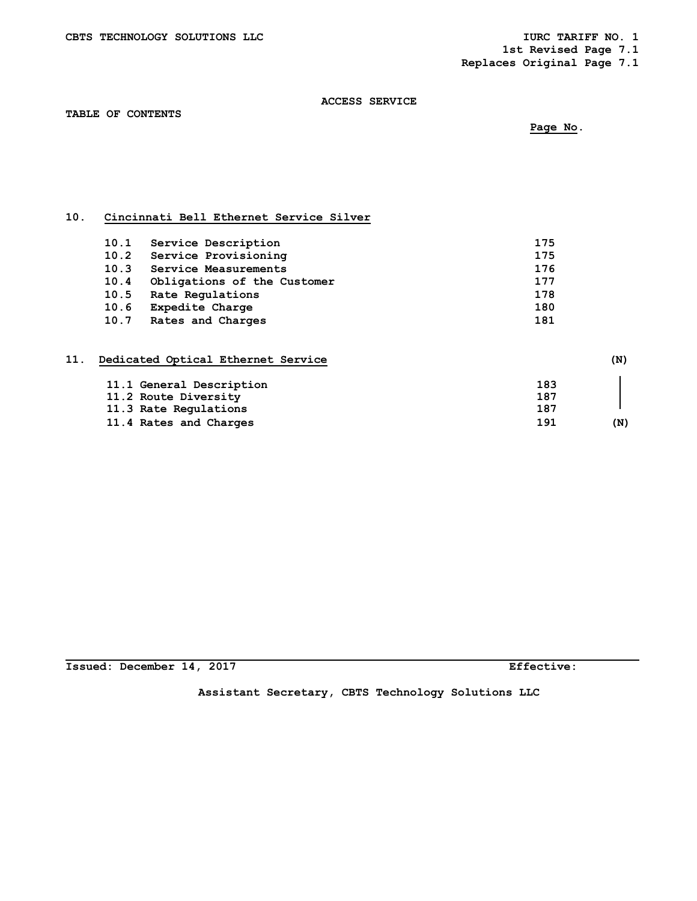**1st Revised Page 7.1** 

 **Replaces Original Page 7.1** 

## **ACCESS SERVICE**

**TABLE OF CONTENTS**

 **Page No.** 

# **10. Cincinnati Bell Ethernet Service Silver**

| 10.1 | Service Description         | 175 |
|------|-----------------------------|-----|
| 10.2 | Service Provisioning        | 175 |
| 10.3 | Service Measurements        | 176 |
| 10.4 | Obligations of the Customer | 177 |
| 10.5 | Rate Regulations            | 178 |
| 10.6 | <b>Expedite Charge</b>      | 180 |
|      | 10.7 Rates and Charges      | 181 |

| 11. | Dedicated Optical Ethernet Service |     | (N) |
|-----|------------------------------------|-----|-----|
|     | 11.1 General Description           | 183 |     |
|     | 11.2 Route Diversity               | 187 |     |
|     | 11.3 Rate Regulations              | 187 |     |
|     | 11.4 Rates and Charges             | 191 | (N) |

**Issued: December 14, 2017 Effective:** 

**Assistant Secretary, CBTS Technology Solutions LLC**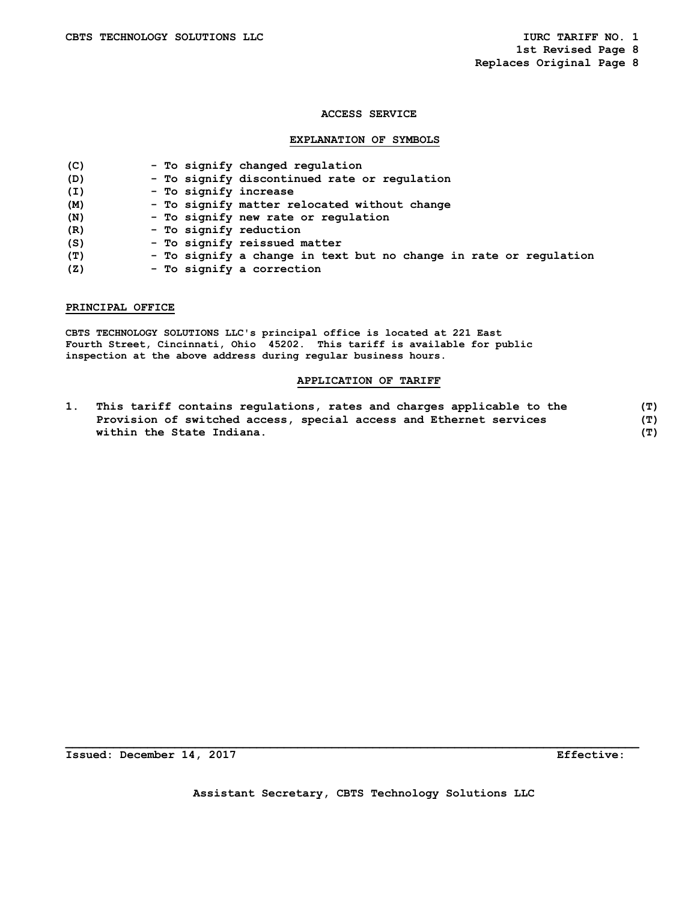#### **EXPLANATION OF SYMBOLS**

| (C) | - To signify changed regulation                                   |
|-----|-------------------------------------------------------------------|
| (D) | - To signify discontinued rate or regulation                      |
| (I) | - To signify increase                                             |
| (M) | - To signify matter relocated without change                      |
| (N) | - To signify new rate or regulation                               |
| (R) | - To signify reduction                                            |
| (S) | - To signify reissued matter                                      |
| (T) | - To signify a change in text but no change in rate or regulation |
| (Z) | - To signify a correction                                         |
|     |                                                                   |

## **PRINCIPAL OFFICE**

**CBTS TECHNOLOGY SOLUTIONS LLC's principal office is located at 221 East Fourth Street, Cincinnati, Ohio 45202. This tariff is available for public inspection at the above address during regular business hours.** 

## **APPLICATION OF TARIFF**

**1. This tariff contains regulations, rates and charges applicable to the (T) Provision of switched access, special access and Ethernet services (T) within the State Indiana. (T)** 

**Issued: December 14, 2017 Effective:** 

**Assistant Secretary, CBTS Technology Solutions LLC**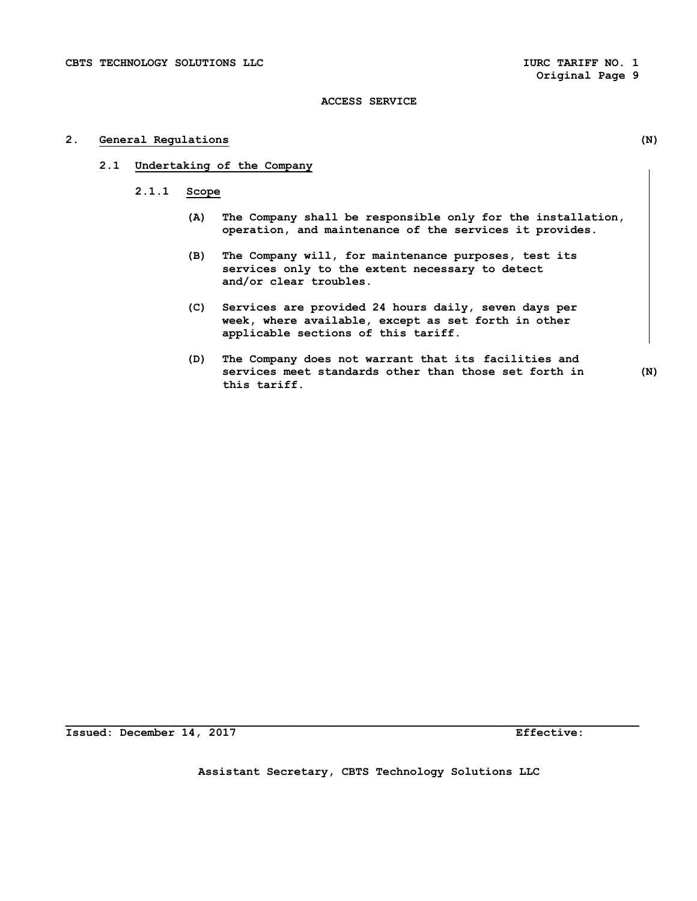## **2. General Regulations (N)**

- **2.1 Undertaking of the Company** 
	- **2.1.1 Scope** 
		- **(A) The Company shall be responsible only for the installation, operation, and maintenance of the services it provides.**
		- **(B) The Company will, for maintenance purposes, test its services only to the extent necessary to detect and/or clear troubles.**
		- **(C) Services are provided 24 hours daily, seven days per week, where available, except as set forth in other applicable sections of this tariff.**
		- **(D) The Company does not warrant that its facilities and services meet standards other than those set forth in (N) this tariff.**

**Issued: December 14, 2017 Effective:** 

**Assistant Secretary, CBTS Technology Solutions LLC**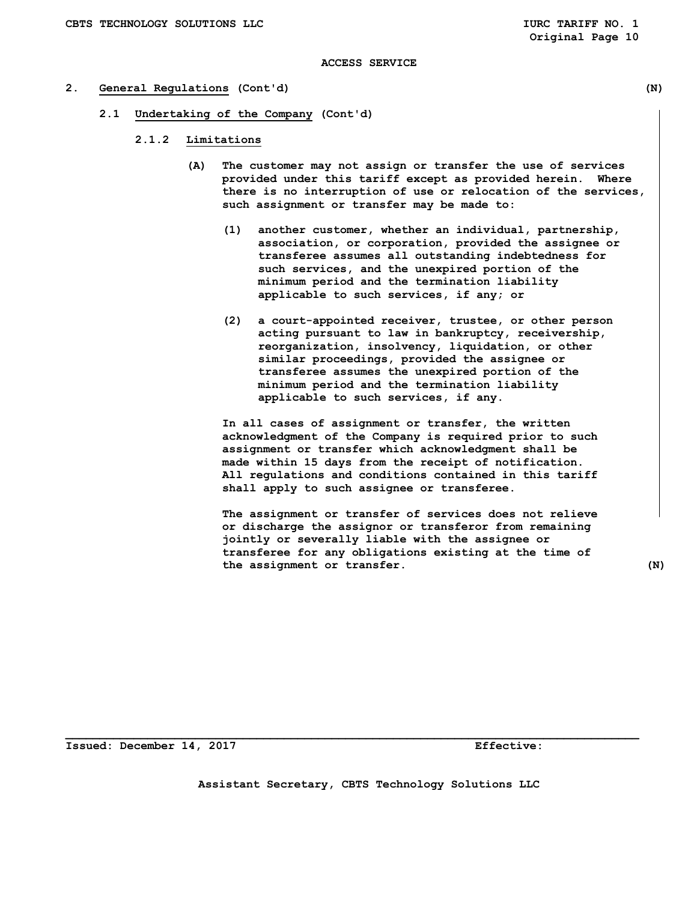#### **2. General Regulations (Cont'd) (N)**

- **2.1 Undertaking of the Company (Cont'd)** 
	- **2.1.2 Limitations** 
		- **(A) The customer may not assign or transfer the use of services provided under this tariff except as provided herein. Where there is no interruption of use or relocation of the services, such assignment or transfer may be made to:** 
			- **(1) another customer, whether an individual, partnership, association, or corporation, provided the assignee or transferee assumes all outstanding indebtedness for such services, and the unexpired portion of the minimum period and the termination liability applicable to such services, if any; or**
			- **(2) a court-appointed receiver, trustee, or other person acting pursuant to law in bankruptcy, receivership, reorganization, insolvency, liquidation, or other similar proceedings, provided the assignee or transferee assumes the unexpired portion of the minimum period and the termination liability applicable to such services, if any.**

 **In all cases of assignment or transfer, the written acknowledgment of the Company is required prior to such assignment or transfer which acknowledgment shall be made within 15 days from the receipt of notification. All regulations and conditions contained in this tariff shall apply to such assignee or transferee.** 

 **The assignment or transfer of services does not relieve or discharge the assignor or transferor from remaining jointly or severally liable with the assignee or transferee for any obligations existing at the time of the assignment or transfer. (N)** 

**Issued: December 14, 2017 Effective:** 

**Assistant Secretary, CBTS Technology Solutions LLC**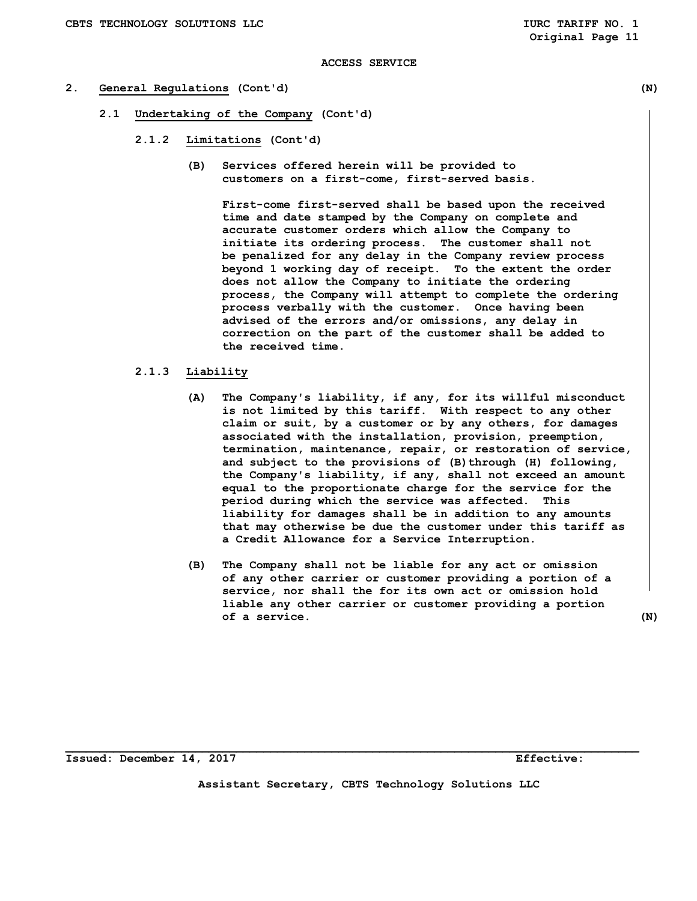#### **2. General Regulations (Cont'd) (N)**

- **2.1 Undertaking of the Company (Cont'd)** 
	- **2.1.2 Limitations (Cont'd)** 
		- **(B) Services offered herein will be provided to customers on a first-come, first-served basis.**

 **First-come first-served shall be based upon the received time and date stamped by the Company on complete and accurate customer orders which allow the Company to initiate its ordering process. The customer shall not be penalized for any delay in the Company review process beyond 1 working day of receipt. To the extent the order does not allow the Company to initiate the ordering process, the Company will attempt to complete the ordering process verbally with the customer. Once having been advised of the errors and/or omissions, any delay in correction on the part of the customer shall be added to the received time.** 

## **2.1.3 Liability**

- **(A) The Company's liability, if any, for its willful misconduct is not limited by this tariff. With respect to any other claim or suit, by a customer or by any others, for damages associated with the installation, provision, preemption, termination, maintenance, repair, or restoration of service,**  and subject to the provisions of (B) through (H) following,  **the Company's liability, if any, shall not exceed an amount equal to the proportionate charge for the service for the period during which the service was affected. This liability for damages shall be in addition to any amounts that may otherwise be due the customer under this tariff as a Credit Allowance for a Service Interruption.**
- **(B) The Company shall not be liable for any act or omission of any other carrier or customer providing a portion of a service, nor shall the for its own act or omission hold liable any other carrier or customer providing a portion of a service. (N)**

**Issued: December 14, 2017 Effective:** 

**Assistant Secretary, CBTS Technology Solutions LLC**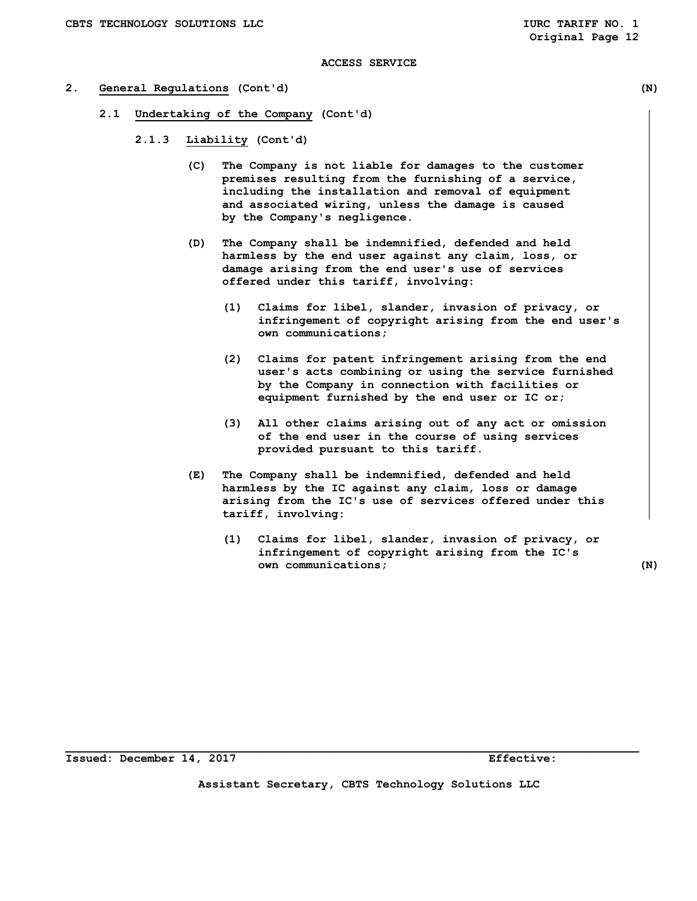- **2. General Regulations (Cont'd) (N)** 
	- **2.1 Undertaking of the Company (Cont'd)** 
		- **2.1.3 Liability (Cont'd)** 
			- **(C) The Company is not liable for damages to the customer premises resulting from the furnishing of a service, including the installation and removal of equipment and associated wiring, unless the damage is caused by the Company's negligence.**
			- **(D) The Company shall be indemnified, defended and held harmless by the end user against any claim, loss, or damage arising from the end user's use of services offered under this tariff, involving:** 
				- **(1) Claims for libel, slander, invasion of privacy, or infringement of copyright arising from the end user's own communications;**
				- **(2) Claims for patent infringement arising from the end user's acts combining or using the service furnished by the Company in connection with facilities or equipment furnished by the end user or IC or;**
				- **(3) All other claims arising out of any act or omission of the end user in the course of using services provided pursuant to this tariff.**
			- **(E) The Company shall be indemnified, defended and held harmless by the IC against any claim, loss or damage arising from the IC's use of services offered under this tariff, involving:** 
				- **(1) Claims for libel, slander, invasion of privacy, or infringement of copyright arising from the IC's own communications; (N)**

**Assistant Secretary, CBTS Technology Solutions LLC**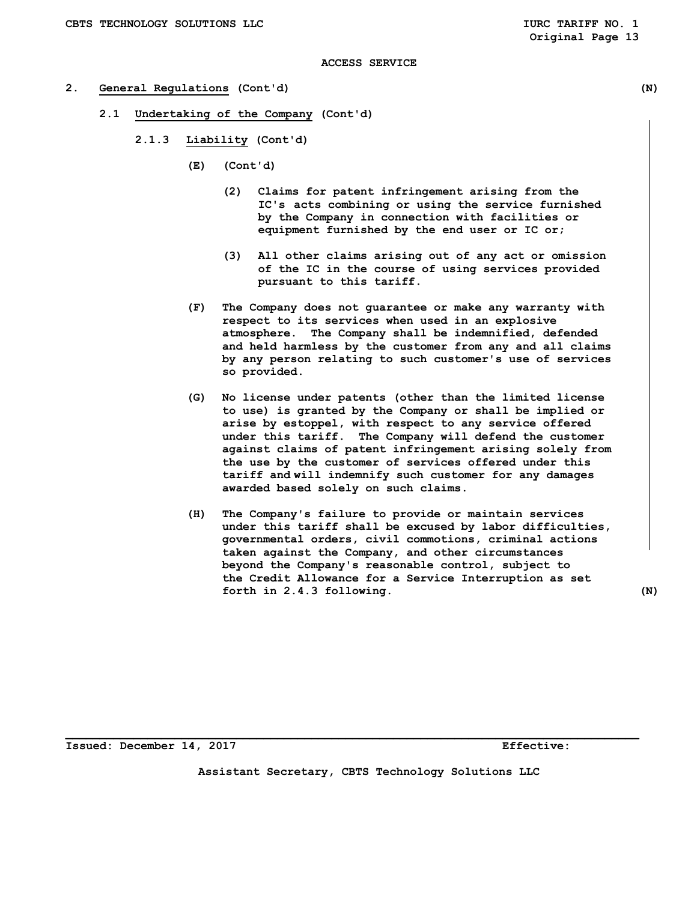- **2. General Regulations (Cont'd) (N)** 
	- **2.1 Undertaking of the Company (Cont'd)** 
		- **2.1.3 Liability (Cont'd)** 
			- **(E) (Cont'd)** 
				- **(2) Claims for patent infringement arising from the IC's acts combining or using the service furnished by the Company in connection with facilities or equipment furnished by the end user or IC or;**
				- **(3) All other claims arising out of any act or omission of the IC in the course of using services provided pursuant to this tariff.**
			- **(F) The Company does not guarantee or make any warranty with respect to its services when used in an explosive atmosphere. The Company shall be indemnified, defended and held harmless by the customer from any and all claims by any person relating to such customer's use of services so provided.**
			- **(G) No license under patents (other than the limited license to use) is granted by the Company or shall be implied or arise by estoppel, with respect to any service offered under this tariff. The Company will defend the customer against claims of patent infringement arising solely from the use by the customer of services offered under this tariff and will indemnify such customer for any damages awarded based solely on such claims.**
			- **(H) The Company's failure to provide or maintain services under this tariff shall be excused by labor difficulties, governmental orders, civil commotions, criminal actions taken against the Company, and other circumstances beyond the Company's reasonable control, subject to the Credit Allowance for a Service Interruption as set forth in 2.4.3 following. (N)**

**Issued: December 14, 2017 Effective:** 

**Assistant Secretary, CBTS Technology Solutions LLC**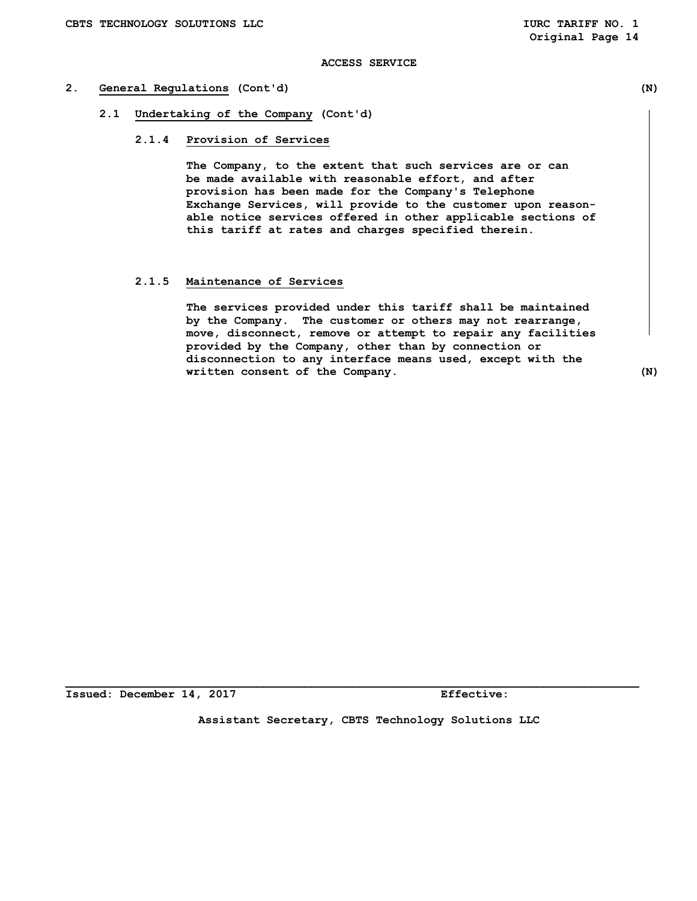## **2. General Regulations (Cont'd) (N)**

- **2.1 Undertaking of the Company (Cont'd)** 
	- **2.1.4 Provision of Services**

 **The Company, to the extent that such services are or can be made available with reasonable effort, and after provision has been made for the Company's Telephone Exchange Services, will provide to the customer upon reason able notice services offered in other applicable sections of this tariff at rates and charges specified therein.** 

## **2.1.5 Maintenance of Services**

 **The services provided under this tariff shall be maintained by the Company. The customer or others may not rearrange, move, disconnect, remove or attempt to repair any facilities provided by the Company, other than by connection or disconnection to any interface means used, except with the written consent of the Company.** (N)

**Issued: December 14, 2017 Effective:** 

**Assistant Secretary, CBTS Technology Solutions LLC**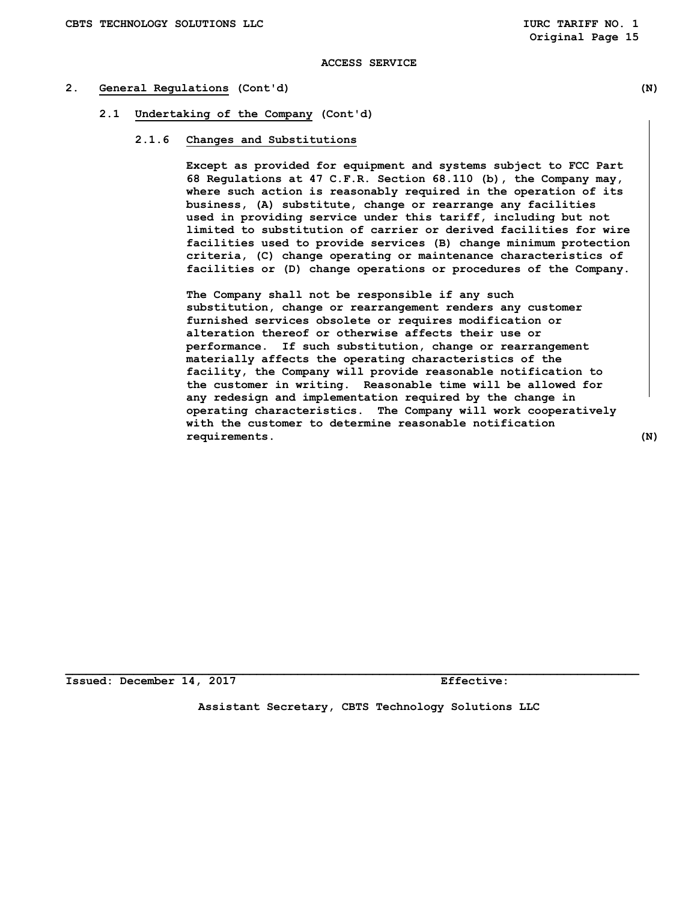#### **2. General Regulations (Cont'd) (N)**

- **2.1 Undertaking of the Company (Cont'd)** 
	- **2.1.6 Changes and Substitutions**

 **Except as provided for equipment and systems subject to FCC Part 68 Regulations at 47 C.F.R. Section 68.110 (b), the Company may, where such action is reasonably required in the operation of its business, (A) substitute, change or rearrange any facilities used in providing service under this tariff, including but not limited to substitution of carrier or derived facilities for wire facilities used to provide services (B) change minimum protection criteria, (C) change operating or maintenance characteristics of facilities or (D) change operations or procedures of the Company.** 

**The Company shall not be responsible if any such substitution, change or rearrangement renders any customer furnished services obsolete or requires modification or alteration thereof or otherwise affects their use or performance. If such substitution, change or rearrangement materially affects the operating characteristics of the facility, the Company will provide reasonable notification to the customer in writing. Reasonable time will be allowed for any redesign and implementation required by the change in operating characteristics. The Company will work cooperatively with the customer to determine reasonable notification requirements. (N)** 

**Issued: December 14, 2017 Effective:** 

**Assistant Secretary, CBTS Technology Solutions LLC**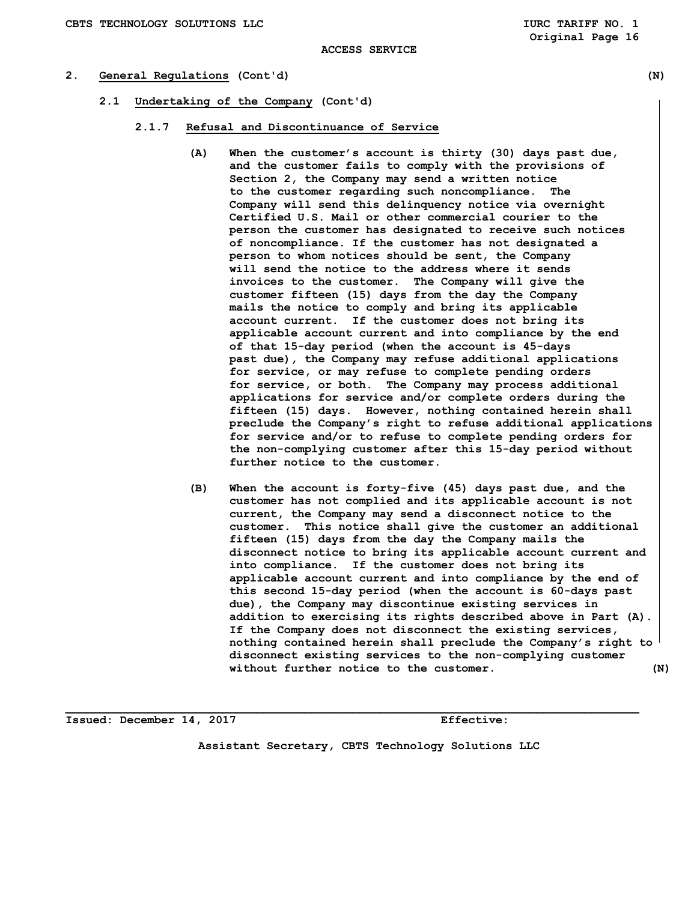## **2. General Regulations (Cont'd) (N)**

- **2.1 Undertaking of the Company (Cont'd)** 
	- **2.1.7 Refusal and Discontinuance of Service** 
		- **(A) When the customer's account is thirty (30) days past due, and the customer fails to comply with the provisions of Section 2, the Company may send a written notice to the customer regarding such noncompliance. The Company will send this delinquency notice via overnight Certified U.S. Mail or other commercial courier to the person the customer has designated to receive such notices of noncompliance. If the customer has not designated a person to whom notices should be sent, the Company will send the notice to the address where it sends invoices to the customer. The Company will give the customer fifteen (15) days from the day the Company mails the notice to comply and bring its applicable account current. If the customer does not bring its applicable account current and into compliance by the end of that 15-day period (when the account is 45-days past due), the Company may refuse additional applications for service, or may refuse to complete pending orders for service, or both. The Company may process additional applications for service and/or complete orders during the fifteen (15) days. However, nothing contained herein shall preclude the Company's right to refuse additional applications for service and/or to refuse to complete pending orders for the non-complying customer after this 15-day period without further notice to the customer.**
		- **(B) When the account is forty-five (45) days past due, and the customer has not complied and its applicable account is not current, the Company may send a disconnect notice to the customer. This notice shall give the customer an additional fifteen (15) days from the day the Company mails the disconnect notice to bring its applicable account current and into compliance. If the customer does not bring its applicable account current and into compliance by the end of this second 15-day period (when the account is 60-days past due), the Company may discontinue existing services in addition to exercising its rights described above in Part (A). If the Company does not disconnect the existing services, nothing contained herein shall preclude the Company's right to disconnect existing services to the non-complying customer without further notice to the customer. (N)**

**Issued: December 14, 2017 Effective:** 

**Assistant Secretary, CBTS Technology Solutions LLC**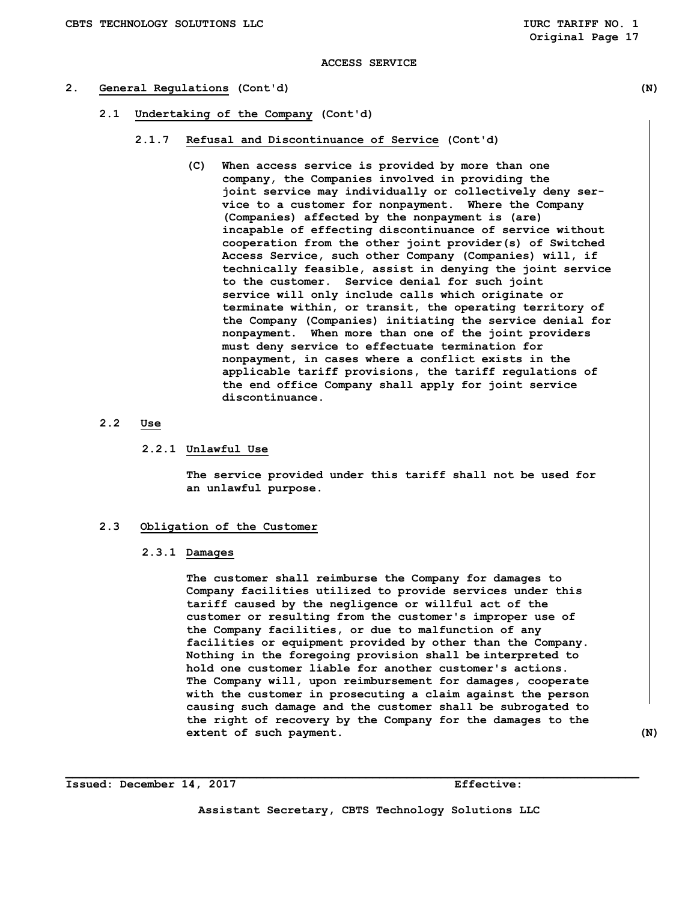#### **2. General Regulations (Cont'd) (N)**

- **2.1 Undertaking of the Company (Cont'd)** 
	- **2.1.7 Refusal and Discontinuance of Service (Cont'd)** 
		- **(C) When access service is provided by more than one company, the Companies involved in providing the joint service may individually or collectively deny ser vice to a customer for nonpayment. Where the Company (Companies) affected by the nonpayment is (are) incapable of effecting discontinuance of service without cooperation from the other joint provider(s) of Switched Access Service, such other Company (Companies) will, if technically feasible, assist in denying the joint service to the customer. Service denial for such joint service will only include calls which originate or terminate within, or transit, the operating territory of the Company (Companies) initiating the service denial for nonpayment. When more than one of the joint providers must deny service to effectuate termination for nonpayment, in cases where a conflict exists in the applicable tariff provisions, the tariff regulations of the end office Company shall apply for joint service discontinuance.**

### **2.2 Use**

#### **2.2.1 Unlawful Use**

 **The service provided under this tariff shall not be used for an unlawful purpose.** 

## **2.3 Obligation of the Customer**

 **2.3.1 Damages** 

 **The customer shall reimburse the Company for damages to Company facilities utilized to provide services under this tariff caused by the negligence or willful act of the customer or resulting from the customer's improper use of the Company facilities, or due to malfunction of any facilities or equipment provided by other than the Company. Nothing in the foregoing provision shall be interpreted to hold one customer liable for another customer's actions. The Company will, upon reimbursement for damages, cooperate with the customer in prosecuting a claim against the person causing such damage and the customer shall be subrogated to the right of recovery by the Company for the damages to the extent of such payment.** (N)

**Issued: December 14, 2017 Effective:** 

**Assistant Secretary, CBTS Technology Solutions LLC**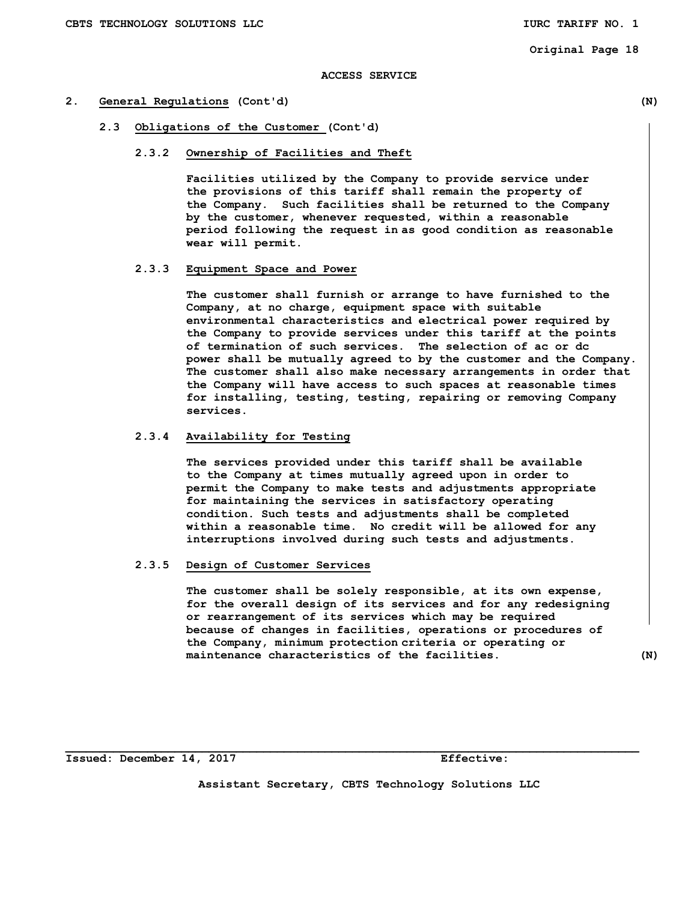#### **ACCESS SERVICE**

#### **2. General Regulations (Cont'd) (N)**

 **2.3 Obligations of the Customer (Cont'd)** 

#### **2.3.2 Ownership of Facilities and Theft**

 **Facilities utilized by the Company to provide service under the provisions of this tariff shall remain the property of the Company. Such facilities shall be returned to the Company by the customer, whenever requested, within a reasonable period following the request in as good condition as reasonable wear will permit.** 

## **2.3.3 Equipment Space and Power**

 **The customer shall furnish or arrange to have furnished to the Company, at no charge, equipment space with suitable environmental characteristics and electrical power required by the Company to provide services under this tariff at the points of termination of such services. The selection of ac or dc power shall be mutually agreed to by the customer and the Company. The customer shall also make necessary arrangements in order that the Company will have access to such spaces at reasonable times for installing, testing, testing, repairing or removing Company services.** 

## **2.3.4 Availability for Testing**

 **The services provided under this tariff shall be available to the Company at times mutually agreed upon in order to permit the Company to make tests and adjustments appropriate for maintaining the services in satisfactory operating condition. Such tests and adjustments shall be completed within a reasonable time. No credit will be allowed for any interruptions involved during such tests and adjustments.** 

#### **2.3.5 Design of Customer Services**

 **The customer shall be solely responsible, at its own expense, for the overall design of its services and for any redesigning or rearrangement of its services which may be required because of changes in facilities, operations or procedures of the Company, minimum protection criteria or operating or maintenance characteristics of the facilities. (N)** 

**Issued: December 14, 2017 Effective:** 

**Assistant Secretary, CBTS Technology Solutions LLC**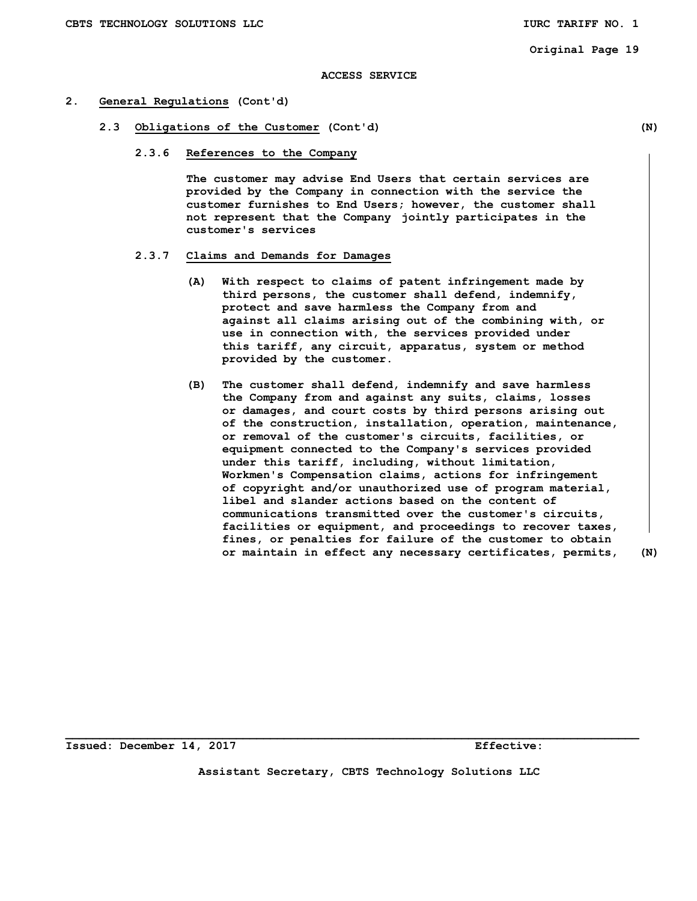#### **ACCESS SERVICE**

#### **2. General Regulations (Cont'd)**

- **2.3 Obligations of the Customer (Cont'd) (N)** 
	- **2.3.6 References to the Company**

 **The customer may advise End Users that certain services are provided by the Company in connection with the service the customer furnishes to End Users; however, the customer shall not represent that the Company jointly participates in the customer's services** 

## **2.3.7 Claims and Demands for Damages**

- **(A) With respect to claims of patent infringement made by third persons, the customer shall defend, indemnify, protect and save harmless the Company from and against all claims arising out of the combining with, or use in connection with, the services provided under this tariff, any circuit, apparatus, system or method provided by the customer.**
- **(B) The customer shall defend, indemnify and save harmless the Company from and against any suits, claims, losses or damages, and court costs by third persons arising out of the construction, installation, operation, maintenance, or removal of the customer's circuits, facilities, or equipment connected to the Company's services provided under this tariff, including, without limitation, Workmen's Compensation claims, actions for infringement of copyright and/or unauthorized use of program material, libel and slander actions based on the content of communications transmitted over the customer's circuits, facilities or equipment, and proceedings to recover taxes, fines, or penalties for failure of the customer to obtain or maintain in effect any necessary certificates, permits, (N)**

**Issued: December 14, 2017 Effective:** 

**Assistant Secretary, CBTS Technology Solutions LLC**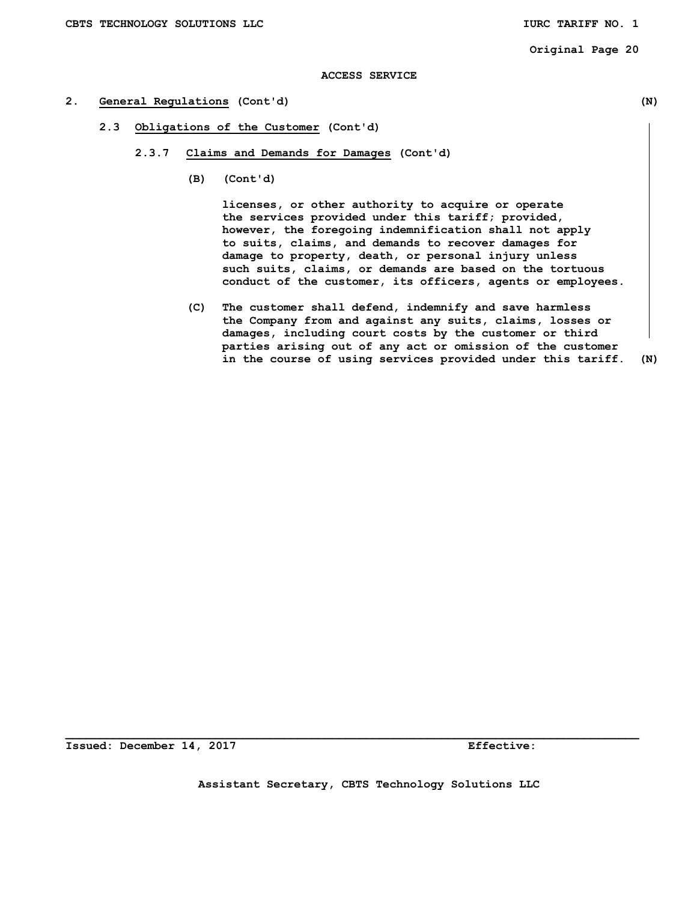## **ACCESS SERVICE**

## **2. General Regulations (Cont'd) (N)**

- **2.3 Obligations of the Customer (Cont'd)** 
	- **2.3.7 Claims and Demands for Damages (Cont'd)** 
		- **(B) (Cont'd)**

 **licenses, or other authority to acquire or operate the services provided under this tariff; provided, however, the foregoing indemnification shall not apply to suits, claims, and demands to recover damages for damage to property, death, or personal injury unless such suits, claims, or demands are based on the tortuous conduct of the customer, its officers, agents or employees.** 

 **(C) The customer shall defend, indemnify and save harmless the Company from and against any suits, claims, losses or damages, including court costs by the customer or third parties arising out of any act or omission of the customer in the course of using services provided under this tariff. (N)** 

**Issued: December 14, 2017 Effective:**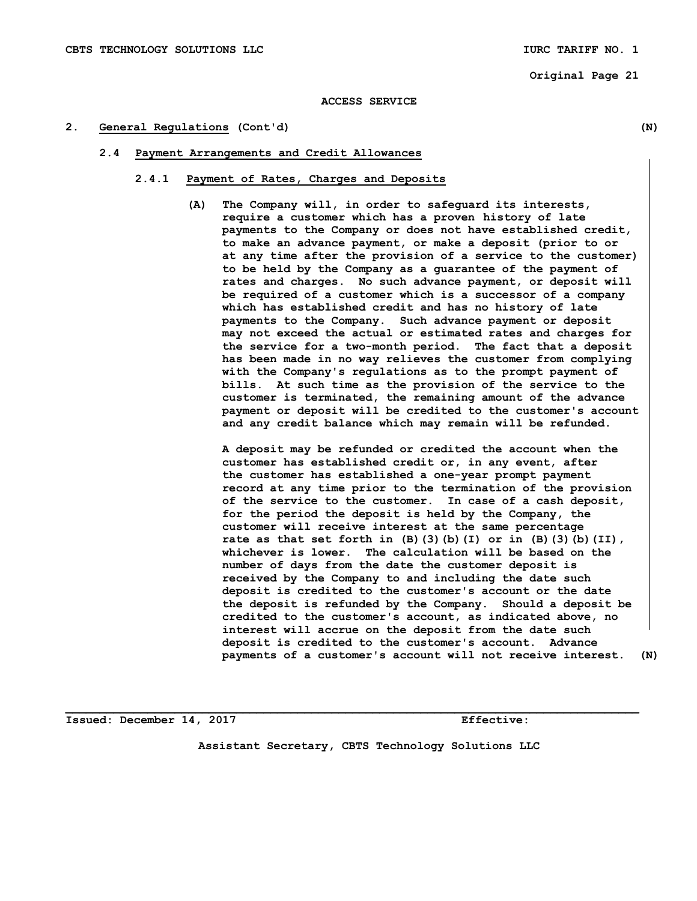#### **ACCESS SERVICE**

#### **2. General Regulations (Cont'd) (N)**

#### **2.4 Payment Arrangements and Credit Allowances**

#### **2.4.1 Payment of Rates, Charges and Deposits**

**(A) The Company will, in order to safeguard its interests, require a customer which has a proven history of late payments to the Company or does not have established credit, to make an advance payment, or make a deposit (prior to or at any time after the provision of a service to the customer) to be held by the Company as a guarantee of the payment of rates and charges. No such advance payment, or deposit will be required of a customer which is a successor of a company which has established credit and has no history of late payments to the Company. Such advance payment or deposit may not exceed the actual or estimated rates and charges for the service for a two-month period. The fact that a deposit has been made in no way relieves the customer from complying with the Company's regulations as to the prompt payment of bills. At such time as the provision of the service to the customer is terminated, the remaining amount of the advance payment or deposit will be credited to the customer's account and any credit balance which may remain will be refunded.** 

 **A deposit may be refunded or credited the account when the customer has established credit or, in any event, after the customer has established a one-year prompt payment record at any time prior to the termination of the provision of the service to the customer. In case of a cash deposit, for the period the deposit is held by the Company, the customer will receive interest at the same percentage rate as that set forth in (B)(3)(b)(I) or in (B)(3)(b)(II), whichever is lower. The calculation will be based on the number of days from the date the customer deposit is received by the Company to and including the date such deposit is credited to the customer's account or the date the deposit is refunded by the Company. Should a deposit be credited to the customer's account, as indicated above, no interest will accrue on the deposit from the date such deposit is credited to the customer's account. Advance payments of a customer's account will not receive interest. (N)** 

**Issued: December 14, 2017 Effective:** 

**Assistant Secretary, CBTS Technology Solutions LLC**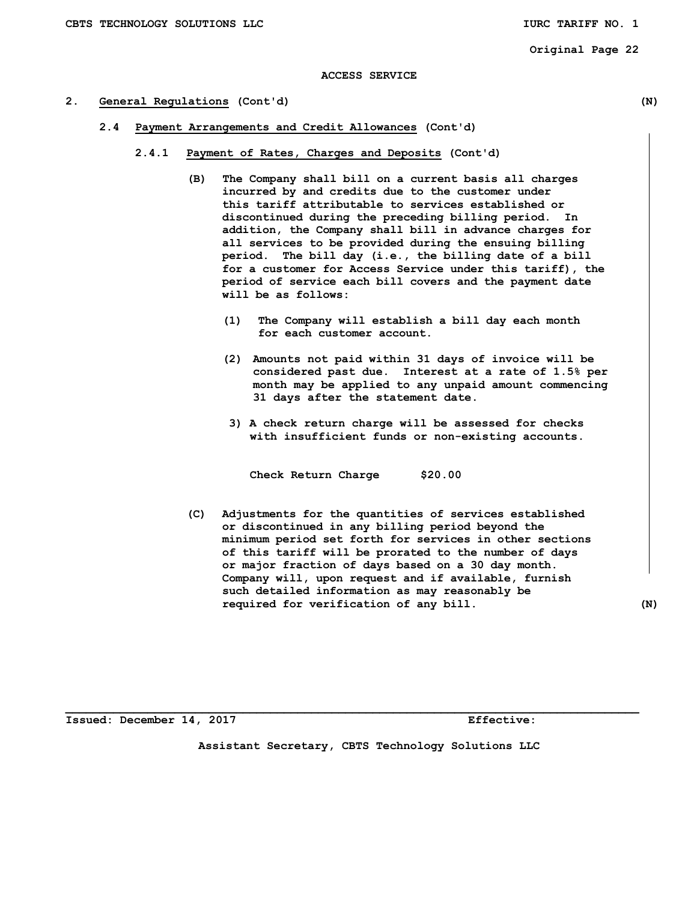#### **ACCESS SERVICE**

#### **2. General Regulations (Cont'd) (N)**

- **2.4 Payment Arrangements and Credit Allowances (Cont'd)** 
	- **2.4.1 Payment of Rates, Charges and Deposits (Cont'd)** 
		- **(B) The Company shall bill on a current basis all charges incurred by and credits due to the customer under this tariff attributable to services established or discontinued during the preceding billing period. In addition, the Company shall bill in advance charges for all services to be provided during the ensuing billing period. The bill day (i.e., the billing date of a bill for a customer for Access Service under this tariff), the period of service each bill covers and the payment date will be as follows:** 
			- **(1) The Company will establish a bill day each month for each customer account.**
			- **(2) Amounts not paid within 31 days of invoice will be considered past due. Interest at a rate of 1.5% per month may be applied to any unpaid amount commencing 31 days after the statement date.**
			- **3) A check return charge will be assessed for checks with insufficient funds or non-existing accounts.**

 **Check Return Charge \$20.00** 

 **(C) Adjustments for the quantities of services established or discontinued in any billing period beyond the minimum period set forth for services in other sections of this tariff will be prorated to the number of days or major fraction of days based on a 30 day month. Company will, upon request and if available, furnish such detailed information as may reasonably be required for verification of any bill. (N)** 

**Issued: December 14, 2017 Effective:** 

**Assistant Secretary, CBTS Technology Solutions LLC**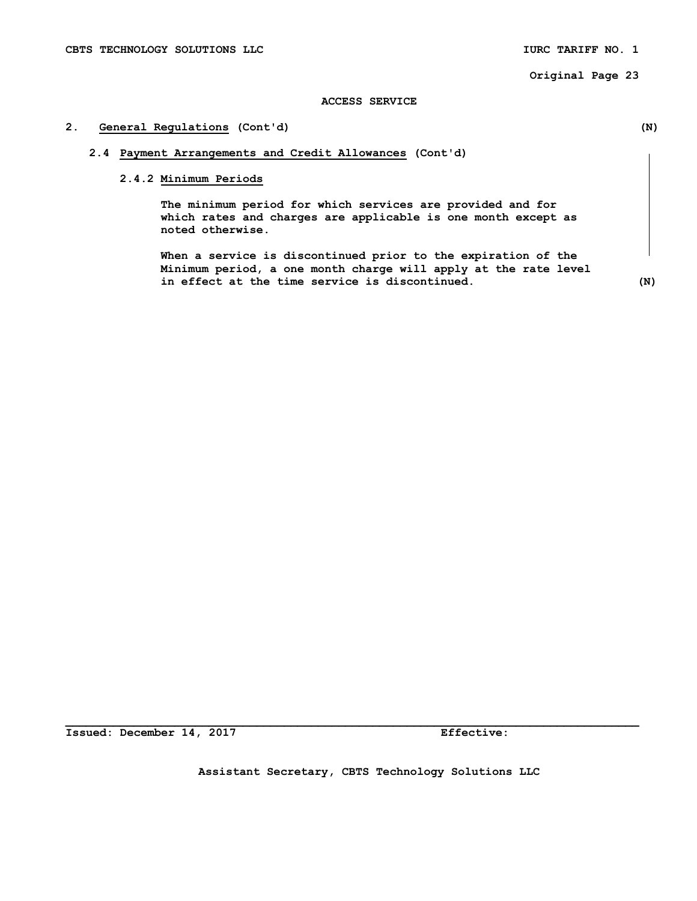### **ACCESS SERVICE**

## **2. General Regulations (Cont'd) (N)**

## **2.4 Payment Arrangements and Credit Allowances (Cont'd)**

## **2.4.2 Minimum Periods**

 **The minimum period for which services are provided and for which rates and charges are applicable is one month except as noted otherwise.** 

 **When a service is discontinued prior to the expiration of the Minimum period, a one month charge will apply at the rate level in effect at the time service is discontinued. (N)**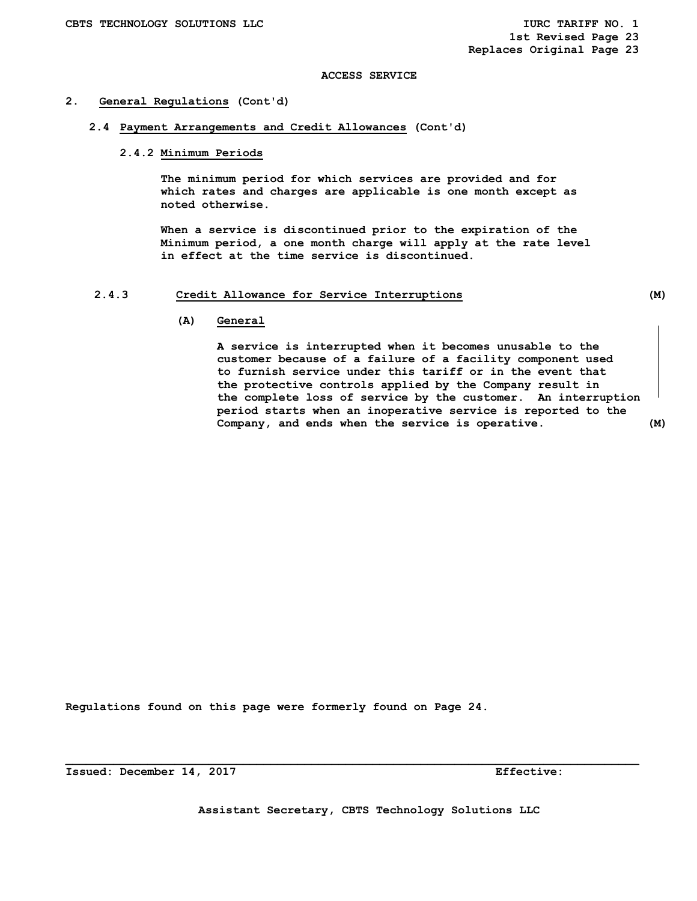#### **2. General Regulations (Cont'd)**

 **2.4 Payment Arrangements and Credit Allowances (Cont'd)** 

#### **2.4.2 Minimum Periods**

 **The minimum period for which services are provided and for which rates and charges are applicable is one month except as noted otherwise.** 

 **When a service is discontinued prior to the expiration of the Minimum period, a one month charge will apply at the rate level in effect at the time service is discontinued.** 

## **2.4.3 Credit Allowance for Service Interruptions (M)**

#### **(A) General**

 **A service is interrupted when it becomes unusable to the customer because of a failure of a facility component used to furnish service under this tariff or in the event that the protective controls applied by the Company result in the complete loss of service by the customer. An interruption period starts when an inoperative service is reported to the Company, and ends when the service is operative. (M)** 

**Regulations found on this page were formerly found on Page 24.** 

**Issued: December 14, 2017 Effective: Effective:**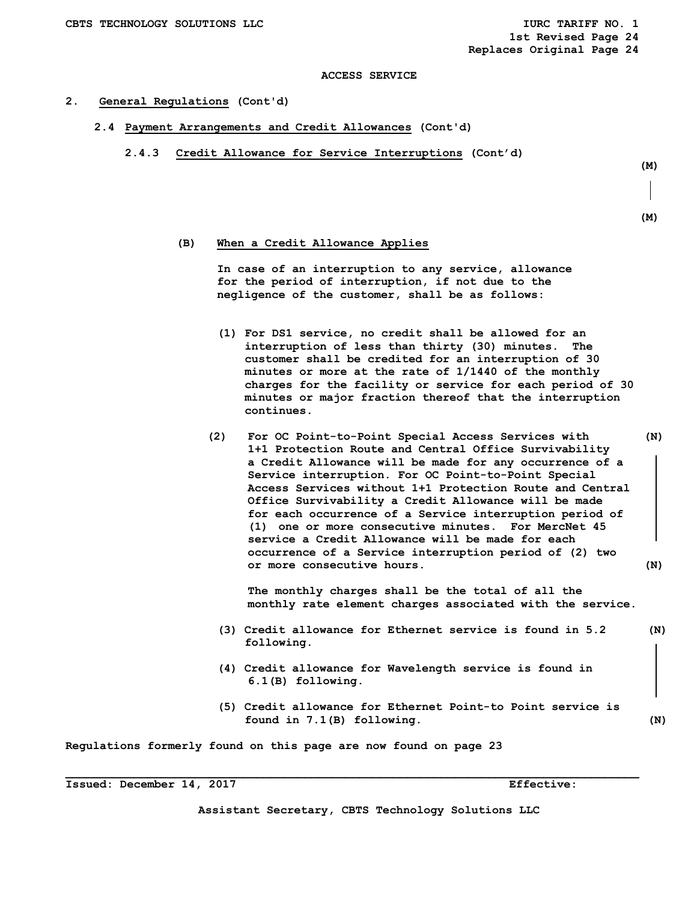#### **2. General Regulations (Cont'd)**

- **2.4 Payment Arrangements and Credit Allowances (Cont'd)** 
	- **2.4.3 Credit Allowance for Service Interruptions (Cont'd)**

 **(M)** 

```
 (M)
```
## **(B) When a Credit Allowance Applies**

 **In case of an interruption to any service, allowance for the period of interruption, if not due to the negligence of the customer, shall be as follows:** 

- **(1) For DS1 service, no credit shall be allowed for an interruption of less than thirty (30) minutes. The customer shall be credited for an interruption of 30 minutes or more at the rate of 1/1440 of the monthly charges for the facility or service for each period of 30 minutes or major fraction thereof that the interruption continues.**
- **(2) For OC Point-to-Point Special Access Services with (N) 1+1 Protection Route and Central Office Survivability a Credit Allowance will be made for any occurrence of a Service interruption. For OC Point-to-Point Special Access Services without 1+1 Protection Route and Central Office Survivability a Credit Allowance will be made for each occurrence of a Service interruption period of (1) one or more consecutive minutes. For MercNet 45 service a Credit Allowance will be made for each occurrence of a Service interruption period of (2) two or more consecutive hours. (N)**

 **The monthly charges shall be the total of all the monthly rate element charges associated with the service.** 

- **(3) Credit allowance for Ethernet service is found in 5.2 (N) following.**
- **(4) Credit allowance for Wavelength service is found in 6.1(B) following.**
- **(5) Credit allowance for Ethernet Point-to Point service is found in 7.1(B) following. (N)**

**Regulations formerly found on this page are now found on page 23** 

**Assistant Secretary, CBTS Technology Solutions LLC**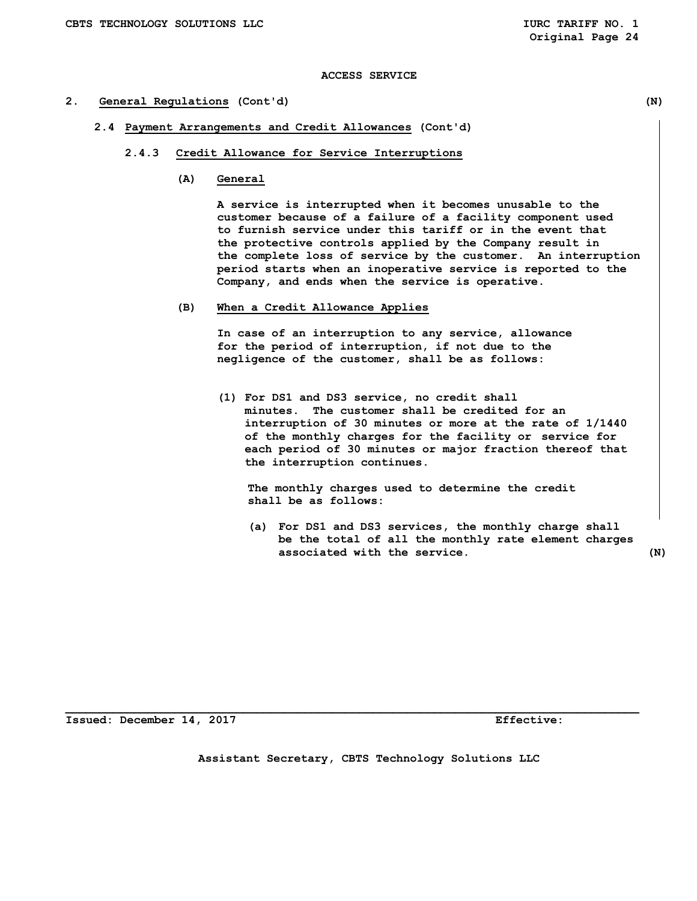#### **2. General Regulations (Cont'd) (N)**

- **2.4 Payment Arrangements and Credit Allowances (Cont'd)** 
	- **2.4.3 Credit Allowance for Service Interruptions** 
		- **(A) General**

 **A service is interrupted when it becomes unusable to the customer because of a failure of a facility component used to furnish service under this tariff or in the event that the protective controls applied by the Company result in the complete loss of service by the customer. An interruption period starts when an inoperative service is reported to the Company, and ends when the service is operative.** 

 **(B) When a Credit Allowance Applies** 

 **In case of an interruption to any service, allowance for the period of interruption, if not due to the negligence of the customer, shall be as follows:** 

 **(1) For DS1 and DS3 service, no credit shall minutes. The customer shall be credited for an interruption of 30 minutes or more at the rate of 1/1440 of the monthly charges for the facility or service for each period of 30 minutes or major fraction thereof that the interruption continues.** 

 **The monthly charges used to determine the credit shall be as follows:** 

 **(a) For DS1 and DS3 services, the monthly charge shall be the total of all the monthly rate element charges associated with the service. (N)** 

**Issued: December 14, 2017 Effective:** 

**Assistant Secretary, CBTS Technology Solutions LLC**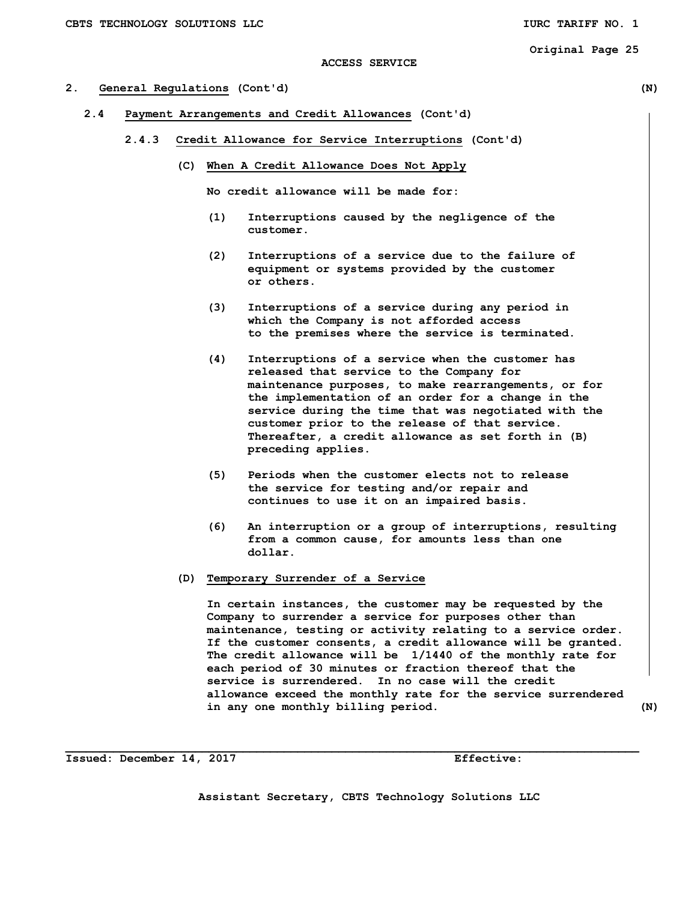#### **2. General Regulations (Cont'd) (N)**

- **2.4 Payment Arrangements and Credit Allowances (Cont'd)** 
	- **2.4.3 Credit Allowance for Service Interruptions (Cont'd)** 
		- **(C) When A Credit Allowance Does Not Apply**

 **No credit allowance will be made for:** 

- **(1) Interruptions caused by the negligence of the customer.**
- **(2) Interruptions of a service due to the failure of equipment or systems provided by the customer or others.**
- **(3) Interruptions of a service during any period in which the Company is not afforded access to the premises where the service is terminated.**
- **(4) Interruptions of a service when the customer has released that service to the Company for maintenance purposes, to make rearrangements, or for the implementation of an order for a change in the service during the time that was negotiated with the customer prior to the release of that service. Thereafter, a credit allowance as set forth in (B) preceding applies.**
- **(5) Periods when the customer elects not to release the service for testing and/or repair and continues to use it on an impaired basis.**
- **(6) An interruption or a group of interruptions, resulting from a common cause, for amounts less than one dollar.**

#### **(D) Temporary Surrender of a Service**

 **In certain instances, the customer may be requested by the Company to surrender a service for purposes other than maintenance, testing or activity relating to a service order. If the customer consents, a credit allowance will be granted. The credit allowance will be 1/1440 of the monthly rate for each period of 30 minutes or fraction thereof that the service is surrendered. In no case will the credit allowance exceed the monthly rate for the service surrendered in any one monthly billing period. (N)** 

**Issued: December 14, 2017 Effective:** 

**Assistant Secretary, CBTS Technology Solutions LLC**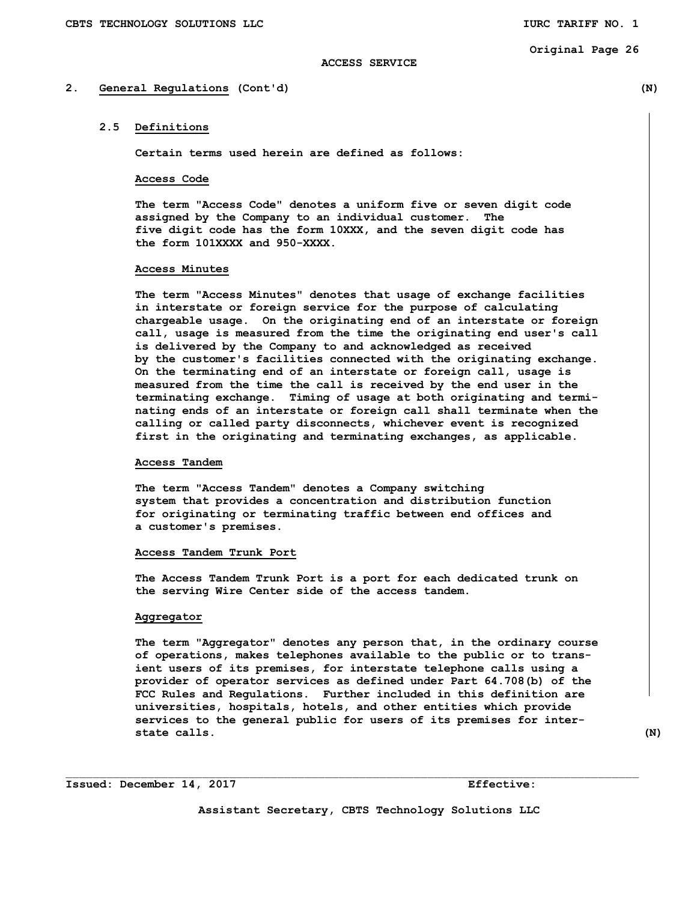#### **2. General Regulations (Cont'd) (N)**

#### **2.5 Definitions**

**Certain terms used herein are defined as follows:** 

#### **Access Code**

 **The term "Access Code" denotes a uniform five or seven digit code assigned by the Company to an individual customer. The five digit code has the form 10XXX, and the seven digit code has the form 101XXXX and 950-XXXX.** 

#### **Access Minutes**

 **The term "Access Minutes" denotes that usage of exchange facilities in interstate or foreign service for the purpose of calculating chargeable usage. On the originating end of an interstate or foreign call, usage is measured from the time the originating end user's call is delivered by the Company to and acknowledged as received by the customer's facilities connected with the originating exchange. On the terminating end of an interstate or foreign call, usage is measured from the time the call is received by the end user in the terminating exchange. Timing of usage at both originating and termi nating ends of an interstate or foreign call shall terminate when the calling or called party disconnects, whichever event is recognized first in the originating and terminating exchanges, as applicable.** 

## **Access Tandem**

 **The term "Access Tandem" denotes a Company switching system that provides a concentration and distribution function for originating or terminating traffic between end offices and a customer's premises.** 

#### **Access Tandem Trunk Port**

 **The Access Tandem Trunk Port is a port for each dedicated trunk on the serving Wire Center side of the access tandem.** 

#### **Aggregator**

 **The term "Aggregator" denotes any person that, in the ordinary course of operations, makes telephones available to the public or to trans ient users of its premises, for interstate telephone calls using a provider of operator services as defined under Part 64.708(b) of the FCC Rules and Regulations. Further included in this definition are universities, hospitals, hotels, and other entities which provide services to the general public for users of its premises for inter state calls.** (N)

**Issued: December 14, 2017 Effective:** 

**Assistant Secretary, CBTS Technology Solutions LLC**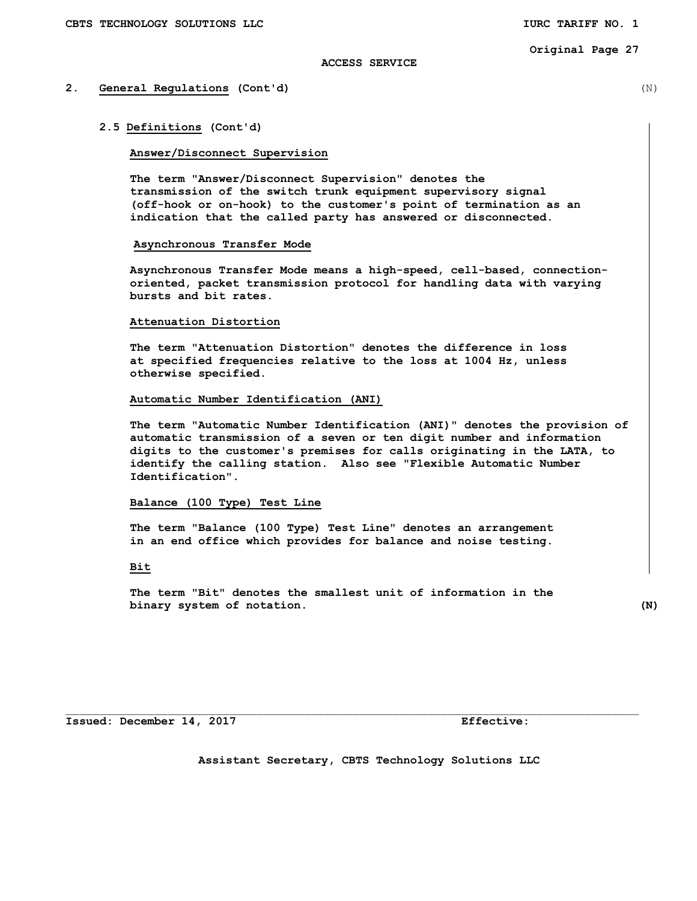#### **ACCESS SERVICE**

#### **2. General Regulations (Cont'd)** (N)

 **2.5 Definitions (Cont'd)** 

#### **Answer/Disconnect Supervision**

 **The term "Answer/Disconnect Supervision" denotes the transmission of the switch trunk equipment supervisory signal (off-hook or on-hook) to the customer's point of termination as an indication that the called party has answered or disconnected.** 

#### **Asynchronous Transfer Mode**

**Asynchronous Transfer Mode means a high-speed, cell-based, connectionoriented, packet transmission protocol for handling data with varying bursts and bit rates.** 

#### **Attenuation Distortion**

 **The term "Attenuation Distortion" denotes the difference in loss at specified frequencies relative to the loss at 1004 Hz, unless otherwise specified.** 

## **Automatic Number Identification (ANI)**

 **The term "Automatic Number Identification (ANI)" denotes the provision of automatic transmission of a seven or ten digit number and information digits to the customer's premises for calls originating in the LATA, to identify the calling station. Also see "Flexible Automatic Number Identification".** 

#### **Balance (100 Type) Test Line**

 **The term "Balance (100 Type) Test Line" denotes an arrangement in an end office which provides for balance and noise testing.** 

#### **Bit**

 **The term "Bit" denotes the smallest unit of information in the binary system of notation. (N)**

**Issued: December 14, 2017 Effective:** 

**Assistant Secretary, CBTS Technology Solutions LLC**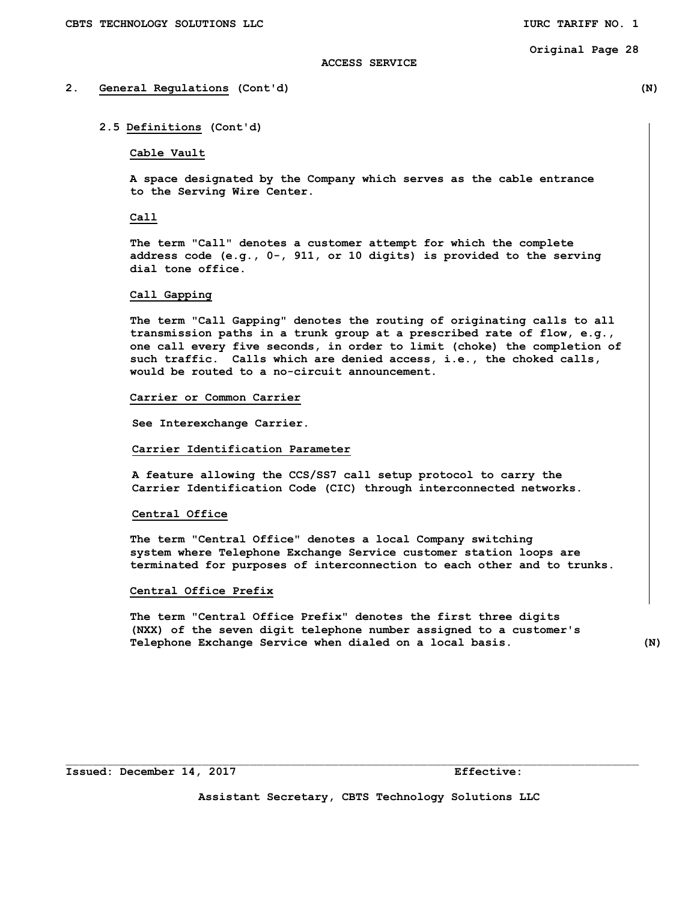#### **ACCESS SERVICE**

#### **2. General Regulations (Cont'd) (N)**

#### **2.5 Definitions (Cont'd)**

#### **Cable Vault**

 **A space designated by the Company which serves as the cable entrance to the Serving Wire Center.** 

#### **Call**

 **The term "Call" denotes a customer attempt for which the complete address code (e.g., 0-, 911, or 10 digits) is provided to the serving dial tone office.** 

#### **Call Gapping**

 **The term "Call Gapping" denotes the routing of originating calls to all transmission paths in a trunk group at a prescribed rate of flow, e.g., one call every five seconds, in order to limit (choke) the completion of such traffic. Calls which are denied access, i.e., the choked calls, would be routed to a no-circuit announcement.** 

#### **Carrier or Common Carrier**

 **See Interexchange Carrier.** 

#### **Carrier Identification Parameter**

 **A feature allowing the CCS/SS7 call setup protocol to carry the Carrier Identification Code (CIC) through interconnected networks.** 

#### **Central Office**

 **The term "Central Office" denotes a local Company switching system where Telephone Exchange Service customer station loops are terminated for purposes of interconnection to each other and to trunks.** 

#### **Central Office Prefix**

 **The term "Central Office Prefix" denotes the first three digits (NXX) of the seven digit telephone number assigned to a customer's Telephone Exchange Service when dialed on a local basis. (N)** 

**Assistant Secretary, CBTS Technology Solutions LLC** 

 $\mathcal{L}_\text{max}$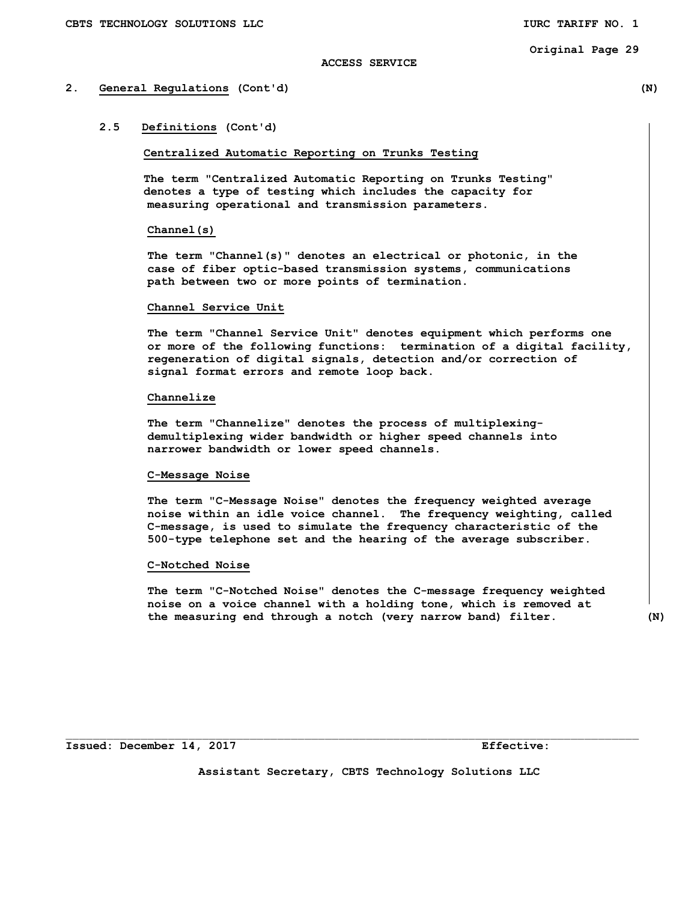#### **ACCESS SERVICE**

#### **2. General Regulations (Cont'd) (N)**

## **2.5 Definitions (Cont'd)**

**Centralized Automatic Reporting on Trunks Testing** 

 **The term "Centralized Automatic Reporting on Trunks Testing" denotes a type of testing which includes the capacity for measuring operational and transmission parameters.** 

#### **Channel(s)**

 **The term "Channel(s)" denotes an electrical or photonic, in the case of fiber optic-based transmission systems, communications path between two or more points of termination.** 

#### **Channel Service Unit**

 **The term "Channel Service Unit" denotes equipment which performs one or more of the following functions: termination of a digital facility, regeneration of digital signals, detection and/or correction of signal format errors and remote loop back.** 

#### **Channelize**

 **The term "Channelize" denotes the process of multiplexing demultiplexing wider bandwidth or higher speed channels into narrower bandwidth or lower speed channels.** 

#### **C-Message Noise**

 **The term "C-Message Noise" denotes the frequency weighted average noise within an idle voice channel. The frequency weighting, called C-message, is used to simulate the frequency characteristic of the 500-type telephone set and the hearing of the average subscriber.** 

#### **C-Notched Noise**

 **The term "C-Notched Noise" denotes the C-message frequency weighted noise on a voice channel with a holding tone, which is removed at the measuring end through a notch (very narrow band) filter. (N)** 

**Assistant Secretary, CBTS Technology Solutions LLC**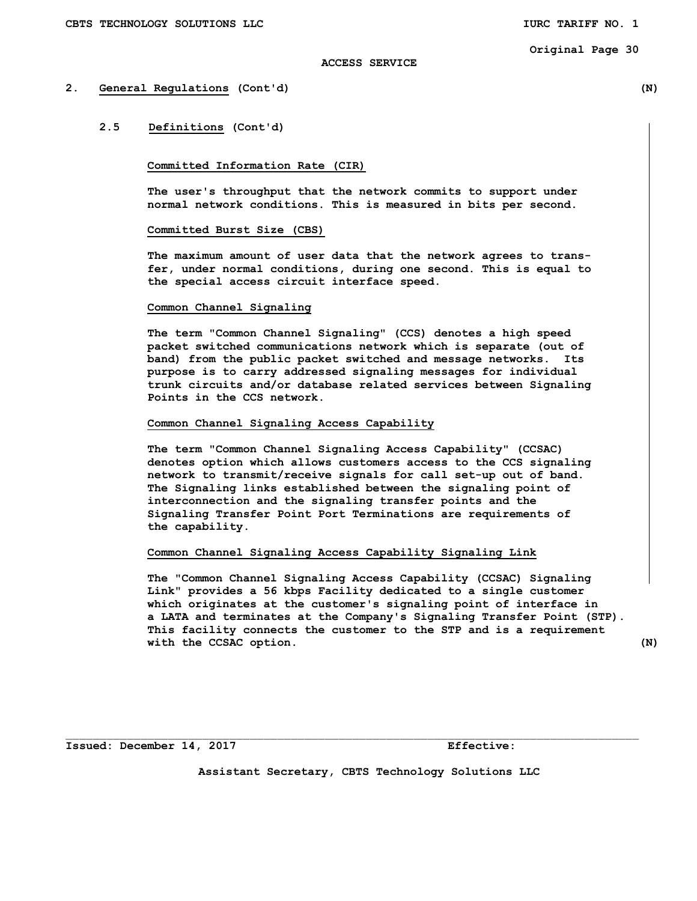#### **ACCESS SERVICE**

#### **2. General Regulations (Cont'd) (N)**

## **2.5 Definitions (Cont'd)**

#### **Committed Information Rate (CIR)**

 **The user's throughput that the network commits to support under normal network conditions. This is measured in bits per second.** 

#### **Committed Burst Size (CBS)**

 **The maximum amount of user data that the network agrees to trans fer, under normal conditions, during one second. This is equal to the special access circuit interface speed.** 

#### **Common Channel Signaling**

 **The term "Common Channel Signaling" (CCS) denotes a high speed packet switched communications network which is separate (out of band) from the public packet switched and message networks. Its purpose is to carry addressed signaling messages for individual trunk circuits and/or database related services between Signaling Points in the CCS network.** 

## **Common Channel Signaling Access Capability**

 **The term "Common Channel Signaling Access Capability" (CCSAC) denotes option which allows customers access to the CCS signaling network to transmit/receive signals for call set-up out of band. The Signaling links established between the signaling point of interconnection and the signaling transfer points and the Signaling Transfer Point Port Terminations are requirements of the capability.** 

#### **Common Channel Signaling Access Capability Signaling Link**

 **The "Common Channel Signaling Access Capability (CCSAC) Signaling Link" provides a 56 kbps Facility dedicated to a single customer which originates at the customer's signaling point of interface in a LATA and terminates at the Company's Signaling Transfer Point (STP). This facility connects the customer to the STP and is a requirement with the CCSAC option. (N)** 

**Issued: December 14, 2017 Effective:** 

**Assistant Secretary, CBTS Technology Solutions LLC**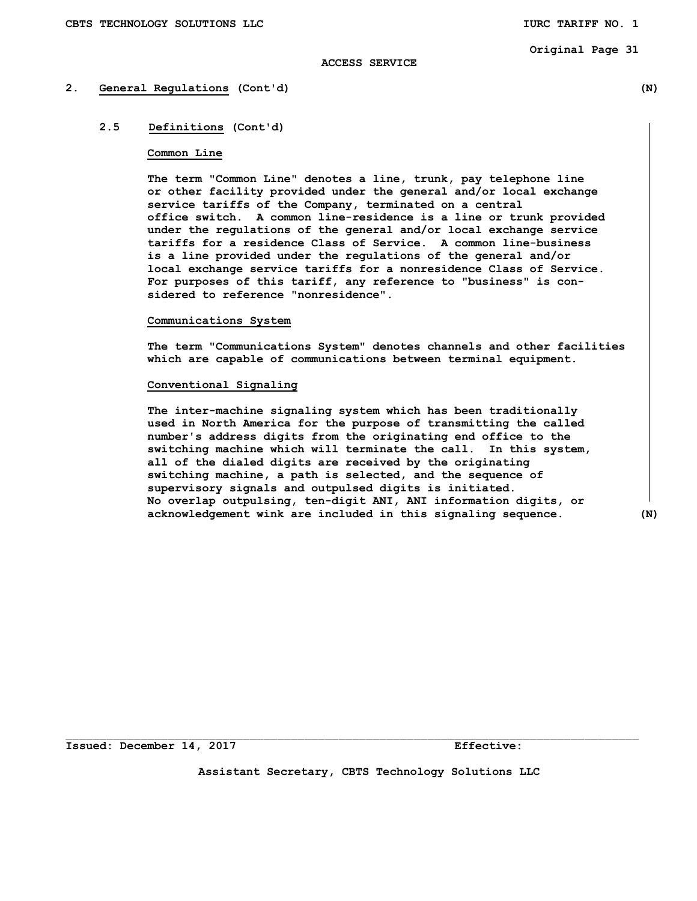#### **ACCESS SERVICE**

#### **2. General Regulations (Cont'd) (N)**

## **2.5 Definitions (Cont'd)**

#### **Common Line**

 **The term "Common Line" denotes a line, trunk, pay telephone line or other facility provided under the general and/or local exchange service tariffs of the Company, terminated on a central office switch. A common line-residence is a line or trunk provided under the regulations of the general and/or local exchange service tariffs for a residence Class of Service. A common line-business is a line provided under the regulations of the general and/or local exchange service tariffs for a nonresidence Class of Service. For purposes of this tariff, any reference to "business" is con sidered to reference "nonresidence".** 

#### **Communications System**

**The term "Communications System" denotes channels and other facilities which are capable of communications between terminal equipment.** 

#### **Conventional Signaling**

 **The inter-machine signaling system which has been traditionally used in North America for the purpose of transmitting the called number's address digits from the originating end office to the switching machine which will terminate the call. In this system, all of the dialed digits are received by the originating switching machine, a path is selected, and the sequence of supervisory signals and outpulsed digits is initiated. No overlap outpulsing, ten-digit ANI, ANI information digits, or acknowledgement wink are included in this signaling sequence. (N)** 

**Issued: December 14, 2017 Effective:** 

**Assistant Secretary, CBTS Technology Solutions LLC**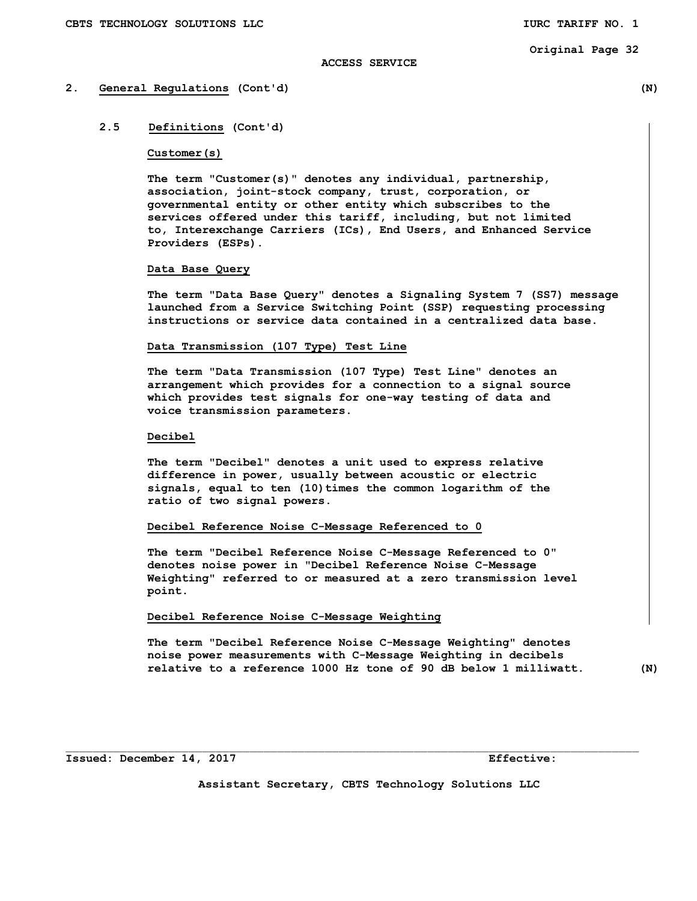#### **ACCESS SERVICE**

#### **2. General Regulations (Cont'd) (N)**

### **2.5 Definitions (Cont'd)**

#### **Customer(s)**

 **The term "Customer(s)" denotes any individual, partnership, association, joint-stock company, trust, corporation, or governmental entity or other entity which subscribes to the services offered under this tariff, including, but not limited to, Interexchange Carriers (ICs), End Users, and Enhanced Service Providers (ESPs).** 

#### **Data Base Query**

 **The term "Data Base Query" denotes a Signaling System 7 (SS7) message launched from a Service Switching Point (SSP) requesting processing instructions or service data contained in a centralized data base.** 

#### **Data Transmission (107 Type) Test Line**

 **The term "Data Transmission (107 Type) Test Line" denotes an arrangement which provides for a connection to a signal source which provides test signals for one-way testing of data and voice transmission parameters.** 

#### **Decibel**

 **The term "Decibel" denotes a unit used to express relative difference in power, usually between acoustic or electric signals, equal to ten (10)times the common logarithm of the ratio of two signal powers.** 

#### **Decibel Reference Noise C-Message Referenced to 0**

**The term "Decibel Reference Noise C-Message Referenced to 0" denotes noise power in "Decibel Reference Noise C-Message Weighting" referred to or measured at a zero transmission level point.** 

#### **Decibel Reference Noise C-Message Weighting**

**The term "Decibel Reference Noise C-Message Weighting" denotes noise power measurements with C-Message Weighting in decibels relative to a reference 1000 Hz tone of 90 dB below 1 milliwatt. (N)** 

**Issued: December 14, 2017 Effective: Effective:** 

**Assistant Secretary, CBTS Technology Solutions LLC** 

 $\mathcal{L}_\text{max}$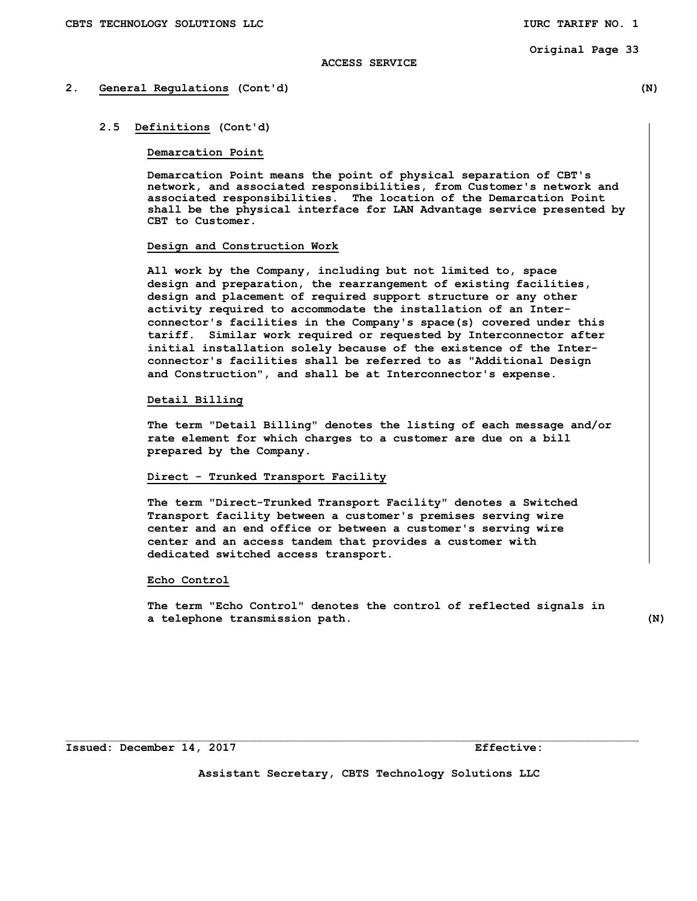#### **ACCESS SERVICE**

# **2. General Regulations (Cont'd) (N)**

#### **2.5 Definitions (Cont'd)**

#### **Demarcation Point**

 **Demarcation Point means the point of physical separation of CBT's network, and associated responsibilities, from Customer's network and associated responsibilities. The location of the Demarcation Point shall be the physical interface for LAN Advantage service presented by CBT to Customer.** 

#### **Design and Construction Work**

 **All work by the Company, including but not limited to, space design and preparation, the rearrangement of existing facilities, design and placement of required support structure or any other activity required to accommodate the installation of an Interconnector's facilities in the Company's space(s) covered under this tariff. Similar work required or requested by Interconnector after initial installation solely because of the existence of the Interconnector's facilities shall be referred to as "Additional Design and Construction", and shall be at Interconnector's expense.** 

# **Detail Billing**

 **The term "Detail Billing" denotes the listing of each message and/or rate element for which charges to a customer are due on a bill prepared by the Company.** 

# **Direct - Trunked Transport Facility**

 **The term "Direct-Trunked Transport Facility" denotes a Switched Transport facility between a customer's premises serving wire center and an end office or between a customer's serving wire center and an access tandem that provides a customer with dedicated switched access transport.** 

# **Echo Control**

 **The term "Echo Control" denotes the control of reflected signals in a telephone transmission path. (N)** 

**Assistant Secretary, CBTS Technology Solutions LLC**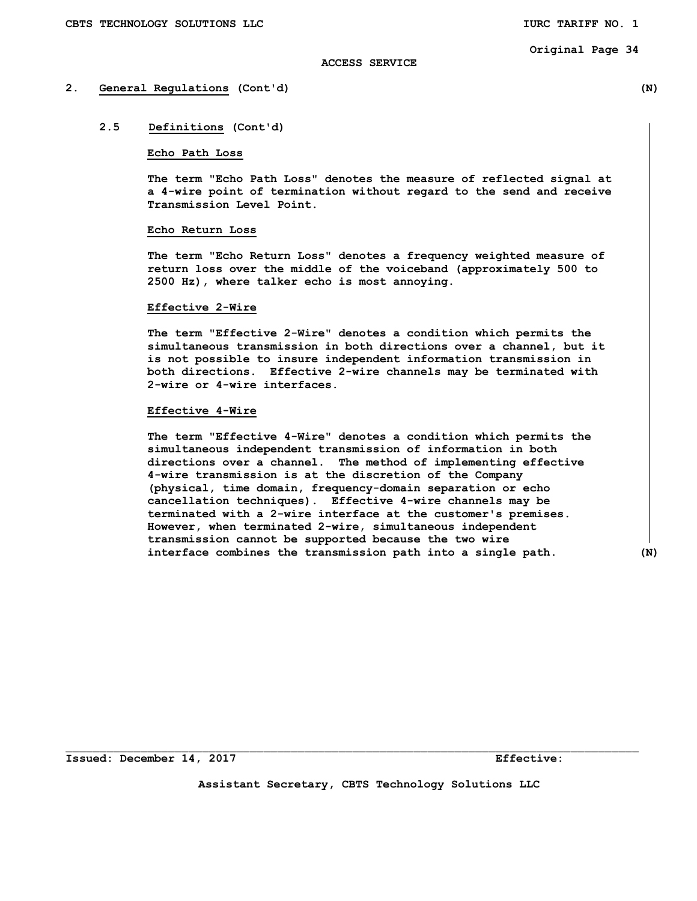# **ACCESS SERVICE**

# **2. General Regulations (Cont'd) (N)**

# **2.5 Definitions (Cont'd)**

# **Echo Path Loss**

 **The term "Echo Path Loss" denotes the measure of reflected signal at a 4-wire point of termination without regard to the send and receive Transmission Level Point.** 

# **Echo Return Loss**

 **The term "Echo Return Loss" denotes a frequency weighted measure of return loss over the middle of the voiceband (approximately 500 to 2500 Hz), where talker echo is most annoying.** 

#### **Effective 2-Wire**

 **The term "Effective 2-Wire" denotes a condition which permits the simultaneous transmission in both directions over a channel, but it is not possible to insure independent information transmission in both directions. Effective 2-wire channels may be terminated with 2-wire or 4-wire interfaces.** 

# **Effective 4-Wire**

 **The term "Effective 4-Wire" denotes a condition which permits the simultaneous independent transmission of information in both directions over a channel. The method of implementing effective 4-wire transmission is at the discretion of the Company (physical, time domain, frequency-domain separation or echo cancellation techniques). Effective 4-wire channels may be terminated with a 2-wire interface at the customer's premises. However, when terminated 2-wire, simultaneous independent transmission cannot be supported because the two wire interface combines the transmission path into a single path. (N)** 

**Issued: December 14, 2017 Effective: Effective:** 

**Assistant Secretary, CBTS Technology Solutions LLC** 

 $\mathcal{L}_\text{max}$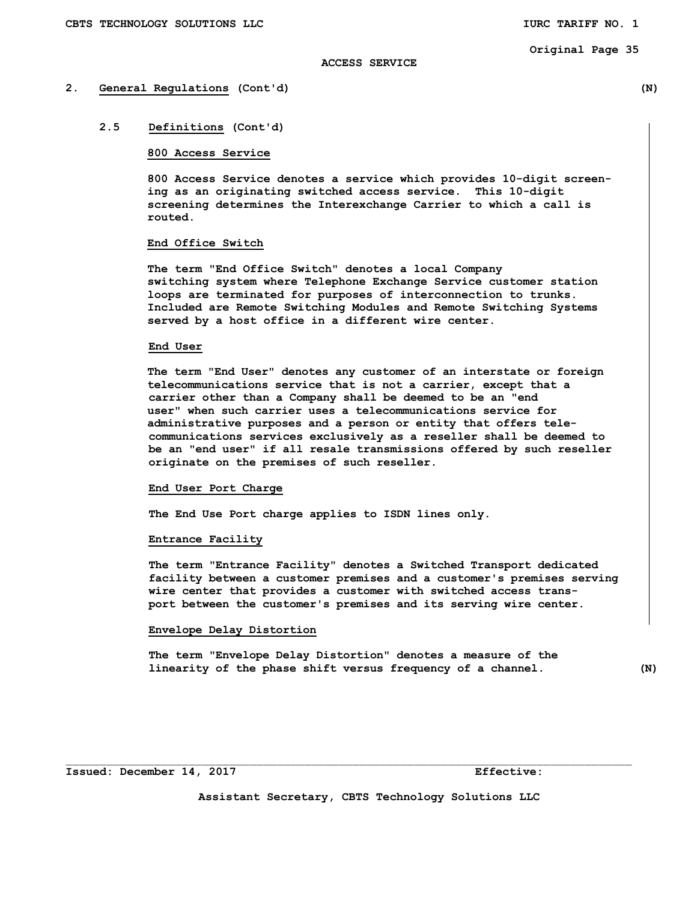# **ACCESS SERVICE**

# **2. General Regulations (Cont'd) (N)**

# **2.5 Definitions (Cont'd)**

# **800 Access Service**

 **800 Access Service denotes a service which provides 10-digit screen ing as an originating switched access service. This 10-digit screening determines the Interexchange Carrier to which a call is routed.** 

# **End Office Switch**

 **The term "End Office Switch" denotes a local Company switching system where Telephone Exchange Service customer station loops are terminated for purposes of interconnection to trunks. Included are Remote Switching Modules and Remote Switching Systems served by a host office in a different wire center.** 

# **End User**

**The term "End User" denotes any customer of an interstate or foreign telecommunications service that is not a carrier, except that a carrier other than a Company shall be deemed to be an "end user" when such carrier uses a telecommunications service for administrative purposes and a person or entity that offers tele communications services exclusively as a reseller shall be deemed to be an "end user" if all resale transmissions offered by such reseller originate on the premises of such reseller.** 

## **End User Port Charge**

 **The End Use Port charge applies to ISDN lines only.** 

# **Entrance Facility**

 **The term "Entrance Facility" denotes a Switched Transport dedicated facility between a customer premises and a customer's premises serving wire center that provides a customer with switched access trans port between the customer's premises and its serving wire center.** 

## **Envelope Delay Distortion**

 **The term "Envelope Delay Distortion" denotes a measure of the linearity of the phase shift versus frequency of a channel. (N)** 

 $\mathcal{L}_\text{max}$ 

**Assistant Secretary, CBTS Technology Solutions LLC**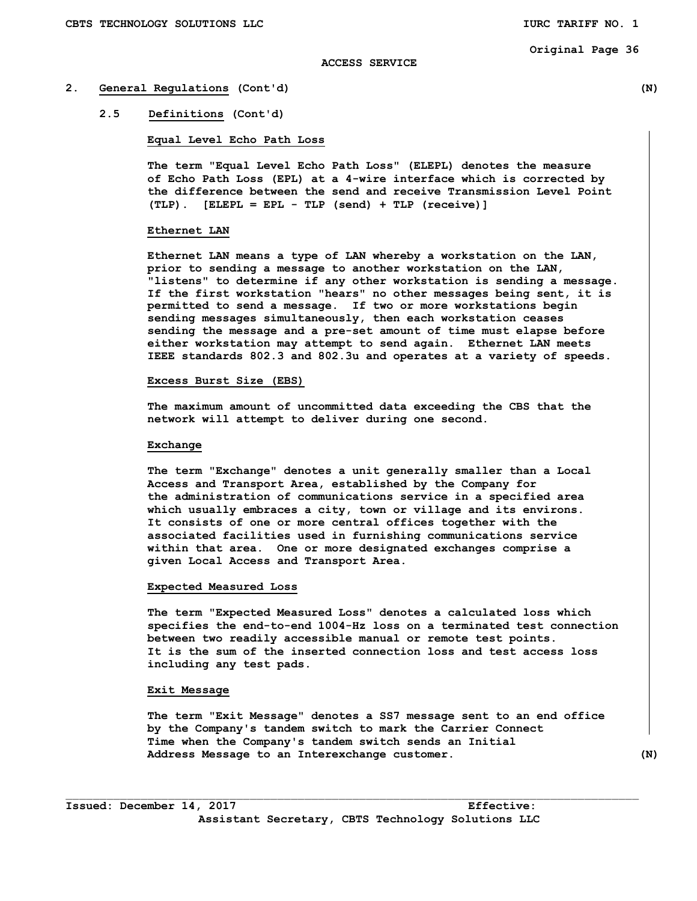## **ACCESS SERVICE**

# **2. General Regulations (Cont'd) (N)**

# **2.5 Definitions (Cont'd)**

#### **Equal Level Echo Path Loss**

 **The term "Equal Level Echo Path Loss" (ELEPL) denotes the measure of Echo Path Loss (EPL) at a 4-wire interface which is corrected by the difference between the send and receive Transmission Level Point (TLP). [ELEPL = EPL - TLP (send) + TLP (receive)]** 

#### **Ethernet LAN**

**Ethernet LAN means a type of LAN whereby a workstation on the LAN, prior to sending a message to another workstation on the LAN, "listens" to determine if any other workstation is sending a message. If the first workstation "hears" no other messages being sent, it is permitted to send a message. If two or more workstations begin sending messages simultaneously, then each workstation ceases sending the message and a pre-set amount of time must elapse before either workstation may attempt to send again. Ethernet LAN meets IEEE standards 802.3 and 802.3u and operates at a variety of speeds.** 

# **Excess Burst Size (EBS)**

 **The maximum amount of uncommitted data exceeding the CBS that the network will attempt to deliver during one second.** 

## **Exchange**

 **The term "Exchange" denotes a unit generally smaller than a Local Access and Transport Area, established by the Company for the administration of communications service in a specified area which usually embraces a city, town or village and its environs. It consists of one or more central offices together with the associated facilities used in furnishing communications service within that area. One or more designated exchanges comprise a given Local Access and Transport Area.** 

#### **Expected Measured Loss**

 **The term "Expected Measured Loss" denotes a calculated loss which specifies the end-to-end 1004-Hz loss on a terminated test connection between two readily accessible manual or remote test points. It is the sum of the inserted connection loss and test access loss including any test pads.** 

#### **Exit Message**

 **The term "Exit Message" denotes a SS7 message sent to an end office by the Company's tandem switch to mark the Carrier Connect Time when the Company's tandem switch sends an Initial Address Message to an Interexchange customer. (N)**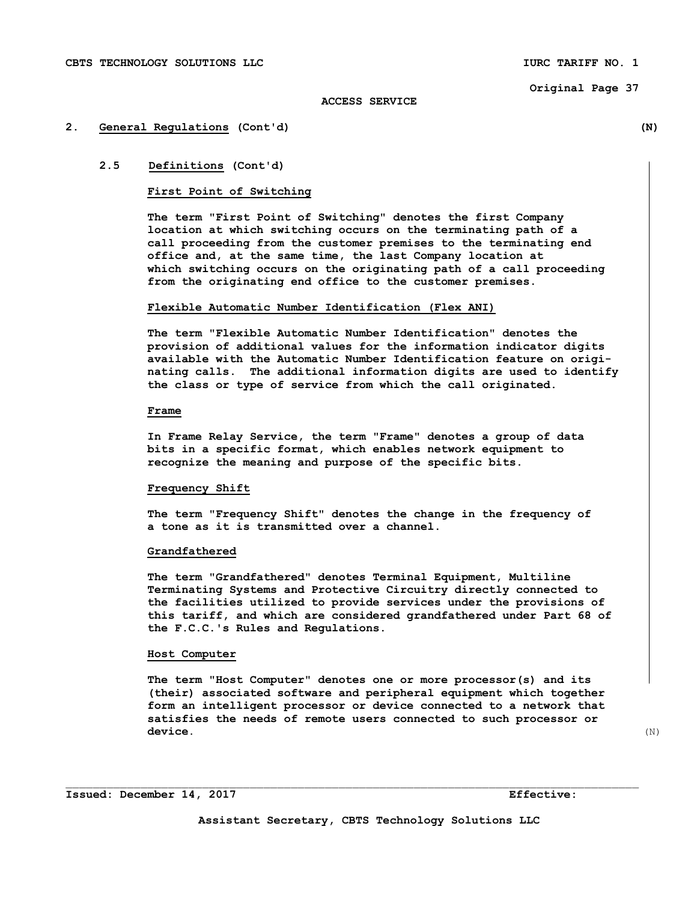# **2. General Regulations (Cont'd) (N)**

# **2.5 Definitions (Cont'd)**

# **First Point of Switching**

 **The term "First Point of Switching" denotes the first Company location at which switching occurs on the terminating path of a call proceeding from the customer premises to the terminating end office and, at the same time, the last Company location at which switching occurs on the originating path of a call proceeding from the originating end office to the customer premises.** 

## **Flexible Automatic Number Identification (Flex ANI)**

**The term "Flexible Automatic Number Identification" denotes the provision of additional values for the information indicator digits available with the Automatic Number Identification feature on origi nating calls. The additional information digits are used to identify the class or type of service from which the call originated.** 

# **Frame**

 **In Frame Relay Service, the term "Frame" denotes a group of data bits in a specific format, which enables network equipment to recognize the meaning and purpose of the specific bits.** 

# **Frequency Shift**

 **The term "Frequency Shift" denotes the change in the frequency of a tone as it is transmitted over a channel.** 

# **Grandfathered**

 **The term "Grandfathered" denotes Terminal Equipment, Multiline Terminating Systems and Protective Circuitry directly connected to the facilities utilized to provide services under the provisions of this tariff, and which are considered grandfathered under Part 68 of the F.C.C.'s Rules and Regulations.** 

# **Host Computer**

 **The term "Host Computer" denotes one or more processor(s) and its (their) associated software and peripheral equipment which together form an intelligent processor or device connected to a network that satisfies the needs of remote users connected to such processor or device.** (N)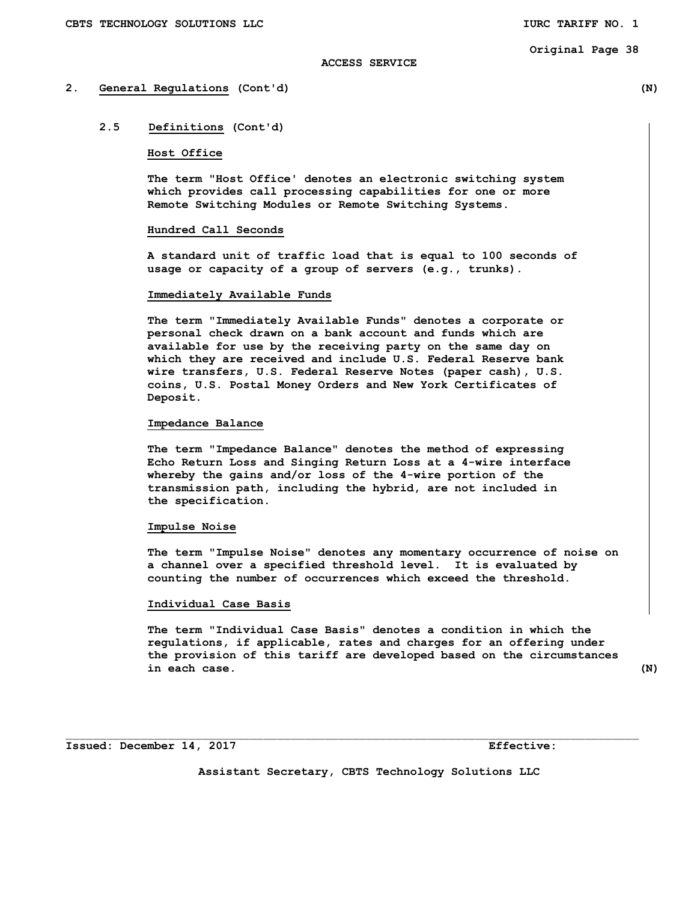#### **ACCESS SERVICE**

# **2. General Regulations (Cont'd) (N)**

# **2.5 Definitions (Cont'd)**

# **Host Office**

 **The term "Host Office' denotes an electronic switching system which provides call processing capabilities for one or more Remote Switching Modules or Remote Switching Systems.** 

#### **Hundred Call Seconds**

 **A standard unit of traffic load that is equal to 100 seconds of usage or capacity of a group of servers (e.g., trunks).** 

# **Immediately Available Funds**

 **The term "Immediately Available Funds" denotes a corporate or personal check drawn on a bank account and funds which are available for use by the receiving party on the same day on which they are received and include U.S. Federal Reserve bank wire transfers, U.S. Federal Reserve Notes (paper cash), U.S. coins, U.S. Postal Money Orders and New York Certificates of Deposit.** 

#### **Impedance Balance**

 **The term "Impedance Balance" denotes the method of expressing Echo Return Loss and Singing Return Loss at a 4-wire interface whereby the gains and/or loss of the 4-wire portion of the transmission path, including the hybrid, are not included in the specification.** 

#### **Impulse Noise**

 **The term "Impulse Noise" denotes any momentary occurrence of noise on a channel over a specified threshold level. It is evaluated by counting the number of occurrences which exceed the threshold.** 

# **Individual Case Basis**

 **The term "Individual Case Basis" denotes a condition in which the regulations, if applicable, rates and charges for an offering under the provision of this tariff are developed based on the circumstances in each case. (N)** 

**Issued: December 14, 2017 Effective:** 

**Assistant Secretary, CBTS Technology Solutions LLC**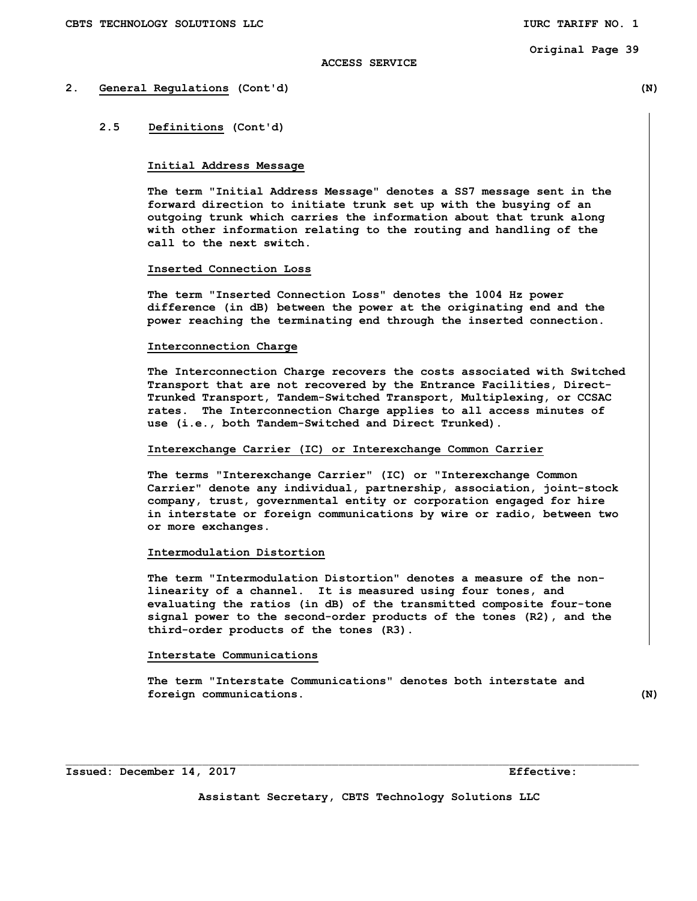# **ACCESS SERVICE**

# **2. General Regulations (Cont'd) (N)**

# **2.5 Definitions (Cont'd)**

#### **Initial Address Message**

 **The term "Initial Address Message" denotes a SS7 message sent in the forward direction to initiate trunk set up with the busying of an outgoing trunk which carries the information about that trunk along with other information relating to the routing and handling of the call to the next switch.** 

# **Inserted Connection Loss**

 **The term "Inserted Connection Loss" denotes the 1004 Hz power difference (in dB) between the power at the originating end and the power reaching the terminating end through the inserted connection.** 

## **Interconnection Charge**

 **The Interconnection Charge recovers the costs associated with Switched Transport that are not recovered by the Entrance Facilities, Direct- Trunked Transport, Tandem-Switched Transport, Multiplexing, or CCSAC rates. The Interconnection Charge applies to all access minutes of use (i.e., both Tandem-Switched and Direct Trunked).** 

# **Interexchange Carrier (IC) or Interexchange Common Carrier**

 **The terms "Interexchange Carrier" (IC) or "Interexchange Common Carrier" denote any individual, partnership, association, joint-stock company, trust, governmental entity or corporation engaged for hire in interstate or foreign communications by wire or radio, between two or more exchanges.** 

# **Intermodulation Distortion**

 **The term "Intermodulation Distortion" denotes a measure of the non linearity of a channel. It is measured using four tones, and evaluating the ratios (in dB) of the transmitted composite four-tone signal power to the second-order products of the tones (R2), and the third-order products of the tones (R3).** 

# **Interstate Communications**

 **The term "Interstate Communications" denotes both interstate and**  *foreign communications.* (N)

 $\mathcal{L}_\text{max}$ 

**Issued: December 14, 2017 Effective: Effective:** 

**Assistant Secretary, CBTS Technology Solutions LLC**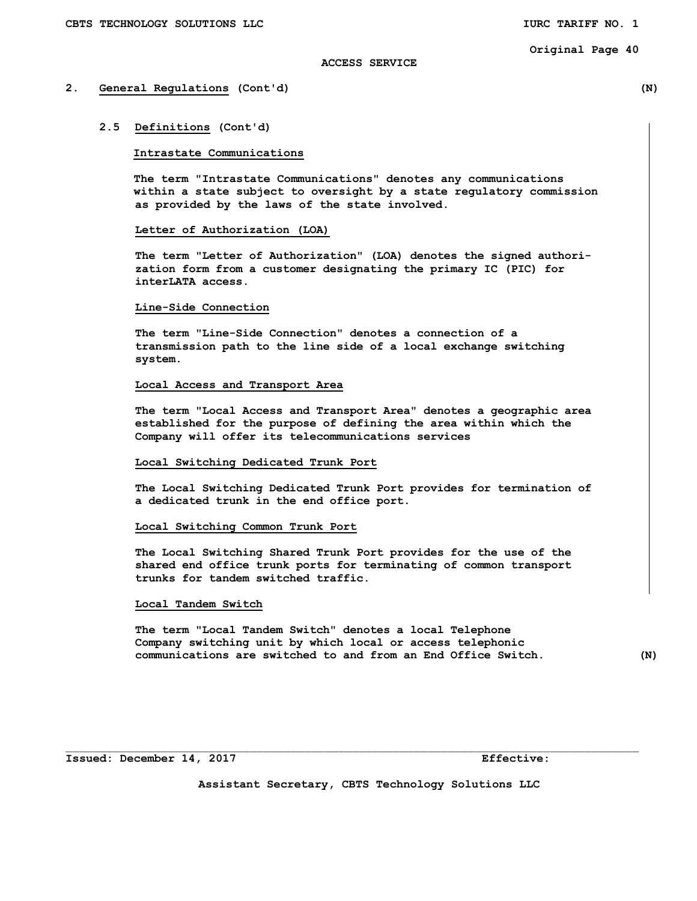## **ACCESS SERVICE**

# **2. General Regulations (Cont'd) (N)**

#### **2.5 Definitions (Cont'd)**

## **Intrastate Communications**

 **The term "Intrastate Communications" denotes any communications within a state subject to oversight by a state regulatory commission as provided by the laws of the state involved.** 

#### **Letter of Authorization (LOA)**

 **The term "Letter of Authorization" (LOA) denotes the signed authori zation form from a customer designating the primary IC (PIC) for interLATA access.** 

# **Line-Side Connection**

 **The term "Line-Side Connection" denotes a connection of a transmission path to the line side of a local exchange switching system.** 

#### **Local Access and Transport Area**

 **The term "Local Access and Transport Area" denotes a geographic area established for the purpose of defining the area within which the Company will offer its telecommunications services** 

# **Local Switching Dedicated Trunk Port**

 **The Local Switching Dedicated Trunk Port provides for termination of a dedicated trunk in the end office port.** 

#### **Local Switching Common Trunk Port**

 **The Local Switching Shared Trunk Port provides for the use of the shared end office trunk ports for terminating of common transport trunks for tandem switched traffic.** 

# **Local Tandem Switch**

 **The term "Local Tandem Switch" denotes a local Telephone Company switching unit by which local or access telephonic communications are switched to and from an End Office Switch. (N)** 

**Issued: December 14, 2017 Effective:** 

**Assistant Secretary, CBTS Technology Solutions LLC** 

 $\mathcal{L}_\text{max}$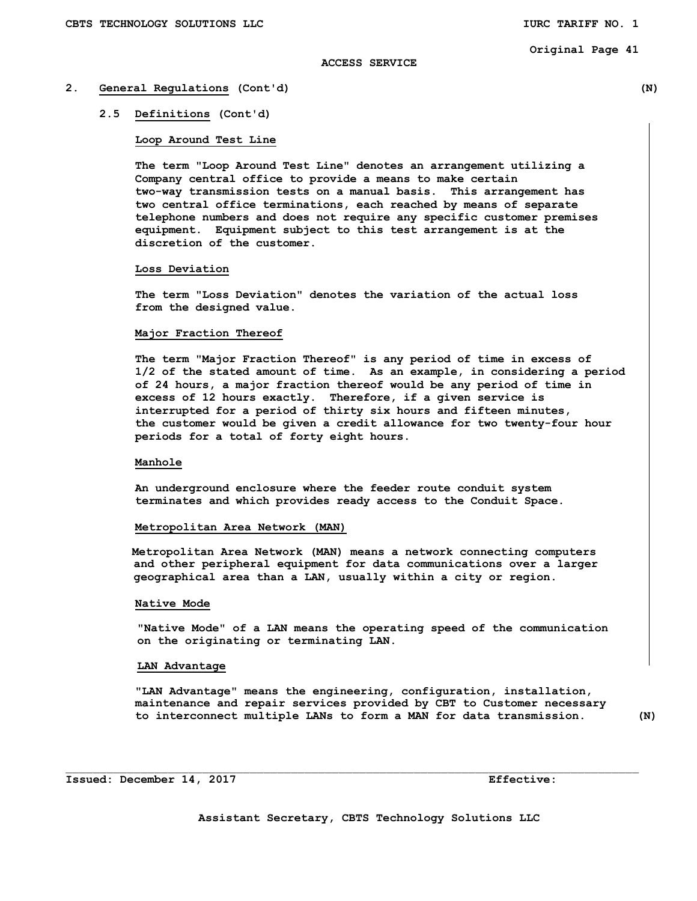## **ACCESS SERVICE**

# **2. General Regulations (Cont'd) (N)**

## **2.5 Definitions (Cont'd)**

# **Loop Around Test Line**

 **The term "Loop Around Test Line" denotes an arrangement utilizing a Company central office to provide a means to make certain two-way transmission tests on a manual basis. This arrangement has two central office terminations, each reached by means of separate telephone numbers and does not require any specific customer premises equipment. Equipment subject to this test arrangement is at the discretion of the customer.** 

#### **Loss Deviation**

 **The term "Loss Deviation" denotes the variation of the actual loss from the designed value.** 

# **Major Fraction Thereof**

 **The term "Major Fraction Thereof" is any period of time in excess of 1/2 of the stated amount of time. As an example, in considering a period of 24 hours, a major fraction thereof would be any period of time in excess of 12 hours exactly. Therefore, if a given service is interrupted for a period of thirty six hours and fifteen minutes, the customer would be given a credit allowance for two twenty-four hour periods for a total of forty eight hours.** 

## **Manhole**

 **An underground enclosure where the feeder route conduit system terminates and which provides ready access to the Conduit Space.** 

#### **Metropolitan Area Network (MAN)**

 **Metropolitan Area Network (MAN) means a network connecting computers and other peripheral equipment for data communications over a larger geographical area than a LAN, usually within a city or region.** 

# **Native Mode**

 **"Native Mode" of a LAN means the operating speed of the communication on the originating or terminating LAN.** 

#### **LAN Advantage**

 **"LAN Advantage" means the engineering, configuration, installation, maintenance and repair services provided by CBT to Customer necessary to interconnect multiple LANs to form a MAN for data transmission. (N)**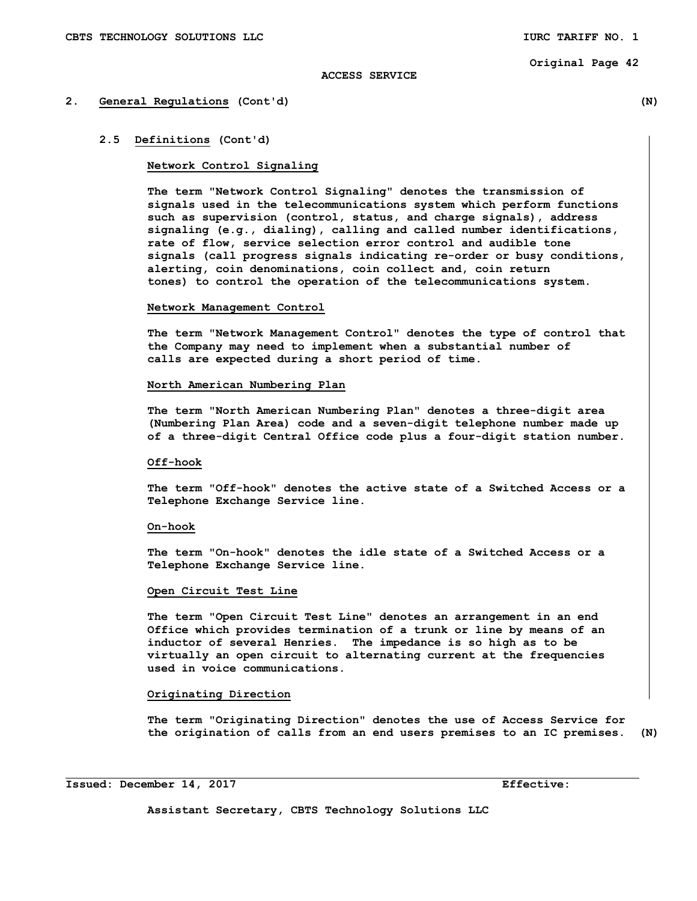# **ACCESS SERVICE**

#### **2. General Regulations (Cont'd) (N)**

# **2.5 Definitions (Cont'd)**

#### **Network Control Signaling**

 **The term "Network Control Signaling" denotes the transmission of signals used in the telecommunications system which perform functions such as supervision (control, status, and charge signals), address signaling (e.g., dialing), calling and called number identifications, rate of flow, service selection error control and audible tone signals (call progress signals indicating re-order or busy conditions, alerting, coin denominations, coin collect and, coin return tones) to control the operation of the telecommunications system.** 

#### **Network Management Control**

 **The term "Network Management Control" denotes the type of control that the Company may need to implement when a substantial number of calls are expected during a short period of time.** 

#### **North American Numbering Plan**

 **The term "North American Numbering Plan" denotes a three-digit area (Numbering Plan Area) code and a seven-digit telephone number made up of a three-digit Central Office code plus a four-digit station number.** 

## **Off-hook**

 **The term "Off-hook" denotes the active state of a Switched Access or a Telephone Exchange Service line.** 

#### **On-hook**

 **The term "On-hook" denotes the idle state of a Switched Access or a Telephone Exchange Service line.** 

# **Open Circuit Test Line**

 **The term "Open Circuit Test Line" denotes an arrangement in an end Office which provides termination of a trunk or line by means of an inductor of several Henries. The impedance is so high as to be virtually an open circuit to alternating current at the frequencies used in voice communications.** 

# **Originating Direction**

 **The term "Originating Direction" denotes the use of Access Service for the origination of calls from an end users premises to an IC premises. (N)** 

**Issued: December 14, 2017 Effective:** 

 $\overline{a}$ 

**Assistant Secretary, CBTS Technology Solutions LLC**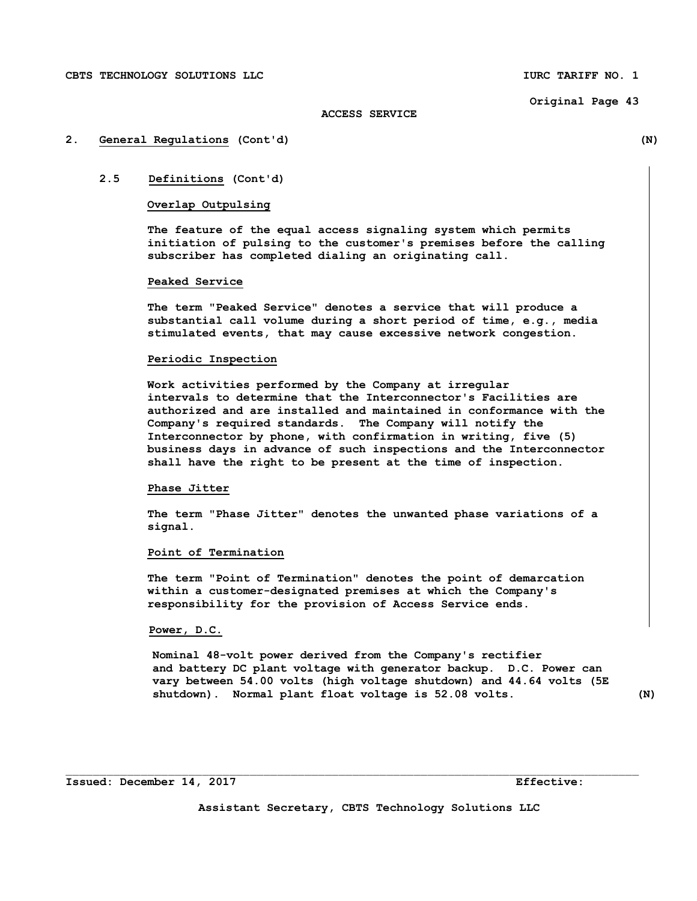# **ACCESS SERVICE**

## **2. General Regulations (Cont'd) (N)**

# **2.5 Definitions (Cont'd)**

# **Overlap Outpulsing**

 **The feature of the equal access signaling system which permits initiation of pulsing to the customer's premises before the calling subscriber has completed dialing an originating call.** 

# **Peaked Service**

 **The term "Peaked Service" denotes a service that will produce a substantial call volume during a short period of time, e.g., media stimulated events, that may cause excessive network congestion.** 

#### **Periodic Inspection**

 **Work activities performed by the Company at irregular intervals to determine that the Interconnector's Facilities are authorized and are installed and maintained in conformance with the Company's required standards. The Company will notify the Interconnector by phone, with confirmation in writing, five (5) business days in advance of such inspections and the Interconnector shall have the right to be present at the time of inspection.** 

# **Phase Jitter**

 **The term "Phase Jitter" denotes the unwanted phase variations of a signal.** 

# **Point of Termination**

 **The term "Point of Termination" denotes the point of demarcation within a customer-designated premises at which the Company's responsibility for the provision of Access Service ends.** 

# **Power, D.C.**

 **Nominal 48-volt power derived from the Company's rectifier and battery DC plant voltage with generator backup. D.C. Power can vary between 54.00 volts (high voltage shutdown) and 44.64 volts (5E shutdown). Normal plant float voltage is 52.08 volts. (N)**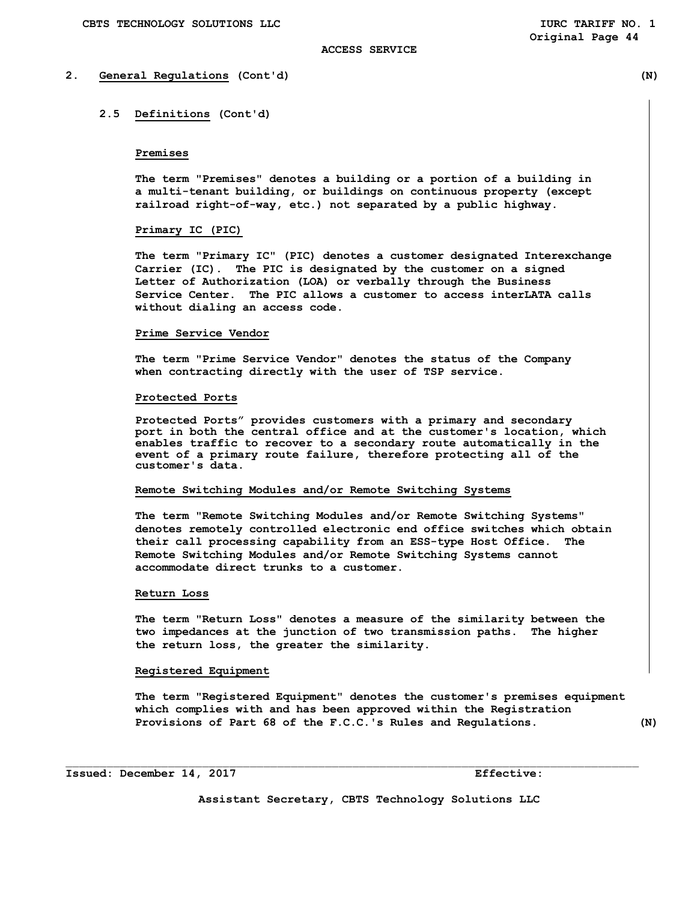# **2. General Regulations (Cont'd) (N)**

# **2.5 Definitions (Cont'd)**

# **Premises**

 **The term "Premises" denotes a building or a portion of a building in a multi-tenant building, or buildings on continuous property (except railroad right-of-way, etc.) not separated by a public highway.** 

## **Primary IC (PIC)**

 **The term "Primary IC" (PIC) denotes a customer designated Interexchange Carrier (IC). The PIC is designated by the customer on a signed Letter of Authorization (LOA) or verbally through the Business Service Center. The PIC allows a customer to access interLATA calls without dialing an access code.** 

## **Prime Service Vendor**

 **The term "Prime Service Vendor" denotes the status of the Company when contracting directly with the user of TSP service.** 

#### **Protected Ports**

**Protected Ports" provides customers with a primary and secondary port in both the central office and at the customer's location, which enables traffic to recover to a secondary route automatically in the event of a primary route failure, therefore protecting all of the customer's data.** 

#### **Remote Switching Modules and/or Remote Switching Systems**

 **The term "Remote Switching Modules and/or Remote Switching Systems" denotes remotely controlled electronic end office switches which obtain their call processing capability from an ESS-type Host Office. The Remote Switching Modules and/or Remote Switching Systems cannot accommodate direct trunks to a customer.** 

# **Return Loss**

 **The term "Return Loss" denotes a measure of the similarity between the two impedances at the junction of two transmission paths. The higher the return loss, the greater the similarity.** 

## **Registered Equipment**

 **The term "Registered Equipment" denotes the customer's premises equipment which complies with and has been approved within the Registration Provisions of Part 68 of the F.C.C.'s Rules and Regulations. (N)** 

**Issued: December 14, 2017 Effective:** 

**Assistant Secretary, CBTS Technology Solutions LLC**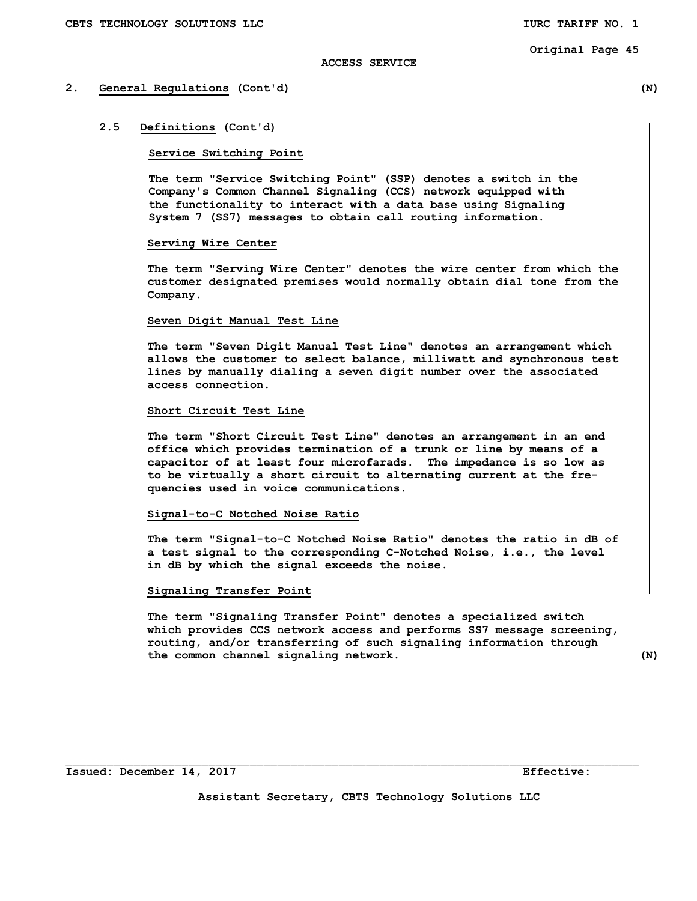# **ACCESS SERVICE**

# **2. General Regulations (Cont'd) (N)**

# **2.5 Definitions (Cont'd)**

# **Service Switching Point**

 **The term "Service Switching Point" (SSP) denotes a switch in the Company's Common Channel Signaling (CCS) network equipped with the functionality to interact with a data base using Signaling System 7 (SS7) messages to obtain call routing information.** 

# **Serving Wire Center**

 **The term "Serving Wire Center" denotes the wire center from which the customer designated premises would normally obtain dial tone from the Company.** 

#### **Seven Digit Manual Test Line**

 **The term "Seven Digit Manual Test Line" denotes an arrangement which allows the customer to select balance, milliwatt and synchronous test lines by manually dialing a seven digit number over the associated access connection.** 

# **Short Circuit Test Line**

 **The term "Short Circuit Test Line" denotes an arrangement in an end office which provides termination of a trunk or line by means of a capacitor of at least four microfarads. The impedance is so low as to be virtually a short circuit to alternating current at the fre quencies used in voice communications.** 

# **Signal-to-C Notched Noise Ratio**

 **The term "Signal-to-C Notched Noise Ratio" denotes the ratio in dB of a test signal to the corresponding C-Notched Noise, i.e., the level in dB by which the signal exceeds the noise.** 

# **Signaling Transfer Point**

 **The term "Signaling Transfer Point" denotes a specialized switch which provides CCS network access and performs SS7 message screening, routing, and/or transferring of such signaling information through the common channel signaling network. (N)** 

**Assistant Secretary, CBTS Technology Solutions LLC** 

 $\mathcal{L}_\text{max}$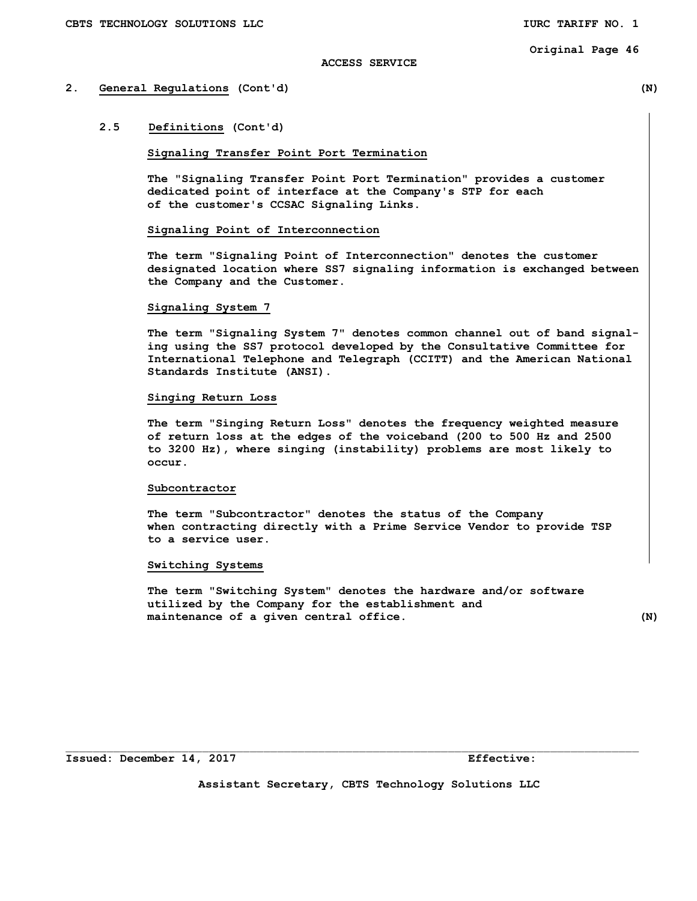# **ACCESS SERVICE**

# **2. General Regulations (Cont'd) (N)**

# **2.5 Definitions (Cont'd)**

## **Signaling Transfer Point Port Termination**

 **The "Signaling Transfer Point Port Termination" provides a customer dedicated point of interface at the Company's STP for each of the customer's CCSAC Signaling Links.** 

## **Signaling Point of Interconnection**

 **The term "Signaling Point of Interconnection" denotes the customer designated location where SS7 signaling information is exchanged between the Company and the Customer.** 

#### **Signaling System 7**

 **The term "Signaling System 7" denotes common channel out of band signal ing using the SS7 protocol developed by the Consultative Committee for International Telephone and Telegraph (CCITT) and the American National Standards Institute (ANSI).** 

# **Singing Return Loss**

 **The term "Singing Return Loss" denotes the frequency weighted measure of return loss at the edges of the voiceband (200 to 500 Hz and 2500 to 3200 Hz), where singing (instability) problems are most likely to occur.** 

#### **Subcontractor**

 **The term "Subcontractor" denotes the status of the Company when contracting directly with a Prime Service Vendor to provide TSP to a service user.** 

#### **Switching Systems**

 **The term "Switching System" denotes the hardware and/or software utilized by the Company for the establishment and maintenance of a given central office. (N)** 

**Assistant Secretary, CBTS Technology Solutions LLC** 

 $\mathcal{L}_\text{max}$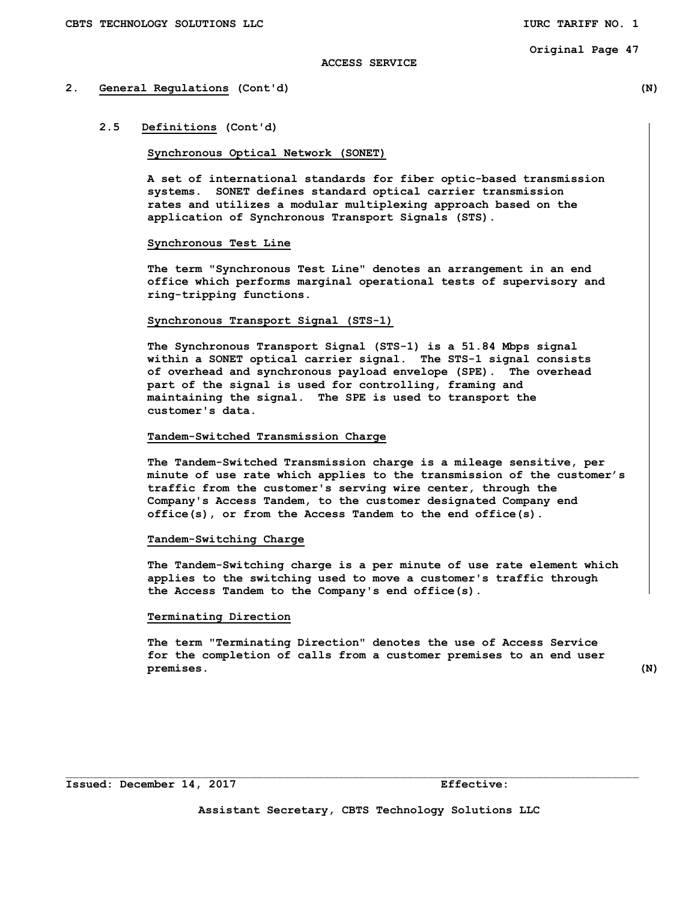## **ACCESS SERVICE**

# **2. General Regulations (Cont'd) (N)**

# **2.5 Definitions (Cont'd)**

## **Synchronous Optical Network (SONET)**

**A set of international standards for fiber optic-based transmission systems. SONET defines standard optical carrier transmission rates and utilizes a modular multiplexing approach based on the application of Synchronous Transport Signals (STS).** 

# **Synchronous Test Line**

 **The term "Synchronous Test Line" denotes an arrangement in an end office which performs marginal operational tests of supervisory and ring-tripping functions.** 

## **Synchronous Transport Signal (STS-1)**

**The Synchronous Transport Signal (STS-1) is a 51.84 Mbps signal within a SONET optical carrier signal. The STS-1 signal consists of overhead and synchronous payload envelope (SPE). The overhead part of the signal is used for controlling, framing and maintaining the signal. The SPE is used to transport the customer's data.** 

# **Tandem-Switched Transmission Charge**

 **The Tandem-Switched Transmission charge is a mileage sensitive, per minute of use rate which applies to the transmission of the customer's traffic from the customer's serving wire center, through the Company's Access Tandem, to the customer designated Company end office(s), or from the Access Tandem to the end office(s).** 

# **Tandem-Switching Charge**

 **The Tandem-Switching charge is a per minute of use rate element which applies to the switching used to move a customer's traffic through the Access Tandem to the Company's end office(s).** 

## **Terminating Direction**

 **The term "Terminating Direction" denotes the use of Access Service for the completion of calls from a customer premises to an end user premises. (N)** 

**Assistant Secretary, CBTS Technology Solutions LLC**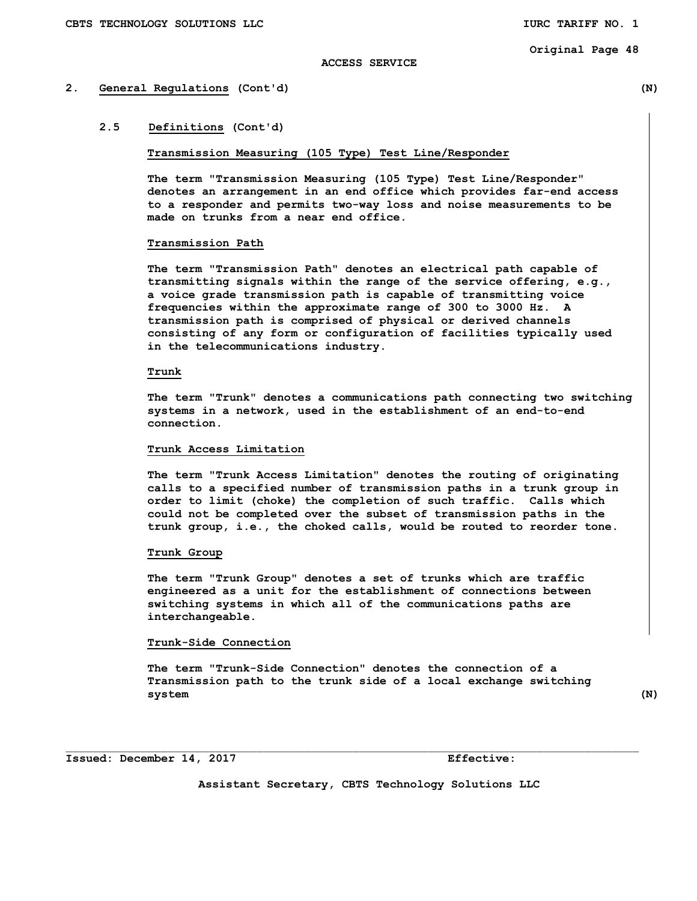## **ACCESS SERVICE**

# **2. General Regulations (Cont'd) (N)**

# **2.5 Definitions (Cont'd)**

## **Transmission Measuring (105 Type) Test Line/Responder**

**The term "Transmission Measuring (105 Type) Test Line/Responder" denotes an arrangement in an end office which provides far-end access to a responder and permits two-way loss and noise measurements to be made on trunks from a near end office.** 

## **Transmission Path**

 **The term "Transmission Path" denotes an electrical path capable of transmitting signals within the range of the service offering, e.g., a voice grade transmission path is capable of transmitting voice frequencies within the approximate range of 300 to 3000 Hz. A transmission path is comprised of physical or derived channels consisting of any form or configuration of facilities typically used in the telecommunications industry.** 

# **Trunk**

 **The term "Trunk" denotes a communications path connecting two switching systems in a network, used in the establishment of an end-to-end connection.** 

#### **Trunk Access Limitation**

 **The term "Trunk Access Limitation" denotes the routing of originating calls to a specified number of transmission paths in a trunk group in order to limit (choke) the completion of such traffic. Calls which could not be completed over the subset of transmission paths in the trunk group, i.e., the choked calls, would be routed to reorder tone.** 

# **Trunk Group**

 **The term "Trunk Group" denotes a set of trunks which are traffic engineered as a unit for the establishment of connections between switching systems in which all of the communications paths are interchangeable.** 

# **Trunk-Side Connection**

 **The term "Trunk-Side Connection" denotes the connection of a Transmission path to the trunk side of a local exchange switching system (N)** 

**Issued: December 14, 2017 Effective:** 

**Assistant Secretary, CBTS Technology Solutions LLC**

 $\mathcal{L}_\text{max}$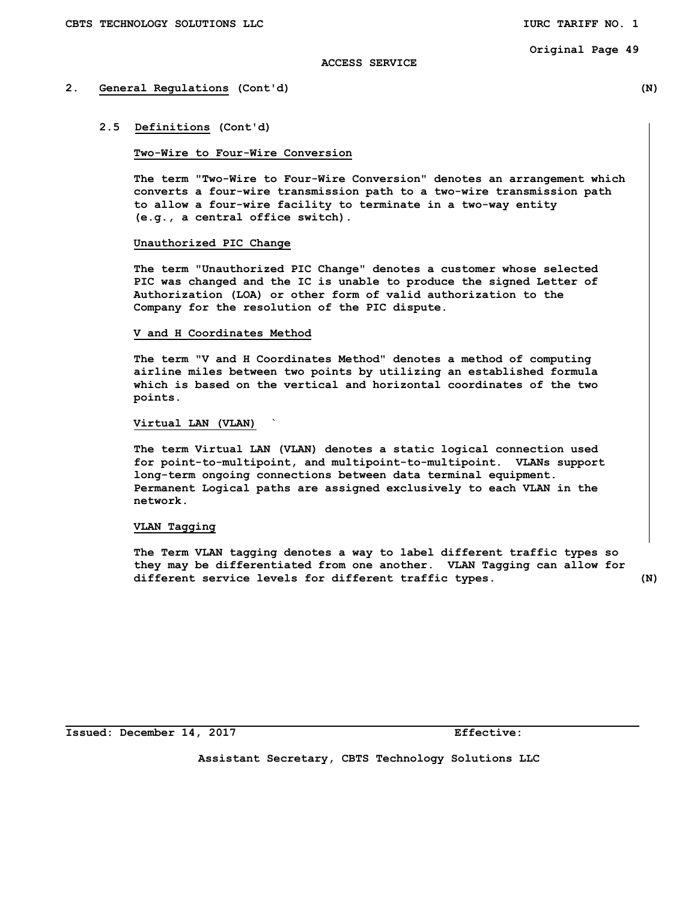## **ACCESS SERVICE**

# **2. General Regulations (Cont'd) (N)**

#### **2.5 Definitions (Cont'd)**

# **Two-Wire to Four-Wire Conversion**

 **The term "Two-Wire to Four-Wire Conversion" denotes an arrangement which converts a four-wire transmission path to a two-wire transmission path to allow a four-wire facility to terminate in a two-way entity (e.g., a central office switch).** 

# **Unauthorized PIC Change**

 **The term "Unauthorized PIC Change" denotes a customer whose selected PIC was changed and the IC is unable to produce the signed Letter of Authorization (LOA) or other form of valid authorization to the Company for the resolution of the PIC dispute.** 

#### **V and H Coordinates Method**

 **The term "V and H Coordinates Method" denotes a method of computing airline miles between two points by utilizing an established formula which is based on the vertical and horizontal coordinates of the two points.** 

#### **Virtual LAN (VLAN) `**

 **The term Virtual LAN (VLAN) denotes a static logical connection used for point-to-multipoint, and multipoint-to-multipoint. VLANs support long-term ongoing connections between data terminal equipment. Permanent Logical paths are assigned exclusively to each VLAN in the network.** 

# **VLAN Tagging**

 **The Term VLAN tagging denotes a way to label different traffic types so they may be differentiated from one another. VLAN Tagging can allow for different service levels for different traffic types. (N)** 

**Issued: December 14, 2017 Effective:** 

**Assistant Secretary, CBTS Technology Solutions LLC**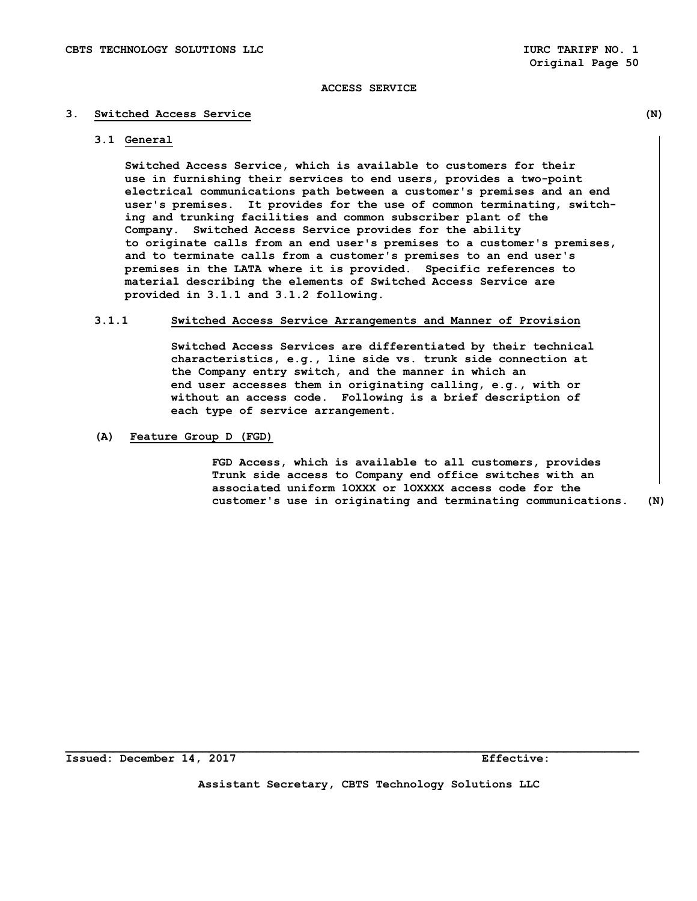# **3. Switched Access Service (N)**

 **3.1 General** 

 **Switched Access Service, which is available to customers for their use in furnishing their services to end users, provides a two-point electrical communications path between a customer's premises and an end user's premises. It provides for the use of common terminating, switch ing and trunking facilities and common subscriber plant of the Company. Switched Access Service provides for the ability to originate calls from an end user's premises to a customer's premises, and to terminate calls from a customer's premises to an end user's premises in the LATA where it is provided. Specific references to material describing the elements of Switched Access Service are provided in 3.1.1 and 3.1.2 following.** 

## **3.1.1 Switched Access Service Arrangements and Manner of Provision**

 **Switched Access Services are differentiated by their technical characteristics, e.g., line side vs. trunk side connection at the Company entry switch, and the manner in which an end user accesses them in originating calling, e.g., with or without an access code. Following is a brief description of each type of service arrangement.** 

 **(A) Feature Group D (FGD)** 

 **FGD Access, which is available to all customers, provides Trunk side access to Company end office switches with an associated uniform 1OXXX or lOXXXX access code for the customer's use in originating and terminating communications. (N)** 

**Issued: December 14, 2017 Effective:** 

**Assistant Secretary, CBTS Technology Solutions LLC**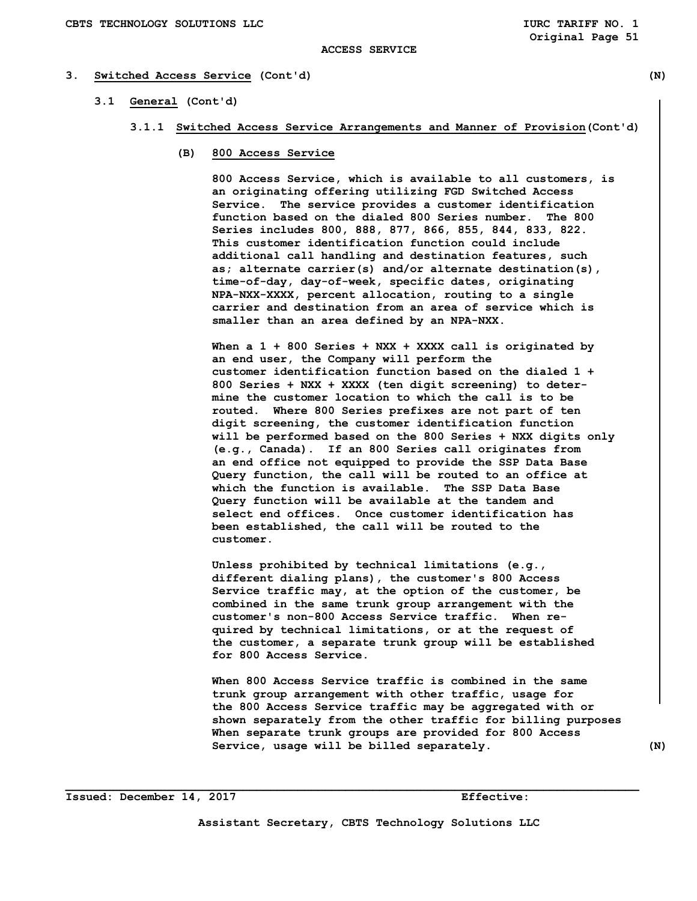## **ACCESS SERVICE**

# **3. Switched Access Service (Cont'd) (N)**

- **3.1 General (Cont'd)** 
	- **3.1.1 Switched Access Service Arrangements and Manner of Provision(Cont'd)** 
		- **(B) 800 Access Service**

 **800 Access Service, which is available to all customers, is an originating offering utilizing FGD Switched Access Service. The service provides a customer identification function based on the dialed 800 Series number. The 800 Series includes 800, 888, 877, 866, 855, 844, 833, 822. This customer identification function could include additional call handling and destination features, such as; alternate carrier(s) and/or alternate destination(s), time-of-day, day-of-week, specific dates, originating NPA-NXX-XXXX, percent allocation, routing to a single carrier and destination from an area of service which is smaller than an area defined by an NPA-NXX.** 

 **When a 1 + 800 Series + NXX + XXXX call is originated by an end user, the Company will perform the customer identification function based on the dialed 1 + 800 Series + NXX + XXXX (ten digit screening) to deter mine the customer location to which the call is to be routed. Where 800 Series prefixes are not part of ten digit screening, the customer identification function will be performed based on the 800 Series + NXX digits only (e.g., Canada). If an 800 Series call originates from an end office not equipped to provide the SSP Data Base Query function, the call will be routed to an office at which the function is available. The SSP Data Base Query function will be available at the tandem and select end offices. Once customer identification has been established, the call will be routed to the customer.** 

 **Unless prohibited by technical limitations (e.g., different dialing plans), the customer's 800 Access Service traffic may, at the option of the customer, be combined in the same trunk group arrangement with the customer's non-800 Access Service traffic. When re quired by technical limitations, or at the request of the customer, a separate trunk group will be established for 800 Access Service.** 

 **When 800 Access Service traffic is combined in the same trunk group arrangement with other traffic, usage for the 800 Access Service traffic may be aggregated with or shown separately from the other traffic for billing purposes When separate trunk groups are provided for 800 Access**  Service, usage will be billed separately. (N)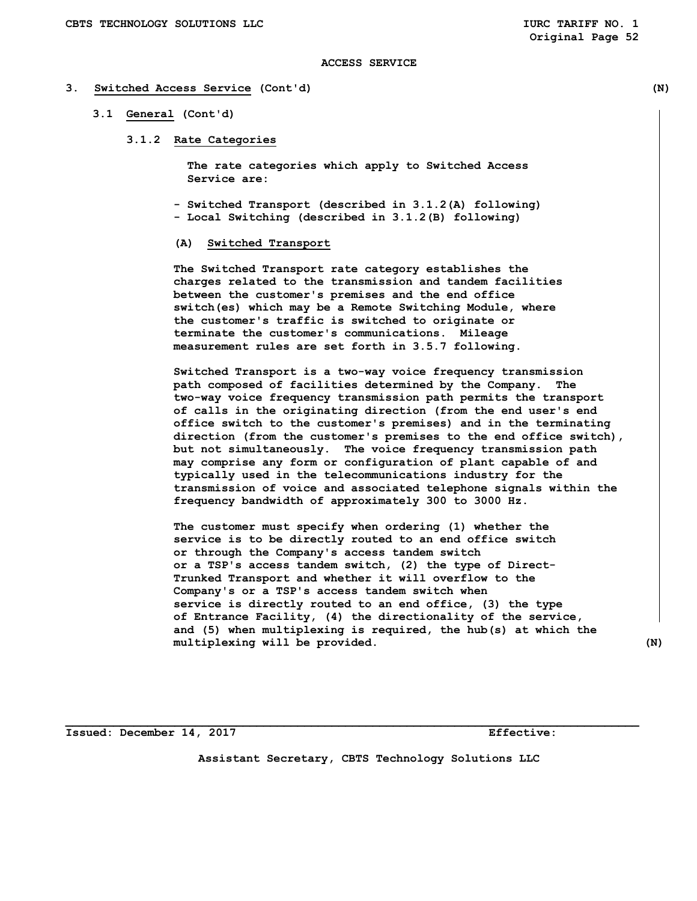## **3. Switched Access Service (Cont'd) (N)**

#### **3.1 General (Cont'd)**

 **3.1.2 Rate Categories** 

 **The rate categories which apply to Switched Access Service are:** 

- **Switched Transport (described in 3.1.2(A) following)**
- **Local Switching (described in 3.1.2(B) following)**

# **(A) Switched Transport**

 **The Switched Transport rate category establishes the charges related to the transmission and tandem facilities between the customer's premises and the end office switch(es) which may be a Remote Switching Module, where the customer's traffic is switched to originate or terminate the customer's communications. Mileage measurement rules are set forth in 3.5.7 following.** 

 **Switched Transport is a two-way voice frequency transmission path composed of facilities determined by the Company. The two-way voice frequency transmission path permits the transport of calls in the originating direction (from the end user's end office switch to the customer's premises) and in the terminating direction (from the customer's premises to the end office switch), but not simultaneously. The voice frequency transmission path may comprise any form or configuration of plant capable of and typically used in the telecommunications industry for the transmission of voice and associated telephone signals within the frequency bandwidth of approximately 300 to 3000 Hz.** 

 **The customer must specify when ordering (1) whether the service is to be directly routed to an end office switch or through the Company's access tandem switch or a TSP's access tandem switch, (2) the type of Direct- Trunked Transport and whether it will overflow to the Company's or a TSP's access tandem switch when service is directly routed to an end office, (3) the type of Entrance Facility, (4) the directionality of the service, and (5) when multiplexing is required, the hub(s) at which the multiplexing will be provided. (N)** 

**Issued: December 14, 2017 Effective:** 

**Assistant Secretary, CBTS Technology Solutions LLC**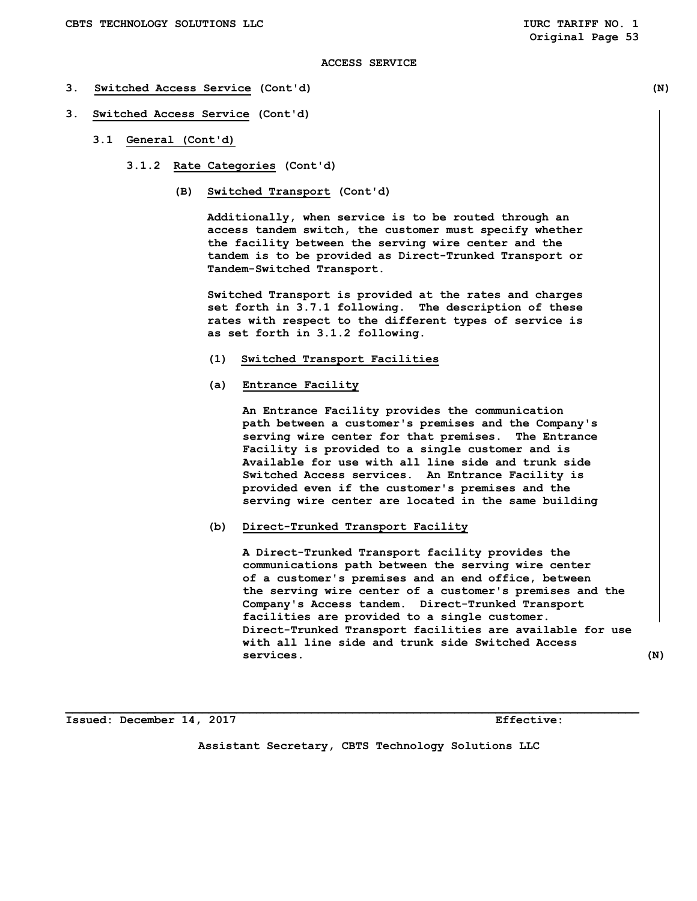- **3. Switched Access Service (Cont'd) (N)**
- **3. Switched Access Service (Cont'd)** 
	- **3.1 General (Cont'd)** 
		- **3.1.2 Rate Categories (Cont'd)** 
			- **(B) Switched Transport (Cont'd)**

 **Additionally, when service is to be routed through an access tandem switch, the customer must specify whether the facility between the serving wire center and the tandem is to be provided as Direct-Trunked Transport or Tandem-Switched Transport.** 

 **Switched Transport is provided at the rates and charges set forth in 3.7.1 following. The description of these rates with respect to the different types of service is as set forth in 3.1.2 following.** 

- **(1) Switched Transport Facilities**
- **(a) Entrance Facility**

 **An Entrance Facility provides the communication path between a customer's premises and the Company's serving wire center for that premises. The Entrance Facility is provided to a single customer and is Available for use with all line side and trunk side Switched Access services. An Entrance Facility is provided even if the customer's premises and the serving wire center are located in the same building** 

 **(b) Direct-Trunked Transport Facility** 

 **A Direct-Trunked Transport facility provides the communications path between the serving wire center of a customer's premises and an end office, between the serving wire center of a customer's premises and the Company's Access tandem. Direct-Trunked Transport facilities are provided to a single customer. Direct-Trunked Transport facilities are available for use with all line side and trunk side Switched Access services. (N)** 

**Issued: December 14, 2017 Effective:** 

**Assistant Secretary, CBTS Technology Solutions LLC**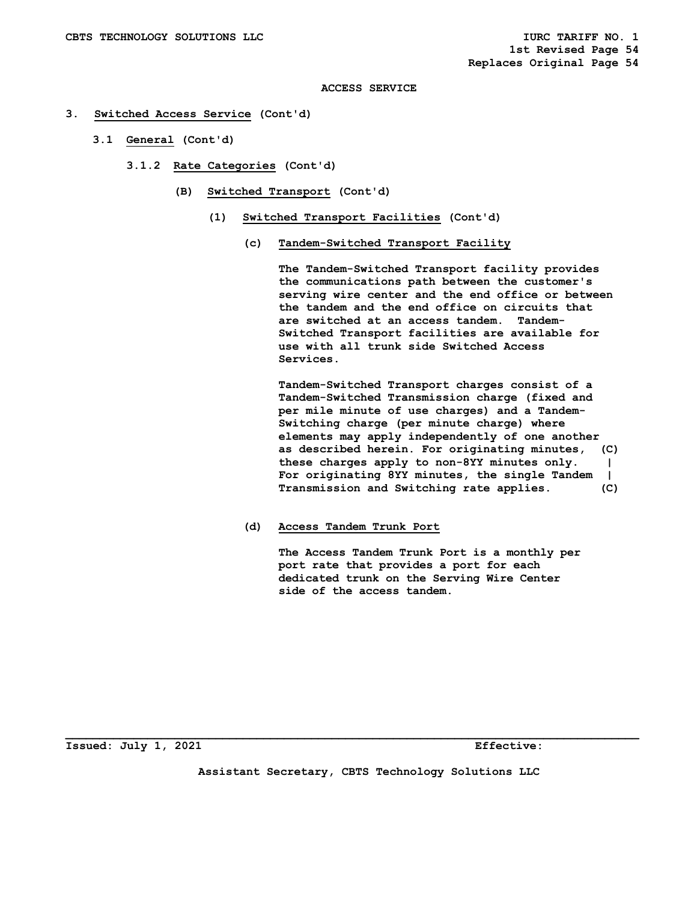# **3. Switched Access Service (Cont'd)**

- **3.1 General (Cont'd)** 
	- **3.1.2 Rate Categories (Cont'd)** 
		- **(B) Switched Transport (Cont'd)** 
			- **(1) Switched Transport Facilities (Cont'd)** 
				- **(c) Tandem-Switched Transport Facility**

 **The Tandem-Switched Transport facility provides the communications path between the customer's serving wire center and the end office or between the tandem and the end office on circuits that are switched at an access tandem. Tandem- Switched Transport facilities are available for use with all trunk side Switched Access Services.** 

 **Tandem-Switched Transport charges consist of a Tandem-Switched Transmission charge (fixed and per mile minute of use charges) and a Tandem- Switching charge (per minute charge) where elements may apply independently of one another as described herein. For originating minutes, (C) these charges apply to non-8YY minutes only. | For originating 8YY minutes, the single Tandem | Transmission and Switching rate applies. (C)** 

 **(d) Access Tandem Trunk Port** 

 **The Access Tandem Trunk Port is a monthly per port rate that provides a port for each dedicated trunk on the Serving Wire Center side of the access tandem.** 

**Issued: July 1, 2021 Effective:** 

**Assistant Secretary, CBTS Technology Solutions LLC**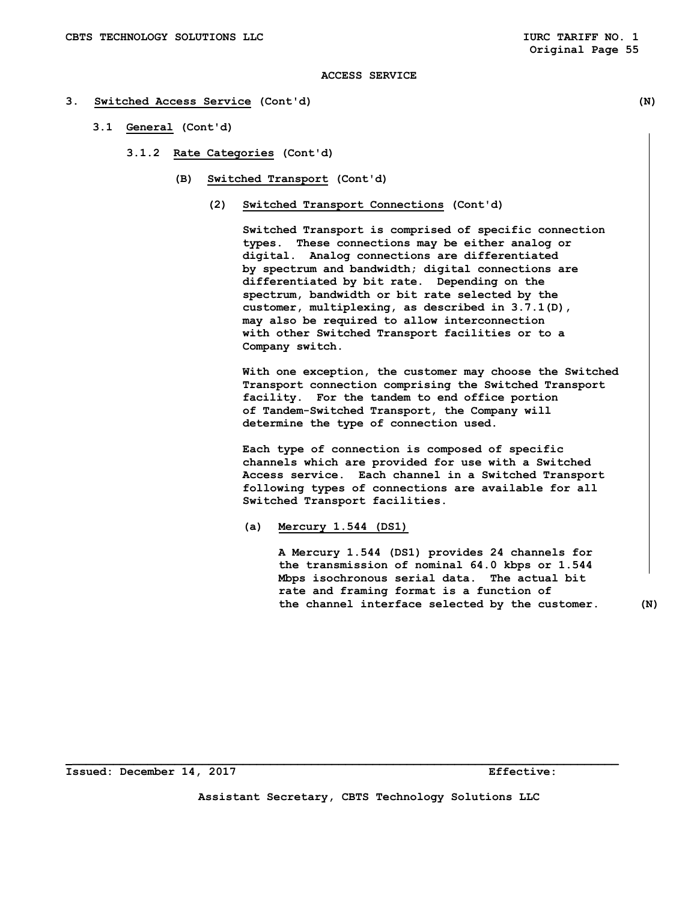#### **3. Switched Access Service (Cont'd) (N)**

- **3.1 General (Cont'd)** 
	- **3.1.2 Rate Categories (Cont'd)** 
		- **(B) Switched Transport (Cont'd)** 
			- **(2) Switched Transport Connections (Cont'd)**

 **Switched Transport is comprised of specific connection types. These connections may be either analog or digital. Analog connections are differentiated by spectrum and bandwidth; digital connections are differentiated by bit rate. Depending on the spectrum, bandwidth or bit rate selected by the customer, multiplexing, as described in 3.7.1(D), may also be required to allow interconnection with other Switched Transport facilities or to a Company switch.** 

 **With one exception, the customer may choose the Switched Transport connection comprising the Switched Transport facility. For the tandem to end office portion of Tandem-Switched Transport, the Company will determine the type of connection used.** 

 **Each type of connection is composed of specific channels which are provided for use with a Switched Access service. Each channel in a Switched Transport following types of connections are available for all Switched Transport facilities.** 

 **(a) Mercury 1.544 (DS1)** 

 **A Mercury 1.544 (DS1) provides 24 channels for the transmission of nominal 64.0 kbps or 1.544 Mbps isochronous serial data. The actual bit rate and framing format is a function of the channel interface selected by the customer. (N)**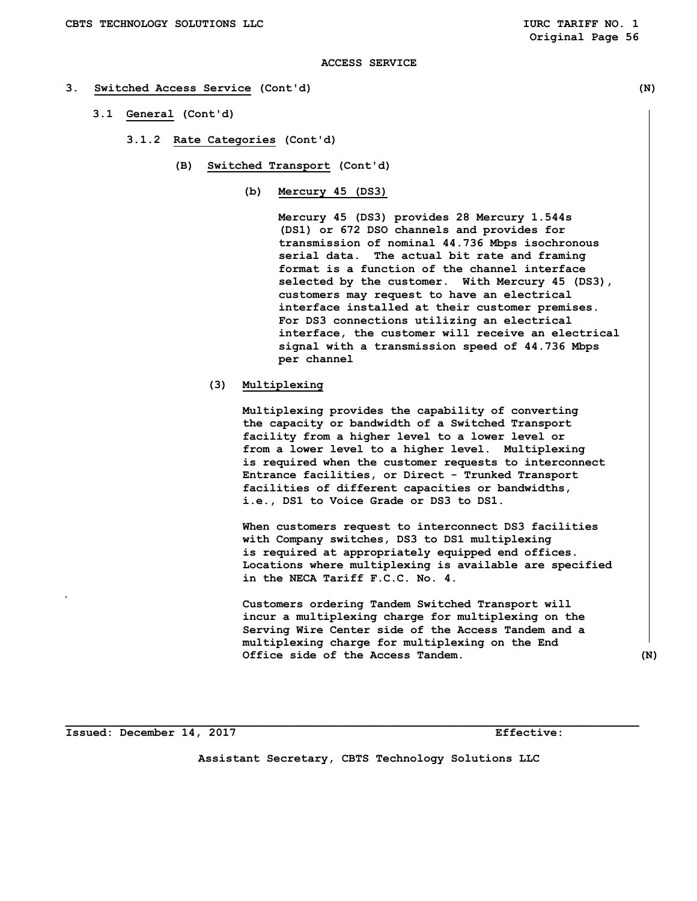#### **3. Switched Access Service (Cont'd) (N)**

- **3.1 General (Cont'd)** 
	- **3.1.2 Rate Categories (Cont'd)** 
		- **(B) Switched Transport (Cont'd)** 
			- **(b) Mercury 45 (DS3)**

 **Mercury 45 (DS3) provides 28 Mercury 1.544s (DS1) or 672 DSO channels and provides for transmission of nominal 44.736 Mbps isochronous serial data. The actual bit rate and framing format is a function of the channel interface selected by the customer. With Mercury 45 (DS3), customers may request to have an electrical interface installed at their customer premises. For DS3 connections utilizing an electrical interface, the customer will receive an electrical signal with a transmission speed of 44.736 Mbps per channel** 

 **(3) Multiplexing** 

 **Multiplexing provides the capability of converting the capacity or bandwidth of a Switched Transport facility from a higher level to a lower level or from a lower level to a higher level. Multiplexing is required when the customer requests to interconnect Entrance facilities, or Direct - Trunked Transport facilities of different capacities or bandwidths, i.e., DS1 to Voice Grade or DS3 to DS1.** 

 **When customers request to interconnect DS3 facilities with Company switches, DS3 to DS1 multiplexing is required at appropriately equipped end offices. Locations where multiplexing is available are specified in the NECA Tariff F.C.C. No. 4.** 

 **Customers ordering Tandem Switched Transport will incur a multiplexing charge for multiplexing on the Serving Wire Center side of the Access Tandem and a multiplexing charge for multiplexing on the End Office side of the Access Tandem. (N)** 

**Issued: December 14, 2017 Effective:** 

**Assistant Secretary, CBTS Technology Solutions LLC**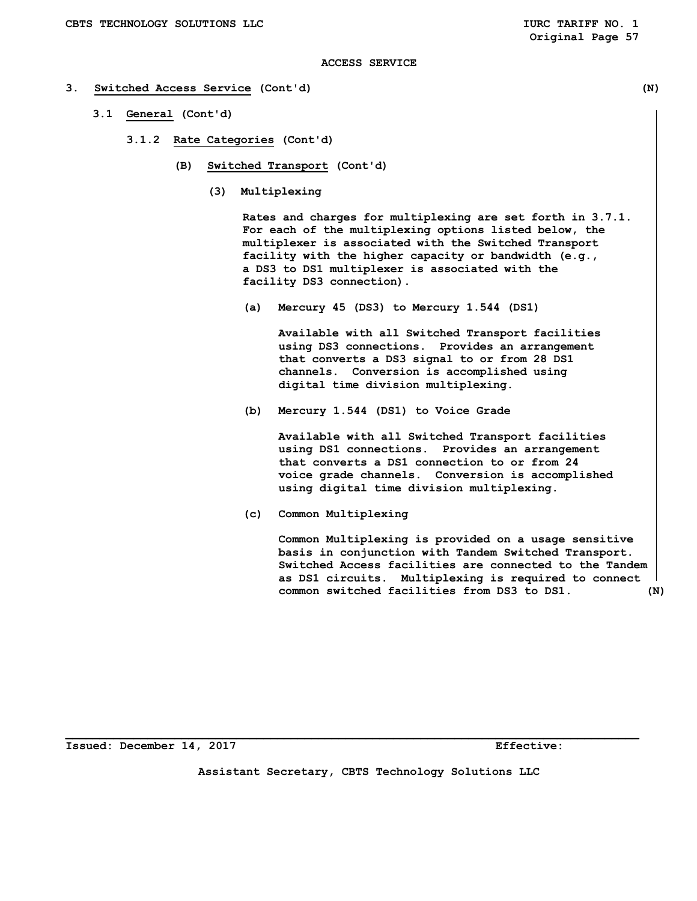#### **3. Switched Access Service (Cont'd) (N)**

- **3.1 General (Cont'd)** 
	- **3.1.2 Rate Categories (Cont'd)** 
		- **(B) Switched Transport (Cont'd)** 
			- **(3) Multiplexing**

 **Rates and charges for multiplexing are set forth in 3.7.1. For each of the multiplexing options listed below, the multiplexer is associated with the Switched Transport facility with the higher capacity or bandwidth (e.g., a DS3 to DS1 multiplexer is associated with the facility DS3 connection).** 

 **(a) Mercury 45 (DS3) to Mercury 1.544 (DS1)** 

 **Available with all Switched Transport facilities using DS3 connections. Provides an arrangement that converts a DS3 signal to or from 28 DS1 channels. Conversion is accomplished using digital time division multiplexing.** 

 **(b) Mercury 1.544 (DS1) to Voice Grade** 

 **Available with all Switched Transport facilities using DS1 connections. Provides an arrangement that converts a DS1 connection to or from 24 voice grade channels. Conversion is accomplished using digital time division multiplexing.** 

 **(c) Common Multiplexing** 

 **Common Multiplexing is provided on a usage sensitive basis in conjunction with Tandem Switched Transport. Switched Access facilities are connected to the Tandem as DS1 circuits. Multiplexing is required to connect common switched facilities from DS3 to DS1. (N)** 

**Issued: December 14, 2017 Effective:** 

**Assistant Secretary, CBTS Technology Solutions LLC**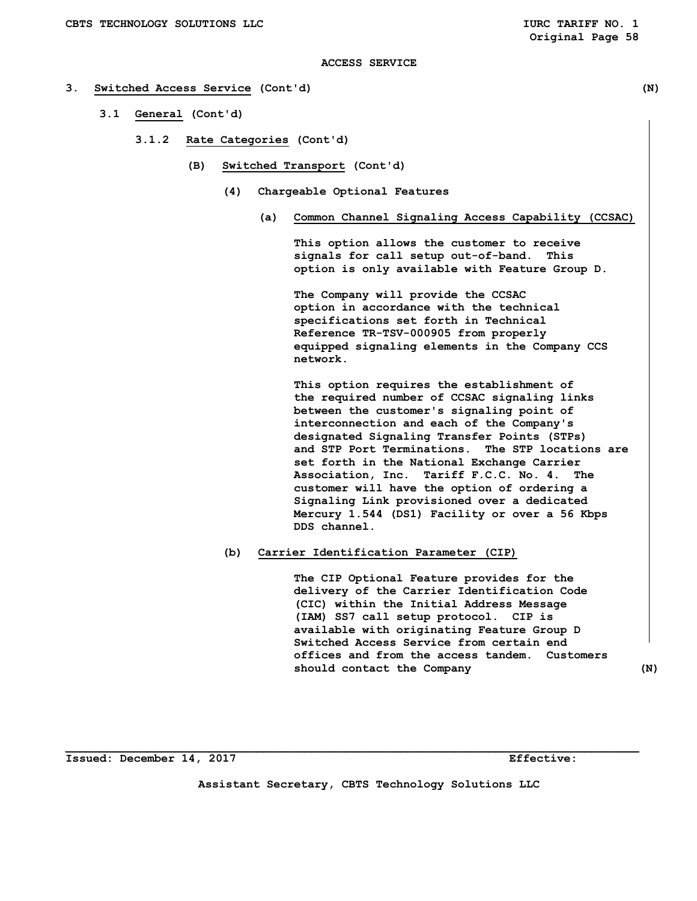# **3. Switched Access Service (Cont'd) (N)**

- **3.1 General (Cont'd)** 
	- **3.1.2 Rate Categories (Cont'd)** 
		- **(B) Switched Transport (Cont'd)** 
			- **(4) Chargeable Optional Features** 
				- **(a) Common Channel Signaling Access Capability (CCSAC)**

 **This option allows the customer to receive signals for call setup out-of-band. This option is only available with Feature Group D.** 

 **The Company will provide the CCSAC option in accordance with the technical specifications set forth in Technical Reference TR-TSV-000905 from properly equipped signaling elements in the Company CCS network.** 

 **This option requires the establishment of the required number of CCSAC signaling links between the customer's signaling point of interconnection and each of the Company's designated Signaling Transfer Points (STPs) and STP Port Terminations. The STP locations are set forth in the National Exchange Carrier Association, Inc. Tariff F.C.C. No. 4. The customer will have the option of ordering a Signaling Link provisioned over a dedicated Mercury 1.544 (DS1) Facility or over a 56 Kbps DDS channel.** 

# **(b) Carrier Identification Parameter (CIP)**

 **The CIP Optional Feature provides for the delivery of the Carrier Identification Code (CIC) within the Initial Address Message (IAM) SS7 call setup protocol. CIP is available with originating Feature Group D Switched Access Service from certain end offices and from the access tandem. Customers**  should contact the Company (N)

**Issued: December 14, 2017 Effective:** 

**Assistant Secretary, CBTS Technology Solutions LLC**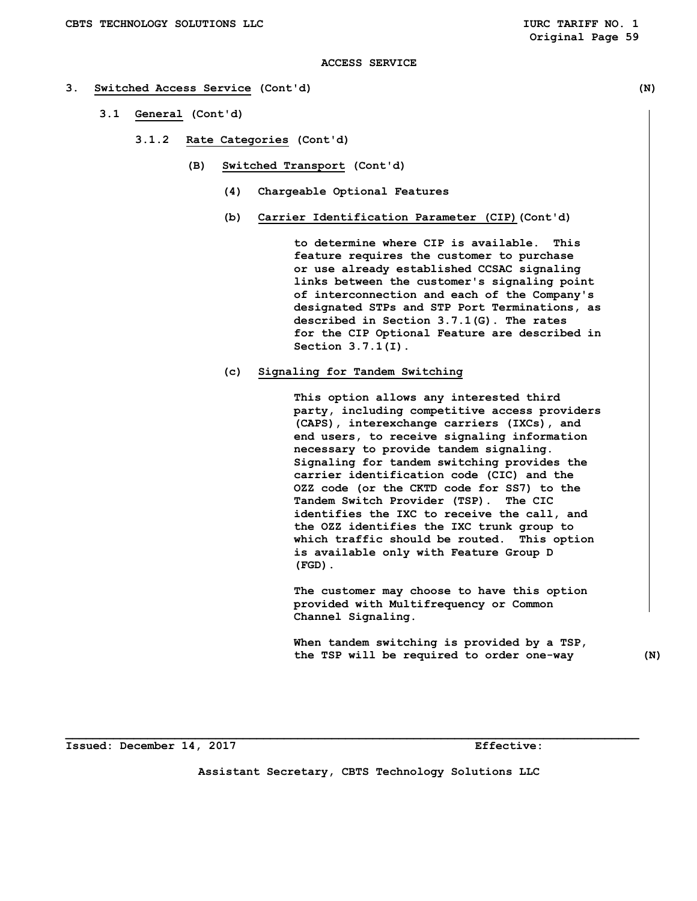## **3. Switched Access Service (Cont'd) (N)**

- **3.1 General (Cont'd)** 
	- **3.1.2 Rate Categories (Cont'd)** 
		- **(B) Switched Transport (Cont'd)** 
			- **(4) Chargeable Optional Features**
			- **(b) Carrier Identification Parameter (CIP)(Cont'd)**

 **to determine where CIP is available. This feature requires the customer to purchase or use already established CCSAC signaling links between the customer's signaling point of interconnection and each of the Company's designated STPs and STP Port Terminations, as described in Section 3.7.1(G). The rates for the CIP Optional Feature are described in Section 3.7.1(I).** 

 **(c) Signaling for Tandem Switching** 

 **This option allows any interested third party, including competitive access providers (CAPS), interexchange carriers (IXCs), and end users, to receive signaling information necessary to provide tandem signaling. Signaling for tandem switching provides the carrier identification code (CIC) and the OZZ code (or the CKTD code for SS7) to the Tandem Switch Provider (TSP). The CIC identifies the IXC to receive the call, and the OZZ identifies the IXC trunk group to which traffic should be routed. This option is available only with Feature Group D (FGD).** 

 **The customer may choose to have this option provided with Multifrequency or Common Channel Signaling.** 

 **When tandem switching is provided by a TSP, the TSP will be required to order one-way (N)** 

**Issued: December 14, 2017 Effective:** 

**Assistant Secretary, CBTS Technology Solutions LLC**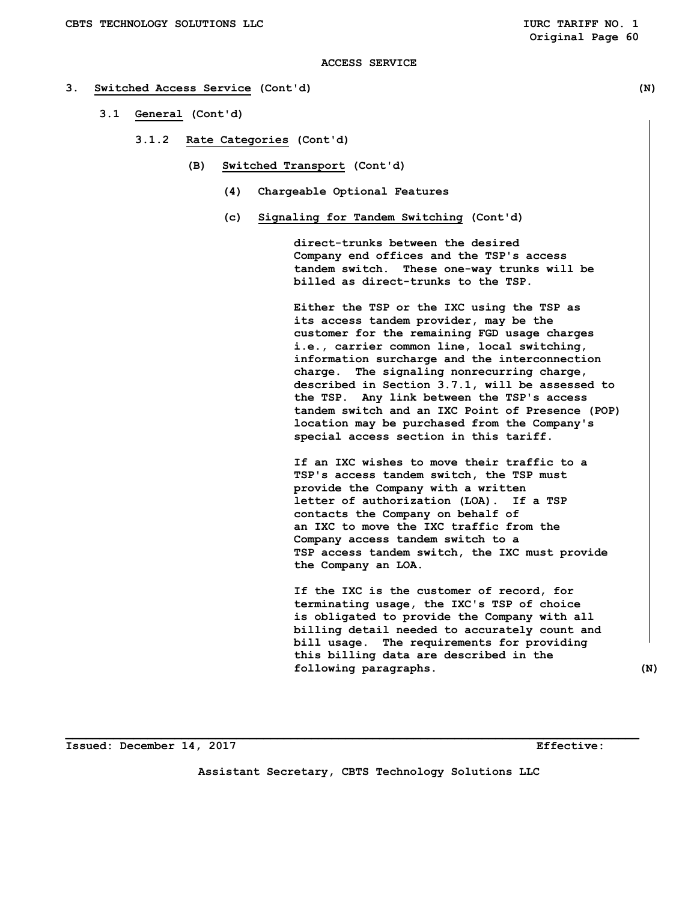# **3. Switched Access Service (Cont'd) (N)**

- **3.1 General (Cont'd)** 
	- **3.1.2 Rate Categories (Cont'd)** 
		- **(B) Switched Transport (Cont'd)** 
			- **(4) Chargeable Optional Features**
			- **(c) Signaling for Tandem Switching (Cont'd)**

 **direct-trunks between the desired Company end offices and the TSP's access tandem switch. These one-way trunks will be billed as direct-trunks to the TSP.** 

 **Either the TSP or the IXC using the TSP as its access tandem provider, may be the customer for the remaining FGD usage charges i.e., carrier common line, local switching, information surcharge and the interconnection charge. The signaling nonrecurring charge, described in Section 3.7.1, will be assessed to the TSP. Any link between the TSP's access tandem switch and an IXC Point of Presence (POP) location may be purchased from the Company's special access section in this tariff.** 

 **If an IXC wishes to move their traffic to a TSP's access tandem switch, the TSP must provide the Company with a written letter of authorization (LOA). If a TSP contacts the Company on behalf of an IXC to move the IXC traffic from the Company access tandem switch to a TSP access tandem switch, the IXC must provide the Company an LOA.** 

 **If the IXC is the customer of record, for terminating usage, the IXC's TSP of choice is obligated to provide the Company with all billing detail needed to accurately count and bill usage. The requirements for providing this billing data are described in the following paragraphs. (N)** 

**Issued: December 14, 2017 Effective:** 

**Assistant Secretary, CBTS Technology Solutions LLC**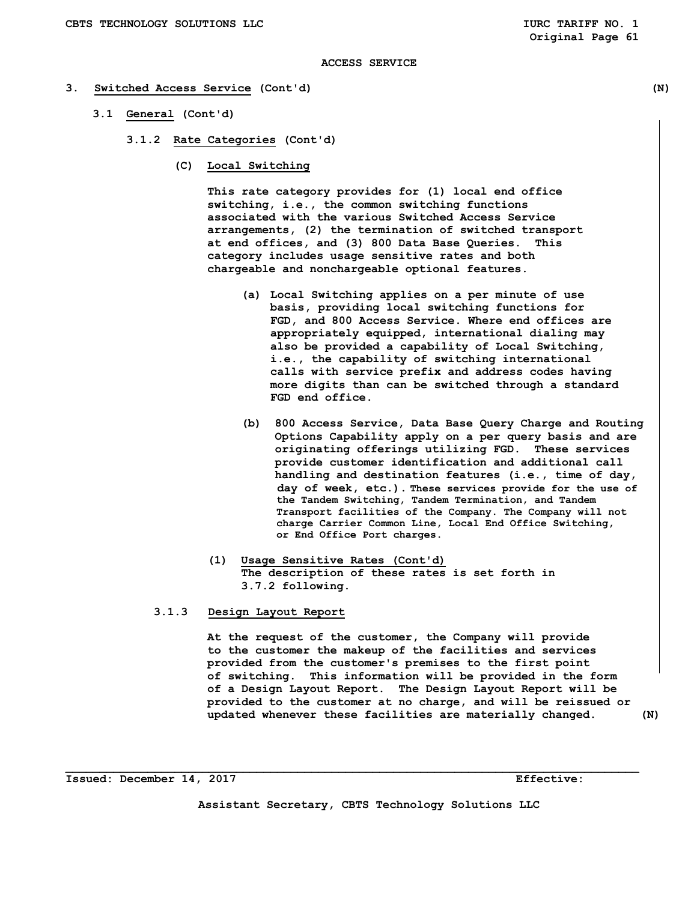## **3. Switched Access Service (Cont'd) (N)**

- **3.1 General (Cont'd)** 
	- **3.1.2 Rate Categories (Cont'd)** 
		- **(C) Local Switching**

 **This rate category provides for (1) local end office switching, i.e., the common switching functions associated with the various Switched Access Service arrangements, (2) the termination of switched transport at end offices, and (3) 800 Data Base Queries. This category includes usage sensitive rates and both chargeable and nonchargeable optional features.** 

- **(a) Local Switching applies on a per minute of use basis, providing local switching functions for FGD, and 800 Access Service. Where end offices are appropriately equipped, international dialing may also be provided a capability of Local Switching, i.e., the capability of switching international calls with service prefix and address codes having more digits than can be switched through a standard FGD end office.**
- **(b) 800 Access Service, Data Base Query Charge and Routing Options Capability apply on a per query basis and are originating offerings utilizing FGD. These services provide customer identification and additional call handling and destination features (i.e., time of day, day of week, etc.). These services provide for the use of the Tandem Switching, Tandem Termination, and Tandem Transport facilities of the Company. The Company will not charge Carrier Common Line, Local End Office Switching, or End Office Port charges.**
- **(1) Usage Sensitive Rates (Cont'd) The description of these rates is set forth in 3.7.2 following.**

# **3.1.3 Design Layout Report**

 **At the request of the customer, the Company will provide to the customer the makeup of the facilities and services provided from the customer's premises to the first point of switching. This information will be provided in the form of a Design Layout Report. The Design Layout Report will be provided to the customer at no charge, and will be reissued or updated whenever these facilities are materially changed. (N)** 

**Assistant Secretary, CBTS Technology Solutions LLC**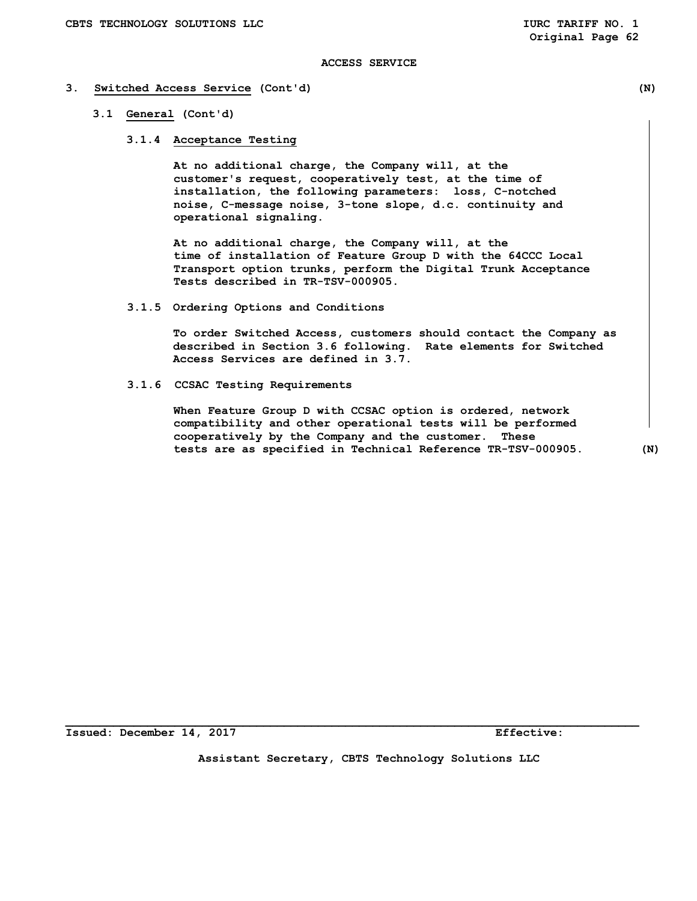# **3. Switched Access Service (Cont'd) (N)**

# **3.1 General (Cont'd)**

 **3.1.4 Acceptance Testing** 

 **At no additional charge, the Company will, at the customer's request, cooperatively test, at the time of installation, the following parameters: loss, C-notched noise, C-message noise, 3-tone slope, d.c. continuity and operational signaling.** 

 **At no additional charge, the Company will, at the time of installation of Feature Group D with the 64CCC Local Transport option trunks, perform the Digital Trunk Acceptance Tests described in TR-TSV-000905.** 

 **3.1.5 Ordering Options and Conditions** 

 **To order Switched Access, customers should contact the Company as described in Section 3.6 following. Rate elements for Switched Access Services are defined in 3.7.** 

 **3.1.6 CCSAC Testing Requirements** 

 **When Feature Group D with CCSAC option is ordered, network compatibility and other operational tests will be performed cooperatively by the Company and the customer. These tests are as specified in Technical Reference TR-TSV-000905. (N)** 

**Assistant Secretary, CBTS Technology Solutions LLC**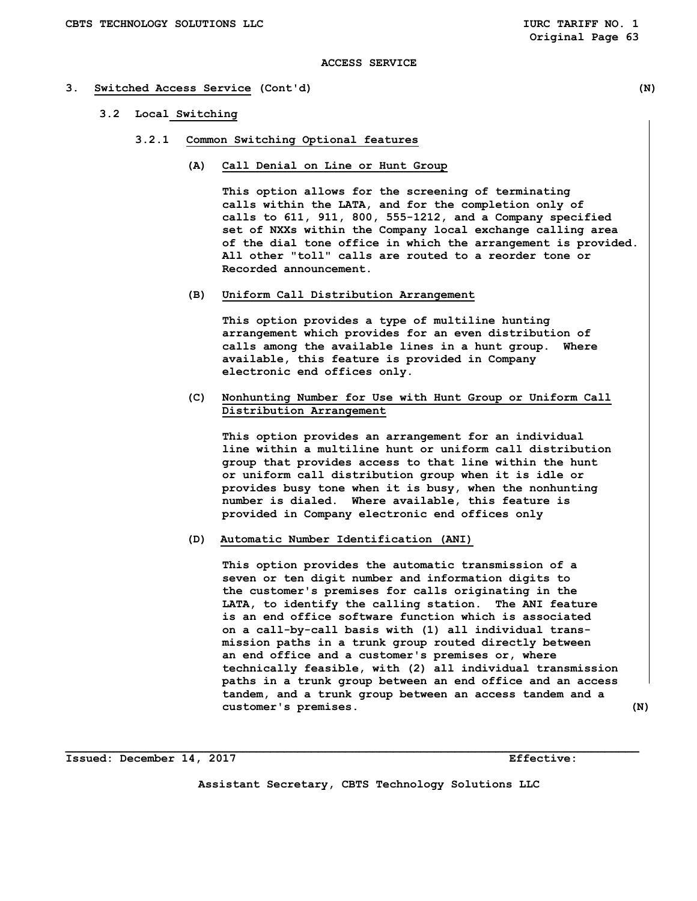#### **3. Switched Access Service (Cont'd) (N)**

- **3.2 Local Switching** 
	- **3.2.1 Common Switching Optional features** 
		- **(A) Call Denial on Line or Hunt Group**

 **This option allows for the screening of terminating calls within the LATA, and for the completion only of calls to 611, 911, 800, 555-1212, and a Company specified set of NXXs within the Company local exchange calling area of the dial tone office in which the arrangement is provided. All other "toll" calls are routed to a reorder tone or Recorded announcement.** 

 **(B) Uniform Call Distribution Arrangement** 

 **This option provides a type of multiline hunting arrangement which provides for an even distribution of calls among the available lines in a hunt group. Where available, this feature is provided in Company electronic end offices only.** 

 **(C) Nonhunting Number for Use with Hunt Group or Uniform Call Distribution Arrangement** 

 **This option provides an arrangement for an individual line within a multiline hunt or uniform call distribution group that provides access to that line within the hunt or uniform call distribution group when it is idle or provides busy tone when it is busy, when the nonhunting number is dialed. Where available, this feature is provided in Company electronic end offices only** 

# **(D) Automatic Number Identification (ANI)**

 **This option provides the automatic transmission of a seven or ten digit number and information digits to the customer's premises for calls originating in the LATA, to identify the calling station. The ANI feature is an end office software function which is associated on a call-by-call basis with (1) all individual trans mission paths in a trunk group routed directly between an end office and a customer's premises or, where technically feasible, with (2) all individual transmission paths in a trunk group between an end office and an access tandem, and a trunk group between an access tandem and a customer's premises. (N)** 

**Assistant Secretary, CBTS Technology Solutions LLC**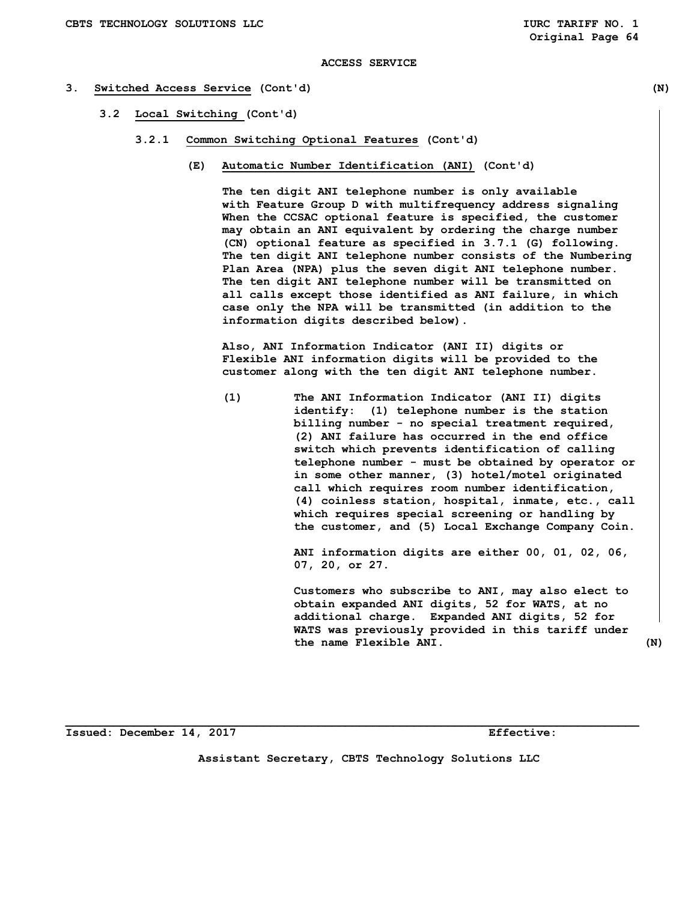## **3. Switched Access Service (Cont'd) (N)**

- **3.2 Local Switching (Cont'd)** 
	- **3.2.1 Common Switching Optional Features (Cont'd)** 
		- **(E) Automatic Number Identification (ANI) (Cont'd)**

 **The ten digit ANI telephone number is only available with Feature Group D with multifrequency address signaling When the CCSAC optional feature is specified, the customer may obtain an ANI equivalent by ordering the charge number (CN) optional feature as specified in 3.7.1 (G) following. The ten digit ANI telephone number consists of the Numbering Plan Area (NPA) plus the seven digit ANI telephone number. The ten digit ANI telephone number will be transmitted on all calls except those identified as ANI failure, in which case only the NPA will be transmitted (in addition to the information digits described below).** 

 **Also, ANI Information Indicator (ANI II) digits or Flexible ANI information digits will be provided to the customer along with the ten digit ANI telephone number.** 

 **(1) The ANI Information Indicator (ANI II) digits identify: (1) telephone number is the station billing number - no special treatment required, (2) ANI failure has occurred in the end office switch which prevents identification of calling telephone number - must be obtained by operator or in some other manner, (3) hotel/motel originated call which requires room number identification, (4) coinless station, hospital, inmate, etc., call which requires special screening or handling by the customer, and (5) Local Exchange Company Coin.** 

> **ANI information digits are either 00, 01, 02, 06, 07, 20, or 27.**

 **Customers who subscribe to ANI, may also elect to obtain expanded ANI digits, 52 for WATS, at no additional charge. Expanded ANI digits, 52 for WATS was previously provided in this tariff under the name Flexible ANI. (N)** 

**Issued: December 14, 2017 Effective:** 

**Assistant Secretary, CBTS Technology Solutions LLC**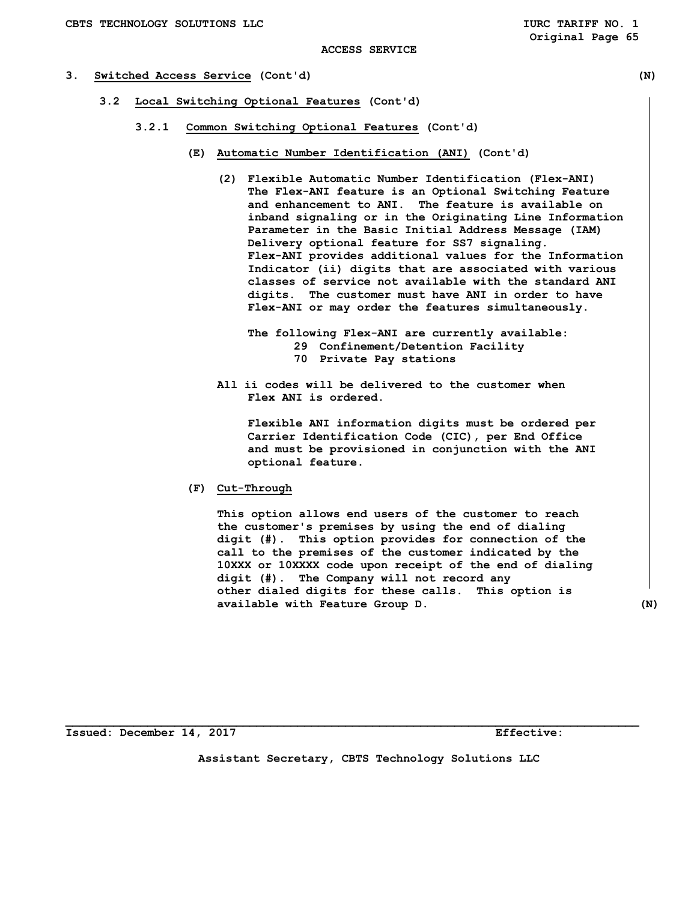# **3. Switched Access Service (Cont'd) (N)**

- **3.2 Local Switching Optional Features (Cont'd)** 
	- **3.2.1 Common Switching Optional Features (Cont'd)** 
		- **(E) Automatic Number Identification (ANI) (Cont'd)** 
			- **(2) Flexible Automatic Number Identification (Flex-ANI) The Flex-ANI feature is an Optional Switching Feature and enhancement to ANI. The feature is available on inband signaling or in the Originating Line Information Parameter in the Basic Initial Address Message (IAM) Delivery optional feature for SS7 signaling. Flex-ANI provides additional values for the Information Indicator (ii) digits that are associated with various classes of service not available with the standard ANI digits. The customer must have ANI in order to have Flex-ANI or may order the features simultaneously.** 
				- **The following Flex-ANI are currently available: 29 Confinement/Detention Facility 70 Private Pay stations**
			- **All ii codes will be delivered to the customer when Flex ANI is ordered.**

 **Flexible ANI information digits must be ordered per Carrier Identification Code (CIC), per End Office and must be provisioned in conjunction with the ANI optional feature.** 

 **(F) Cut-Through** 

 **This option allows end users of the customer to reach the customer's premises by using the end of dialing digit (#). This option provides for connection of the call to the premises of the customer indicated by the 10XXX or 10XXXX code upon receipt of the end of dialing digit (#). The Company will not record any other dialed digits for these calls. This option is available with Feature Group D. (N)** 

**Issued: December 14, 2017 Effective:** 

**Assistant Secretary, CBTS Technology Solutions LLC**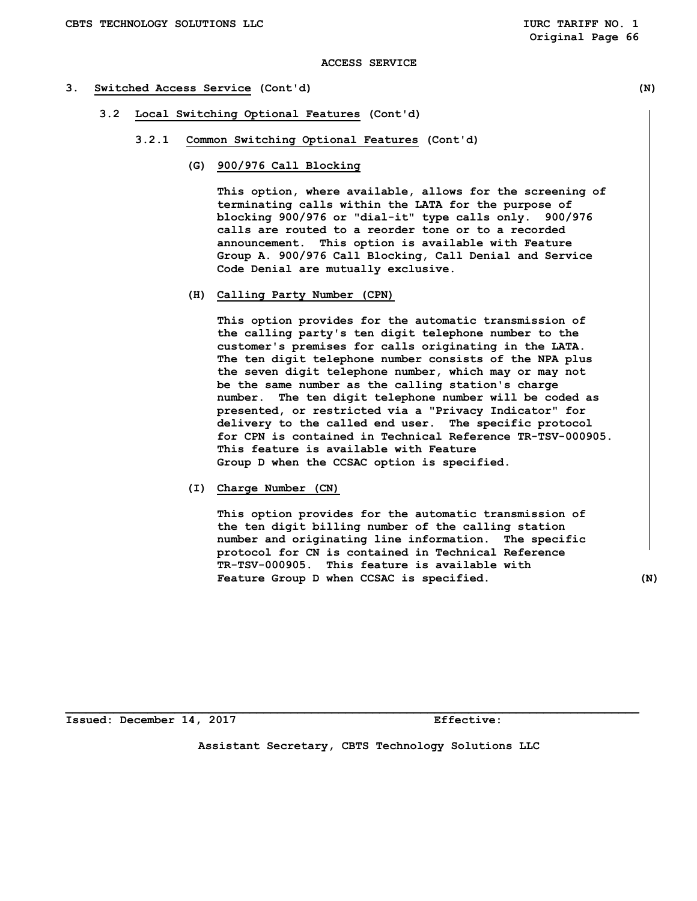## **3. Switched Access Service (Cont'd) (N)**

- **3.2 Local Switching Optional Features (Cont'd)** 
	- **3.2.1 Common Switching Optional Features (Cont'd)** 
		- **(G) 900/976 Call Blocking**

 **This option, where available, allows for the screening of terminating calls within the LATA for the purpose of blocking 900/976 or "dial-it" type calls only. 900/976 calls are routed to a reorder tone or to a recorded announcement. This option is available with Feature Group A. 900/976 Call Blocking, Call Denial and Service Code Denial are mutually exclusive.** 

 **(H) Calling Party Number (CPN)** 

 **This option provides for the automatic transmission of the calling party's ten digit telephone number to the customer's premises for calls originating in the LATA. The ten digit telephone number consists of the NPA plus the seven digit telephone number, which may or may not be the same number as the calling station's charge number. The ten digit telephone number will be coded as presented, or restricted via a "Privacy Indicator" for delivery to the called end user. The specific protocol for CPN is contained in Technical Reference TR-TSV-000905. This feature is available with Feature Group D when the CCSAC option is specified.** 

 **(I) Charge Number (CN)** 

 **This option provides for the automatic transmission of the ten digit billing number of the calling station number and originating line information. The specific protocol for CN is contained in Technical Reference TR-TSV-000905. This feature is available with Feature Group D when CCSAC is specified. (N)** 

**Issued: December 14, 2017 Effective:** 

**Assistant Secretary, CBTS Technology Solutions LLC**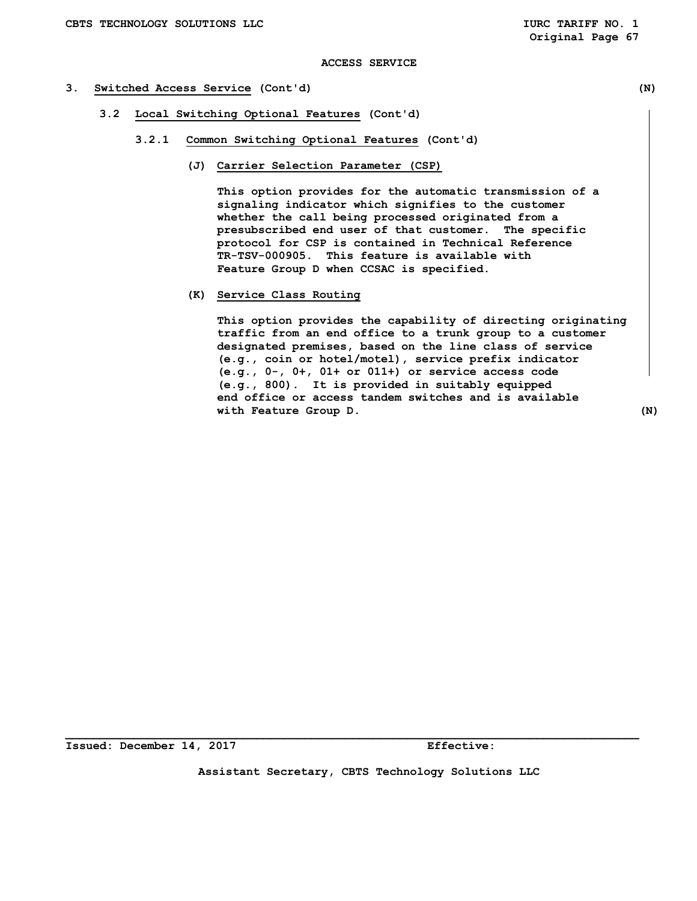# **3. Switched Access Service (Cont'd) (N)**

- **3.2 Local Switching Optional Features (Cont'd)** 
	- **3.2.1 Common Switching Optional Features (Cont'd)** 
		- **(J) Carrier Selection Parameter (CSP)**

 **This option provides for the automatic transmission of a signaling indicator which signifies to the customer whether the call being processed originated from a presubscribed end user of that customer. The specific protocol for CSP is contained in Technical Reference TR-TSV-000905. This feature is available with Feature Group D when CCSAC is specified.** 

 **(K) Service Class Routing** 

 **This option provides the capability of directing originating traffic from an end office to a trunk group to a customer designated premises, based on the line class of service (e.g., coin or hotel/motel), service prefix indicator (e.g., 0-, 0+, 01+ or 011+) or service access code (e.g., 800). It is provided in suitably equipped end office or access tandem switches and is available with Feature Group D. (N)** 

**Assistant Secretary, CBTS Technology Solutions LLC**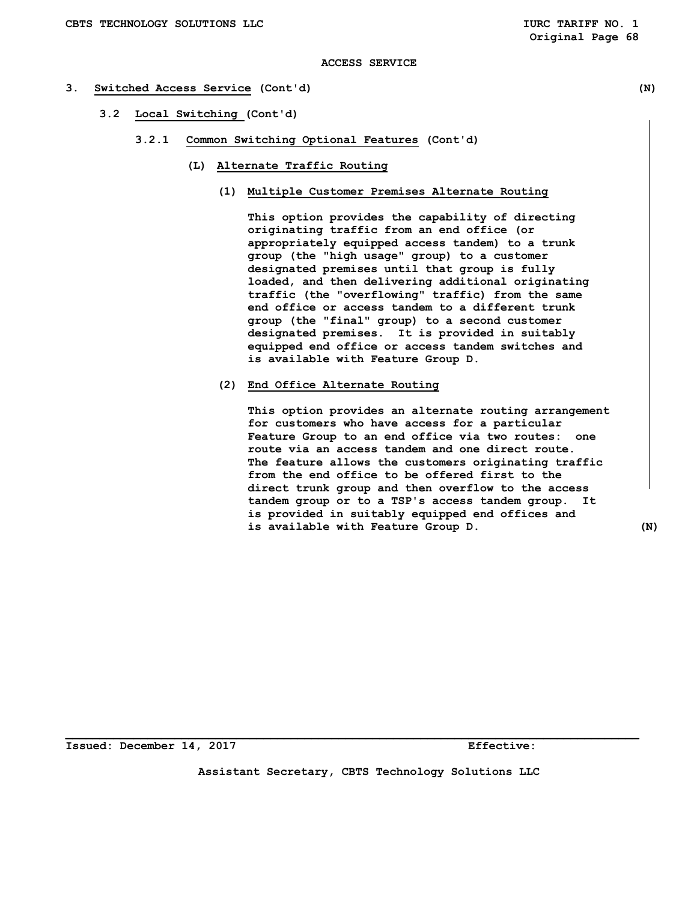# **3. Switched Access Service (Cont'd) (N)**

- **3.2 Local Switching (Cont'd)** 
	- **3.2.1 Common Switching Optional Features (Cont'd)** 
		- **(L) Alternate Traffic Routing** 
			- **(1) Multiple Customer Premises Alternate Routing**

 **This option provides the capability of directing originating traffic from an end office (or appropriately equipped access tandem) to a trunk group (the "high usage" group) to a customer designated premises until that group is fully loaded, and then delivering additional originating traffic (the "overflowing" traffic) from the same end office or access tandem to a different trunk group (the "final" group) to a second customer designated premises. It is provided in suitably equipped end office or access tandem switches and is available with Feature Group D.** 

 **(2) End Office Alternate Routing** 

 **This option provides an alternate routing arrangement for customers who have access for a particular Feature Group to an end office via two routes: one route via an access tandem and one direct route. The feature allows the customers originating traffic from the end office to be offered first to the direct trunk group and then overflow to the access tandem group or to a TSP's access tandem group. It is provided in suitably equipped end offices and is available with Feature Group D. (N)** 

**Issued: December 14, 2017 Effective:** 

**Assistant Secretary, CBTS Technology Solutions LLC**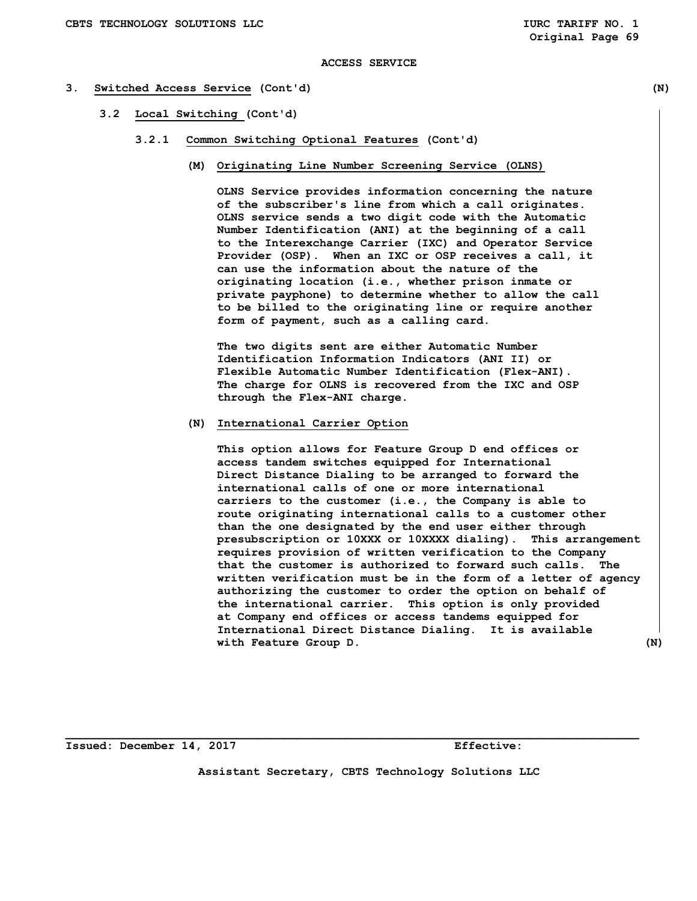#### **3. Switched Access Service (Cont'd) (N)**

- **3.2 Local Switching (Cont'd)** 
	- **3.2.1 Common Switching Optional Features (Cont'd)** 
		- **(M) Originating Line Number Screening Service (OLNS)**

 **OLNS Service provides information concerning the nature of the subscriber's line from which a call originates. OLNS service sends a two digit code with the Automatic Number Identification (ANI) at the beginning of a call to the Interexchange Carrier (IXC) and Operator Service Provider (OSP). When an IXC or OSP receives a call, it can use the information about the nature of the originating location (i.e., whether prison inmate or private payphone) to determine whether to allow the call to be billed to the originating line or require another form of payment, such as a calling card.** 

 **The two digits sent are either Automatic Number Identification Information Indicators (ANI II) or Flexible Automatic Number Identification (Flex-ANI). The charge for OLNS is recovered from the IXC and OSP through the Flex-ANI charge.** 

## **(N) International Carrier Option**

 **This option allows for Feature Group D end offices or access tandem switches equipped for International Direct Distance Dialing to be arranged to forward the international calls of one or more international carriers to the customer (i.e., the Company is able to route originating international calls to a customer other than the one designated by the end user either through presubscription or 10XXX or 10XXXX dialing). This arrangement requires provision of written verification to the Company that the customer is authorized to forward such calls. The written verification must be in the form of a letter of agency authorizing the customer to order the option on behalf of the international carrier. This option is only provided at Company end offices or access tandems equipped for International Direct Distance Dialing. It is available with Feature Group D. (N)** 

**Issued: December 14, 2017 Effective:** 

**Assistant Secretary, CBTS Technology Solutions LLC**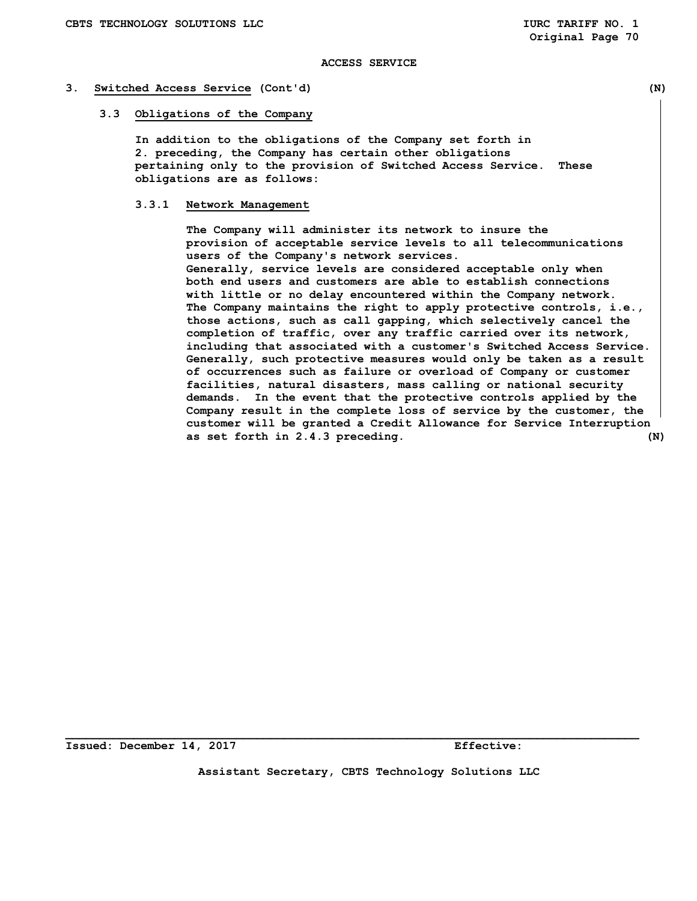#### **3. Switched Access Service (Cont'd) (N)**

#### **3.3 Obligations of the Company**

 **In addition to the obligations of the Company set forth in 2. preceding, the Company has certain other obligations pertaining only to the provision of Switched Access Service. These obligations are as follows:** 

## **3.3.1 Network Management**

 **The Company will administer its network to insure the provision of acceptable service levels to all telecommunications users of the Company's network services. Generally, service levels are considered acceptable only when both end users and customers are able to establish connections with little or no delay encountered within the Company network. The Company maintains the right to apply protective controls, i.e., those actions, such as call gapping, which selectively cancel the completion of traffic, over any traffic carried over its network, including that associated with a customer's Switched Access Service. Generally, such protective measures would only be taken as a result of occurrences such as failure or overload of Company or customer facilities, natural disasters, mass calling or national security demands. In the event that the protective controls applied by the Company result in the complete loss of service by the customer, the customer will be granted a Credit Allowance for Service Interruption as set forth in 2.4.3 preceding. (N)** 

**Issued: December 14, 2017 Effective:** 

**Assistant Secretary, CBTS Technology Solutions LLC**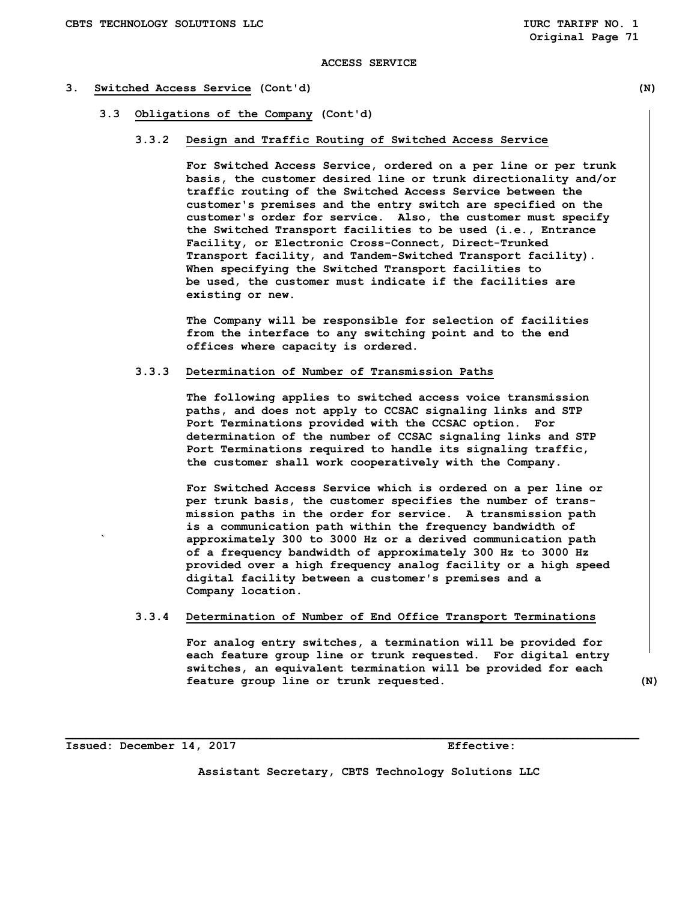#### **3. Switched Access Service (Cont'd) (N)**

- **3.3 Obligations of the Company (Cont'd)** 
	- **3.3.2 Design and Traffic Routing of Switched Access Service**

 **For Switched Access Service, ordered on a per line or per trunk basis, the customer desired line or trunk directionality and/or traffic routing of the Switched Access Service between the customer's premises and the entry switch are specified on the customer's order for service. Also, the customer must specify the Switched Transport facilities to be used (i.e., Entrance Facility, or Electronic Cross-Connect, Direct-Trunked Transport facility, and Tandem-Switched Transport facility). When specifying the Switched Transport facilities to be used, the customer must indicate if the facilities are existing or new.** 

 **The Company will be responsible for selection of facilities from the interface to any switching point and to the end offices where capacity is ordered.** 

#### **3.3.3 Determination of Number of Transmission Paths**

 **The following applies to switched access voice transmission paths, and does not apply to CCSAC signaling links and STP Port Terminations provided with the CCSAC option. For determination of the number of CCSAC signaling links and STP Port Terminations required to handle its signaling traffic, the customer shall work cooperatively with the Company.** 

 **For Switched Access Service which is ordered on a per line or per trunk basis, the customer specifies the number of trans mission paths in the order for service. A transmission path is a communication path within the frequency bandwidth of ` approximately 300 to 3000 Hz or a derived communication path of a frequency bandwidth of approximately 300 Hz to 3000 Hz provided over a high frequency analog facility or a high speed digital facility between a customer's premises and a Company location.** 

## **3.3.4 Determination of Number of End Office Transport Terminations**

 **For analog entry switches, a termination will be provided for each feature group line or trunk requested. For digital entry switches, an equivalent termination will be provided for each feature group line or trunk requested. (N)** 

**Issued: December 14, 2017 Effective:** 

**Assistant Secretary, CBTS Technology Solutions LLC**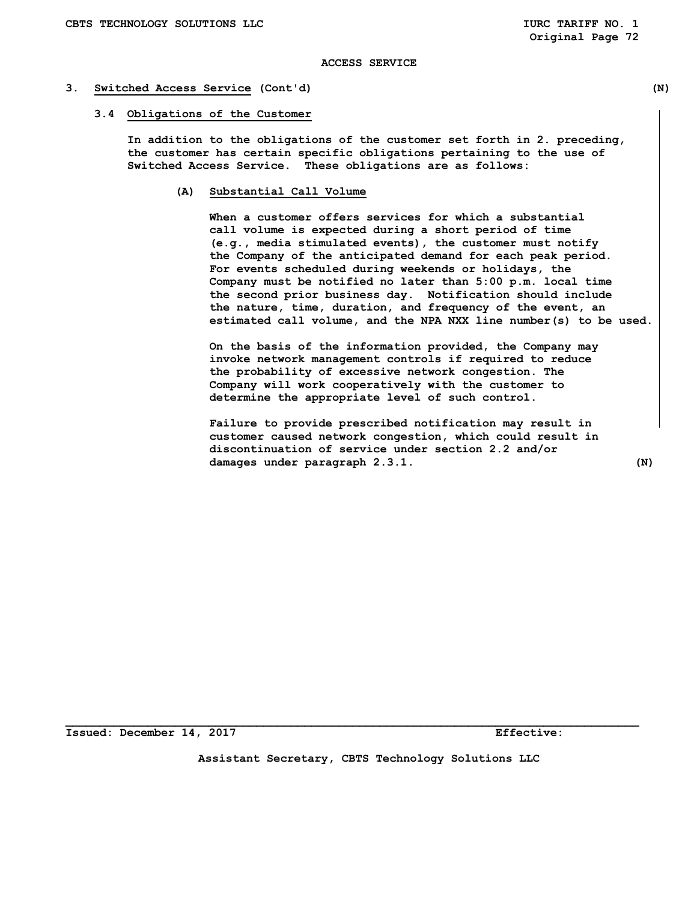#### **3. Switched Access Service (Cont'd) (N)**

#### **3.4 Obligations of the Customer**

 **In addition to the obligations of the customer set forth in 2. preceding, the customer has certain specific obligations pertaining to the use of Switched Access Service. These obligations are as follows:** 

 **(A) Substantial Call Volume** 

 **When a customer offers services for which a substantial call volume is expected during a short period of time (e.g., media stimulated events), the customer must notify the Company of the anticipated demand for each peak period. For events scheduled during weekends or holidays, the Company must be notified no later than 5:00 p.m. local time the second prior business day. Notification should include the nature, time, duration, and frequency of the event, an estimated call volume, and the NPA NXX line number(s) to be used.** 

 **On the basis of the information provided, the Company may invoke network management controls if required to reduce the probability of excessive network congestion. The Company will work cooperatively with the customer to determine the appropriate level of such control.** 

 **Failure to provide prescribed notification may result in customer caused network congestion, which could result in discontinuation of service under section 2.2 and/or damages under paragraph 2.3.1. (N)** 

**Assistant Secretary, CBTS Technology Solutions LLC**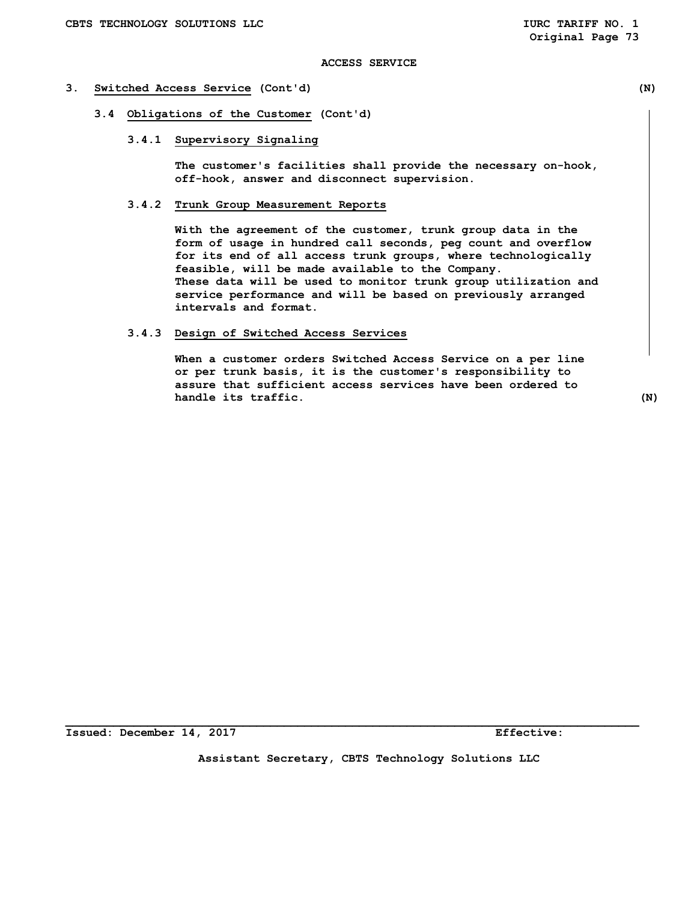#### **3. Switched Access Service (Cont'd) (N)**

- **3.4 Obligations of the Customer (Cont'd)** 
	- **3.4.1 Supervisory Signaling**

 **The customer's facilities shall provide the necessary on-hook, off-hook, answer and disconnect supervision.** 

## **3.4.2 Trunk Group Measurement Reports**

 **With the agreement of the customer, trunk group data in the form of usage in hundred call seconds, peg count and overflow for its end of all access trunk groups, where technologically feasible, will be made available to the Company. These data will be used to monitor trunk group utilization and service performance and will be based on previously arranged intervals and format.** 

## **3.4.3 Design of Switched Access Services**

 **When a customer orders Switched Access Service on a per line or per trunk basis, it is the customer's responsibility to assure that sufficient access services have been ordered to handle its traffic.** (N)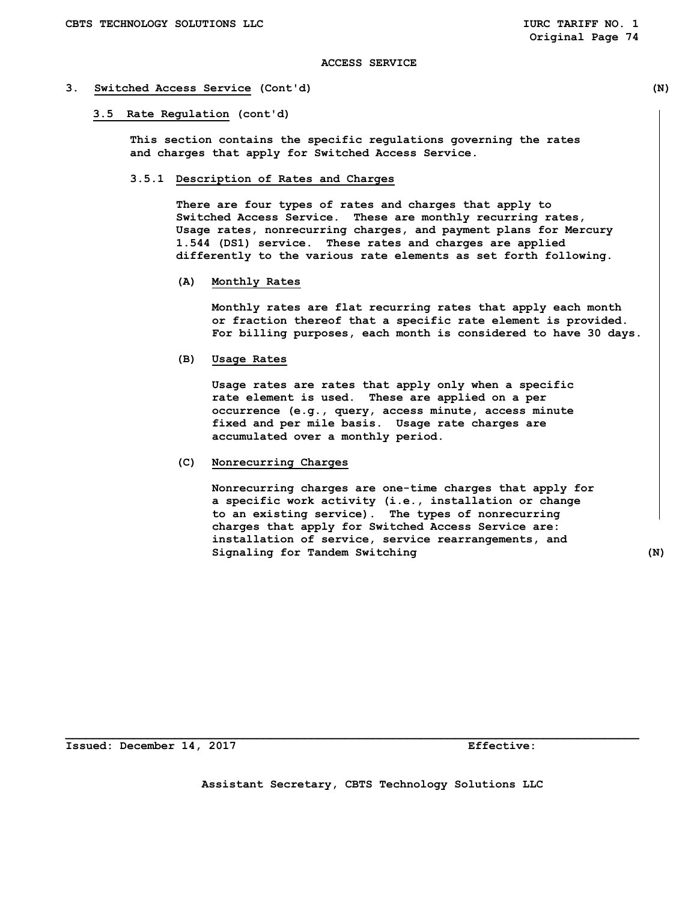#### **3. Switched Access Service (Cont'd) (N)**

 **3.5 Rate Regulation (cont'd)** 

 **This section contains the specific regulations governing the rates and charges that apply for Switched Access Service.** 

#### **3.5.1 Description of Rates and Charges**

 **There are four types of rates and charges that apply to Switched Access Service. These are monthly recurring rates, Usage rates, nonrecurring charges, and payment plans for Mercury 1.544 (DS1) service. These rates and charges are applied differently to the various rate elements as set forth following.** 

 **(A) Monthly Rates** 

 **Monthly rates are flat recurring rates that apply each month or fraction thereof that a specific rate element is provided. For billing purposes, each month is considered to have 30 days.** 

 **(B) Usage Rates** 

 **Usage rates are rates that apply only when a specific rate element is used. These are applied on a per occurrence (e.g., query, access minute, access minute fixed and per mile basis. Usage rate charges are accumulated over a monthly period.** 

 **(C) Nonrecurring Charges** 

 **Nonrecurring charges are one-time charges that apply for a specific work activity (i.e., installation or change to an existing service). The types of nonrecurring charges that apply for Switched Access Service are: installation of service, service rearrangements, and Signaling for Tandem Switching (N)** 

**Issued: December 14, 2017 Effective:** 

 **Assistant Secretary, CBTS Technology Solutions LLC**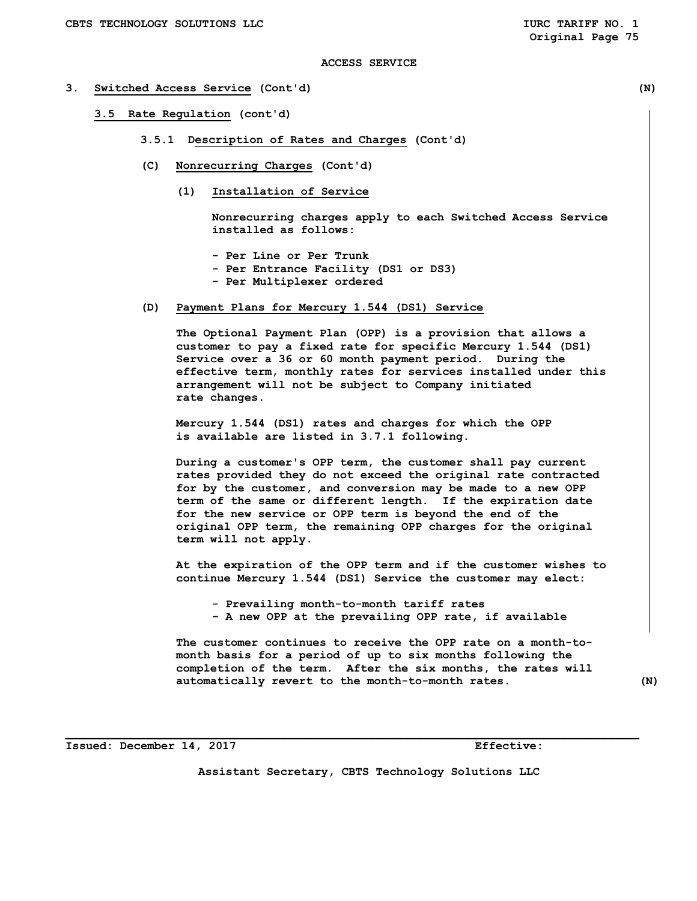- **3. Switched Access Service (Cont'd) (N)** 
	- **3.5 Rate Regulation (cont'd)** 
		- **3.5.1 Description of Rates and Charges (Cont'd)**
		- **(C) Nonrecurring Charges (Cont'd)** 
			- **(1) Installation of Service**

 **Nonrecurring charges apply to each Switched Access Service installed as follows:** 

- **Per Line or Per Trunk**
- **Per Entrance Facility (DS1 or DS3)**
- **Per Multiplexer ordered**
- **(D) Payment Plans for Mercury 1.544 (DS1) Service**

 **The Optional Payment Plan (OPP) is a provision that allows a customer to pay a fixed rate for specific Mercury 1.544 (DS1) Service over a 36 or 60 month payment period. During the effective term, monthly rates for services installed under this arrangement will not be subject to Company initiated rate changes.** 

 **Mercury 1.544 (DS1) rates and charges for which the OPP is available are listed in 3.7.1 following.** 

 **During a customer's OPP term, the customer shall pay current rates provided they do not exceed the original rate contracted for by the customer, and conversion may be made to a new OPP term of the same or different length. If the expiration date for the new service or OPP term is beyond the end of the original OPP term, the remaining OPP charges for the original term will not apply.** 

 **At the expiration of the OPP term and if the customer wishes to continue Mercury 1.544 (DS1) Service the customer may elect:** 

 **- Prevailing month-to-month tariff rates - A new OPP at the prevailing OPP rate, if available** 

 **The customer continues to receive the OPP rate on a month-to month basis for a period of up to six months following the completion of the term. After the six months, the rates will automatically revert to the month-to-month rates. (N)** 

**Issued: December 14, 2017 Effective:** 

**Assistant Secretary, CBTS Technology Solutions LLC**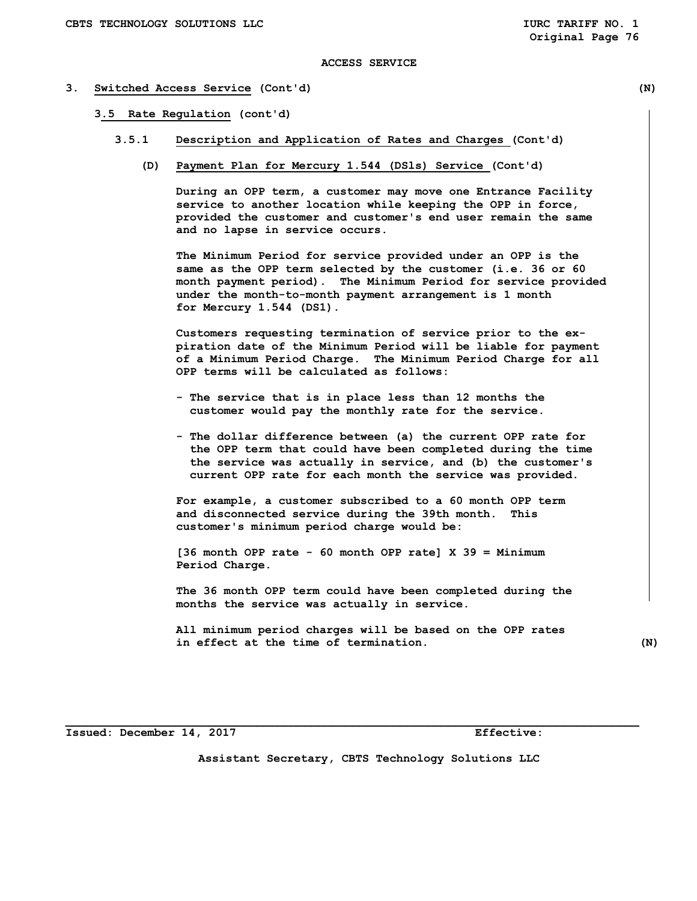#### **3. Switched Access Service (Cont'd) (N)**

 **3.5 Rate Regulation (cont'd)** 

- **3.5.1 Description and Application of Rates and Charges (Cont'd)** 
	- **(D) Payment Plan for Mercury 1.544 (DSls) Service (Cont'd)**

 **During an OPP term, a customer may move one Entrance Facility service to another location while keeping the OPP in force, provided the customer and customer's end user remain the same and no lapse in service occurs.** 

 **The Minimum Period for service provided under an OPP is the same as the OPP term selected by the customer (i.e. 36 or 60 month payment period). The Minimum Period for service provided under the month-to-month payment arrangement is 1 month for Mercury 1.544 (DS1).** 

 **Customers requesting termination of service prior to the ex piration date of the Minimum Period will be liable for payment of a Minimum Period Charge. The Minimum Period Charge for all OPP terms will be calculated as follows:** 

- **The service that is in place less than 12 months the customer would pay the monthly rate for the service.**
- **The dollar difference between (a) the current OPP rate for the OPP term that could have been completed during the time the service was actually in service, and (b) the customer's current OPP rate for each month the service was provided.**

 **For example, a customer subscribed to a 60 month OPP term and disconnected service during the 39th month. This customer's minimum period charge would be:** 

 **[36 month OPP rate - 60 month OPP rate] X 39 = Minimum Period Charge.** 

 **The 36 month OPP term could have been completed during the months the service was actually in service.** 

 **All minimum period charges will be based on the OPP rates in effect at the time of termination. (N)** 

**Issued: December 14, 2017 Effective:** 

**Assistant Secretary, CBTS Technology Solutions LLC**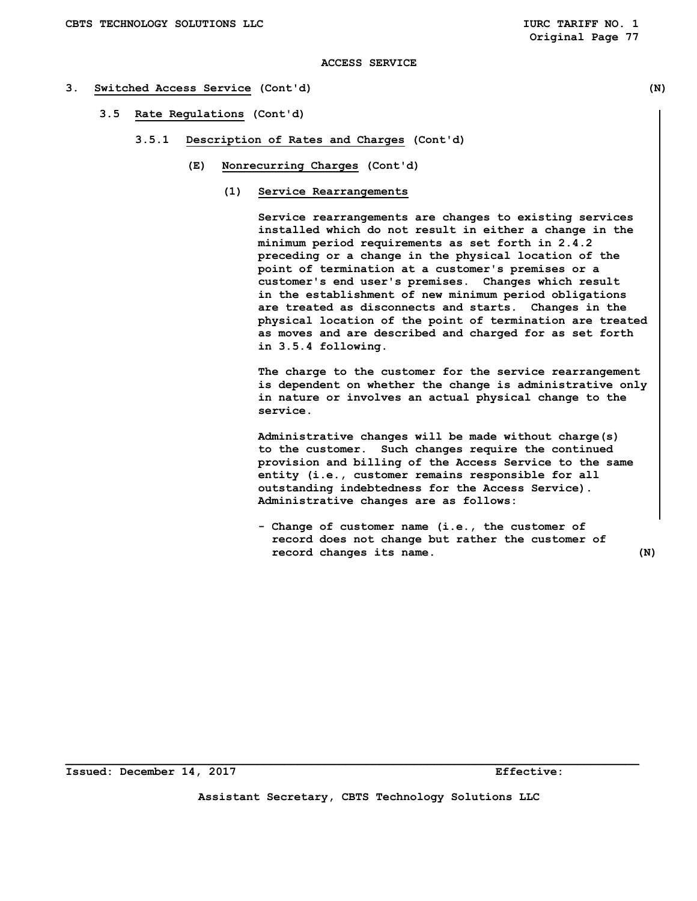#### **3. Switched Access Service (Cont'd) (N)**

- **3.5 Rate Regulations (Cont'd)** 
	- **3.5.1 Description of Rates and Charges (Cont'd)** 
		- **(E) Nonrecurring Charges (Cont'd)** 
			- **(1) Service Rearrangements**

 **Service rearrangements are changes to existing services installed which do not result in either a change in the minimum period requirements as set forth in 2.4.2 preceding or a change in the physical location of the point of termination at a customer's premises or a customer's end user's premises. Changes which result in the establishment of new minimum period obligations are treated as disconnects and starts. Changes in the physical location of the point of termination are treated as moves and are described and charged for as set forth in 3.5.4 following.** 

 **The charge to the customer for the service rearrangement is dependent on whether the change is administrative only in nature or involves an actual physical change to the service.** 

 **Administrative changes will be made without charge(s) to the customer. Such changes require the continued provision and billing of the Access Service to the same entity (i.e., customer remains responsible for all outstanding indebtedness for the Access Service). Administrative changes are as follows:** 

 **- Change of customer name (i.e., the customer of record does not change but rather the customer of record changes its name. (N)**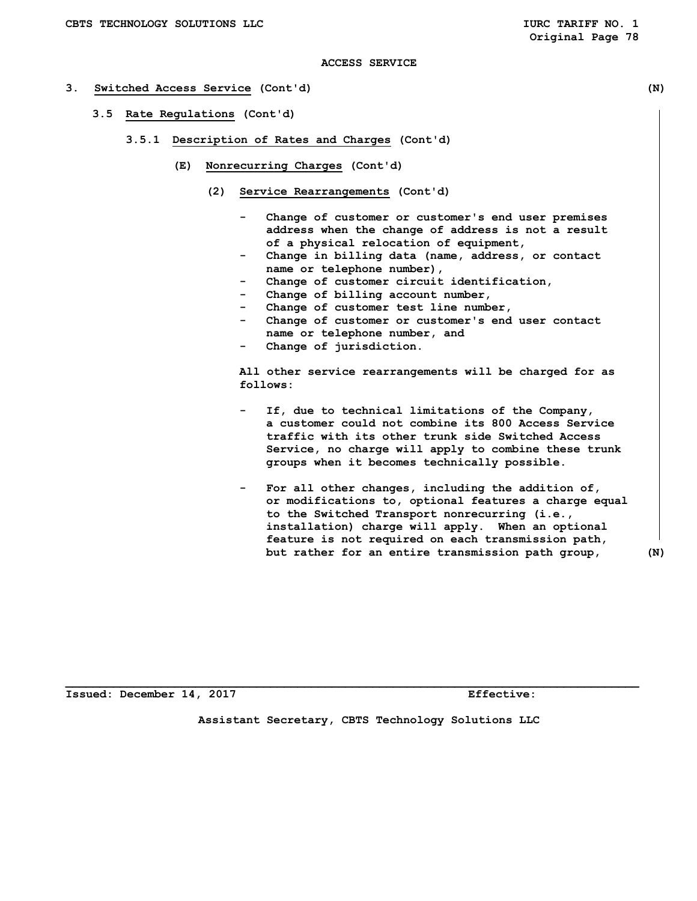#### **3. Switched Access Service (Cont'd) (N)**

- **3.5 Rate Regulations (Cont'd)** 
	- **3.5.1 Description of Rates and Charges (Cont'd)** 
		- **(E) Nonrecurring Charges (Cont'd)** 
			- **(2) Service Rearrangements (Cont'd)** 
				- Change of customer or customer's end user premises  **address when the change of address is not a result of a physical relocation of equipment,**
				- Change in billing data (name, address, or contact  **name or telephone number),**
				- Change of customer circuit identification,
				- Change of billing account number,
				- Change of customer test line number,
				- Change of customer or customer's end user contact  **name or telephone number, and**
				- Change of jurisdiction.

 **All other service rearrangements will be charged for as follows:** 

- If, due to technical limitations of the Company,  **a customer could not combine its 800 Access Service traffic with its other trunk side Switched Access Service, no charge will apply to combine these trunk groups when it becomes technically possible.**
- For all other changes, including the addition of,  **or modifications to, optional features a charge equal to the Switched Transport nonrecurring (i.e., installation) charge will apply. When an optional feature is not required on each transmission path, but rather for an entire transmission path group, (N)**

**Issued: December 14, 2017 Effective:** 

**Assistant Secretary, CBTS Technology Solutions LLC**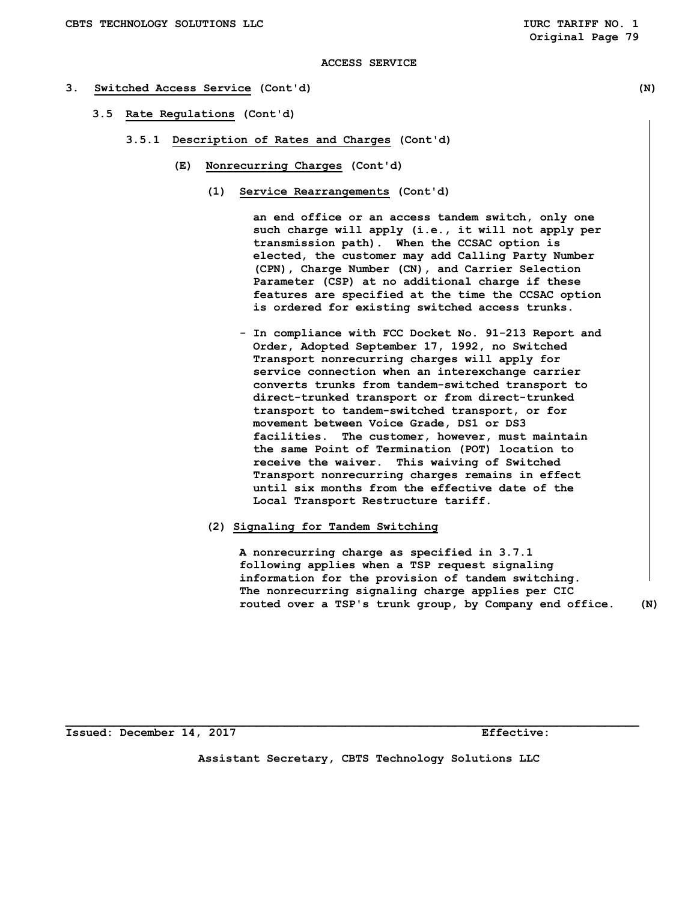#### **3. Switched Access Service (Cont'd) (N)**

- **3.5 Rate Regulations (Cont'd)** 
	- **3.5.1 Description of Rates and Charges (Cont'd)** 
		- **(E) Nonrecurring Charges (Cont'd)** 
			- **(1) Service Rearrangements (Cont'd)**

 **an end office or an access tandem switch, only one such charge will apply (i.e., it will not apply per transmission path). When the CCSAC option is elected, the customer may add Calling Party Number (CPN), Charge Number (CN), and Carrier Selection Parameter (CSP) at no additional charge if these features are specified at the time the CCSAC option is ordered for existing switched access trunks.** 

- **In compliance with FCC Docket No. 91-213 Report and Order, Adopted September 17, 1992, no Switched Transport nonrecurring charges will apply for service connection when an interexchange carrier converts trunks from tandem-switched transport to direct-trunked transport or from direct-trunked transport to tandem-switched transport, or for movement between Voice Grade, DS1 or DS3 facilities. The customer, however, must maintain the same Point of Termination (POT) location to receive the waiver. This waiving of Switched Transport nonrecurring charges remains in effect until six months from the effective date of the Local Transport Restructure tariff.**
- **(2) Signaling for Tandem Switching**

 **A nonrecurring charge as specified in 3.7.1 following applies when a TSP request signaling information for the provision of tandem switching. The nonrecurring signaling charge applies per CIC routed over a TSP's trunk group, by Company end office. (N)** 

**Issued: December 14, 2017 Effective:** 

**Assistant Secretary, CBTS Technology Solutions LLC**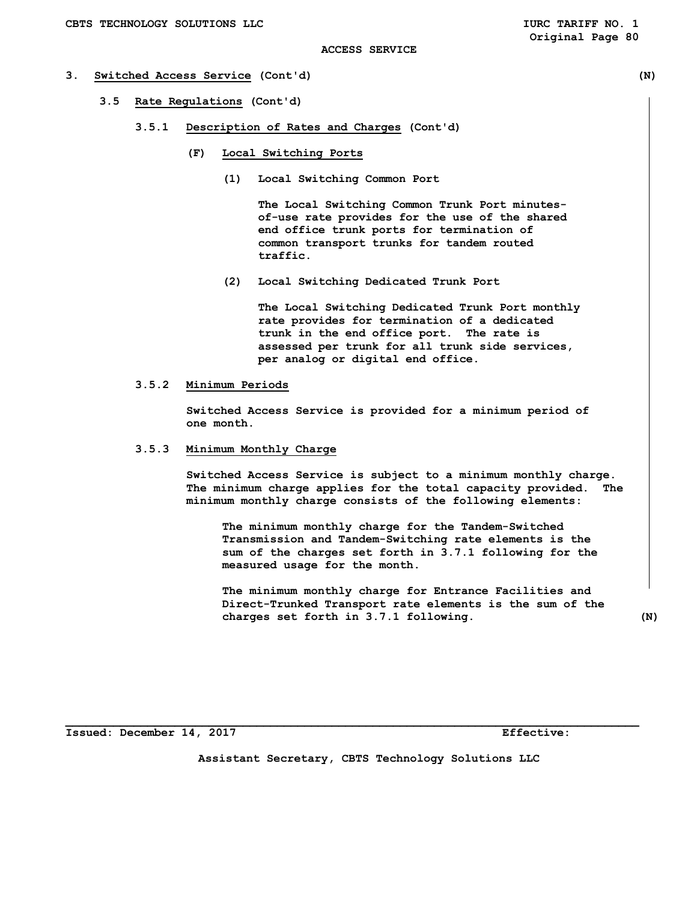- **3. Switched Access Service (Cont'd) (N)** 
	- **3.5 Rate Regulations (Cont'd)** 
		- **3.5.1 Description of Rates and Charges (Cont'd)** 
			- **(F) Local Switching Ports** 
				- **(1) Local Switching Common Port**

 **The Local Switching Common Trunk Port minutes of-use rate provides for the use of the shared end office trunk ports for termination of common transport trunks for tandem routed traffic.** 

 **(2) Local Switching Dedicated Trunk Port** 

 **The Local Switching Dedicated Trunk Port monthly rate provides for termination of a dedicated trunk in the end office port. The rate is assessed per trunk for all trunk side services, per analog or digital end office.** 

#### **3.5.2 Minimum Periods**

 **Switched Access Service is provided for a minimum period of one month.** 

 **3.5.3 Minimum Monthly Charge** 

 **Switched Access Service is subject to a minimum monthly charge. The minimum charge applies for the total capacity provided. The minimum monthly charge consists of the following elements:** 

 **The minimum monthly charge for the Tandem-Switched Transmission and Tandem-Switching rate elements is the sum of the charges set forth in 3.7.1 following for the measured usage for the month.** 

 **The minimum monthly charge for Entrance Facilities and Direct-Trunked Transport rate elements is the sum of the charges set forth in 3.7.1 following. (N)** 

**Issued: December 14, 2017 Effective:** 

**Assistant Secretary, CBTS Technology Solutions LLC**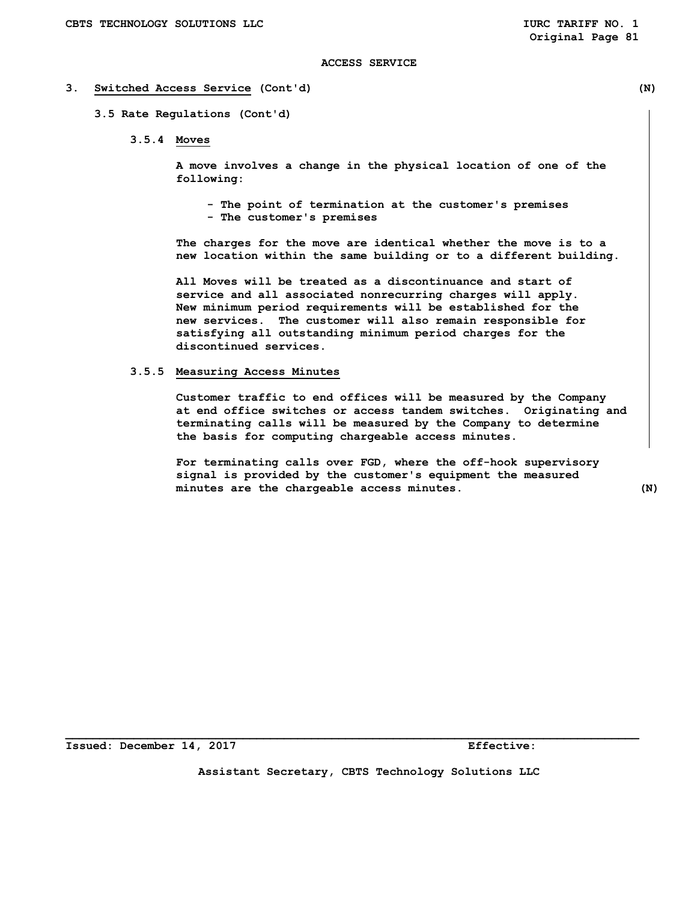#### **3. Switched Access Service (Cont'd) (N)**

 **3.5 Rate Regulations (Cont'd)** 

 **3.5.4 Moves** 

 **A move involves a change in the physical location of one of the following:** 

- **The point of termination at the customer's premises**
- **The customer's premises**

 **The charges for the move are identical whether the move is to a new location within the same building or to a different building.** 

 **All Moves will be treated as a discontinuance and start of service and all associated nonrecurring charges will apply. New minimum period requirements will be established for the new services. The customer will also remain responsible for satisfying all outstanding minimum period charges for the discontinued services.** 

## **3.5.5 Measuring Access Minutes**

 **Customer traffic to end offices will be measured by the Company at end office switches or access tandem switches. Originating and terminating calls will be measured by the Company to determine the basis for computing chargeable access minutes.** 

 **For terminating calls over FGD, where the off-hook supervisory signal is provided by the customer's equipment the measured minutes are the chargeable access minutes. (N)** 

**Issued: December 14, 2017 Effective:** 

**Assistant Secretary, CBTS Technology Solutions LLC**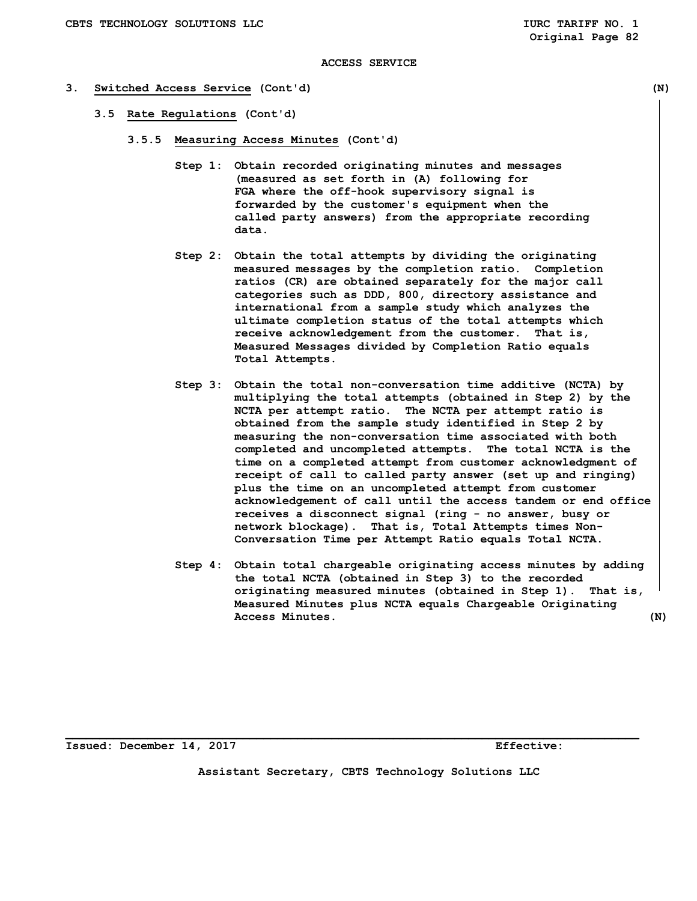#### **3. Switched Access Service (Cont'd) (N)**

- **3.5 Rate Regulations (Cont'd)** 
	- **3.5.5 Measuring Access Minutes (Cont'd)** 
		- **Step 1: Obtain recorded originating minutes and messages (measured as set forth in (A) following for FGA where the off-hook supervisory signal is forwarded by the customer's equipment when the called party answers) from the appropriate recording data.**
		- **Step 2: Obtain the total attempts by dividing the originating measured messages by the completion ratio. Completion ratios (CR) are obtained separately for the major call categories such as DDD, 800, directory assistance and international from a sample study which analyzes the ultimate completion status of the total attempts which receive acknowledgement from the customer. That is, Measured Messages divided by Completion Ratio equals Total Attempts.**
		- **Step 3: Obtain the total non-conversation time additive (NCTA) by multiplying the total attempts (obtained in Step 2) by the NCTA per attempt ratio. The NCTA per attempt ratio is obtained from the sample study identified in Step 2 by measuring the non-conversation time associated with both completed and uncompleted attempts. The total NCTA is the time on a completed attempt from customer acknowledgment of receipt of call to called party answer (set up and ringing) plus the time on an uncompleted attempt from customer acknowledgement of call until the access tandem or end office receives a disconnect signal (ring - no answer, busy or network blockage). That is, Total Attempts times Non- Conversation Time per Attempt Ratio equals Total NCTA.**
		- **Step 4: Obtain total chargeable originating access minutes by adding the total NCTA (obtained in Step 3) to the recorded originating measured minutes (obtained in Step 1). That is, Measured Minutes plus NCTA equals Chargeable Originating Access Minutes. (N)**

**Issued: December 14, 2017 Effective:** 

**Assistant Secretary, CBTS Technology Solutions LLC**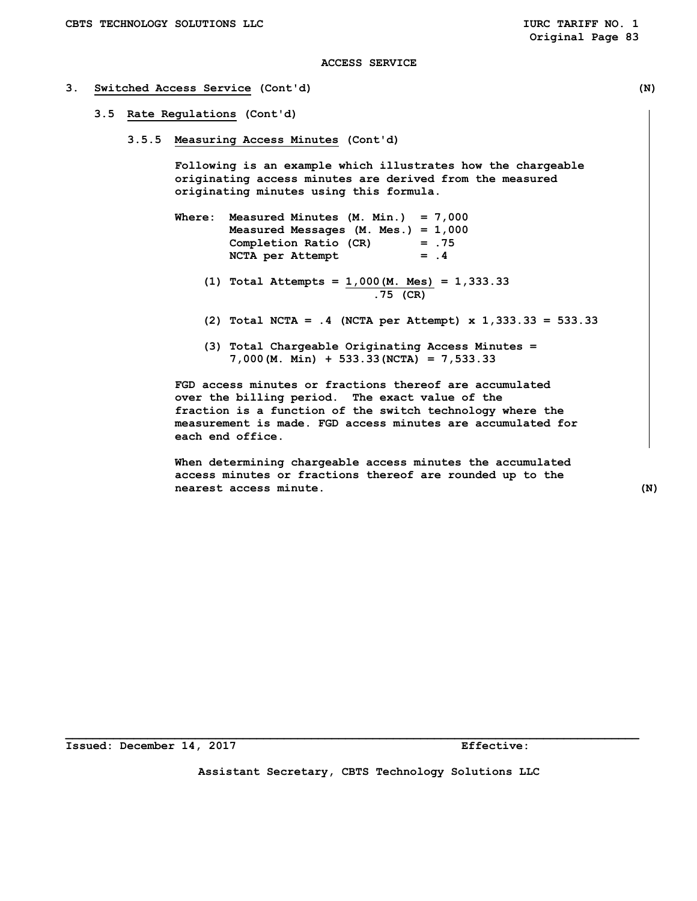#### **3. Switched Access Service (Cont'd) (N)**

- **3.5 Rate Regulations (Cont'd)** 
	- **3.5.5 Measuring Access Minutes (Cont'd)**

 **Following is an example which illustrates how the chargeable originating access minutes are derived from the measured originating minutes using this formula.** 

- **Where: Measured Minutes (M. Min.) = 7,000 Measured Messages (M. Mes.) = 1,000 Completion Ratio (CR) = .75 NCTA per Attempt = .4** 
	- **(1) Total Attempts = 1,000(M. Mes) = 1,333.33 .75 (CR)**
	- **(2) Total NCTA = .4 (NCTA per Attempt) x 1,333.33 = 533.33**
	- **(3) Total Chargeable Originating Access Minutes = 7,000(M. Min) + 533.33(NCTA) = 7,533.33**

 **FGD access minutes or fractions thereof are accumulated over the billing period. The exact value of the fraction is a function of the switch technology where the measurement is made. FGD access minutes are accumulated for each end office.** 

 **When determining chargeable access minutes the accumulated access minutes or fractions thereof are rounded up to the nearest access minute. (N)** 

**Issued: December 14, 2017 Effective:** 

**Assistant Secretary, CBTS Technology Solutions LLC**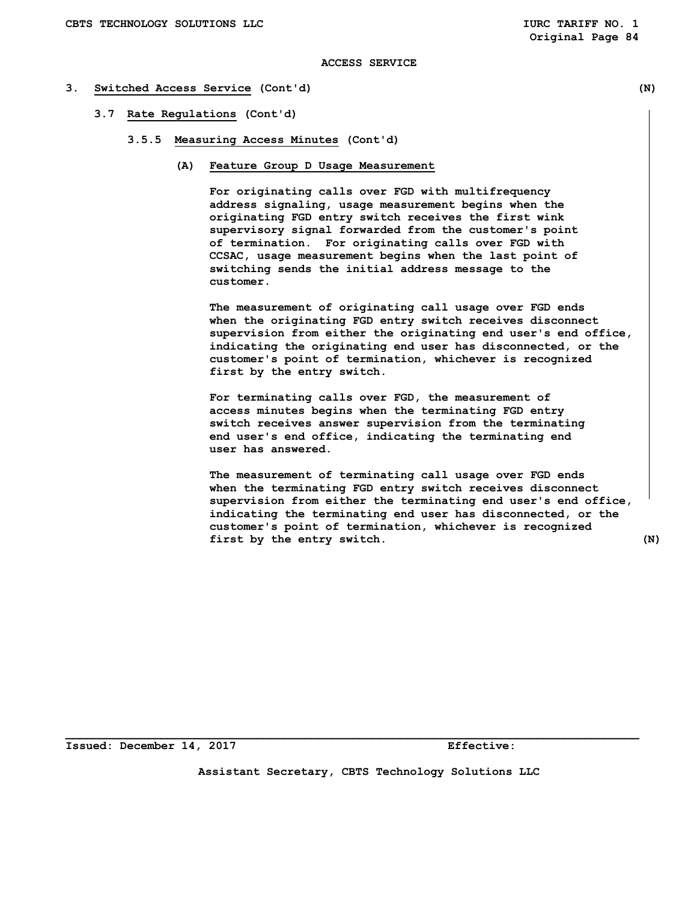#### **3. Switched Access Service (Cont'd) (N)**

- **3.7 Rate Regulations (Cont'd)** 
	- **3.5.5 Measuring Access Minutes (Cont'd)** 
		- **(A) Feature Group D Usage Measurement**

 **For originating calls over FGD with multifrequency address signaling, usage measurement begins when the originating FGD entry switch receives the first wink supervisory signal forwarded from the customer's point of termination. For originating calls over FGD with CCSAC, usage measurement begins when the last point of switching sends the initial address message to the customer.** 

 **The measurement of originating call usage over FGD ends when the originating FGD entry switch receives disconnect supervision from either the originating end user's end office, indicating the originating end user has disconnected, or the customer's point of termination, whichever is recognized first by the entry switch.** 

 **For terminating calls over FGD, the measurement of access minutes begins when the terminating FGD entry switch receives answer supervision from the terminating end user's end office, indicating the terminating end user has answered.** 

 **The measurement of terminating call usage over FGD ends when the terminating FGD entry switch receives disconnect supervision from either the terminating end user's end office, indicating the terminating end user has disconnected, or the customer's point of termination, whichever is recognized first by the entry switch. (N)** 

**Issued: December 14, 2017 Effective:** 

**Assistant Secretary, CBTS Technology Solutions LLC**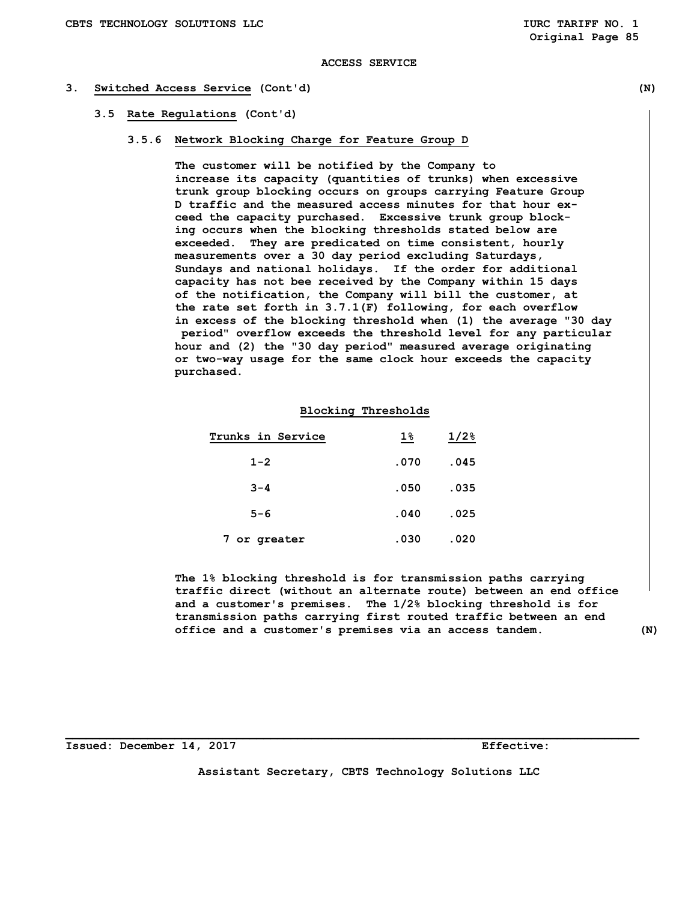#### **3. Switched Access Service (Cont'd) (N)**

#### **3.5 Rate Regulations (Cont'd)**

## **3.5.6 Network Blocking Charge for Feature Group D**

 **The customer will be notified by the Company to increase its capacity (quantities of trunks) when excessive trunk group blocking occurs on groups carrying Feature Group D traffic and the measured access minutes for that hour ex ceed the capacity purchased. Excessive trunk group block ing occurs when the blocking thresholds stated below are exceeded. They are predicated on time consistent, hourly measurements over a 30 day period excluding Saturdays, Sundays and national holidays. If the order for additional capacity has not bee received by the Company within 15 days of the notification, the Company will bill the customer, at the rate set forth in 3.7.1(F) following, for each overflow in excess of the blocking threshold when (1) the average "30 day period" overflow exceeds the threshold level for any particular hour and (2) the "30 day period" measured average originating or two-way usage for the same clock hour exceeds the capacity purchased.** 

## **Blocking Thresholds**

| Trunks in Service | $1\%$ | $1/2$ <sup>8</sup> |
|-------------------|-------|--------------------|
| $1 - 2$           | .070  | .045               |
| $3 - 4$           | .050  | .035               |
| $5 - 6$           | .040  | .025               |
| 7 or greater      | .030  | .020               |

 **The 1% blocking threshold is for transmission paths carrying traffic direct (without an alternate route) between an end office and a customer's premises. The 1/2% blocking threshold is for transmission paths carrying first routed traffic between an end office and a customer's premises via an access tandem. (N)** 

**Issued: December 14, 2017 Effective:** 

**Assistant Secretary, CBTS Technology Solutions LLC**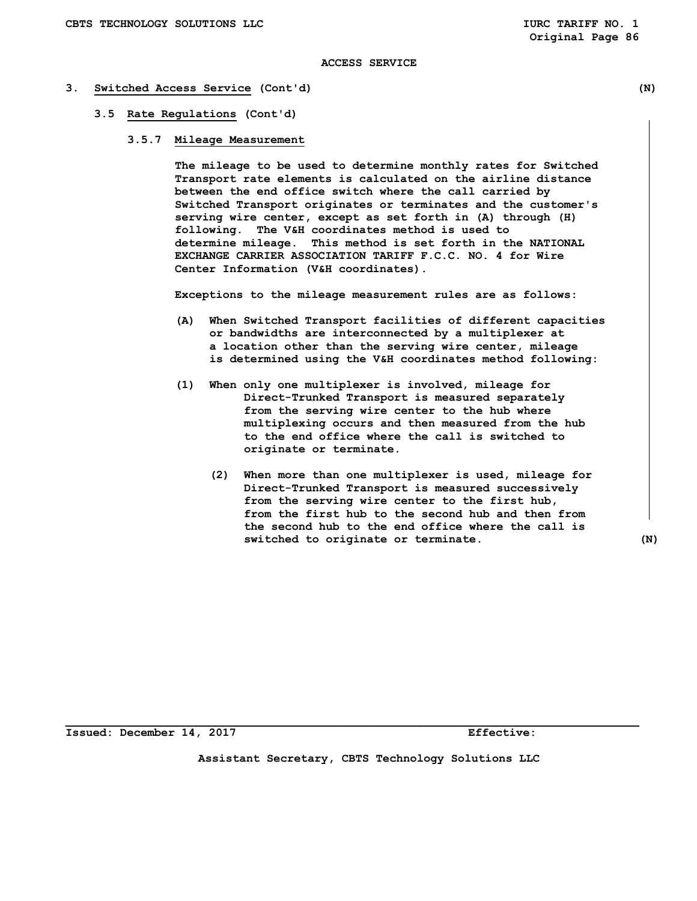#### **3. Switched Access Service (Cont'd) (N)**

#### **3.5 Rate Regulations (Cont'd)**

 **3.5.7 Mileage Measurement** 

 **The mileage to be used to determine monthly rates for Switched Transport rate elements is calculated on the airline distance between the end office switch where the call carried by Switched Transport originates or terminates and the customer's serving wire center, except as set forth in (A) through (H) following. The V&H coordinates method is used to determine mileage. This method is set forth in the NATIONAL EXCHANGE CARRIER ASSOCIATION TARIFF F.C.C. NO. 4 for Wire Center Information (V&H coordinates).** 

 **Exceptions to the mileage measurement rules are as follows:** 

- **(A) When Switched Transport facilities of different capacities or bandwidths are interconnected by a multiplexer at a location other than the serving wire center, mileage is determined using the V&H coordinates method following:**
- **(1) When only one multiplexer is involved, mileage for Direct-Trunked Transport is measured separately from the serving wire center to the hub where multiplexing occurs and then measured from the hub to the end office where the call is switched to originate or terminate.** 
	- **(2) When more than one multiplexer is used, mileage for Direct-Trunked Transport is measured successively from the serving wire center to the first hub, from the first hub to the second hub and then from the second hub to the end office where the call is switched to originate or terminate. (N)**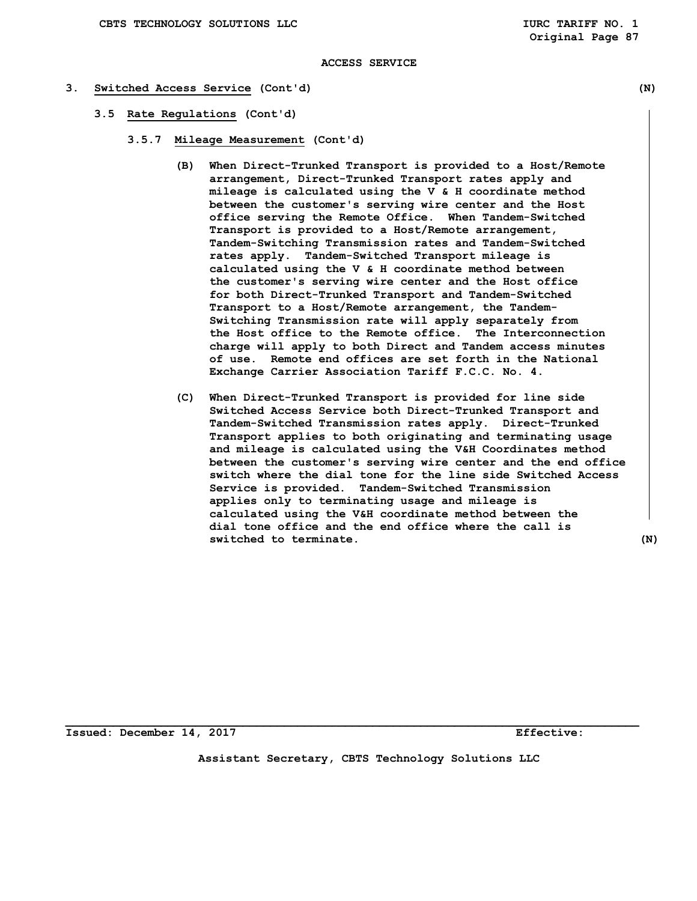#### **3. Switched Access Service (Cont'd) (N)**

- **3.5 Rate Regulations (Cont'd)** 
	- **3.5.7 Mileage Measurement (Cont'd)** 
		- **(B) When Direct-Trunked Transport is provided to a Host/Remote arrangement, Direct-Trunked Transport rates apply and mileage is calculated using the V & H coordinate method between the customer's serving wire center and the Host office serving the Remote Office. When Tandem-Switched Transport is provided to a Host/Remote arrangement, Tandem-Switching Transmission rates and Tandem-Switched rates apply. Tandem-Switched Transport mileage is calculated using the V & H coordinate method between the customer's serving wire center and the Host office for both Direct-Trunked Transport and Tandem-Switched Transport to a Host/Remote arrangement, the Tandem- Switching Transmission rate will apply separately from the Host office to the Remote office. The Interconnection charge will apply to both Direct and Tandem access minutes of use. Remote end offices are set forth in the National Exchange Carrier Association Tariff F.C.C. No. 4.**
		- **(C) When Direct-Trunked Transport is provided for line side Switched Access Service both Direct-Trunked Transport and Tandem-Switched Transmission rates apply. Direct-Trunked Transport applies to both originating and terminating usage and mileage is calculated using the V&H Coordinates method between the customer's serving wire center and the end office switch where the dial tone for the line side Switched Access Service is provided. Tandem-Switched Transmission applies only to terminating usage and mileage is calculated using the V&H coordinate method between the dial tone office and the end office where the call is switched to terminate. (N)**

**\_\_\_\_\_\_\_\_\_\_\_\_\_\_\_\_\_\_\_\_\_\_\_\_\_\_\_\_\_\_\_\_\_\_\_\_\_\_\_\_\_\_\_\_\_\_\_\_\_\_\_\_\_\_\_\_\_\_\_\_\_\_\_\_\_\_\_\_\_\_\_\_\_\_\_\_\_\_\_\_\_\_\_\_ Issued: December 14, 2017 Effective:** 

**Assistant Secretary, CBTS Technology Solutions LLC**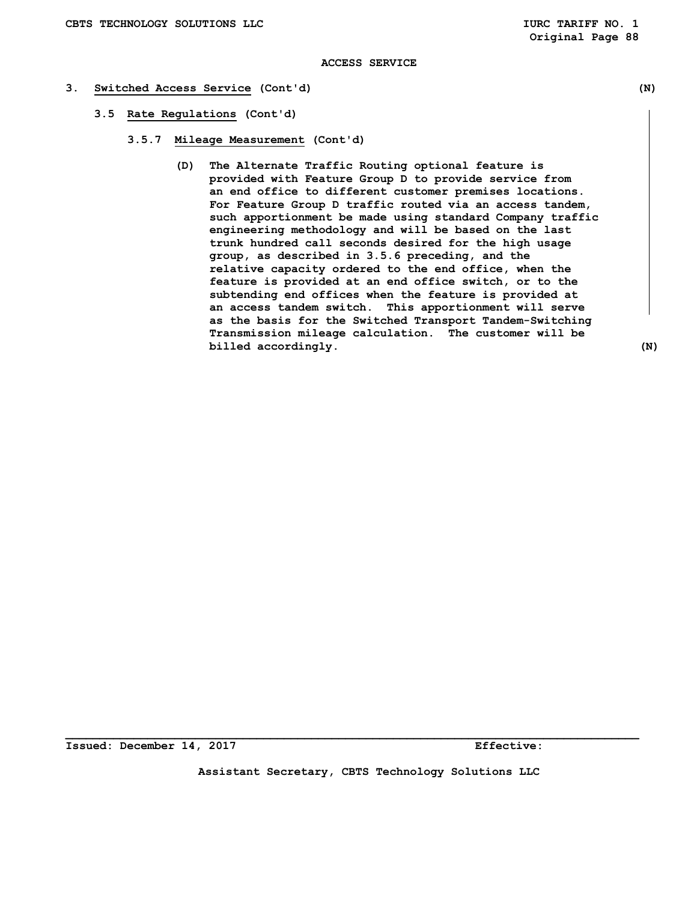- **3. Switched Access Service (Cont'd) (N)** 
	- **3.5 Rate Regulations (Cont'd)** 
		- **3.5.7 Mileage Measurement (Cont'd)** 
			- **(D) The Alternate Traffic Routing optional feature is provided with Feature Group D to provide service from an end office to different customer premises locations. For Feature Group D traffic routed via an access tandem, such apportionment be made using standard Company traffic engineering methodology and will be based on the last trunk hundred call seconds desired for the high usage group, as described in 3.5.6 preceding, and the relative capacity ordered to the end office, when the feature is provided at an end office switch, or to the subtending end offices when the feature is provided at an access tandem switch. This apportionment will serve as the basis for the Switched Transport Tandem-Switching Transmission mileage calculation. The customer will be billed** accordingly. (N)

**Issued: December 14, 2017 Effective:** 

**Assistant Secretary, CBTS Technology Solutions LLC**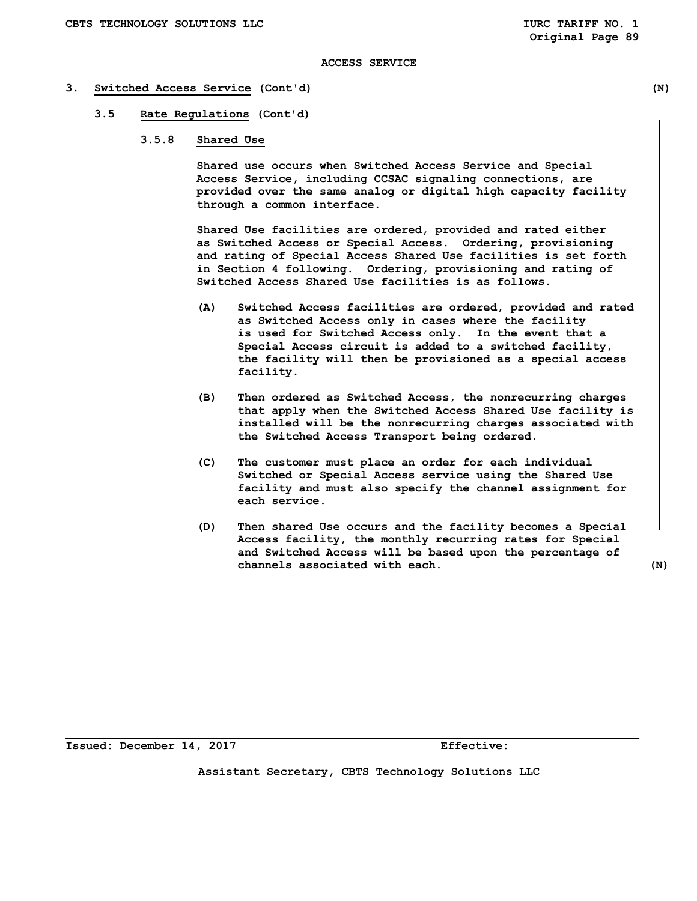#### **3. Switched Access Service (Cont'd) (N)**

## **3.5 Rate Regulations (Cont'd)**

 **3.5.8 Shared Use** 

 **Shared use occurs when Switched Access Service and Special Access Service, including CCSAC signaling connections, are provided over the same analog or digital high capacity facility through a common interface.** 

 **Shared Use facilities are ordered, provided and rated either as Switched Access or Special Access. Ordering, provisioning and rating of Special Access Shared Use facilities is set forth in Section 4 following. Ordering, provisioning and rating of Switched Access Shared Use facilities is as follows.** 

- **(A) Switched Access facilities are ordered, provided and rated as Switched Access only in cases where the facility is used for Switched Access only. In the event that a Special Access circuit is added to a switched facility, the facility will then be provisioned as a special access facility.**
- **(B) Then ordered as Switched Access, the nonrecurring charges that apply when the Switched Access Shared Use facility is installed will be the nonrecurring charges associated with the Switched Access Transport being ordered.**
- **(C) The customer must place an order for each individual Switched or Special Access service using the Shared Use facility and must also specify the channel assignment for each service.**
- **(D) Then shared Use occurs and the facility becomes a Special Access facility, the monthly recurring rates for Special and Switched Access will be based upon the percentage of channels associated with each. (N)**

**Issued: December 14, 2017 Effective:**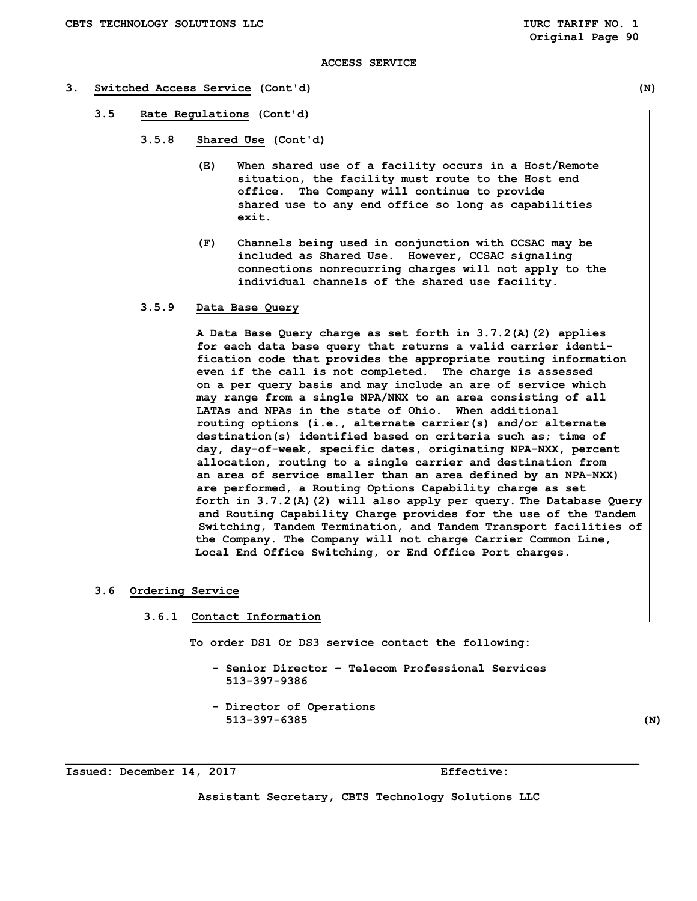#### **3. Switched Access Service (Cont'd) (N)**

- **3.5 Rate Regulations (Cont'd)** 
	- **3.5.8 Shared Use (Cont'd)** 
		- **(E) When shared use of a facility occurs in a Host/Remote situation, the facility must route to the Host end office. The Company will continue to provide shared use to any end office so long as capabilities exit.**
		- **(F) Channels being used in conjunction with CCSAC may be included as Shared Use. However, CCSAC signaling connections nonrecurring charges will not apply to the individual channels of the shared use facility.**

## **3.5.9 Data Base Query**

 **A Data Base Query charge as set forth in 3.7.2(A)(2) applies for each data base query that returns a valid carrier identi fication code that provides the appropriate routing information even if the call is not completed. The charge is assessed on a per query basis and may include an are of service which may range from a single NPA/NNX to an area consisting of all LATAs and NPAs in the state of Ohio. When additional routing options (i.e., alternate carrier(s) and/or alternate destination(s) identified based on criteria such as; time of day, day-of-week, specific dates, originating NPA-NXX, percent allocation, routing to a single carrier and destination from an area of service smaller than an area defined by an NPA-NXX) are performed, a Routing Options Capability charge as set forth in 3.7.2(A)(2) will also apply per query. The Database Query and Routing Capability Charge provides for the use of the Tandem Switching, Tandem Termination, and Tandem Transport facilities of the Company. The Company will not charge Carrier Common Line, Local End Office Switching, or End Office Port charges.** 

#### **3.6 Ordering Service**

 **3.6.1 Contact Information** 

 **To order DS1 Or DS3 service contact the following:** 

- **Senior Director Telecom Professional Services 513-397-9386**
- **Director of Operations 513-397-6385 (N)**

**Issued: December 14, 2017 Effective:** 

**Assistant Secretary, CBTS Technology Solutions LLC**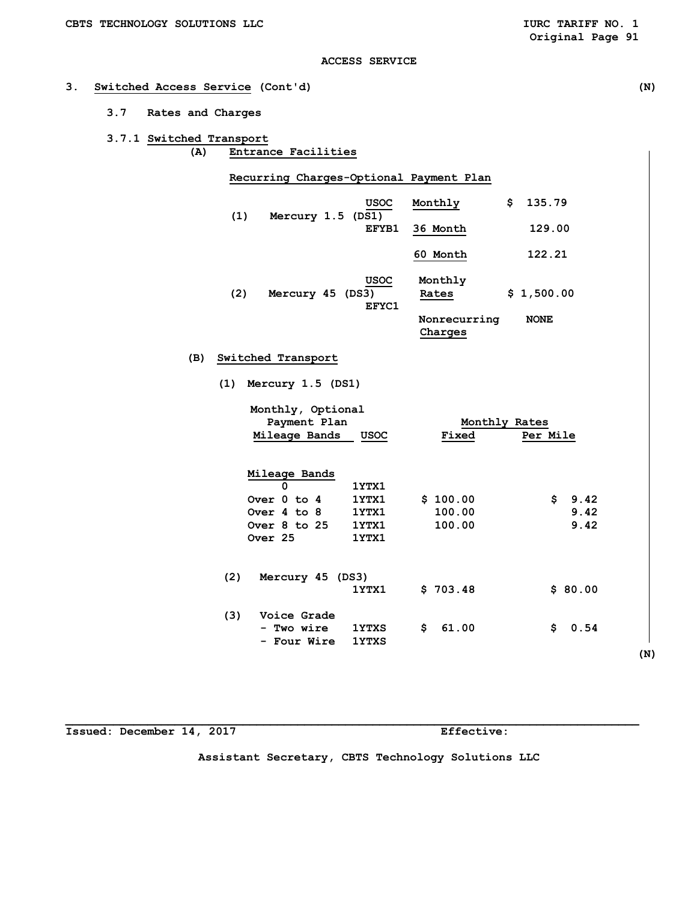## **3. Switched Access Service (Cont'd) (N)**

- **3.7 Rates and Charges**
- **3.7.1 Switched Transport (A) Entrance Facilities**

 **Recurring Charges-Optional Payment Plan** 

| (1) | <b>USOC</b><br>Mercury 1.5 (DS1)         | Monthly                 | 135.79<br>\$ |
|-----|------------------------------------------|-------------------------|--------------|
|     | EFYB1                                    | 36 Month                | 129.00       |
|     |                                          | 60 Month                | 122.21       |
| (2) | <b>USOC</b><br>Mercury 45 (DS3)<br>EFYC1 | Monthly<br>Rates        | \$1,500.00   |
|     |                                          | Nonrecurring<br>Charges | <b>NONE</b>  |

 **(B) Switched Transport** 

 **(1) Mercury 1.5 (DS1)** 

|     | Monthly, Optional<br>Payment Plan |              | Monthly Rates |            |
|-----|-----------------------------------|--------------|---------------|------------|
|     | Mileage Bands                     | USOC         | Fixed         | Per Mile   |
|     |                                   |              |               |            |
|     | Mileage Bands                     |              |               |            |
|     | $\Omega$                          | 1YTX1        |               |            |
|     | Over 0 to 4                       | 1YTX1        | \$100.00      | \$<br>9.42 |
|     | Over 4 to 8                       | 1YTX1        | 100.00        | 9.42       |
|     | Over $8$ to $25$                  | 1YTX1        | 100.00        | 9.42       |
|     | Over 25                           | 1YTX1        |               |            |
|     |                                   |              |               |            |
| (2) | Mercury 45 (DS3)                  |              |               |            |
|     |                                   | 1YTX1        | \$703.48      | \$80.00    |
| (3) | Voice Grade                       |              |               |            |
|     | - Two wire                        | <b>1YTXS</b> | \$<br>61.00   | \$<br>0.54 |
|     | - Four Wire                       | <b>1YTXS</b> |               |            |
|     |                                   |              |               | (N)        |
|     |                                   |              |               |            |

**Issued: December 14, 2017 Effective:** 

**Assistant Secretary, CBTS Technology Solutions LLC**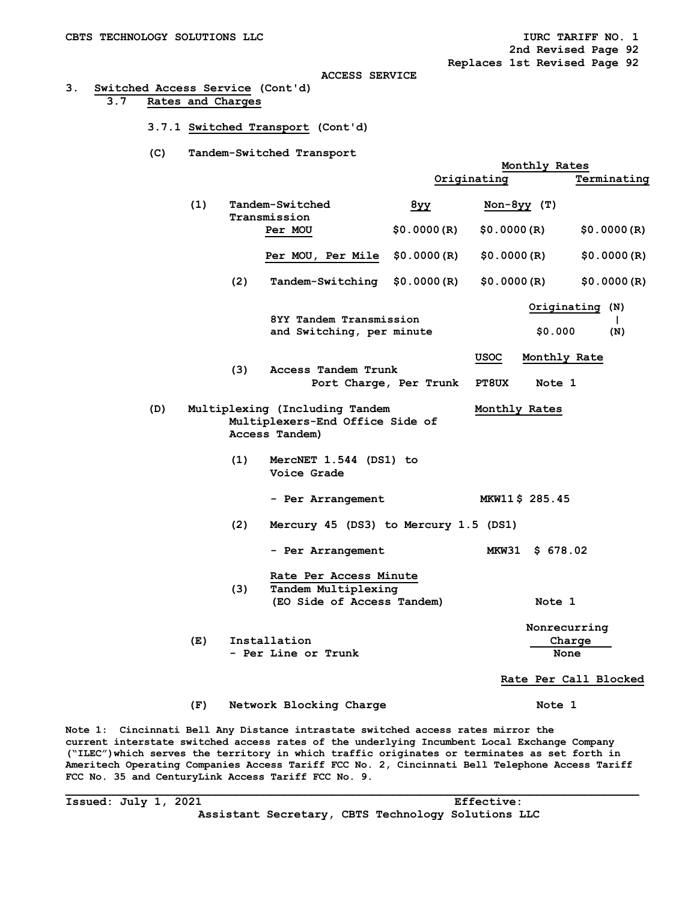## **3. Switched Access Service (Cont'd) 3.7 Rates and Charges**

- **3.7.1 Switched Transport (Cont'd)**
- **(C) Tandem-Switched Transport**

|     |                                                                                     |             | Monthly Rates            |                                        |
|-----|-------------------------------------------------------------------------------------|-------------|--------------------------|----------------------------------------|
|     |                                                                                     |             | Originating              | Terminating                            |
| (1) | Tandem-Switched<br>Transmission                                                     | 8y          | $Non-8yy$ (T)            |                                        |
|     | Per MOU                                                                             | \$0.0000(R) | \$0.0000(R)              | \$0.0000(R)                            |
|     | Per MOU, Per Mile                                                                   | \$0.0000(R) | \$0.0000(R)              | \$0.0000(R)                            |
| (2) | Tandem-Switching                                                                    | \$0.0000(R) | \$0.0000(R)              | \$0.0000(R)                            |
|     | 8YY Tandem Transmission<br>and Switching, per minute                                |             | \$0.000                  | Originating (N)<br>$\mathbf{L}$<br>(N) |
|     |                                                                                     |             |                          |                                        |
| (3) | Access Tandem Trunk                                                                 |             | USOC<br>Monthly Rate     |                                        |
|     | Port Charge, Per Trunk                                                              |             | <b>PT8UX</b><br>Note 1   |                                        |
| (D) | Multiplexing (Including Tandem<br>Multiplexers-End Office Side of<br>Access Tandem) |             | Monthly Rates            |                                        |
| (1) | MercNET 1.544 (DS1) to<br>Voice Grade                                               |             |                          |                                        |
|     | - Per Arrangement                                                                   |             | MKW11\$ 285.45           |                                        |
| (2) | Mercury 45 (DS3) to Mercury 1.5 (DS1)                                               |             |                          |                                        |
|     | - Per Arrangement                                                                   |             | <b>MKW31</b><br>\$678.02 |                                        |
| (3) | Rate Per Access Minute<br>Tandem Multiplexing                                       |             |                          |                                        |
|     | (EO Side of Access Tandem)                                                          |             | Note 1                   |                                        |
|     |                                                                                     |             | Nonrecurring             |                                        |
| (E) | Installation<br>- Per Line or Trunk                                                 |             | None                     | Charge                                 |
|     |                                                                                     |             |                          | Rate Per Call Blocked                  |
| (F) | Network Blocking Charge                                                             |             | Note 1                   |                                        |
|     |                                                                                     |             |                          |                                        |

**Note 1: Cincinnati Bell Any Distance intrastate switched access rates mirror the current interstate switched access rates of the underlying Incumbent Local Exchange Company ("ILEC")which serves the territory in which traffic originates or terminates as set forth in Ameritech Operating Companies Access Tariff FCC No. 2, Cincinnati Bell Telephone Access Tariff FCC No. 35 and CenturyLink Access Tariff FCC No. 9.** 

**\_\_\_\_\_\_\_\_\_\_\_\_\_\_\_\_\_\_\_\_\_\_\_\_\_\_\_\_\_\_\_\_\_\_\_\_\_\_\_\_\_\_\_\_\_\_\_\_\_\_\_\_\_\_\_\_\_\_\_\_\_\_\_\_\_\_\_\_\_\_\_\_\_\_\_\_\_\_\_\_\_\_\_\_** 

**Issued: July 1, 2021 Effective:** 

**Assistant Secretary, CBTS Technology Solutions LLC**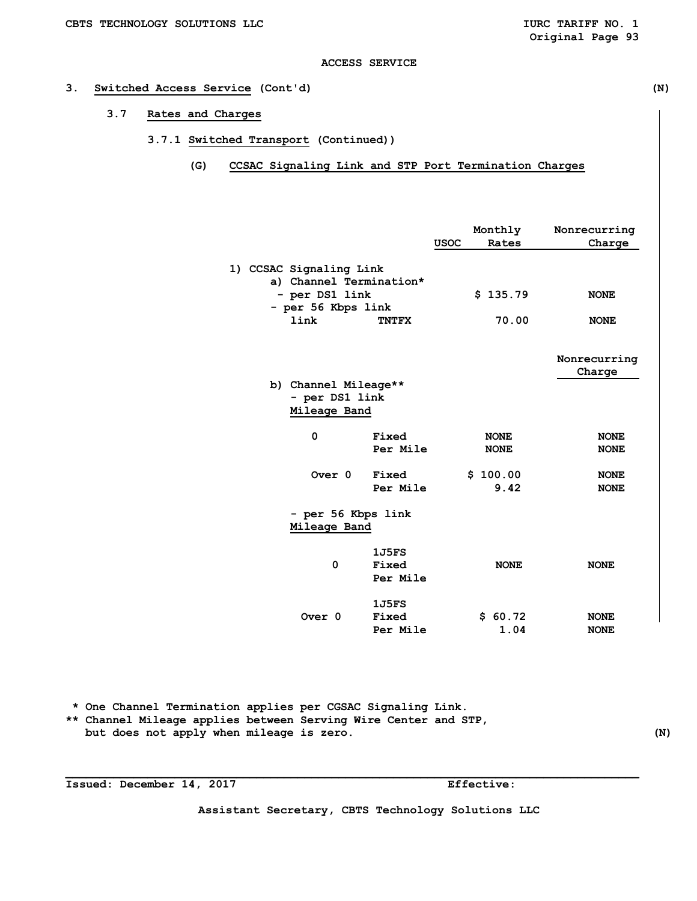## **3. Switched Access Service (Cont'd) (N)**

- **3.7 Rates and Charges** 
	- **3.7.1 Switched Transport (Continued))** 
		- **(G) CCSAC Signaling Link and STP Port Termination Charges**

|                                                    | <b>USOC</b> | Monthly<br>Rates           | Nonrecurring<br>Charge     |
|----------------------------------------------------|-------------|----------------------------|----------------------------|
| 1) CCSAC Signaling Link<br>a) Channel Termination* |             |                            |                            |
| - per DS1 link<br>- per 56 Kbps link               |             | \$135.79                   | <b>NONE</b>                |
| link<br><b>TNTFX</b>                               |             | 70.00                      | <b>NONE</b>                |
|                                                    |             |                            | Nonrecurring<br>Charge     |
| b) Channel Mileage**<br>- per DS1 link             |             |                            |                            |
| Mileage Band                                       |             |                            |                            |
| 0<br>Fixed<br>Per Mile                             |             | <b>NONE</b><br><b>NONE</b> | <b>NONE</b><br><b>NONE</b> |
| Over <sub>0</sub><br>Fixed<br>Per Mile             |             | \$100.00<br>9.42           | <b>NONE</b><br><b>NONE</b> |
| - per 56 Kbps link<br>Mileage Band                 |             |                            |                            |
| 1J5FS<br>0<br>Fixed<br>Per Mile                    |             | <b>NONE</b>                | <b>NONE</b>                |
| 1J5FS<br>Over <sub>0</sub><br>Fixed<br>Per Mile    |             | \$60.72<br>1.04            | <b>NONE</b><br><b>NONE</b> |

 **\* One Channel Termination applies per CGSAC Signaling Link.** 

**\*\* Channel Mileage applies between Serving Wire Center and STP,**  but does not apply when mileage is zero. (N)

**Issued: December 14, 2017 Effective:** 

**Assistant Secretary, CBTS Technology Solutions LLC**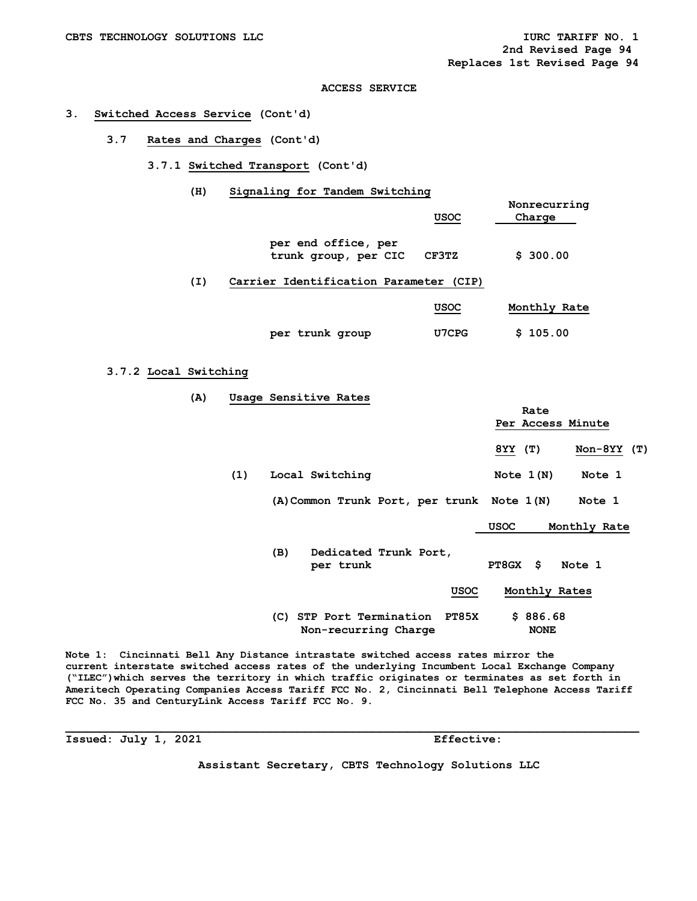#### **3. Switched Access Service (Cont'd)**

 **3.7 Rates and Charges (Cont'd)** 

## **3.7.1 Switched Transport (Cont'd)**

 **(H) Signaling for Tandem Switching** 

|     |                                             | <b>USOC</b> | Nonrecurring<br>Charge |
|-----|---------------------------------------------|-------------|------------------------|
|     | per end office, per<br>trunk group, per CIC | CF3TZ       | \$300.00               |
| (I) | Carrier Identification Parameter (CIP)      |             |                        |
|     |                                             | <b>USOC</b> | Monthly Rate           |

 **per trunk group U7CPG \$ 105.00** 

**3.7.2 Local Switching** 

 **(A) Usage Sensitive Rates**  *Rate* **Rate Per Access Minute 8YY (T) Non-8YY (T)**  (1) Local Switching Note 1(N) Note 1  **(A)Common Trunk Port, per trunk Note 1(N) Note 1 USOC Monthly Rate (B) Dedicated Trunk Port, per trunk PT8GX \$ Note 1 USOC Monthly Rates (C) STP Port Termination PT85X \$ 886.68 Non-recurring Charge 61 MONE** 

**Note 1: Cincinnati Bell Any Distance intrastate switched access rates mirror the current interstate switched access rates of the underlying Incumbent Local Exchange Company ("ILEC")which serves the territory in which traffic originates or terminates as set forth in Ameritech Operating Companies Access Tariff FCC No. 2, Cincinnati Bell Telephone Access Tariff FCC No. 35 and CenturyLink Access Tariff FCC No. 9.** 

**\_\_\_\_\_\_\_\_\_\_\_\_\_\_\_\_\_\_\_\_\_\_\_\_\_\_\_\_\_\_\_\_\_\_\_\_\_\_\_\_\_\_\_\_\_\_\_\_\_\_\_\_\_\_\_\_\_\_\_\_\_\_\_\_\_\_\_\_\_\_\_\_\_\_\_\_\_\_\_\_\_\_\_\_** 

**Issued: July 1, 2021 Effective:** 

**Assistant Secretary, CBTS Technology Solutions LLC**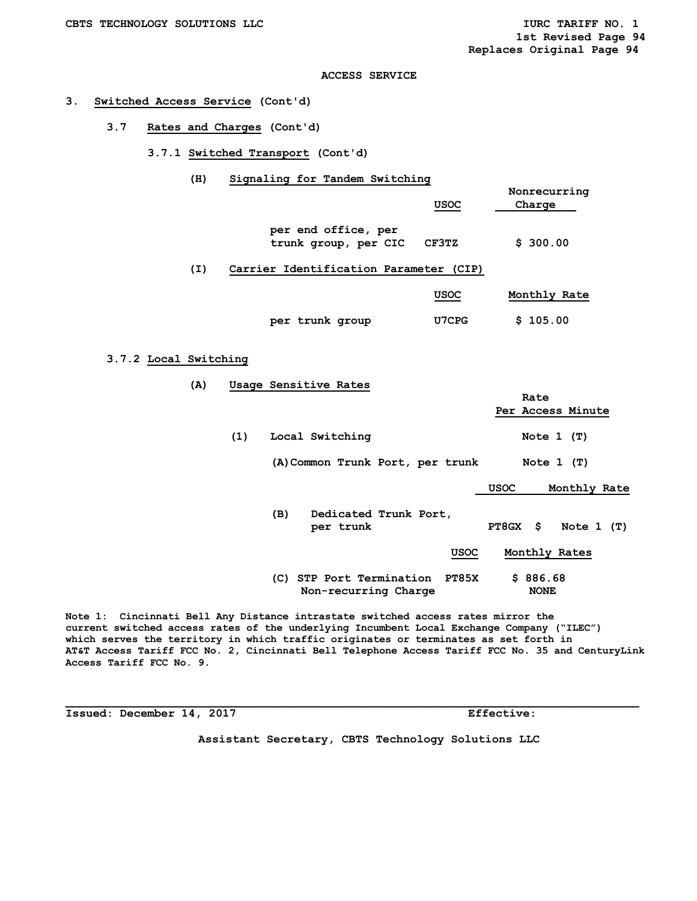#### **3. Switched Access Service (Cont'd)**

 **3.7 Rates and Charges (Cont'd)** 

 **3.7.1 Switched Transport (Cont'd)** 

 **(H) Signaling for Tandem Switching** 

|     |                                             | <b>USOC</b> | Nonrecurring<br>Charge |
|-----|---------------------------------------------|-------------|------------------------|
|     | per end office, per<br>trunk group, per CIC | CF3TZ       | \$300.00               |
| (I) | Carrier Identification Parameter (CIP)      |             |                        |
|     |                                             | <b>USOC</b> | Monthly Rate           |

## **3.7.2 Local Switching**

 **(A) Usage Sensitive Rates**  *Rate* **Rate Per Access Minute**  (1) Local Switching Note 1 (T)  **(A)Common Trunk Port, per trunk Note 1 (T) USOC Monthly Rate (B) Dedicated Trunk Port, per trunk PT8GX \$ Note 1 (T) USOC Monthly Rates (C) STP Port Termination PT85X \$ 886.68 Non-recurring Charge 61 MONE** 

 **per trunk group U7CPG \$ 105.00** 

**Note 1: Cincinnati Bell Any Distance intrastate switched access rates mirror the current switched access rates of the underlying Incumbent Local Exchange Company ("ILEC") which serves the territory in which traffic originates or terminates as set forth in AT&T Access Tariff FCC No. 2, Cincinnati Bell Telephone Access Tariff FCC No. 35 and CenturyLink Access Tariff FCC No. 9.** 

**\_\_\_\_\_\_\_\_\_\_\_\_\_\_\_\_\_\_\_\_\_\_\_\_\_\_\_\_\_\_\_\_\_\_\_\_\_\_\_\_\_\_\_\_\_\_\_\_\_\_\_\_\_\_\_\_\_\_\_\_\_\_\_\_\_\_\_\_\_\_\_\_\_\_\_\_\_\_\_\_\_\_\_\_** 

**Issued: December 14, 2017 Effective:** 

**Assistant Secretary, CBTS Technology Solutions LLC**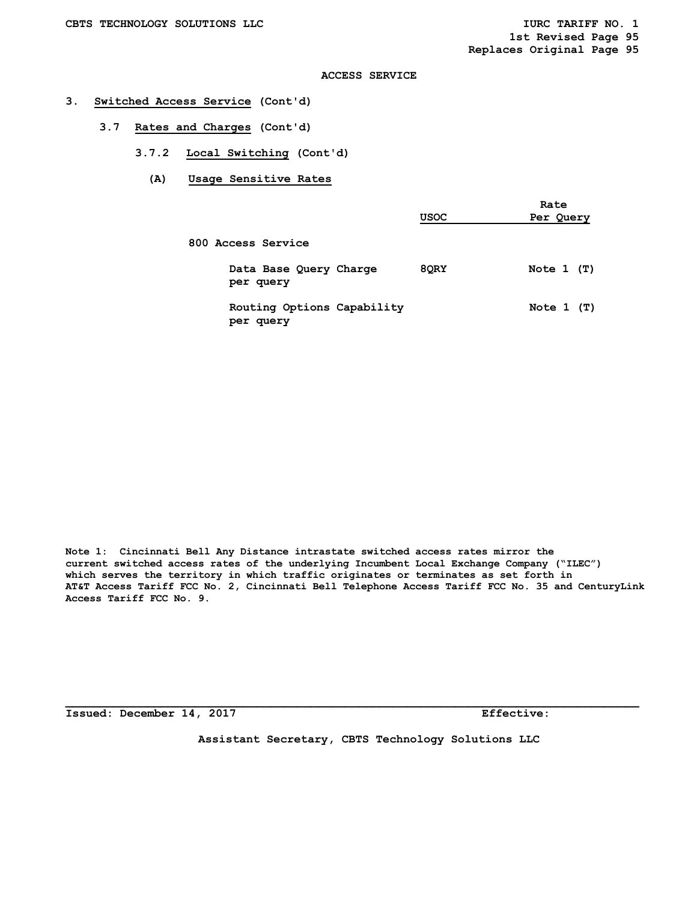## **3. Switched Access Service (Cont'd)**

- **3.7 Rates and Charges (Cont'd)** 
	- **3.7.2 Local Switching (Cont'd)** 
		- **(A) Usage Sensitive Rates**

|                                         | <b>USOC</b> | Rate<br>Per Query |
|-----------------------------------------|-------------|-------------------|
| 800 Access Service                      |             |                   |
| Data Base Query Charge<br>per query     | 8QRY        | Note $1$ (T)      |
| Routing Options Capability<br>per query |             | Note $1$ (T)      |

**Note 1: Cincinnati Bell Any Distance intrastate switched access rates mirror the current switched access rates of the underlying Incumbent Local Exchange Company ("ILEC") which serves the territory in which traffic originates or terminates as set forth in AT&T Access Tariff FCC No. 2, Cincinnati Bell Telephone Access Tariff FCC No. 35 and CenturyLink Access Tariff FCC No. 9.**

**Issued: December 14, 2017 Effective:** 

**Assistant Secretary, CBTS Technology Solutions LLC**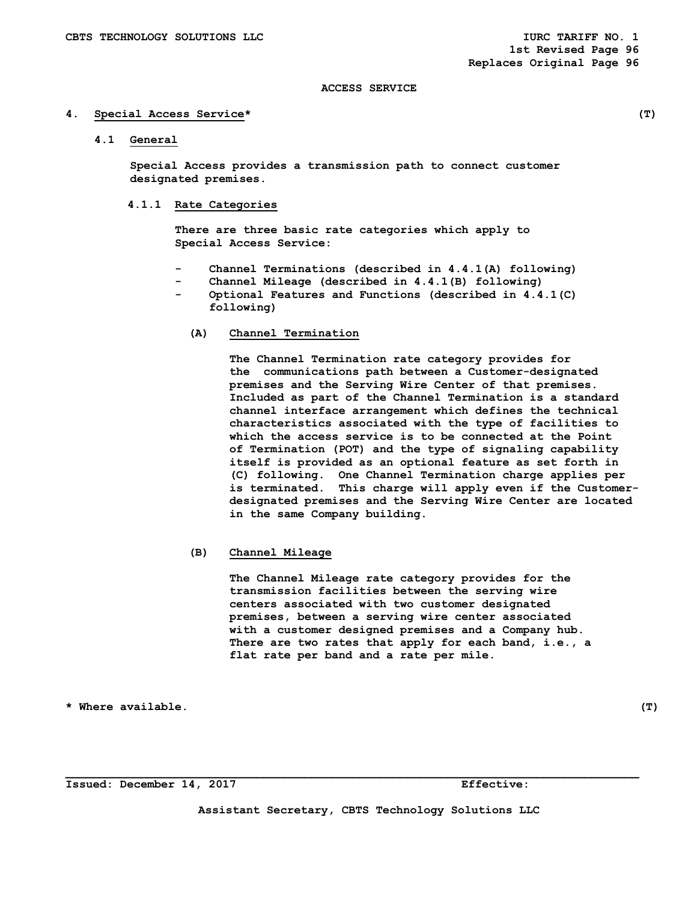#### **4. Special Access Service\* (T)**

 **4.1 General** 

 **Special Access provides a transmission path to connect customer designated premises.** 

## **4.1.1 Rate Categories**

 **There are three basic rate categories which apply to Special Access Service:** 

- Channel Terminations (described in 4.4.1(A) following)
- Channel Mileage (described in 4.4.1(B) following)
- **Optional Features and Functions (described in 4.4.1(C) following)** 
	- **(A) Channel Termination**

**The Channel Termination rate category provides for the communications path between a Customer-designated premises and the Serving Wire Center of that premises. Included as part of the Channel Termination is a standard channel interface arrangement which defines the technical characteristics associated with the type of facilities to which the access service is to be connected at the Point of Termination (POT) and the type of signaling capability itself is provided as an optional feature as set forth in (C) following. One Channel Termination charge applies per is terminated. This charge will apply even if the Customerdesignated premises and the Serving Wire Center are located in the same Company building.** 

**(B) Channel Mileage** 

 **The Channel Mileage rate category provides for the transmission facilities between the serving wire centers associated with two customer designated premises, between a serving wire center associated with a customer designed premises and a Company hub. There are two rates that apply for each band, i.e., a flat rate per band and a rate per mile.** 

**\* Where available. (T)** 

**Issued: December 14, 2017 Effective:** 

**Assistant Secretary, CBTS Technology Solutions LLC**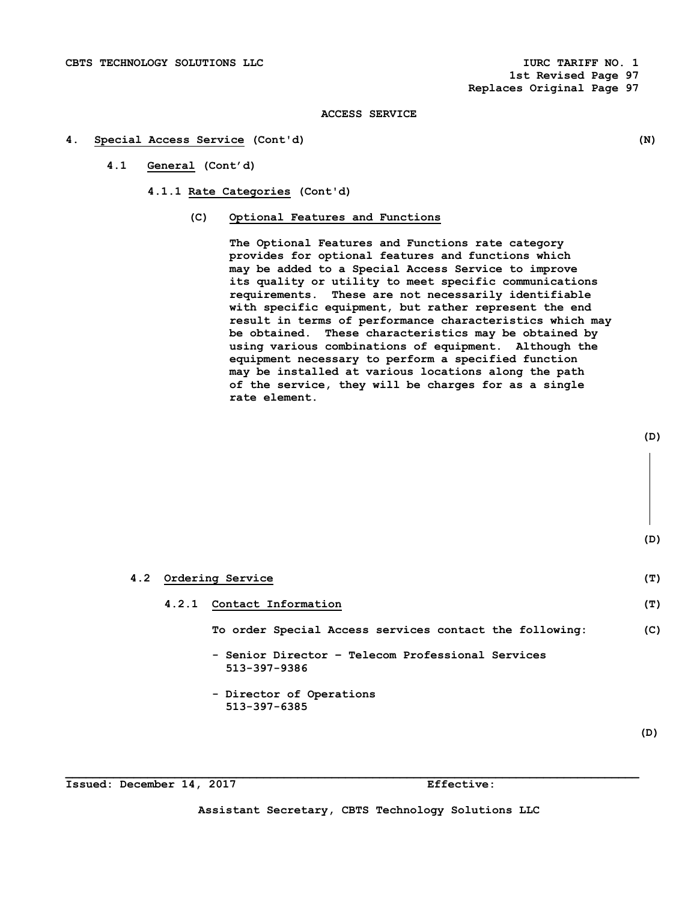#### **4. Special Access Service (Cont'd) (N)**

- **4.1 General (Cont'd)** 
	- **4.1.1 Rate Categories (Cont'd)** 
		- **(C) Optional Features and Functions**

**The Optional Features and Functions rate category provides for optional features and functions which may be added to a Special Access Service to improve its quality or utility to meet specific communications requirements. These are not necessarily identifiable with specific equipment, but rather represent the end result in terms of performance characteristics which may be obtained. These characteristics may be obtained by using various combinations of equipment. Although the equipment necessary to perform a specified function may be installed at various locations along the path of the service, they will be charges for as a single rate element.** 

# **4.2 Ordering Service (T) 4.2.1 Contact Information (T) To order Special Access services contact the following: (C) - Senior Director – Telecom Professional Services 513-397-9386 - Director of Operations 513-397-6385**

**Issued: December 14, 2017 Effective:** 

**Assistant Secretary, CBTS Technology Solutions LLC**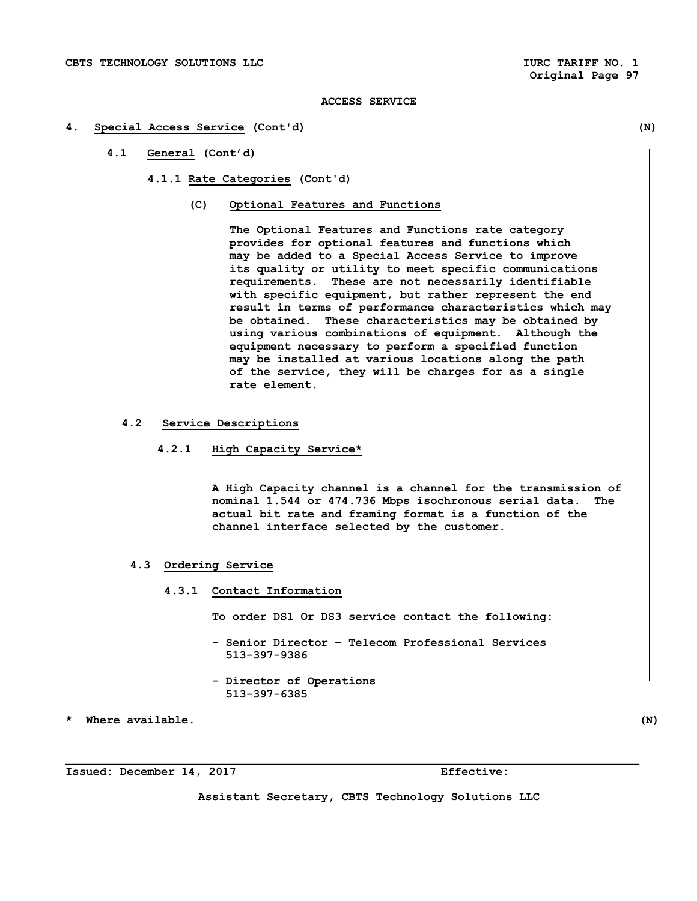## **4. Special Access Service (Cont'd) (N)**

**4.1 General (Cont'd)** 

**4.1.1 Rate Categories (Cont'd)** 

**(C) Optional Features and Functions** 

**The Optional Features and Functions rate category provides for optional features and functions which may be added to a Special Access Service to improve its quality or utility to meet specific communications requirements. These are not necessarily identifiable with specific equipment, but rather represent the end result in terms of performance characteristics which may be obtained. These characteristics may be obtained by using various combinations of equipment. Although the equipment necessary to perform a specified function may be installed at various locations along the path of the service, they will be charges for as a single rate element.** 

- **4.2 Service Descriptions** 
	- **4.2.1 High Capacity Service\***

 **A High Capacity channel is a channel for the transmission of nominal 1.544 or 474.736 Mbps isochronous serial data. The actual bit rate and framing format is a function of the channel interface selected by the customer.** 

- **4.3 Ordering Service** 
	- **4.3.1 Contact Information**

 **To order DS1 Or DS3 service contact the following:** 

- **Senior Director Telecom Professional Services 513-397-9386**
- **Director of Operations 513-397-6385**
- **\* Where available. (N)**

**Issued: December 14, 2017 Effective:** 

**Assistant Secretary, CBTS Technology Solutions LLC**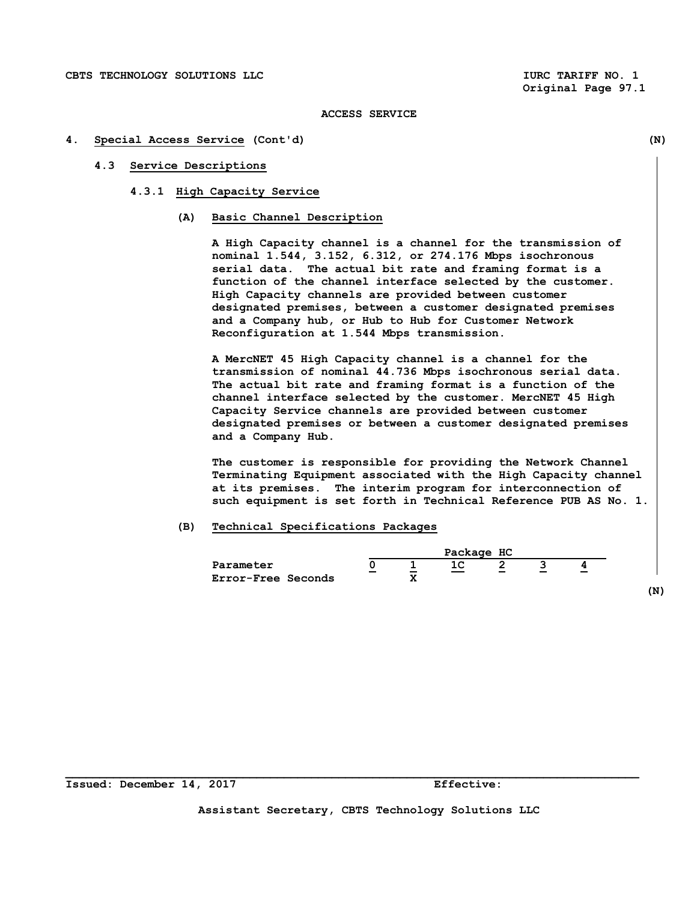#### **4. Special Access Service (Cont'd) (N)**

#### **4.3 Service Descriptions**

- **4.3.1 High Capacity Service** 
	- **(A) Basic Channel Description**

 **A High Capacity channel is a channel for the transmission of nominal 1.544, 3.152, 6.312, or 274.176 Mbps isochronous serial data. The actual bit rate and framing format is a function of the channel interface selected by the customer. High Capacity channels are provided between customer designated premises, between a customer designated premises and a Company hub, or Hub to Hub for Customer Network Reconfiguration at 1.544 Mbps transmission.** 

 **A MercNET 45 High Capacity channel is a channel for the transmission of nominal 44.736 Mbps isochronous serial data. The actual bit rate and framing format is a function of the channel interface selected by the customer. MercNET 45 High Capacity Service channels are provided between customer designated premises or between a customer designated premises and a Company Hub.** 

 **The customer is responsible for providing the Network Channel Terminating Equipment associated with the High Capacity channel at its premises. The interim program for interconnection of such equipment is set forth in Technical Reference PUB AS No. 1.** 

#### **(B) Technical Specifications Packages**



**Assistant Secretary, CBTS Technology Solutions LLC**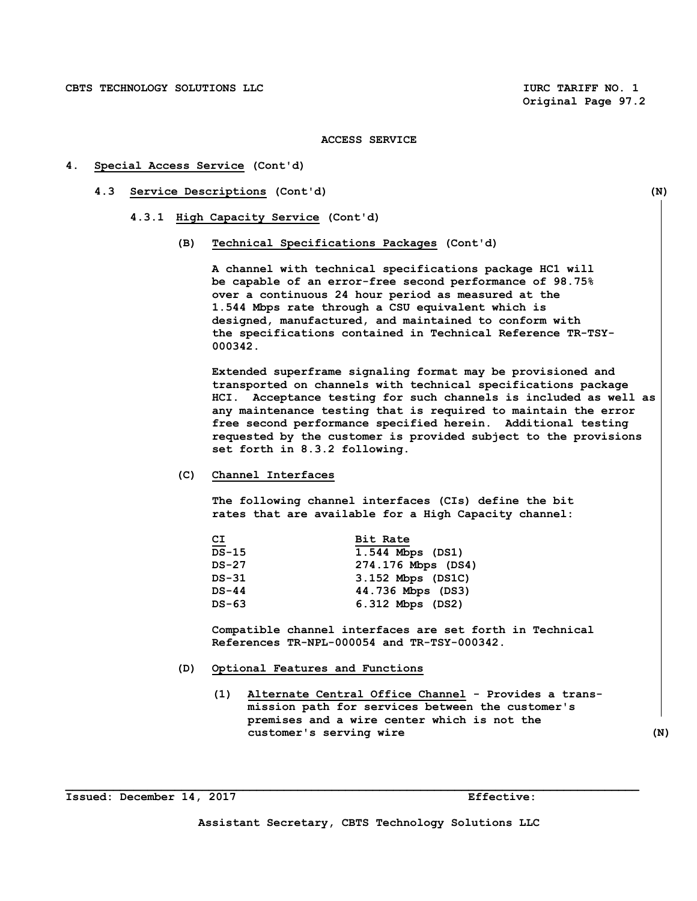#### **4. Special Access Service (Cont'd)**

- **4.3 Service Descriptions (Cont'd) (N)** 
	- **4.3.1 High Capacity Service (Cont'd)** 
		- **(B) Technical Specifications Packages (Cont'd)**

 **A channel with technical specifications package HC1 will be capable of an error-free second performance of 98.75% over a continuous 24 hour period as measured at the 1.544 Mbps rate through a CSU equivalent which is designed, manufactured, and maintained to conform with the specifications contained in Technical Reference TR-TSY- 000342.** 

 **Extended superframe signaling format may be provisioned and transported on channels with technical specifications package HCI. Acceptance testing for such channels is included as well as any maintenance testing that is required to maintain the error free second performance specified herein. Additional testing requested by the customer is provided subject to the provisions set forth in 8.3.2 following.** 

 **(C) Channel Interfaces** 

 **The following channel interfaces (CIs) define the bit rates that are available for a High Capacity channel:** 

| 뜨            | Bit Rate           |
|--------------|--------------------|
| <b>DS-15</b> | 1.544 Mbps (DS1)   |
| $DS-27$      | 274.176 Mbps (DS4) |
| DS-31        | 3.152 Mbps (DS1C)  |
| $DS-44$      | 44.736 Mbps (DS3)  |
| DS-63        | 6.312 Mbps (DS2)   |

 **Compatible channel interfaces are set forth in Technical References TR-NPL-000054 and TR-TSY-000342.** 

- **(D) Optional Features and Functions** 
	- **(1) Alternate Central Office Channel Provides a trans mission path for services between the customer's premises and a wire center which is not the customer's serving wire (N)**

**Issued: December 14, 2017 Effective:**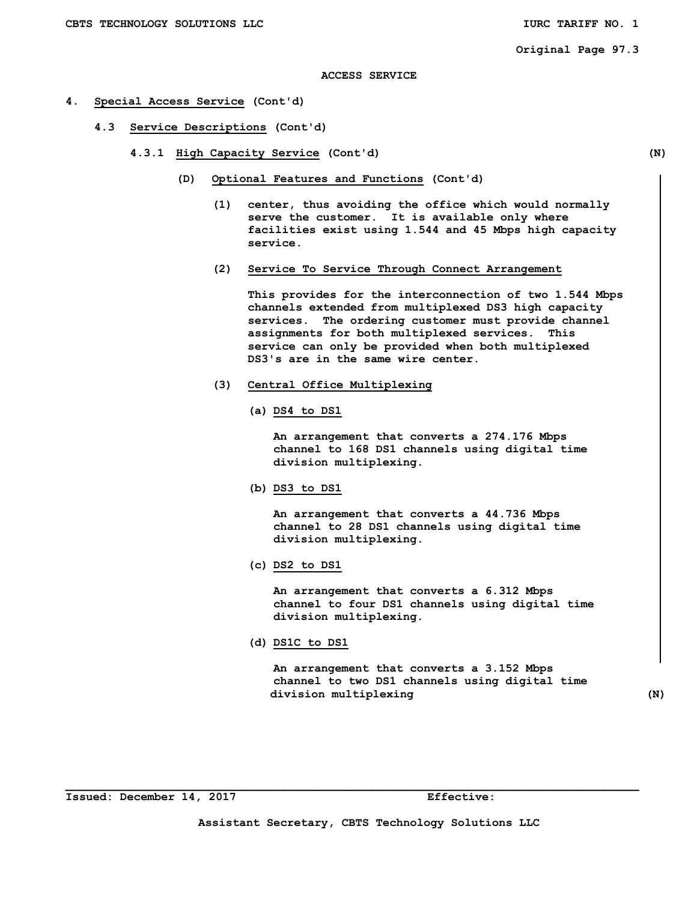#### **4. Special Access Service (Cont'd)**

- **4.3 Service Descriptions (Cont'd)** 
	- **4.3.1 High Capacity Service (Cont'd) (N)** 
		- **(D) Optional Features and Functions (Cont'd)** 
			- **(1) center, thus avoiding the office which would normally serve the customer. It is available only where facilities exist using 1.544 and 45 Mbps high capacity service.**
			- **(2) Service To Service Through Connect Arrangement**

 **This provides for the interconnection of two 1.544 Mbps channels extended from multiplexed DS3 high capacity services. The ordering customer must provide channel assignments for both multiplexed services. This service can only be provided when both multiplexed DS3's are in the same wire center.** 

- **(3) Central Office Multiplexing** 
	- **(a) DS4 to DS1**

 **An arrangement that converts a 274.176 Mbps channel to 168 DS1 channels using digital time division multiplexing.** 

 **(b) DS3 to DS1** 

 **An arrangement that converts a 44.736 Mbps channel to 28 DS1 channels using digital time division multiplexing.** 

 **(c) DS2 to DS1** 

 **An arrangement that converts a 6.312 Mbps channel to four DS1 channels using digital time division multiplexing.** 

 **(d) DS1C to DS1** 

 **An arrangement that converts a 3.152 Mbps channel to two DS1 channels using digital time division multiplexing (N)**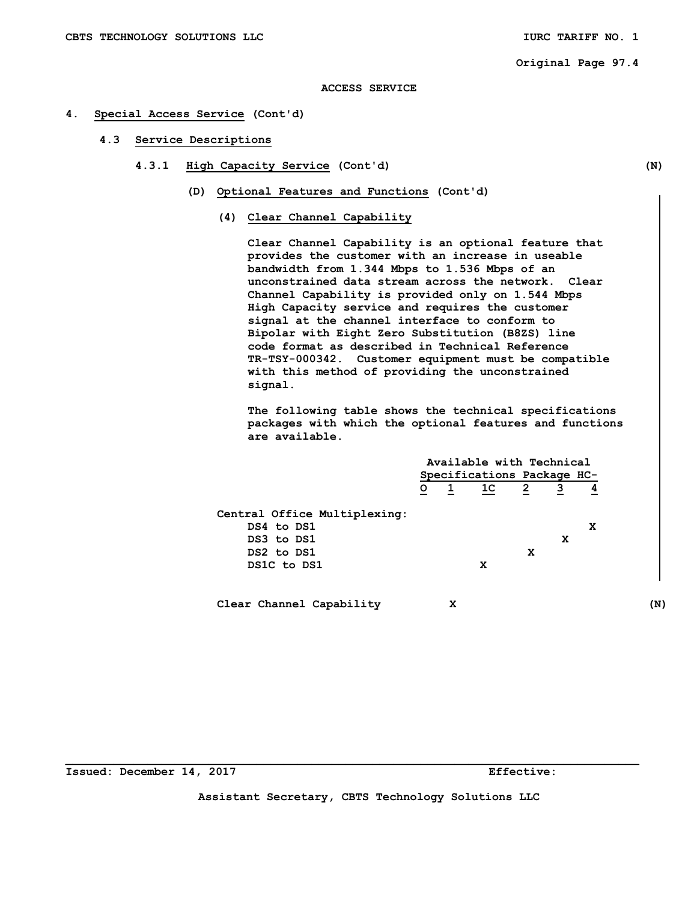**Original Page 97.4** 

### **ACCESS SERVICE**

#### **4. Special Access Service (Cont'd)**

- **4.3 Service Descriptions** 
	- **4.3.1 High Capacity Service (Cont'd) (N)** 
		- **(D) Optional Features and Functions (Cont'd)** 
			- **(4) Clear Channel Capability**

 **Clear Channel Capability is an optional feature that provides the customer with an increase in useable bandwidth from 1.344 Mbps to 1.536 Mbps of an unconstrained data stream across the network. Clear Channel Capability is provided only on 1.544 Mbps High Capacity service and requires the customer signal at the channel interface to conform to Bipolar with Eight Zero Substitution (B8ZS) line code format as described in Technical Reference TR-TSY-000342. Customer equipment must be compatible with this method of providing the unconstrained signal.** 

**The following table shows the technical specifications packages with which the optional features and functions are available.** 

|                              |                            | Available with Technical |                |                |                |               |
|------------------------------|----------------------------|--------------------------|----------------|----------------|----------------|---------------|
|                              | Specifications Package HC- |                          |                |                |                |               |
|                              | $\overline{\circ}$         | $\overline{1}$           | 1 <sup>C</sup> | $\overline{2}$ | $\overline{3}$ | $\frac{4}{5}$ |
| Central Office Multiplexing: |                            |                          |                |                |                |               |
| DS4 to DS1                   |                            |                          |                |                |                | x             |
| DS3 to DS1                   |                            |                          |                |                | x              |               |
| DS2 to DS1                   |                            |                          |                | x              |                |               |
| DS1C to DS1                  |                            |                          | x              |                |                |               |

 **Clear Channel Capability X (N)** 

**Assistant Secretary, CBTS Technology Solutions LLC**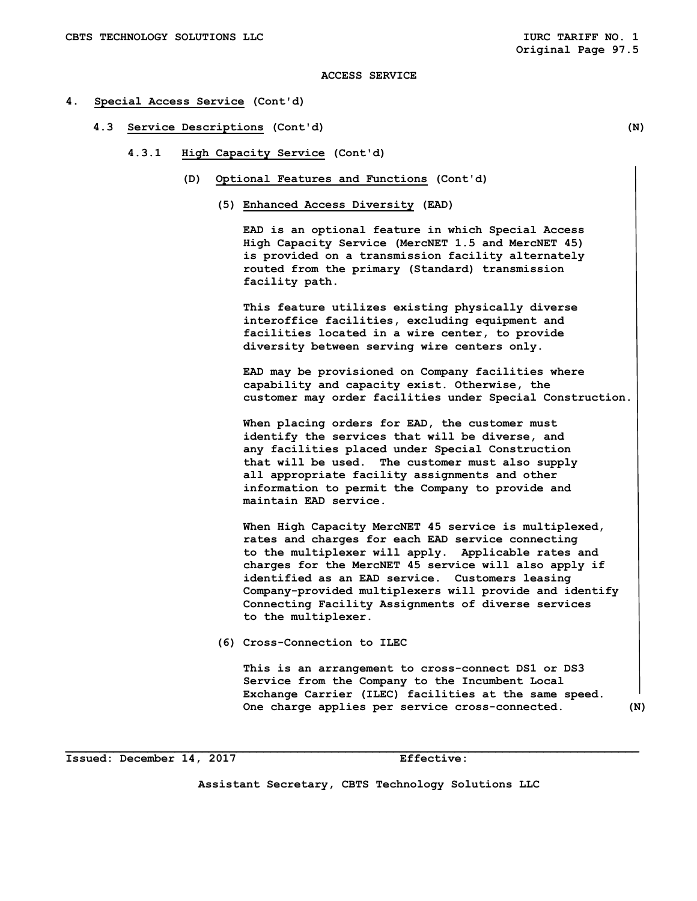#### **4. Special Access Service (Cont'd)**

- **4.3 Service Descriptions (Cont'd) (N)** 
	- **4.3.1 High Capacity Service (Cont'd)** 
		- **(D) Optional Features and Functions (Cont'd)** 
			- **(5) Enhanced Access Diversity (EAD)**

 **EAD is an optional feature in which Special Access High Capacity Service (MercNET 1.5 and MercNET 45) is provided on a transmission facility alternately routed from the primary (Standard) transmission facility path.** 

 **This feature utilizes existing physically diverse interoffice facilities, excluding equipment and facilities located in a wire center, to provide diversity between serving wire centers only.** 

 **EAD may be provisioned on Company facilities where capability and capacity exist. Otherwise, the customer may order facilities under Special Construction.** 

 **When placing orders for EAD, the customer must identify the services that will be diverse, and any facilities placed under Special Construction that will be used. The customer must also supply all appropriate facility assignments and other information to permit the Company to provide and maintain EAD service.** 

 **When High Capacity MercNET 45 service is multiplexed, rates and charges for each EAD service connecting to the multiplexer will apply. Applicable rates and charges for the MercNET 45 service will also apply if identified as an EAD service. Customers leasing Company-provided multiplexers will provide and identify Connecting Facility Assignments of diverse services to the multiplexer.** 

 **(6) Cross-Connection to ILEC** 

**This is an arrangement to cross-connect DS1 or DS3 Service from the Company to the Incumbent Local Exchange Carrier (ILEC) facilities at the same speed. One charge applies per service cross-connected. (N)** 

**Issued: December 14, 2017 Effective:** 

**Assistant Secretary, CBTS Technology Solutions LLC**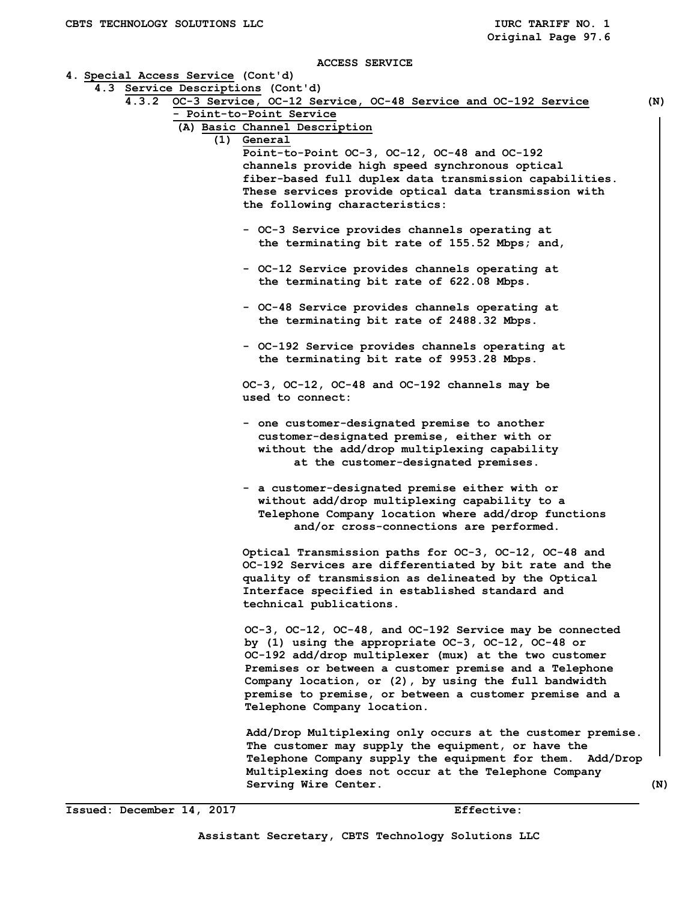|  | 4.3 Service Descriptions (Cont'd)                                   |     |
|--|---------------------------------------------------------------------|-----|
|  | 4.3.2 OC-3 Service, OC-12 Service, OC-48 Service and OC-192 Service | (N) |
|  | - Point-to-Point Service                                            |     |
|  | (A) Basic Channel Description                                       |     |
|  | (1) General                                                         |     |
|  |                                                                     |     |
|  | Point-to-Point OC-3, OC-12, OC-48 and OC-192                        |     |
|  | channels provide high speed synchronous optical                     |     |
|  | fiber-based full duplex data transmission capabilities.             |     |
|  | These services provide optical data transmission with               |     |
|  | the following characteristics:                                      |     |
|  |                                                                     |     |
|  | - OC-3 Service provides channels operating at                       |     |
|  | the terminating bit rate of 155.52 Mbps; and,                       |     |
|  | - OC-12 Service provides channels operating at                      |     |
|  | the terminating bit rate of 622.08 Mbps.                            |     |
|  |                                                                     |     |
|  | - OC-48 Service provides channels operating at                      |     |
|  | the terminating bit rate of 2488.32 Mbps.                           |     |
|  |                                                                     |     |
|  | - OC-192 Service provides channels operating at                     |     |
|  | the terminating bit rate of 9953.28 Mbps.                           |     |
|  |                                                                     |     |
|  | OC-3, OC-12, OC-48 and OC-192 channels may be                       |     |
|  | used to connect:                                                    |     |
|  |                                                                     |     |
|  | - one customer-designated premise to another                        |     |
|  | customer-designated premise, either with or                         |     |
|  | without the add/drop multiplexing capability                        |     |
|  | at the customer-designated premises.                                |     |
|  |                                                                     |     |
|  | - a customer-designated premise either with or                      |     |
|  | without add/drop multiplexing capability to a                       |     |
|  | Telephone Company location where add/drop functions                 |     |
|  | and/or cross-connections are performed.                             |     |
|  |                                                                     |     |
|  | Optical Transmission paths for OC-3, OC-12, OC-48 and               |     |
|  | OC-192 Services are differentiated by bit rate and the              |     |
|  | quality of transmission as delineated by the Optical                |     |
|  |                                                                     |     |
|  | Interface specified in established standard and                     |     |
|  | technical publications.                                             |     |
|  | OC-3, OC-12, OC-48, and OC-192 Service may be connected             |     |
|  | by (1) using the appropriate OC-3, OC-12, OC-48 or                  |     |
|  |                                                                     |     |
|  | OC-192 add/drop multiplexer (mux) at the two customer               |     |
|  | Premises or between a customer premise and a Telephone              |     |
|  | Company location, or (2), by using the full bandwidth               |     |
|  | premise to premise, or between a customer premise and a             |     |
|  | Telephone Company location.                                         |     |
|  |                                                                     |     |
|  | Add/Drop Multiplexing only occurs at the customer premise.          |     |
|  | The customer may supply the equipment, or have the                  |     |
|  | Telephone Company supply the equipment for them. Add/Drop           |     |
|  | Multiplexing does not occur at the Telephone Company                |     |
|  | Serving Wire Center.                                                |     |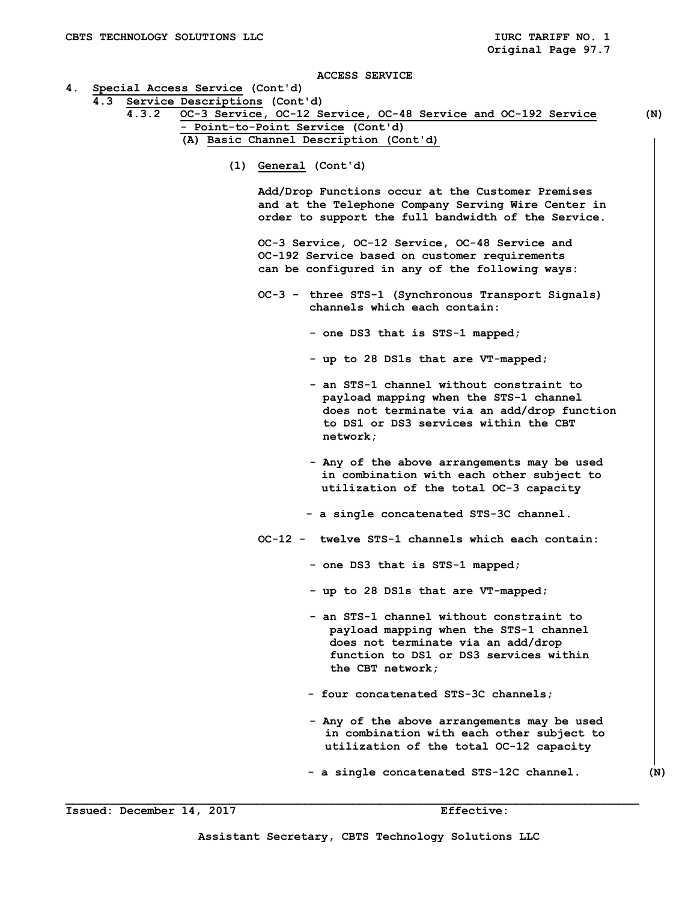- **4. Special Access Service (Cont'd)**
- **4.3 Service Descriptions (Cont'd)** 
	- **4.3.2 OC-3 Service, OC-12 Service, OC-48 Service and OC-192 Service (N) - Point-to-Point Service (Cont'd) (A) Basic Channel Description (Cont'd)** 
		- **(1) General (Cont'd)**

 **Add/Drop Functions occur at the Customer Premises and at the Telephone Company Serving Wire Center in order to support the full bandwidth of the Service.** 

 **OC-3 Service, OC-12 Service, OC-48 Service and OC-192 Service based on customer requirements can be configured in any of the following ways:** 

- **OC-3 three STS-1 (Synchronous Transport Signals) channels which each contain:** 
	- **one DS3 that is STS-1 mapped;**
	- **up to 28 DS1s that are VT-mapped;**
	- **an STS-1 channel without constraint to payload mapping when the STS-1 channel does not terminate via an add/drop function to DS1 or DS3 services within the CBT network;**
	- **Any of the above arrangements may be used in combination with each other subject to utilization of the total OC-3 capacity**
	- **a single concatenated STS-3C channel.**
- **OC-12 twelve STS-1 channels which each contain:** 
	- **one DS3 that is STS-1 mapped;**
	- **up to 28 DS1s that are VT-mapped;**
	- **an STS-1 channel without constraint to payload mapping when the STS-1 channel does not terminate via an add/drop function to DS1 or DS3 services within the CBT network;**
	- **four concatenated STS-3C channels;**
	- **Any of the above arrangements may be used in combination with each other subject to utilization of the total OC-12 capacity**
	- **a single concatenated STS-12C channel. (N)**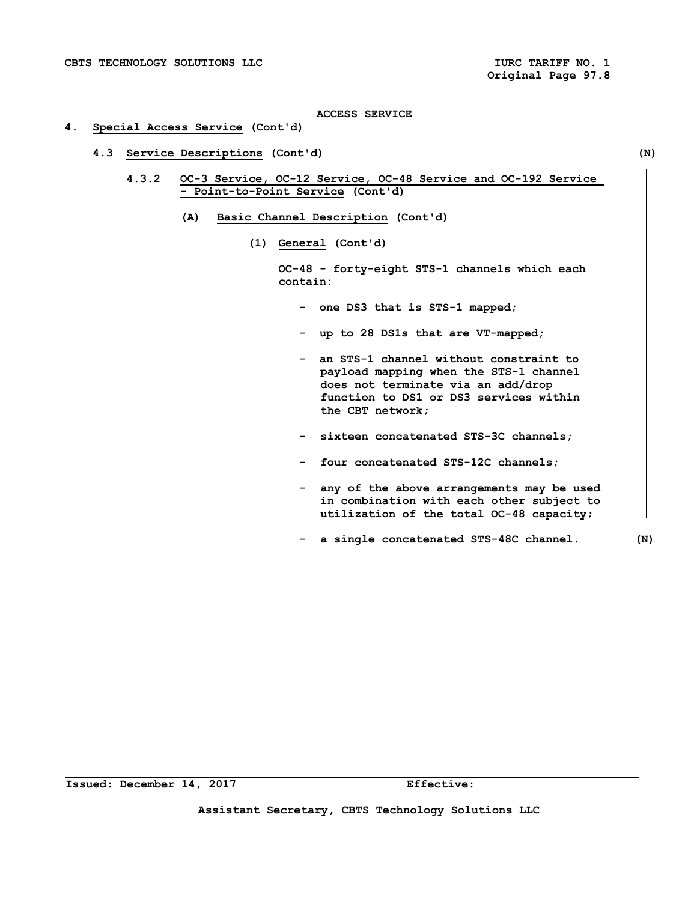# **4. Special Access Service (Cont'd)**

- **4.3 Service Descriptions (Cont'd) (N)** 
	- **4.3.2 OC-3 Service, OC-12 Service, OC-48 Service and OC-192 Service - Point-to-Point Service (Cont'd)** 
		- **(A) Basic Channel Description (Cont'd)** 
			- **(1) General (Cont'd)**

 **OC-48 - forty-eight STS-1 channels which each contain:** 

- **one DS3 that is STS-1 mapped;**
- **up to 28 DS1s that are VT-mapped;**
- **an STS-1 channel without constraint to payload mapping when the STS-1 channel does not terminate via an add/drop function to DS1 or DS3 services within the CBT network;**
- **sixteen concatenated STS-3C channels;**
- **four concatenated STS-12C channels;**
- **any of the above arrangements may be used in combination with each other subject to utilization of the total OC-48 capacity;**
- **a single concatenated STS-48C channel. (N)**

**\_\_\_\_\_\_\_\_\_\_\_\_\_\_\_\_\_\_\_\_\_\_\_\_\_\_\_\_\_\_\_\_\_\_\_\_\_\_\_\_\_\_\_\_\_\_\_\_\_\_\_\_\_\_\_\_\_\_\_\_\_\_\_\_\_\_\_\_\_\_\_\_\_\_\_\_\_\_\_\_\_\_\_\_** 

**Assistant Secretary, CBTS Technology Solutions LLC**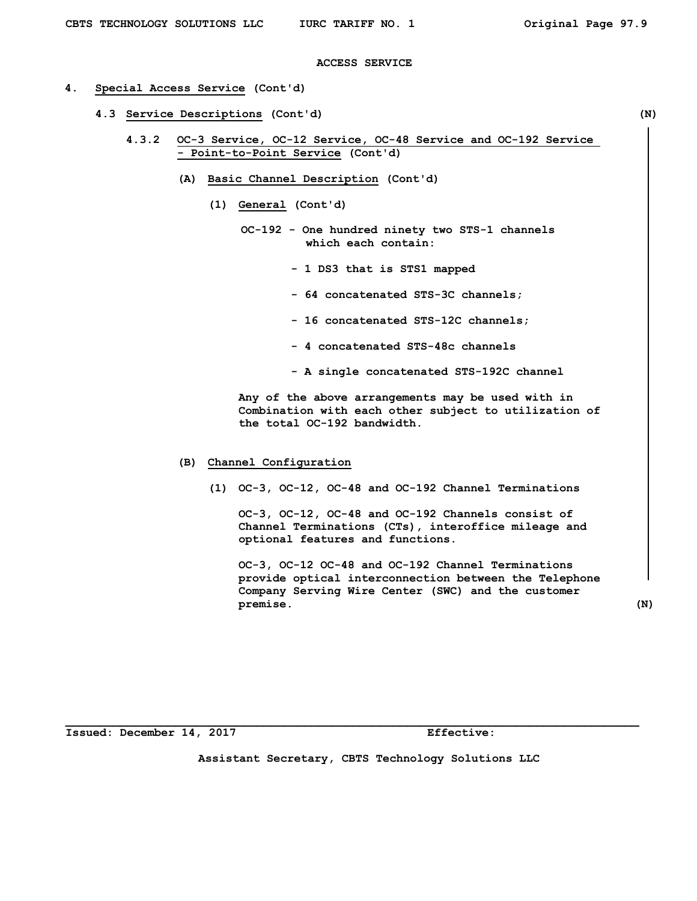#### **4. Special Access Service (Cont'd)**

- **4.3 Service Descriptions (Cont'd) (N)** 
	- **4.3.2 OC-3 Service, OC-12 Service, OC-48 Service and OC-192 Service - Point-to-Point Service (Cont'd)** 
		- **(A) Basic Channel Description (Cont'd)** 
			- **(1) General (Cont'd)** 
				- **OC-192 One hundred ninety two STS-1 channels which each contain:** 
					- **1 DS3 that is STS1 mapped**
					- **64 concatenated STS-3C channels;**
					- **16 concatenated STS-12C channels;**
					- **4 concatenated STS-48c channels**
					- **A single concatenated STS-192C channel**

 **Any of the above arrangements may be used with in Combination with each other subject to utilization of the total OC-192 bandwidth.** 

- **(B) Channel Configuration** 
	- **(1) OC-3, OC-12, OC-48 and OC-192 Channel Terminations**

 **OC-3, OC-12, OC-48 and OC-192 Channels consist of Channel Terminations (CTs), interoffice mileage and optional features and functions.** 

 **OC-3, OC-12 OC-48 and OC-192 Channel Terminations provide optical interconnection between the Telephone Company Serving Wire Center (SWC) and the customer premise. (N)**

**Issued: December 14, 2017 Effective:** 

**Assistant Secretary, CBTS Technology Solutions LLC**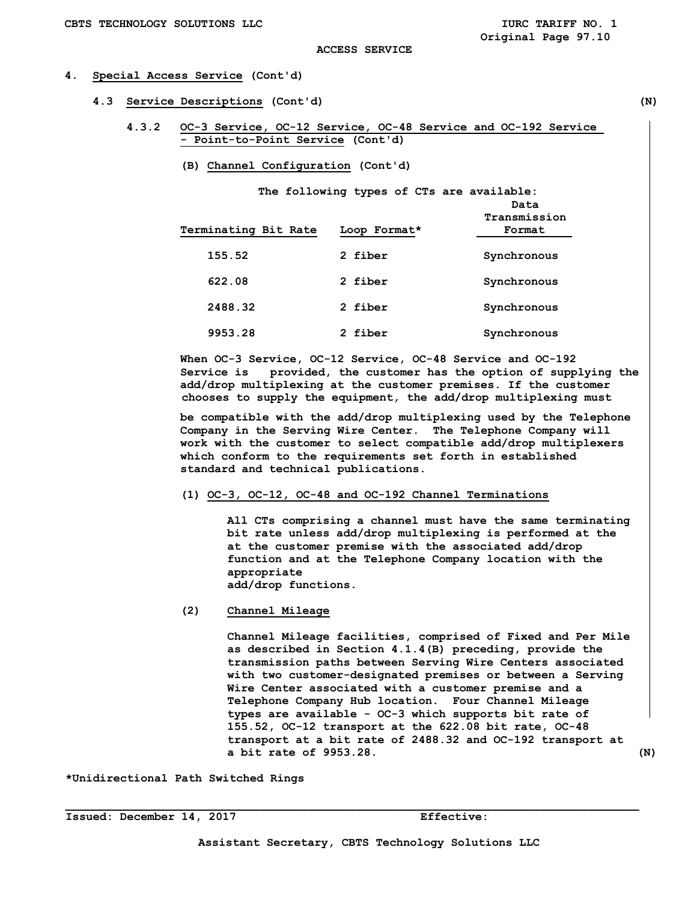# **4. Special Access Service (Cont'd)**

- **4.3 Service Descriptions (Cont'd) (N)** 
	- **4.3.2 OC-3 Service, OC-12 Service, OC-48 Service and OC-192 Service - Point-to-Point Service (Cont'd)** 
		- **(B) Channel Configuration (Cont'd)**

 **The following types of CTs are available:** 

| Terminating Bit Rate | Loop Format* | Data<br>Transmission<br>Format |
|----------------------|--------------|--------------------------------|
| 155.52               | 2 fiber      | Synchronous                    |
| 622.08               | 2 fiber      | Synchronous                    |
| 2488.32              | 2 fiber      | Synchronous                    |
| 9953.28              | 2 fiber      | Synchronous                    |

**When OC-3 Service, OC-12 Service, OC-48 Service and OC-192 Service is provided, the customer has the option of supplying the add/drop multiplexing at the customer premises. If the customer chooses to supply the equipment, the add/drop multiplexing must** 

**be compatible with the add/drop multiplexing used by the Telephone Company in the Serving Wire Center. The Telephone Company will work with the customer to select compatible add/drop multiplexers which conform to the requirements set forth in established standard and technical publications.** 

 **(1) OC-3, OC-12, OC-48 and OC-192 Channel Terminations** 

 **All CTs comprising a channel must have the same terminating bit rate unless add/drop multiplexing is performed at the at the customer premise with the associated add/drop function and at the Telephone Company location with the appropriate add/drop functions.** 

 **(2) Channel Mileage** 

 **Channel Mileage facilities, comprised of Fixed and Per Mile as described in Section 4.1.4(B) preceding, provide the transmission paths between Serving Wire Centers associated with two customer-designated premises or between a Serving Wire Center associated with a customer premise and a Telephone Company Hub location. Four Channel Mileage types are available - OC-3 which supports bit rate of 155.52, OC-12 transport at the 622.08 bit rate, OC-48 transport at a bit rate of 2488.32 and OC-192 transport at a bit rate of 9953.28. (N)** 

**\*Unidirectional Path Switched Rings**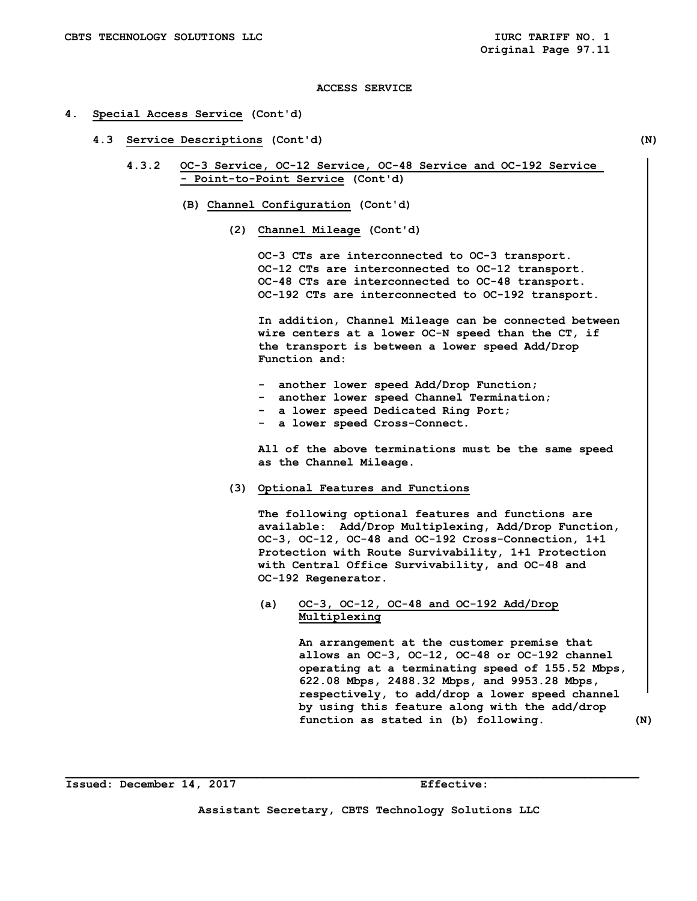#### **4. Special Access Service (Cont'd)**

 **4.3 Service Descriptions (Cont'd) (N)** 

- **4.3.2 OC-3 Service, OC-12 Service, OC-48 Service and OC-192 Service - Point-to-Point Service (Cont'd)** 
	- **(B) Channel Configuration (Cont'd)** 
		- **(2) Channel Mileage (Cont'd)**

 **OC-3 CTs are interconnected to OC-3 transport. OC-12 CTs are interconnected to OC-12 transport. OC-48 CTs are interconnected to OC-48 transport. OC-192 CTs are interconnected to OC-192 transport.** 

 **In addition, Channel Mileage can be connected between wire centers at a lower OC-N speed than the CT, if the transport is between a lower speed Add/Drop Function and:** 

- **another lower speed Add/Drop Function;**
- **another lower speed Channel Termination;**
- **a lower speed Dedicated Ring Port;**
- **a lower speed Cross-Connect.**

 **All of the above terminations must be the same speed as the Channel Mileage.** 

 **(3) Optional Features and Functions** 

 **The following optional features and functions are available: Add/Drop Multiplexing, Add/Drop Function, OC-3, OC-12, OC-48 and OC-192 Cross-Connection, 1+1 Protection with Route Survivability, 1+1 Protection with Central Office Survivability, and OC-48 and OC-192 Regenerator.** 

 **(a) OC-3, OC-12, OC-48 and OC-192 Add/Drop Multiplexing** 

> **An arrangement at the customer premise that allows an OC-3, OC-12, OC-48 or OC-192 channel operating at a terminating speed of 155.52 Mbps, 622.08 Mbps, 2488.32 Mbps, and 9953.28 Mbps, respectively, to add/drop a lower speed channel by using this feature along with the add/drop function as stated in (b) following. (N)**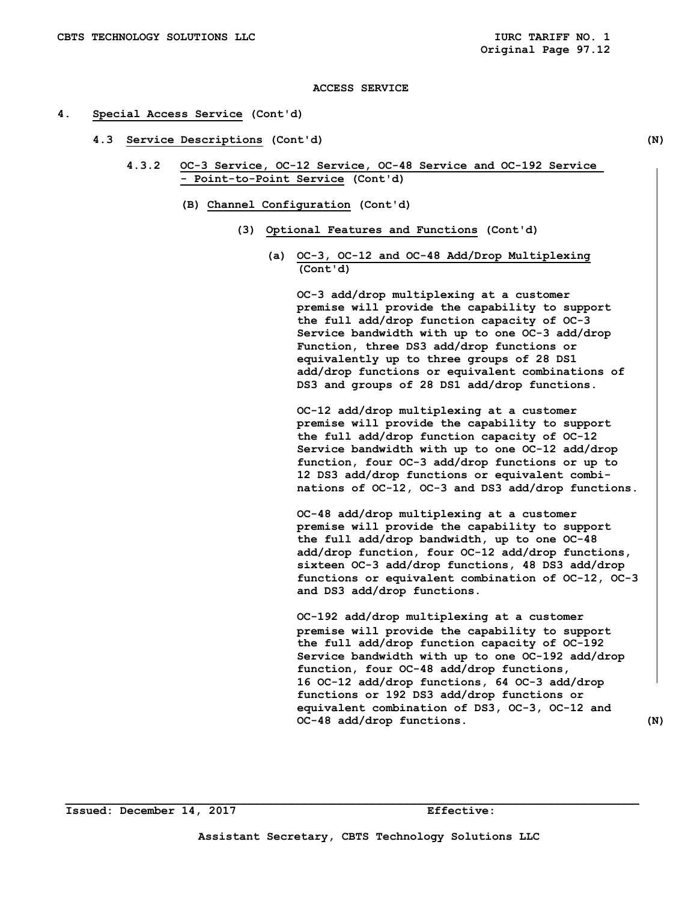#### **4. Special Access Service (Cont'd)**

- **4.3 Service Descriptions (Cont'd) (N)** 
	- **4.3.2 OC-3 Service, OC-12 Service, OC-48 Service and OC-192 Service - Point-to-Point Service (Cont'd)** 
		- **(B) Channel Configuration (Cont'd)** 
			- **(3) Optional Features and Functions (Cont'd)** 
				- **(a) OC-3, OC-12 and OC-48 Add/Drop Multiplexing (Cont'd)**

 **OC-3 add/drop multiplexing at a customer premise will provide the capability to support the full add/drop function capacity of OC-3 Service bandwidth with up to one OC-3 add/drop Function, three DS3 add/drop functions or equivalently up to three groups of 28 DS1 add/drop functions or equivalent combinations of DS3 and groups of 28 DS1 add/drop functions.** 

 **OC-12 add/drop multiplexing at a customer premise will provide the capability to support the full add/drop function capacity of OC-12 Service bandwidth with up to one OC-12 add/drop function, four OC-3 add/drop functions or up to 12 DS3 add/drop functions or equivalent combi nations of OC-12, OC-3 and DS3 add/drop functions.** 

 **OC-48 add/drop multiplexing at a customer premise will provide the capability to support the full add/drop bandwidth, up to one OC-48 add/drop function, four OC-12 add/drop functions, sixteen OC-3 add/drop functions, 48 DS3 add/drop functions or equivalent combination of OC-12, OC-3 and DS3 add/drop functions.**

 **OC-192 add/drop multiplexing at a customer premise will provide the capability to support the full add/drop function capacity of OC-192 Service bandwidth with up to one OC-192 add/drop function, four OC-48 add/drop functions, 16 OC-12 add/drop functions, 64 OC-3 add/drop functions or 192 DS3 add/drop functions or equivalent combination of DS3, OC-3, OC-12 and OC-48 add/drop functions. (N)**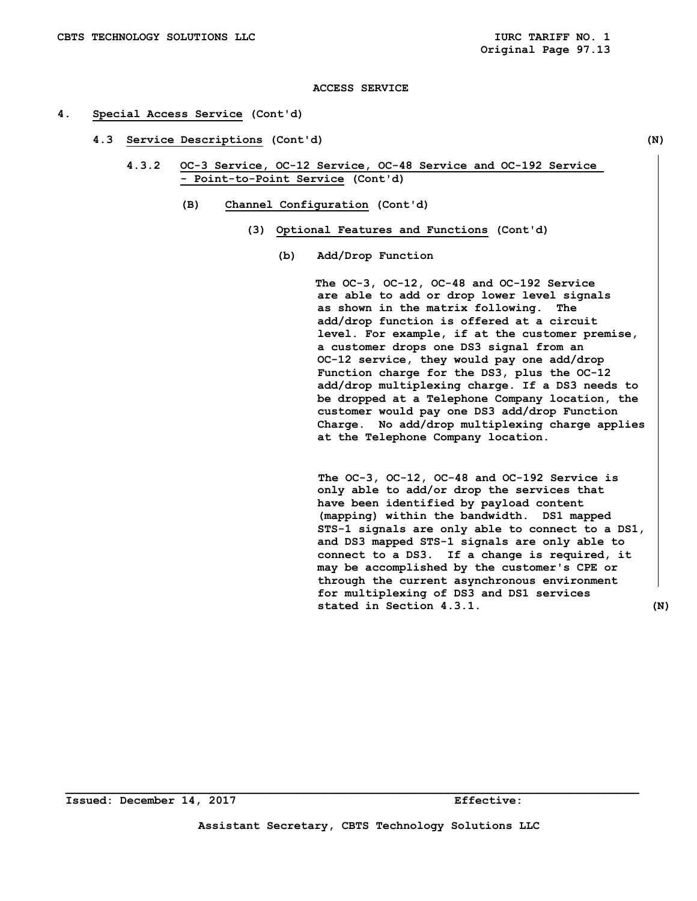#### **4. Special Access Service (Cont'd)**

 **4.3 Service Descriptions (Cont'd) (N)** 

 **4.3.2 OC-3 Service, OC-12 Service, OC-48 Service and OC-192 Service - Point-to-Point Service (Cont'd)** 

- **(B) Channel Configuration (Cont'd)** 
	- **(3) Optional Features and Functions (Cont'd)** 
		- **(b) Add/Drop Function**

 **The OC-3, OC-12, OC-48 and OC-192 Service are able to add or drop lower level signals as shown in the matrix following. The add/drop function is offered at a circuit level. For example, if at the customer premise, a customer drops one DS3 signal from an OC-12 service, they would pay one add/drop Function charge for the DS3, plus the OC-12 add/drop multiplexing charge. If a DS3 needs to be dropped at a Telephone Company location, the customer would pay one DS3 add/drop Function Charge. No add/drop multiplexing charge applies at the Telephone Company location.** 

 **The OC-3, OC-12, OC-48 and OC-192 Service is only able to add/or drop the services that have been identified by payload content (mapping) within the bandwidth. DS1 mapped STS-1 signals are only able to connect to a DS1, and DS3 mapped STS-1 signals are only able to connect to a DS3. If a change is required, it may be accomplished by the customer's CPE or through the current asynchronous environment for multiplexing of DS3 and DS1 services stated in Section 4.3.1. (N)** 

**Issued: December 14, 2017 Effective:**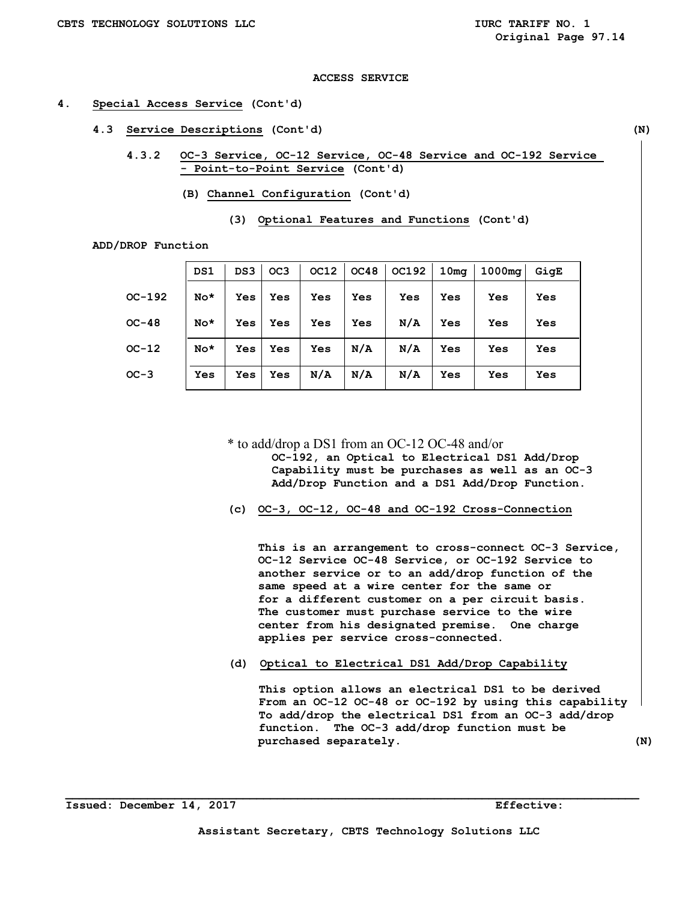## **4. Special Access Service (Cont'd)**

- **4.3 Service Descriptions (Cont'd) (N)** 
	- **4.3.2 OC-3 Service, OC-12 Service, OC-48 Service and OC-192 Service - Point-to-Point Service (Cont'd)** 
		- **(B) Channel Configuration (Cont'd)**

 **ADD/DROP Function** 

|          | DS1   | DS3 | OC <sub>3</sub> | OC12 | OC48 | <b>OC192</b> | 10 <sub>mq</sub> | 1000mg | GigE |
|----------|-------|-----|-----------------|------|------|--------------|------------------|--------|------|
| $OC-192$ | $No*$ | Yes | Yes             | Yes  | Yes  | Yes          | Yes              | Yes    | Yes  |
| $OC-48$  | $No*$ | Yes | Yes             | Yes  | Yes  | N/A          | Yes              | Yes    | Yes  |
| $OC-12$  | $No*$ | Yes | Yes             | Yes  | N/A  | N/A          | Yes              | Yes    | Yes  |
| $OC-3$   | Yes   | Yes | Yes             | N/A  | N/A  | N/A          | Yes              | Yes    | Yes  |

\* to add/drop a DS1 from an OC-12 OC-48 and/or

 **OC-192, an Optical to Electrical DS1 Add/Drop Capability must be purchases as well as an OC-3 Add/Drop Function and a DS1 Add/Drop Function.** 

 **(c) OC-3, OC-12, OC-48 and OC-192 Cross-Connection** 

 **This is an arrangement to cross-connect OC-3 Service, OC-12 Service OC-48 Service, or OC-192 Service to another service or to an add/drop function of the same speed at a wire center for the same or for a different customer on a per circuit basis. The customer must purchase service to the wire center from his designated premise. One charge applies per service cross-connected.** 

**(d) Optical to Electrical DS1 Add/Drop Capability** 

**This option allows an electrical DS1 to be derived From an OC-12 OC-48 or OC-192 by using this capability To add/drop the electrical DS1 from an OC-3 add/drop function. The OC-3 add/drop function must be purchased separately. (N)** 

**\_\_\_\_\_\_\_\_\_\_\_\_\_\_\_\_\_\_\_\_\_\_\_\_\_\_\_\_\_\_\_\_\_\_\_\_\_\_\_\_\_\_\_\_\_\_\_\_\_\_\_\_\_\_\_\_\_\_\_\_\_\_\_\_\_\_\_\_\_\_\_\_\_\_\_\_\_\_\_\_\_\_\_\_** 

 $\mathbf{I}$ 

 $\mathbf{I}$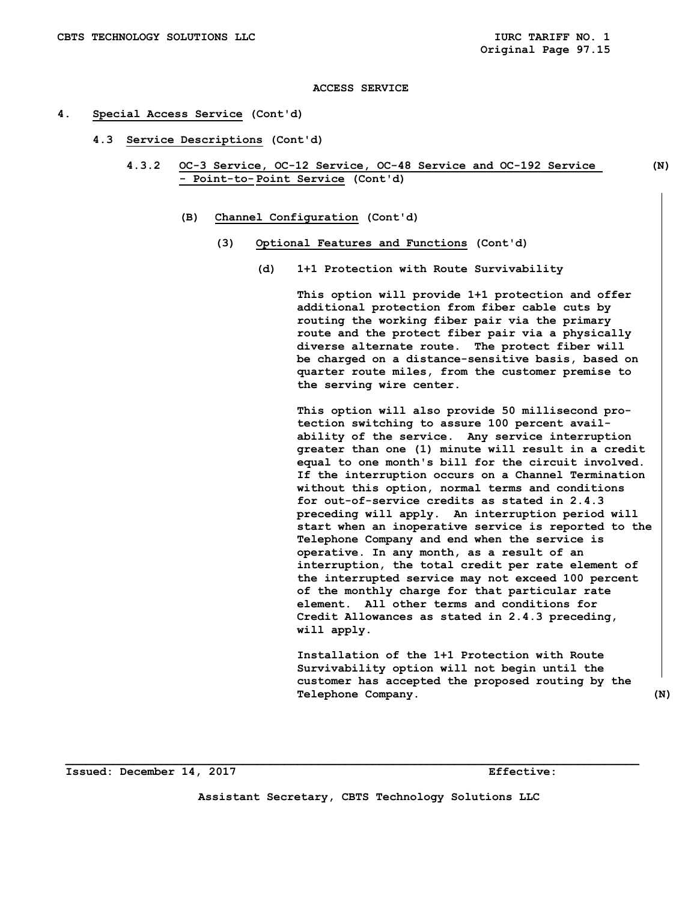#### **4. Special Access Service (Cont'd)**

- **4.3 Service Descriptions (Cont'd)** 
	- **4.3.2 OC-3 Service, OC-12 Service, OC-48 Service and OC-192 Service (N) - Point-to- Point Service (Cont'd)** 
		- **(B) Channel Configuration (Cont'd)** 
			- **(3) Optional Features and Functions (Cont'd)** 
				- **(d) 1+1 Protection with Route Survivability**

 **This option will provide 1+1 protection and offer additional protection from fiber cable cuts by routing the working fiber pair via the primary route and the protect fiber pair via a physically diverse alternate route. The protect fiber will be charged on a distance-sensitive basis, based on quarter route miles, from the customer premise to the serving wire center.** 

 **This option will also provide 50 millisecond pro tection switching to assure 100 percent avail ability of the service. Any service interruption greater than one (1) minute will result in a credit equal to one month's bill for the circuit involved. If the interruption occurs on a Channel Termination without this option, normal terms and conditions for out-of-service credits as stated in 2.4.3 preceding will apply. An interruption period will start when an inoperative service is reported to the Telephone Company and end when the service is operative. In any month, as a result of an interruption, the total credit per rate element of the interrupted service may not exceed 100 percent of the monthly charge for that particular rate element. All other terms and conditions for Credit Allowances as stated in 2.4.3 preceding, will apply.** 

 **Installation of the 1+1 Protection with Route Survivability option will not begin until the customer has accepted the proposed routing by the**  Telephone Company. (N)

**Issued: December 14, 2017 Effective: Effective:** 

**Assistant Secretary, CBTS Technology Solutions LLC**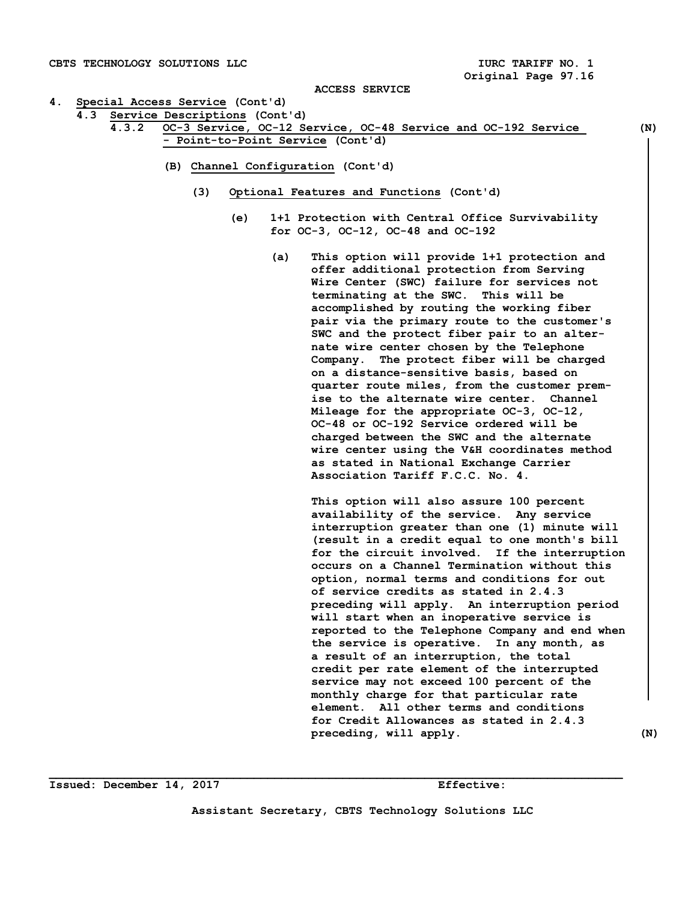#### **4. Special Access Service (Cont'd)**

- **4.3 Service Descriptions (Cont'd)** 
	- **4.3.2 OC-3 Service, OC-12 Service, OC-48 Service and OC-192 Service (N) - Point-to-Point Service (Cont'd)** 
		- **(B) Channel Configuration (Cont'd)** 
			- **(3) Optional Features and Functions (Cont'd)** 
				- **(e) 1+1 Protection with Central Office Survivability for OC-3, OC-12, OC-48 and OC-192** 
					- **(a) This option will provide 1+1 protection and offer additional protection from Serving Wire Center (SWC) failure for services not terminating at the SWC. This will be accomplished by routing the working fiber pair via the primary route to the customer's SWC and the protect fiber pair to an alter nate wire center chosen by the Telephone Company. The protect fiber will be charged on a distance-sensitive basis, based on quarter route miles, from the customer prem ise to the alternate wire center. Channel Mileage for the appropriate OC-3, OC-12, OC-48 or OC-192 Service ordered will be charged between the SWC and the alternate wire center using the V&H coordinates method as stated in National Exchange Carrier Association Tariff F.C.C. No. 4.**

 **This option will also assure 100 percent availability of the service. Any service interruption greater than one (1) minute will (result in a credit equal to one month's bill for the circuit involved. If the interruption occurs on a Channel Termination without this option, normal terms and conditions for out of service credits as stated in 2.4.3 preceding will apply. An interruption period will start when an inoperative service is reported to the Telephone Company and end when the service is operative. In any month, as a result of an interruption, the total credit per rate element of the interrupted service may not exceed 100 percent of the monthly charge for that particular rate element. All other terms and conditions for Credit Allowances as stated in 2.4.3 preceding, will apply. (N)** 

**Issued: December 14, 2017 Effective:**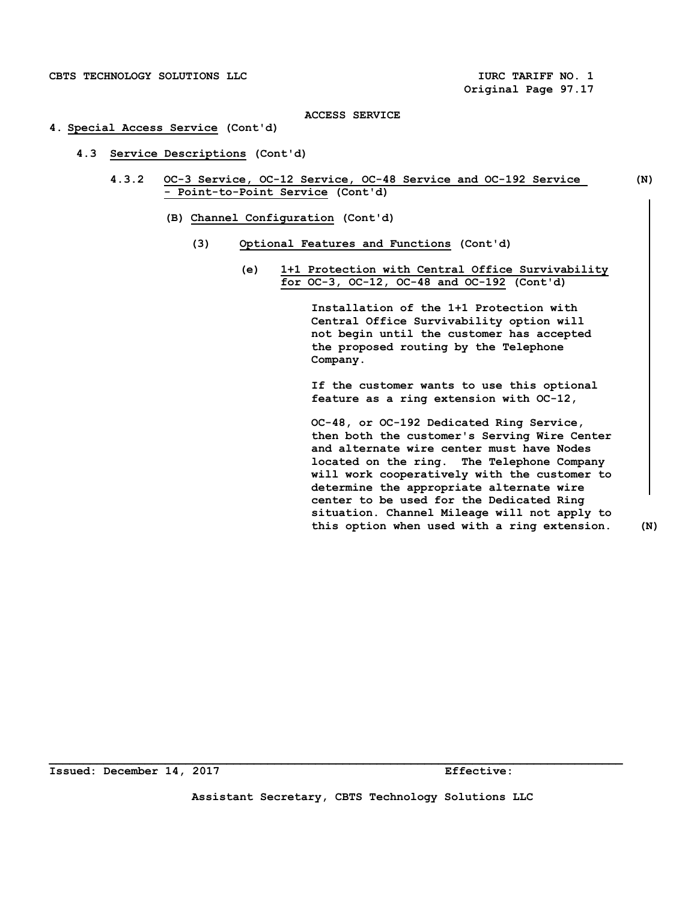#### **4. Special Access Service (Cont'd)**

- **4.3 Service Descriptions (Cont'd)** 
	- **4.3.2 OC-3 Service, OC-12 Service, OC-48 Service and OC-192 Service (N) - Point-to-Point Service (Cont'd)** 
		- **(B) Channel Configuration (Cont'd)** 
			- **(3) Optional Features and Functions (Cont'd)** 
				- **(e) 1+1 Protection with Central Office Survivability for OC-3, OC-12, OC-48 and OC-192 (Cont'd)**

 **Installation of the 1+1 Protection with Central Office Survivability option will not begin until the customer has accepted the proposed routing by the Telephone Company.** 

 **If the customer wants to use this optional feature as a ring extension with OC-12,** 

 **OC-48, or OC-192 Dedicated Ring Service, then both the customer's Serving Wire Center and alternate wire center must have Nodes located on the ring. The Telephone Company will work cooperatively with the customer to determine the appropriate alternate wire center to be used for the Dedicated Ring situation. Channel Mileage will not apply to this option when used with a ring extension. (N)**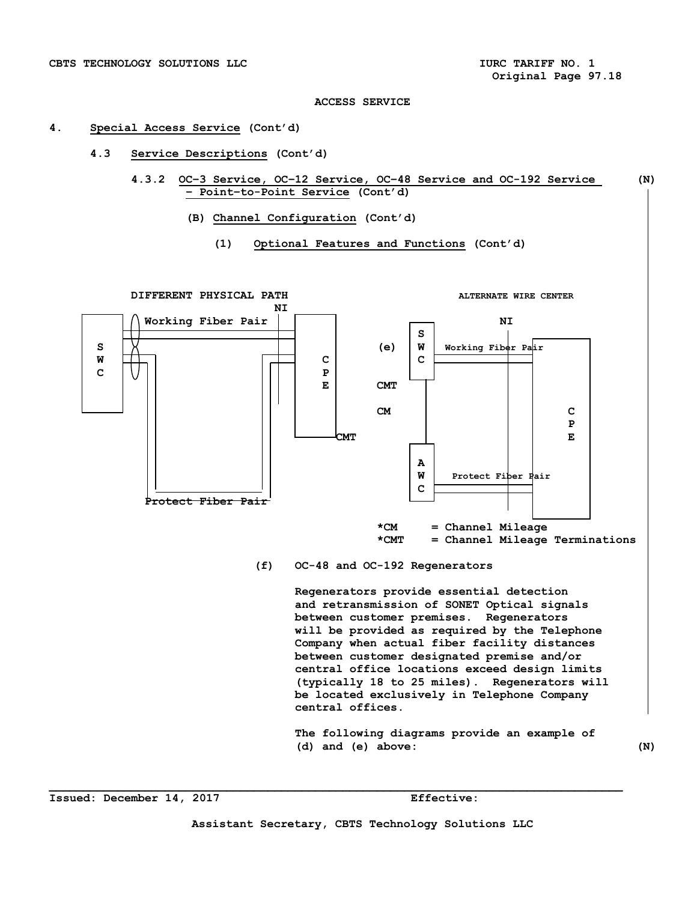#### **4. Special Access Service (Cont'd)**

- **4.3 Service Descriptions (Cont'd)** 
	- **4.3.2 OC–3 Service, OC–12 Service, OC–48 Service and OC-192 Service (N) – Point–to-Point Service (Cont'd)** 
		- **(B) Channel Configuration (Cont'd)** 
			- **(1) Optional Features and Functions (Cont'd)**



# **(f) OC-48 and OC-192 Regenerators**

**Regenerators provide essential detection and retransmission of SONET Optical signals between customer premises. Regenerators will be provided as required by the Telephone Company when actual fiber facility distances between customer designated premise and/or central office locations exceed design limits (typically 18 to 25 miles). Regenerators will be located exclusively in Telephone Company central offices.** 

**The following diagrams provide an example of (d) and (e) above: (N)** 

**Issued: December 14, 2017 Effective:**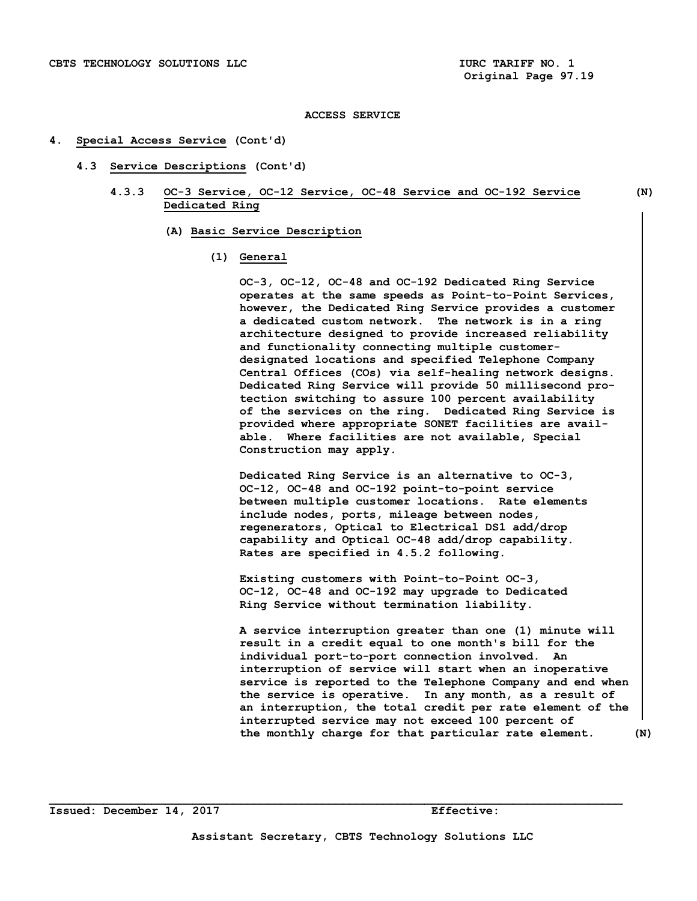#### **4. Special Access Service (Cont'd)**

- **4.3 Service Descriptions (Cont'd)** 
	- **4.3.3 OC-3 Service, OC-12 Service, OC-48 Service and OC-192 Service (N) Dedicated Ring** 
		- **(A) Basic Service Description** 
			- **(1) General**

 **OC-3, OC-12, OC-48 and OC-192 Dedicated Ring Service operates at the same speeds as Point-to-Point Services, however, the Dedicated Ring Service provides a customer a dedicated custom network. The network is in a ring architecture designed to provide increased reliability and functionality connecting multiple customer designated locations and specified Telephone Company Central Offices (COs) via self-healing network designs. Dedicated Ring Service will provide 50 millisecond pro tection switching to assure 100 percent availability of the services on the ring. Dedicated Ring Service is provided where appropriate SONET facilities are avail able. Where facilities are not available, Special Construction may apply.** 

 **Dedicated Ring Service is an alternative to OC-3, OC-12, OC-48 and OC-192 point-to-point service between multiple customer locations. Rate elements include nodes, ports, mileage between nodes, regenerators, Optical to Electrical DS1 add/drop capability and Optical OC-48 add/drop capability. Rates are specified in 4.5.2 following.** 

 **Existing customers with Point-to-Point OC-3, OC-12, OC-48 and OC-192 may upgrade to Dedicated Ring Service without termination liability.** 

 **A service interruption greater than one (1) minute will result in a credit equal to one month's bill for the individual port-to-port connection involved. An interruption of service will start when an inoperative service is reported to the Telephone Company and end when the service is operative. In any month, as a result of an interruption, the total credit per rate element of the interrupted service may not exceed 100 percent of the monthly charge for that particular rate element. (N)**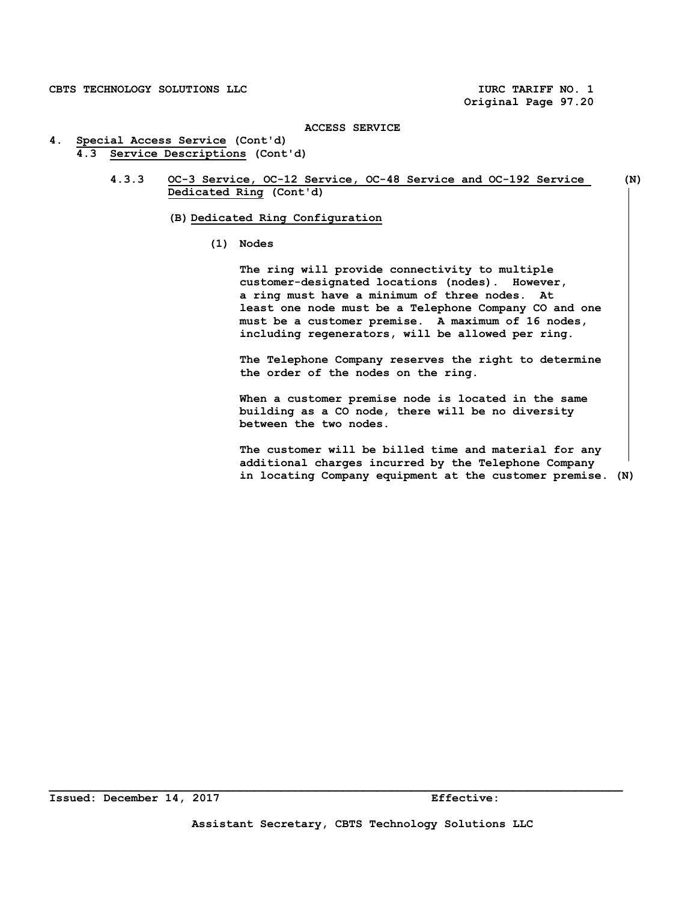**Original Page 97.20** 

#### **ACCESS SERVICE**

- **4. Special Access Service (Cont'd) 4.3 Service Descriptions (Cont'd)** 
	- **4.3.3 OC-3 Service, OC-12 Service, OC-48 Service and OC-192 Service (N) Dedicated Ring (Cont'd)**

 **(B) Dedicated Ring Configuration** 

 **(1) Nodes** 

 **The ring will provide connectivity to multiple customer-designated locations (nodes). However, a ring must have a minimum of three nodes. At least one node must be a Telephone Company CO and one must be a customer premise. A maximum of 16 nodes, including regenerators, will be allowed per ring.** 

 **The Telephone Company reserves the right to determine the order of the nodes on the ring.** 

 **When a customer premise node is located in the same building as a CO node, there will be no diversity between the two nodes.** 

 **The customer will be billed time and material for any additional charges incurred by the Telephone Company in locating Company equipment at the customer premise. (N)**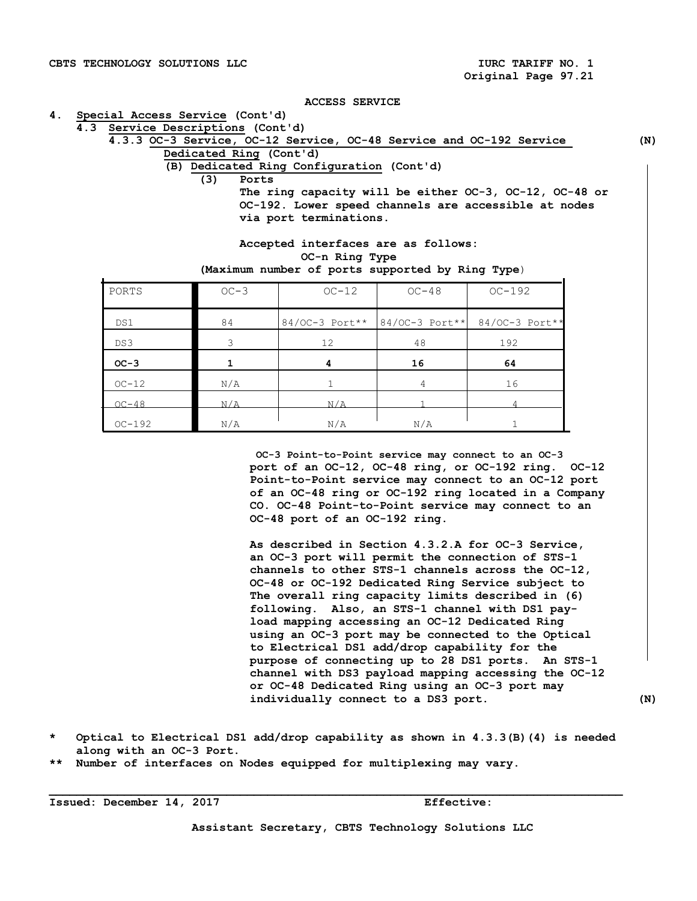#### **4. Special Access Service (Cont'd)**

 **4.3 Service Descriptions (Cont'd)** 

| H.S SELVICE DESCLIPCIONS (CONC G) |     |                                                                     |     |
|-----------------------------------|-----|---------------------------------------------------------------------|-----|
|                                   |     | 4.3.3 OC-3 Service, OC-12 Service, OC-48 Service and OC-192 Service | (N) |
|                                   |     | Dedicated Ring (Cont'd)                                             |     |
|                                   |     | (B) Dedicated Ring Configuration (Cont'd)                           |     |
|                                   | (3) | Ports                                                               |     |
|                                   |     | The ring capacity will be either OC-3, OC-12, OC-48 or              |     |
|                                   |     | OC-192. Lower speed channels are accessible at nodes                |     |
|                                   |     | via port terminations.                                              |     |
|                                   |     |                                                                     |     |

 **Accepted interfaces are as follows: OC-n Ring Type (Maximum number of ports supported by Ring Type**)

|  |  |  |  | (Maximum number of ports supported by Ring Type |  |  |  |
|--|--|--|--|-------------------------------------------------|--|--|--|
|--|--|--|--|-------------------------------------------------|--|--|--|

| PORTS    | $OC-3$ | $OC-12$ | $OC-48$        | $OC-192$                                     |
|----------|--------|---------|----------------|----------------------------------------------|
| DS1      | 84     |         |                | 84/0C-3 Port** 84/0C-3 Port** 84/0C-3 Port** |
| DS3      | 3      | 12      | 48             | 192                                          |
| $OC-3$   |        | 4       | 16             | 64                                           |
| $OC-12$  | N/A    |         | $\overline{4}$ | 16                                           |
| $OC-48$  | N/A    | N/A     |                |                                              |
| $OC-192$ | N/A    | N/A     | N/A            |                                              |

 **OC-3 Point-to-Point service may connect to an OC-3 port of an OC-12, OC-48 ring, or OC-192 ring. OC-12 Point-to-Point service may connect to an OC-12 port of an OC-48 ring or OC-192 ring located in a Company CO. OC-48 Point-to-Point service may connect to an OC-48 port of an OC-192 ring.** 

 **As described in Section 4.3.2.A for OC-3 Service, an OC-3 port will permit the connection of STS-1 channels to other STS-1 channels across the OC-12, OC-48 or OC-192 Dedicated Ring Service subject to The overall ring capacity limits described in (6) following. Also, an STS-1 channel with DS1 pay load mapping accessing an OC-12 Dedicated Ring using an OC-3 port may be connected to the Optical to Electrical DS1 add/drop capability for the purpose of connecting up to 28 DS1 ports. An STS-1 channel with DS3 payload mapping accessing the OC-12 or OC-48 Dedicated Ring using an OC-3 port may individually connect to a DS3 port. (N)** 

**\* Optical to Electrical DS1 add/drop capability as shown in 4.3.3(B)(4) is needed along with an OC-3 Port.** 

**\_\_\_\_\_\_\_\_\_\_\_\_\_\_\_\_\_\_\_\_\_\_\_\_\_\_\_\_\_\_\_\_\_\_\_\_\_\_\_\_\_\_\_\_\_\_\_\_\_\_\_\_\_\_\_\_\_\_\_\_\_\_\_\_\_\_\_\_\_\_\_\_\_\_\_\_\_\_\_\_\_\_\_\_** 

**\*\* Number of interfaces on Nodes equipped for multiplexing may vary.** 

**Issued: December 14, 2017 Effective:** 

**Assistant Secretary, CBTS Technology Solutions LLC**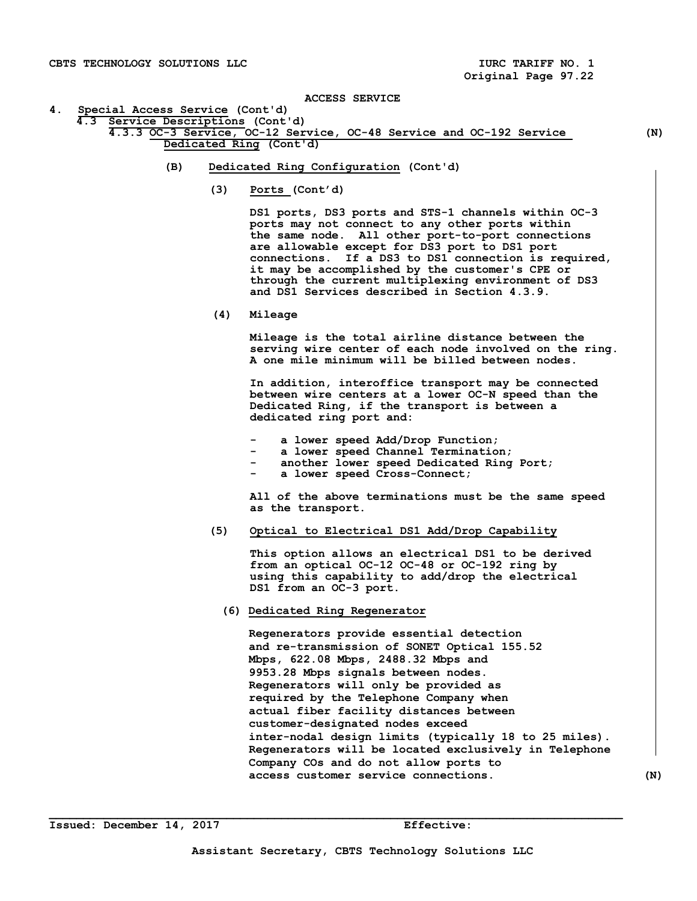ACCESS SERVICE<br>4. Special Access Service (Cont'd) **4. Special Access Service (Cont'd) Service Descriptions (Cont'd)** 

# **4.3.3 OC-3 Service, OC-12 Service, OC-48 Service and OC-192 Service (N) Dedicated Ring (Cont'd)**

- **(B) Dedicated Ring Configuration (Cont'd)** 
	- **(3) Ports (Cont'd)**

 **DS1 ports, DS3 ports and STS-1 channels within OC-3 ports may not connect to any other ports within the same node. All other port-to-port connections are allowable except for DS3 port to DS1 port connections. If a DS3 to DS1 connection is required, it may be accomplished by the customer's CPE or through the current multiplexing environment of DS3 and DS1 Services described in Section 4.3.9.** 

 **(4) Mileage** 

 **Mileage is the total airline distance between the serving wire center of each node involved on the ring. A one mile minimum will be billed between nodes.** 

 **In addition, interoffice transport may be connected between wire centers at a lower OC-N speed than the Dedicated Ring, if the transport is between a dedicated ring port and:** 

- **a lower speed Add/Drop Function;**
- **a lower speed Channel Termination;**
- another lower speed Dedicated Ring Port;
	- a lower speed Cross-Connect;

 **All of the above terminations must be the same speed as the transport.** 

 **(5) Optical to Electrical DS1 Add/Drop Capability** 

 **This option allows an electrical DS1 to be derived from an optical OC-12 OC-48 or OC-192 ring by using this capability to add/drop the electrical DS1 from an OC-3 port.** 

 **(6) Dedicated Ring Regenerator** 

 **Regenerators provide essential detection and re-transmission of SONET Optical 155.52 Mbps, 622.08 Mbps, 2488.32 Mbps and 9953.28 Mbps signals between nodes. Regenerators will only be provided as required by the Telephone Company when actual fiber facility distances between customer-designated nodes exceed inter-nodal design limits (typically 18 to 25 miles). Regenerators will be located exclusively in Telephone Company COs and do not allow ports to access customer service connections. (N)**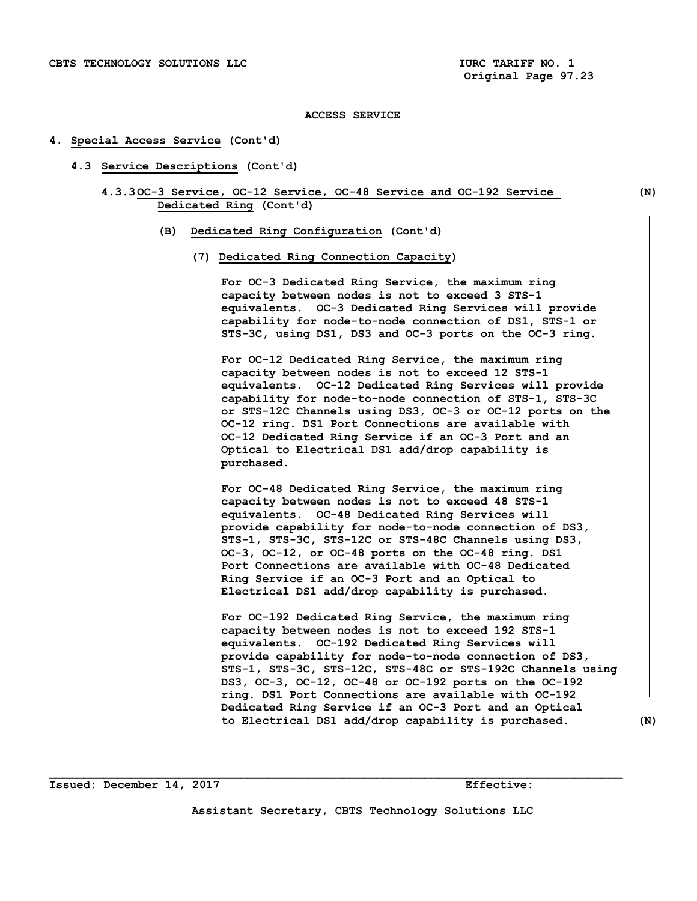#### **4. Special Access Service (Cont'd)**

- **4.3 Service Descriptions (Cont'd)** 
	- **4.3.3 OC-3 Service, OC-12 Service, OC-48 Service and OC-192 Service (N) Dedicated Ring (Cont'd)**

- **(B) Dedicated Ring Configuration (Cont'd)** 
	- **(7) Dedicated Ring Connection Capacity)**

**For OC-3 Dedicated Ring Service, the maximum ring capacity between nodes is not to exceed 3 STS-1 equivalents. OC-3 Dedicated Ring Services will provide capability for node-to-node connection of DS1, STS-1 or STS-3C, using DS1, DS3 and OC-3 ports on the OC-3 ring.** 

**For OC-12 Dedicated Ring Service, the maximum ring capacity between nodes is not to exceed 12 STS-1 equivalents. OC-12 Dedicated Ring Services will provide capability for node-to-node connection of STS-1, STS-3C or STS-12C Channels using DS3, OC-3 or OC-12 ports on the OC-12 ring. DS1 Port Connections are available with OC-12 Dedicated Ring Service if an OC-3 Port and an Optical to Electrical DS1 add/drop capability is purchased.** 

**For OC-48 Dedicated Ring Service, the maximum ring capacity between nodes is not to exceed 48 STS-1 equivalents. OC-48 Dedicated Ring Services will provide capability for node-to-node connection of DS3, STS-1, STS-3C, STS-12C or STS-48C Channels using DS3, OC-3, OC-12, or OC-48 ports on the OC-48 ring. DS1 Port Connections are available with OC-48 Dedicated Ring Service if an OC-3 Port and an Optical to Electrical DS1 add/drop capability is purchased.** 

**For OC-192 Dedicated Ring Service, the maximum ring capacity between nodes is not to exceed 192 STS-1 equivalents. OC-192 Dedicated Ring Services will provide capability for node-to-node connection of DS3, STS-1, STS-3C, STS-12C, STS-48C or STS-192C Channels using DS3, OC-3, OC-12, OC-48 or OC-192 ports on the OC-192 ring. DS1 Port Connections are available with OC-192 Dedicated Ring Service if an OC-3 Port and an Optical to Electrical DS1 add/drop capability is purchased. (N)**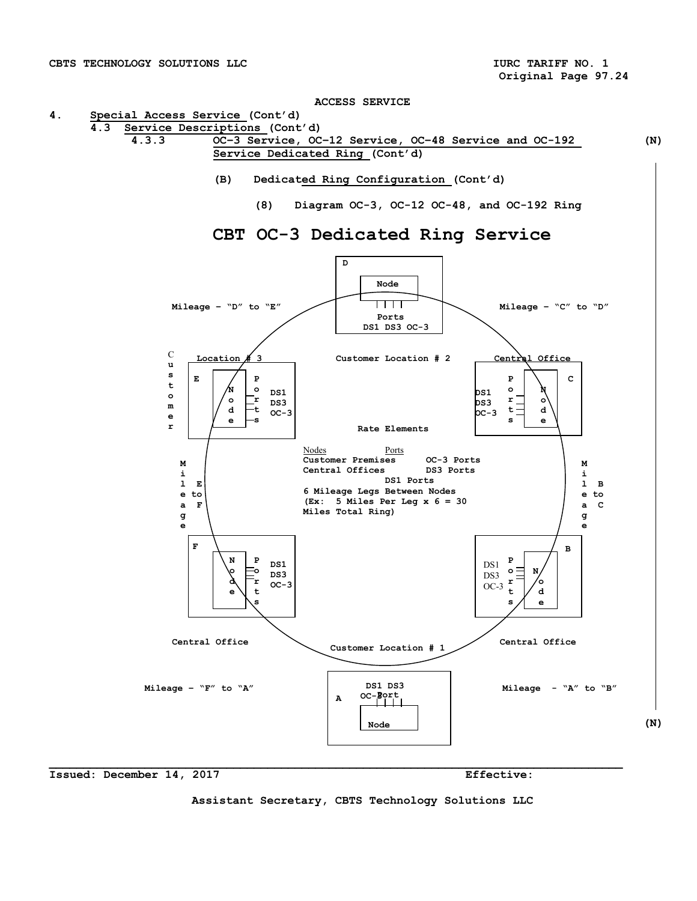**4. Special Access Service (Cont'd)** 



- **(B) Dedicated Ring Configuration (Cont'd)**
	- **(8) Diagram OC-3, OC-12 OC-48, and OC-192 Ring**



# **CBT OC-3 Dedicated Ring Service**

**Issued: December 14, 2017 Effective:** 

**Assistant Secretary, CBTS Technology Solutions LLC**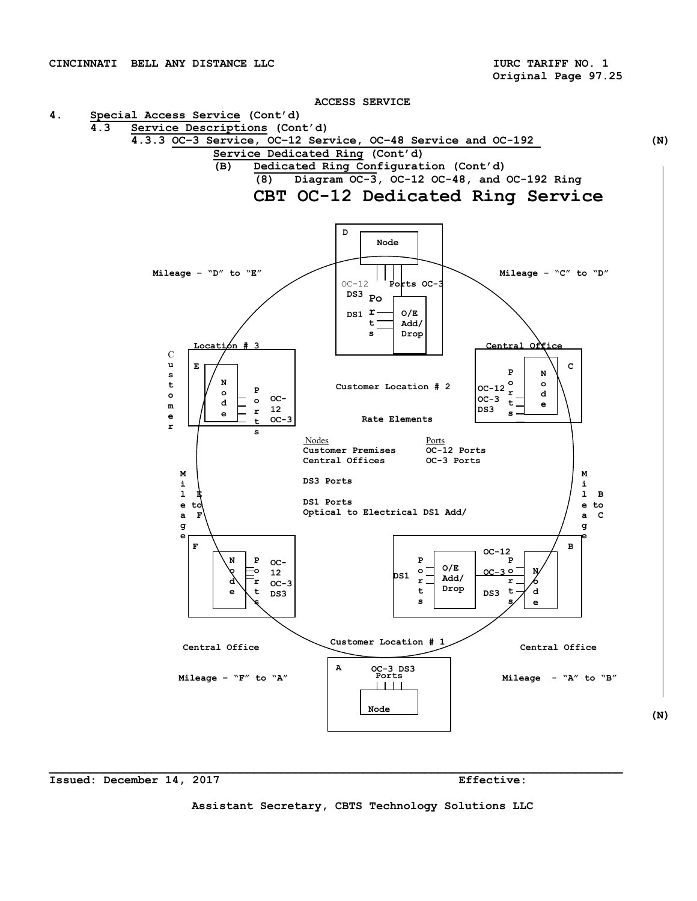**Original Page 97.25** 



#### **Issued: December 14, 2017 Effective:**

**Assistant Secretary, CBTS Technology Solutions LLC**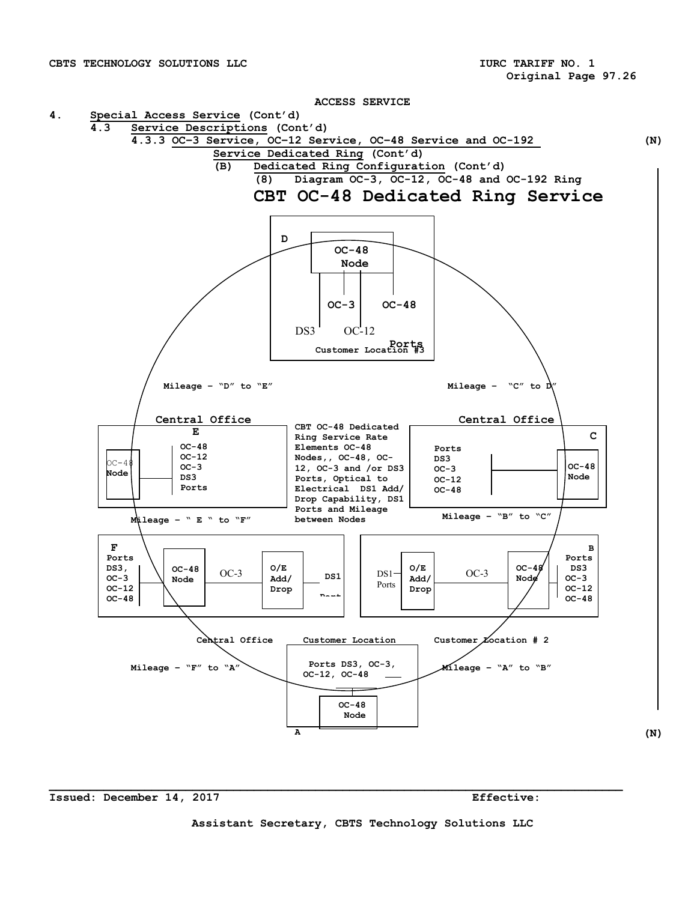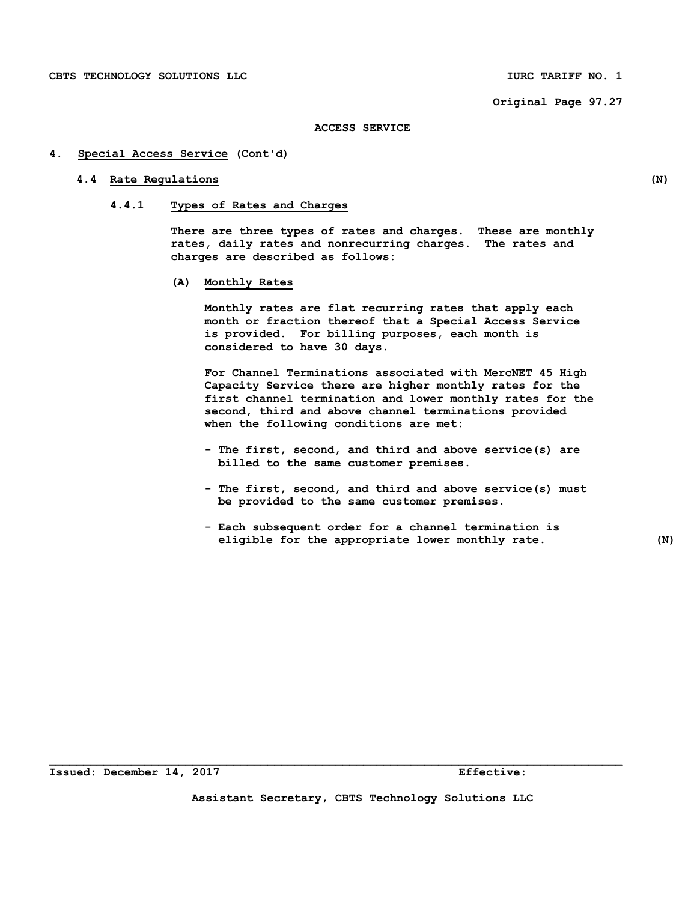**Original Page 97.27** 

#### **ACCESS SERVICE**

#### **4. Special Access Service (Cont'd)**

#### **4.4 Rate Regulations (N)**

# **4.4.1 Types of Rates and Charges**

 **There are three types of rates and charges. These are monthly rates, daily rates and nonrecurring charges. The rates and charges are described as follows:** 

 **(A) Monthly Rates** 

 **Monthly rates are flat recurring rates that apply each month or fraction thereof that a Special Access Service is provided. For billing purposes, each month is considered to have 30 days.** 

 **For Channel Terminations associated with MercNET 45 High Capacity Service there are higher monthly rates for the first channel termination and lower monthly rates for the second, third and above channel terminations provided when the following conditions are met:** 

- **The first, second, and third and above service(s) are billed to the same customer premises.**
- **The first, second, and third and above service(s) must be provided to the same customer premises.**
- **Each subsequent order for a channel termination is eligible for the appropriate lower monthly rate. (N)**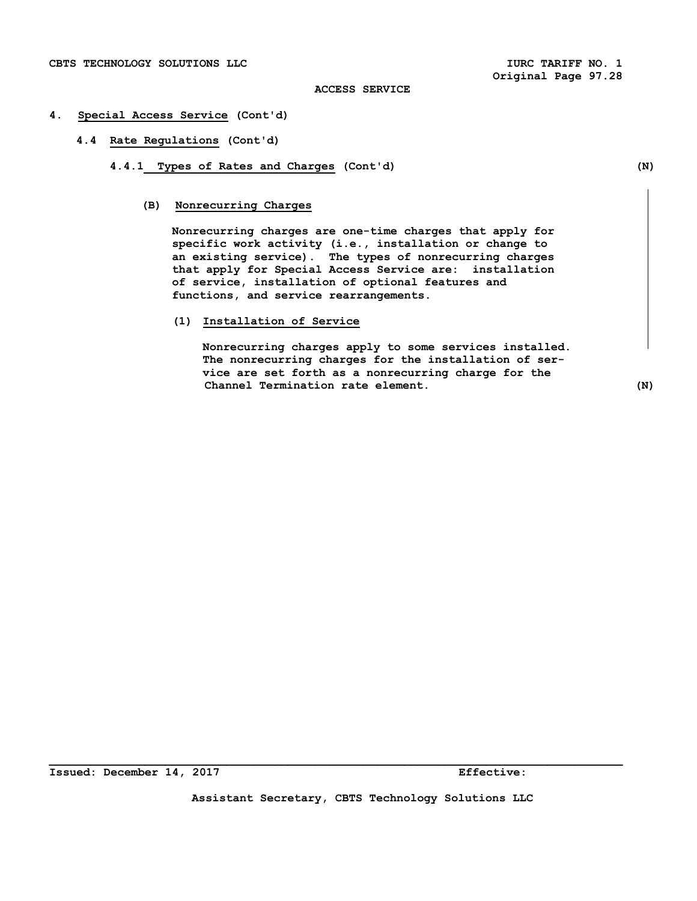- **4. Special Access Service (Cont'd)** 
	- **4.4 Rate Regulations (Cont'd)** 
		- **4.4.1 Types of Rates and Charges (Cont'd) (N)** 
			- **(B) Nonrecurring Charges**

 **Nonrecurring charges are one-time charges that apply for specific work activity (i.e., installation or change to an existing service). The types of nonrecurring charges that apply for Special Access Service are: installation of service, installation of optional features and functions, and service rearrangements.** 

 **(1) Installation of Service** 

 **Nonrecurring charges apply to some services installed. The nonrecurring charges for the installation of ser vice are set forth as a nonrecurring charge for the Channel Termination rate element. (N)**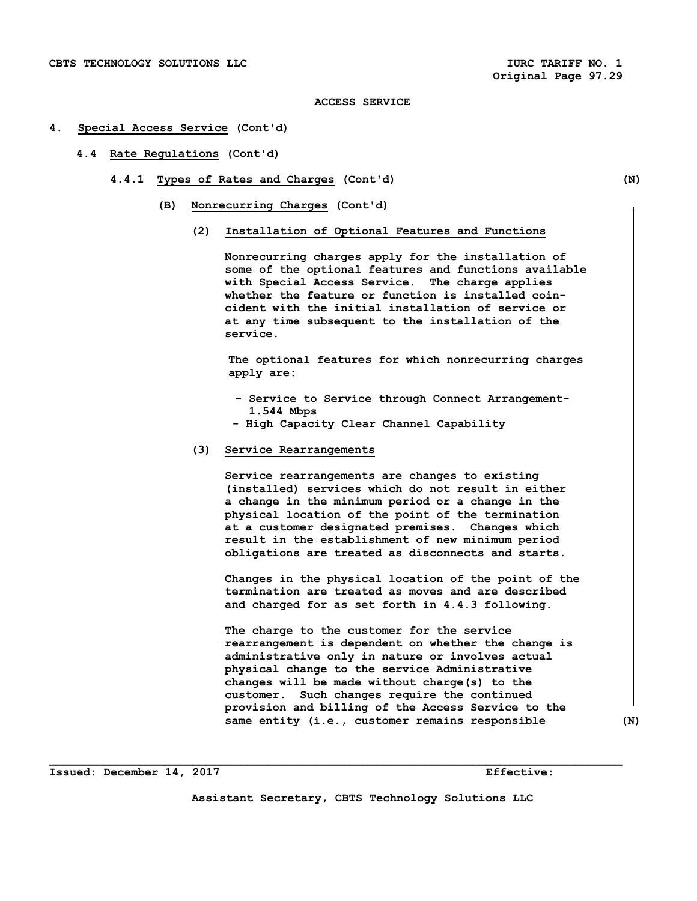#### **4. Special Access Service (Cont'd)**

- **4.4 Rate Regulations (Cont'd)** 
	- **4.4.1 Types of Rates and Charges (Cont'd) (N)** 
		- **(B) Nonrecurring Charges (Cont'd)** 
			- **(2) Installation of Optional Features and Functions**

 **Nonrecurring charges apply for the installation of some of the optional features and functions available with Special Access Service. The charge applies whether the feature or function is installed coin cident with the initial installation of service or at any time subsequent to the installation of the service.** 

 **The optional features for which nonrecurring charges apply are:** 

- **Service to Service through Connect Arrangement- 1.544 Mbps**
- **High Capacity Clear Channel Capability**
- **(3) Service Rearrangements**

 **Service rearrangements are changes to existing (installed) services which do not result in either a change in the minimum period or a change in the physical location of the point of the termination at a customer designated premises. Changes which result in the establishment of new minimum period obligations are treated as disconnects and starts.** 

 **Changes in the physical location of the point of the termination are treated as moves and are described and charged for as set forth in 4.4.3 following.** 

 **The charge to the customer for the service rearrangement is dependent on whether the change is administrative only in nature or involves actual physical change to the service Administrative changes will be made without charge(s) to the customer. Such changes require the continued provision and billing of the Access Service to the same entity (i.e., customer remains responsible (N)** 

**Issued: December 14, 2017 Effective:** 

**Assistant Secretary, CBTS Technology Solutions LLC**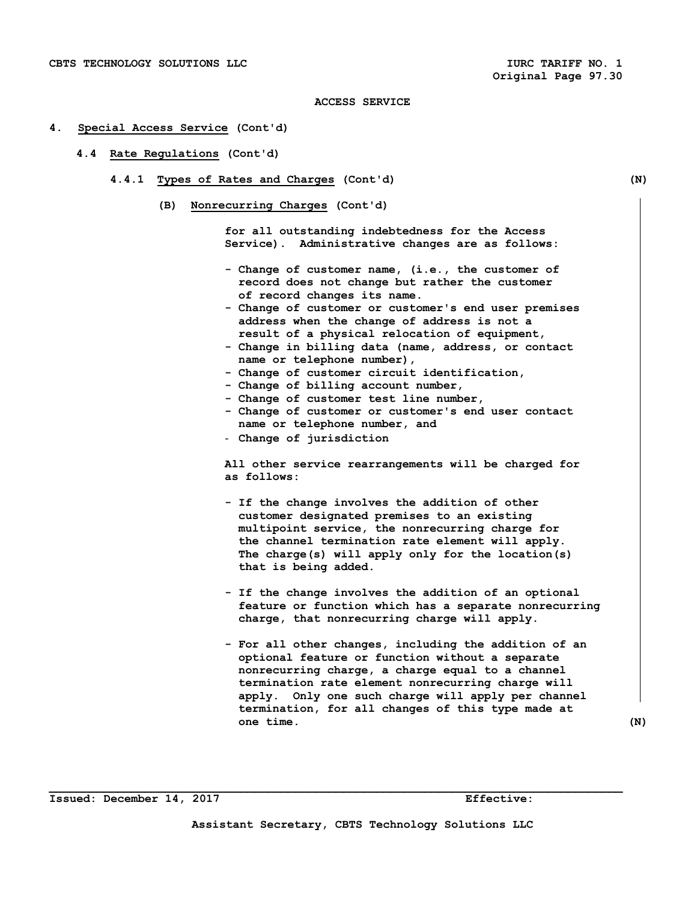#### **4. Special Access Service (Cont'd)**

#### **4.4 Rate Regulations (Cont'd)**

- **4.4.1 Types of Rates and Charges (Cont'd) (N)** 
	- **(B) Nonrecurring Charges (Cont'd)**

 **for all outstanding indebtedness for the Access Service). Administrative changes are as follows:** 

- **Change of customer name, (i.e., the customer of record does not change but rather the customer of record changes its name.**
- **Change of customer or customer's end user premises address when the change of address is not a result of a physical relocation of equipment,**
- **Change in billing data (name, address, or contact name or telephone number),**
- **Change of customer circuit identification,**
- **Change of billing account number,**
- **Change of customer test line number,**
- **Change of customer or customer's end user contact name or telephone number, and**
- **Change of jurisdiction**

 **All other service rearrangements will be charged for as follows:** 

- **If the change involves the addition of other customer designated premises to an existing multipoint service, the nonrecurring charge for the channel termination rate element will apply. The charge(s) will apply only for the location(s) that is being added.**
- **If the change involves the addition of an optional feature or function which has a separate nonrecurring charge, that nonrecurring charge will apply.**
- **For all other changes, including the addition of an optional feature or function without a separate nonrecurring charge, a charge equal to a channel termination rate element nonrecurring charge will apply. Only one such charge will apply per channel termination, for all changes of this type made at one time. (N)**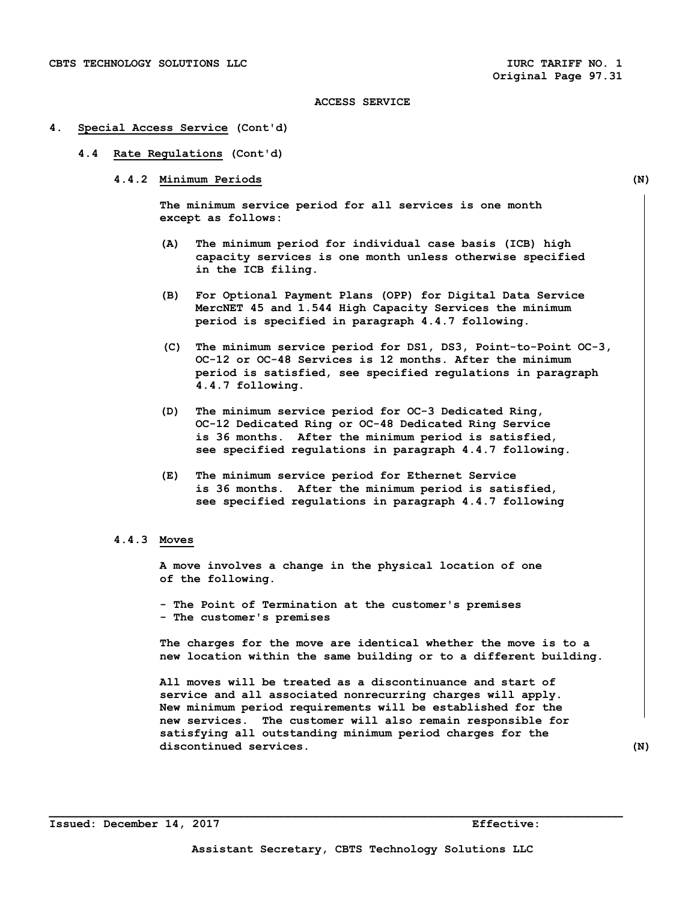#### **4. Special Access Service (Cont'd)**

- **4.4 Rate Regulations (Cont'd)** 
	- **4.4.2 Minimum Periods (N)**

 **The minimum service period for all services is one month except as follows:** 

- **(A) The minimum period for individual case basis (ICB) high capacity services is one month unless otherwise specified in the ICB filing.**
- **(B) For Optional Payment Plans (OPP) for Digital Data Service MercNET 45 and 1.544 High Capacity Services the minimum period is specified in paragraph 4.4.7 following.**
- **(C) The minimum service period for DS1, DS3, Point-to-Point OC-3, OC-12 or OC-48 Services is 12 months. After the minimum period is satisfied, see specified regulations in paragraph 4.4.7 following.**
- **(D) The minimum service period for OC-3 Dedicated Ring, OC-12 Dedicated Ring or OC-48 Dedicated Ring Service is 36 months. After the minimum period is satisfied, see specified regulations in paragraph 4.4.7 following.**
- **(E) The minimum service period for Ethernet Service is 36 months. After the minimum period is satisfied, see specified regulations in paragraph 4.4.7 following**

#### **4.4.3 Moves**

 **A move involves a change in the physical location of one of the following.** 

 **- The Point of Termination at the customer's premises - The customer's premises** 

 **The charges for the move are identical whether the move is to a new location within the same building or to a different building.** 

 **All moves will be treated as a discontinuance and start of service and all associated nonrecurring charges will apply. New minimum period requirements will be established for the new services. The customer will also remain responsible for satisfying all outstanding minimum period charges for the discontinued services. (N)**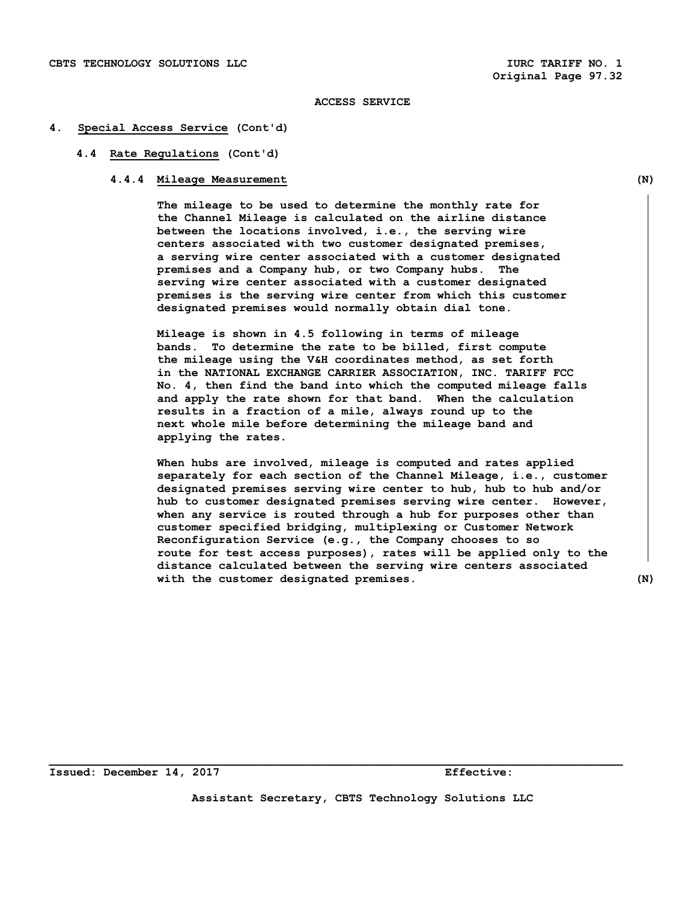#### **4. Special Access Service (Cont'd)**

#### **4.4 Rate Regulations (Cont'd)**

# **4.4.4 Mileage Measurement (N)**

 **The mileage to be used to determine the monthly rate for the Channel Mileage is calculated on the airline distance between the locations involved, i.e., the serving wire centers associated with two customer designated premises, a serving wire center associated with a customer designated premises and a Company hub, or two Company hubs. The serving wire center associated with a customer designated premises is the serving wire center from which this customer designated premises would normally obtain dial tone.** 

 **Mileage is shown in 4.5 following in terms of mileage bands. To determine the rate to be billed, first compute the mileage using the V&H coordinates method, as set forth in the NATIONAL EXCHANGE CARRIER ASSOCIATION, INC. TARIFF FCC No. 4, then find the band into which the computed mileage falls and apply the rate shown for that band. When the calculation results in a fraction of a mile, always round up to the next whole mile before determining the mileage band and applying the rates.** 

 **When hubs are involved, mileage is computed and rates applied separately for each section of the Channel Mileage, i.e., customer designated premises serving wire center to hub, hub to hub and/or hub to customer designated premises serving wire center. However, when any service is routed through a hub for purposes other than customer specified bridging, multiplexing or Customer Network Reconfiguration Service (e.g., the Company chooses to so route for test access purposes), rates will be applied only to the distance calculated between the serving wire centers associated with the customer designated premises. (N)** 

**Issued: December 14, 2017 Effective:** 

**Assistant Secretary, CBTS Technology Solutions LLC**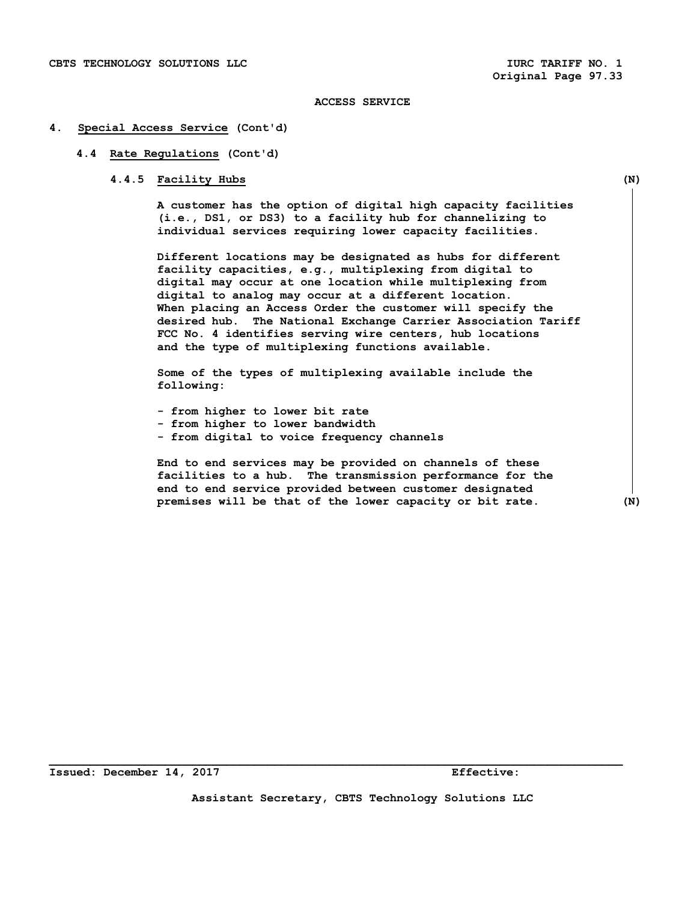#### **4. Special Access Service (Cont'd)**

#### **4.4 Rate Regulations (Cont'd)**

#### **4.4.5 Facility Hubs (N)**

 **A customer has the option of digital high capacity facilities (i.e., DS1, or DS3) to a facility hub for channelizing to individual services requiring lower capacity facilities.** 

 **Different locations may be designated as hubs for different facility capacities, e.g., multiplexing from digital to digital may occur at one location while multiplexing from digital to analog may occur at a different location. When placing an Access Order the customer will specify the desired hub. The National Exchange Carrier Association Tariff FCC No. 4 identifies serving wire centers, hub locations and the type of multiplexing functions available.** 

 **Some of the types of multiplexing available include the following:** 

- **from higher to lower bit rate**
- **from higher to lower bandwidth**
- **from digital to voice frequency channels**

 **End to end services may be provided on channels of these facilities to a hub. The transmission performance for the end to end service provided between customer designated premises will be that of the lower capacity or bit rate. (N)**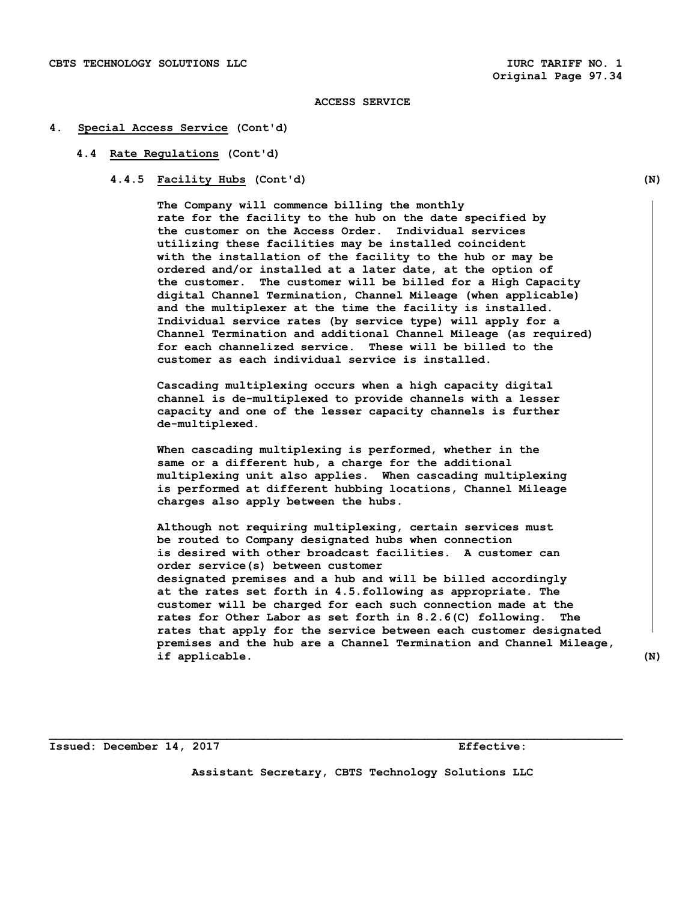#### **4. Special Access Service (Cont'd)**

#### **4.4 Rate Regulations (Cont'd)**

 **4.4.5 Facility Hubs (Cont'd) (N)** 

 **The Company will commence billing the monthly rate for the facility to the hub on the date specified by the customer on the Access Order. Individual services utilizing these facilities may be installed coincident with the installation of the facility to the hub or may be ordered and/or installed at a later date, at the option of the customer. The customer will be billed for a High Capacity digital Channel Termination, Channel Mileage (when applicable) and the multiplexer at the time the facility is installed. Individual service rates (by service type) will apply for a Channel Termination and additional Channel Mileage (as required) for each channelized service. These will be billed to the customer as each individual service is installed.** 

 **Cascading multiplexing occurs when a high capacity digital channel is de-multiplexed to provide channels with a lesser capacity and one of the lesser capacity channels is further de-multiplexed.** 

 **When cascading multiplexing is performed, whether in the same or a different hub, a charge for the additional multiplexing unit also applies. When cascading multiplexing is performed at different hubbing locations, Channel Mileage charges also apply between the hubs.** 

 **Although not requiring multiplexing, certain services must be routed to Company designated hubs when connection is desired with other broadcast facilities. A customer can order service(s) between customer designated premises and a hub and will be billed accordingly at the rates set forth in 4.5.following as appropriate. The customer will be charged for each such connection made at the rates for Other Labor as set forth in 8.2.6(C) following. The rates that apply for the service between each customer designated premises and the hub are a Channel Termination and Channel Mileage, if applicable. (N)** 

**Issued: December 14, 2017 Effective: Effective:** 

**Assistant Secretary, CBTS Technology Solutions LLC**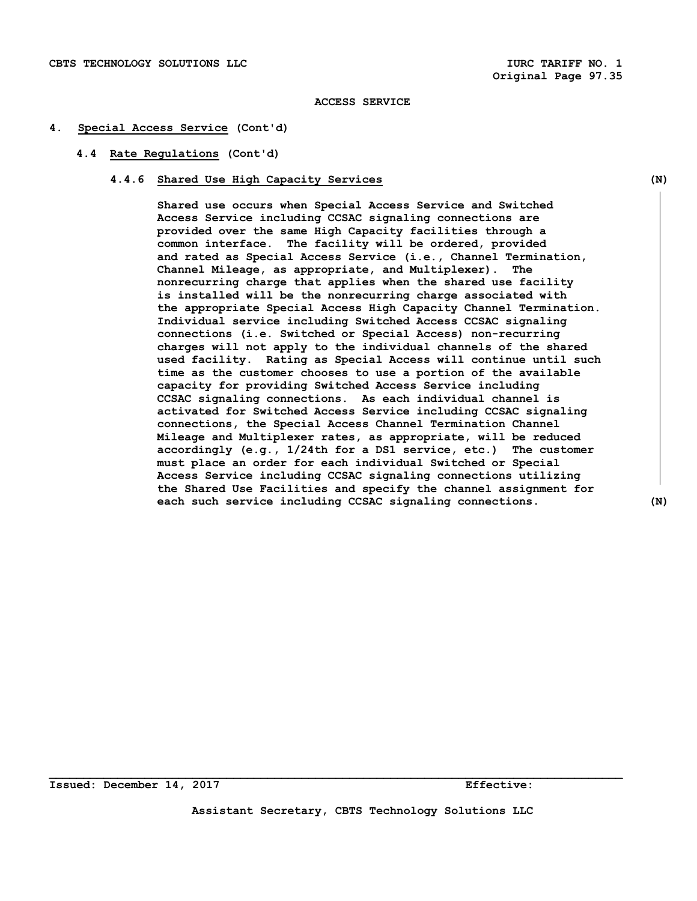#### **4. Special Access Service (Cont'd)**

#### **4.4 Rate Regulations (Cont'd)**

#### **4.4.6 Shared Use High Capacity Services (N)**

 **Shared use occurs when Special Access Service and Switched Access Service including CCSAC signaling connections are provided over the same High Capacity facilities through a common interface. The facility will be ordered, provided and rated as Special Access Service (i.e., Channel Termination, Channel Mileage, as appropriate, and Multiplexer). The nonrecurring charge that applies when the shared use facility is installed will be the nonrecurring charge associated with the appropriate Special Access High Capacity Channel Termination. Individual service including Switched Access CCSAC signaling connections (i.e. Switched or Special Access) non-recurring charges will not apply to the individual channels of the shared used facility. Rating as Special Access will continue until such time as the customer chooses to use a portion of the available capacity for providing Switched Access Service including CCSAC signaling connections. As each individual channel is activated for Switched Access Service including CCSAC signaling connections, the Special Access Channel Termination Channel Mileage and Multiplexer rates, as appropriate, will be reduced accordingly (e.g., 1/24th for a DS1 service, etc.) The customer must place an order for each individual Switched or Special Access Service including CCSAC signaling connections utilizing the Shared Use Facilities and specify the channel assignment for each such service including CCSAC signaling connections. (N)**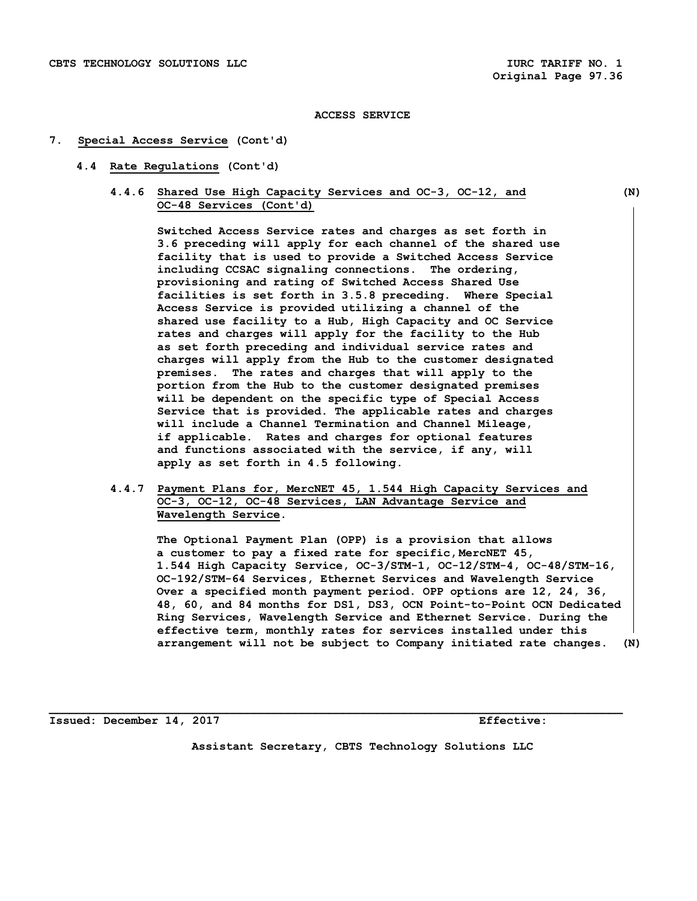#### **7. Special Access Service (Cont'd)**

- **4.4 Rate Regulations (Cont'd)** 
	- **4.4.6 Shared Use High Capacity Services and OC-3, OC-12, and (N) OC-48 Services (Cont'd)**

 **Switched Access Service rates and charges as set forth in 3.6 preceding will apply for each channel of the shared use facility that is used to provide a Switched Access Service including CCSAC signaling connections. The ordering, provisioning and rating of Switched Access Shared Use facilities is set forth in 3.5.8 preceding. Where Special Access Service is provided utilizing a channel of the shared use facility to a Hub, High Capacity and OC Service rates and charges will apply for the facility to the Hub as set forth preceding and individual service rates and charges will apply from the Hub to the customer designated premises. The rates and charges that will apply to the portion from the Hub to the customer designated premises will be dependent on the specific type of Special Access Service that is provided. The applicable rates and charges will include a Channel Termination and Channel Mileage, if applicable. Rates and charges for optional features and functions associated with the service, if any, will apply as set forth in 4.5 following.** 

 **4.4.7 Payment Plans for, MercNET 45, 1.544 High Capacity Services and OC-3, OC-12, OC-48 Services, LAN Advantage Service and Wavelength Service.** 

 **The Optional Payment Plan (OPP) is a provision that allows a customer to pay a fixed rate for specific, MercNET 45, 1.544 High Capacity Service, OC-3/STM-1, OC-12/STM-4, OC-48/STM-16, OC-192/STM-64 Services, Ethernet Services and Wavelength Service Over a specified month payment period. OPP options are 12, 24, 36, 48, 60, and 84 months for DS1, DS3, OCN Point-to-Point OCN Dedicated Ring Services, Wavelength Service and Ethernet Service. During the effective term, monthly rates for services installed under this arrangement will not be subject to Company initiated rate changes. (N)** 

**Issued: December 14, 2017 Effective:** 

**Assistant Secretary, CBTS Technology Solutions LLC**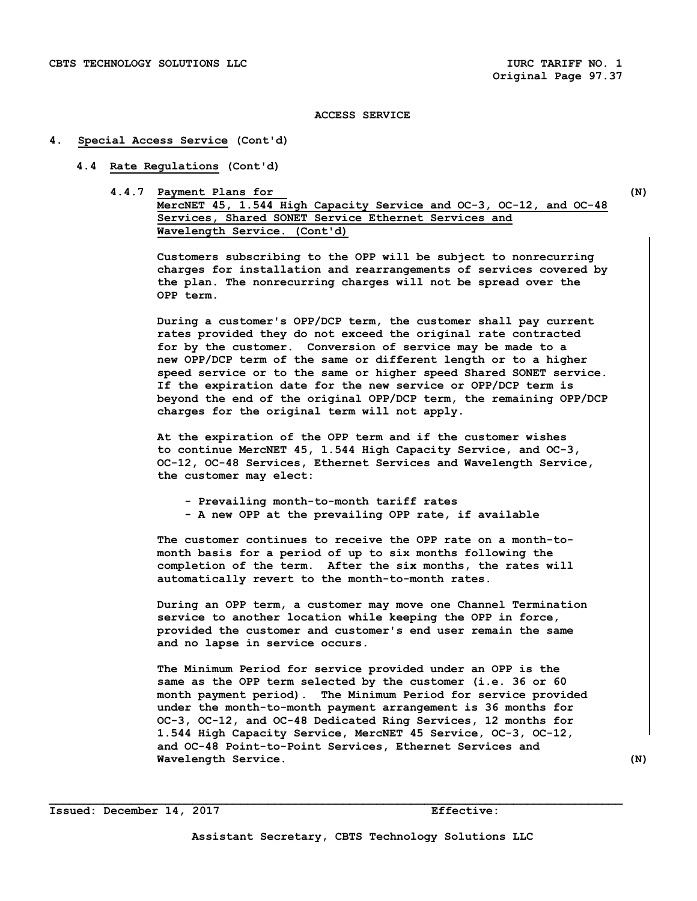#### **4. Special Access Service (Cont'd)**

- **4.4 Rate Regulations (Cont'd)** 
	- **4.4.7 Payment Plans for (N) MercNET 45, 1.544 High Capacity Service and OC-3, OC-12, and OC-48 Services, Shared SONET Service Ethernet Services and Wavelength Service. (Cont'd)**

 **Customers subscribing to the OPP will be subject to nonrecurring charges for installation and rearrangements of services covered by the plan. The nonrecurring charges will not be spread over the OPP term.** 

 **During a customer's OPP/DCP term, the customer shall pay current rates provided they do not exceed the original rate contracted for by the customer. Conversion of service may be made to a new OPP/DCP term of the same or different length or to a higher speed service or to the same or higher speed Shared SONET service. If the expiration date for the new service or OPP/DCP term is beyond the end of the original OPP/DCP term, the remaining OPP/DCP charges for the original term will not apply.** 

 **At the expiration of the OPP term and if the customer wishes to continue MercNET 45, 1.544 High Capacity Service, and OC-3, OC-12, OC-48 Services, Ethernet Services and Wavelength Service, the customer may elect:** 

- **Prevailing month-to-month tariff rates**
- **A new OPP at the prevailing OPP rate, if available**

 **The customer continues to receive the OPP rate on a month-to month basis for a period of up to six months following the completion of the term. After the six months, the rates will automatically revert to the month-to-month rates.** 

 **During an OPP term, a customer may move one Channel Termination service to another location while keeping the OPP in force, provided the customer and customer's end user remain the same and no lapse in service occurs.** 

 **The Minimum Period for service provided under an OPP is the same as the OPP term selected by the customer (i.e. 36 or 60 month payment period). The Minimum Period for service provided under the month-to-month payment arrangement is 36 months for OC-3, OC-12, and OC-48 Dedicated Ring Services, 12 months for 1.544 High Capacity Service, MercNET 45 Service, OC-3, OC-12, and OC-48 Point-to-Point Services, Ethernet Services and Wavelength Service. (N)**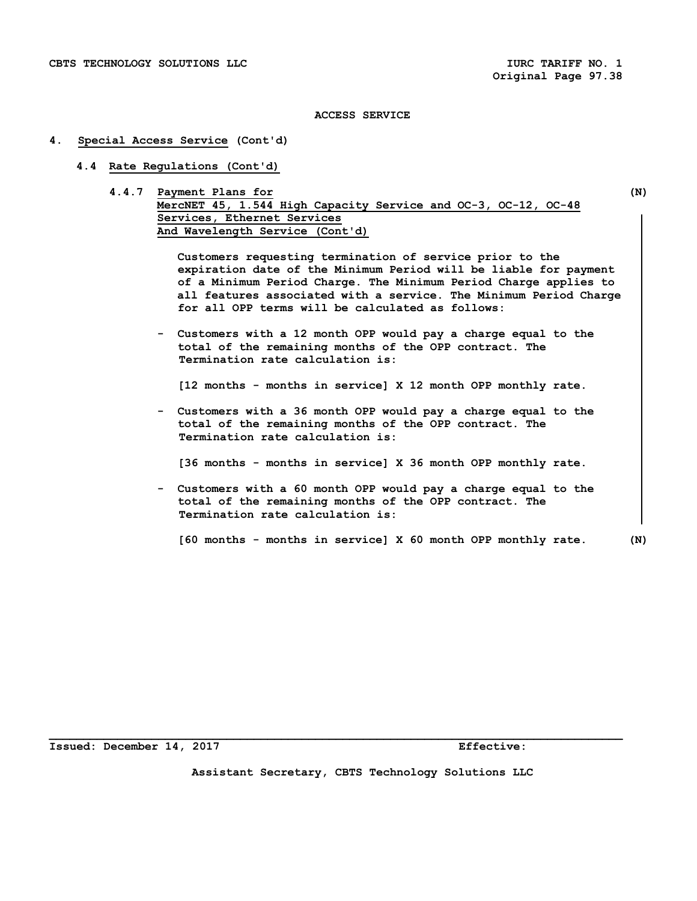#### **4. Special Access Service (Cont'd)**

- **4.4 Rate Regulations (Cont'd)** 
	- **4.4.7 Payment Plans for (N) MercNET 45, 1.544 High Capacity Service and OC-3, OC-12, OC-48 Services, Ethernet Services And Wavelength Service (Cont'd)**

 **Customers requesting termination of service prior to the expiration date of the Minimum Period will be liable for payment of a Minimum Period Charge. The Minimum Period Charge applies to all features associated with a service. The Minimum Period Charge for all OPP terms will be calculated as follows:** 

 **- Customers with a 12 month OPP would pay a charge equal to the total of the remaining months of the OPP contract. The Termination rate calculation is:** 

 **[12 months - months in service] X 12 month OPP monthly rate.** 

 **- Customers with a 36 month OPP would pay a charge equal to the total of the remaining months of the OPP contract. The Termination rate calculation is:** 

 **[36 months - months in service] X 36 month OPP monthly rate.** 

 **- Customers with a 60 month OPP would pay a charge equal to the total of the remaining months of the OPP contract. The Termination rate calculation is:** 

 **[60 months - months in service] X 60 month OPP monthly rate. (N)** 

**Issued: December 14, 2017 Effective:** 

**Assistant Secretary, CBTS Technology Solutions LLC**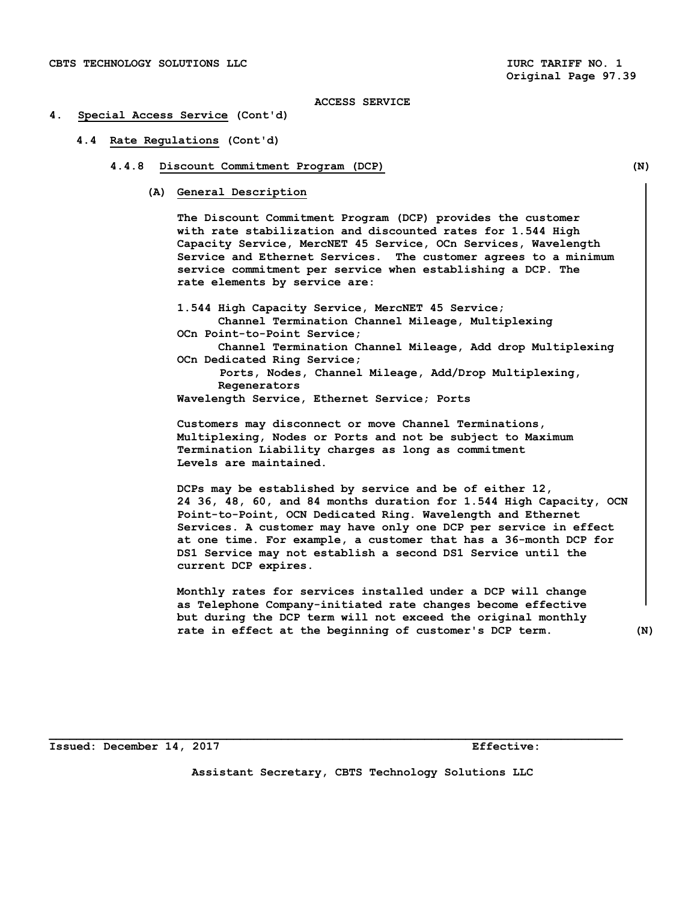#### **4. Special Access Service (Cont'd)**

 **4.4 Rate Regulations (Cont'd)** 

#### **4.4.8 Discount Commitment Program (DCP) (N)**

 **(A) General Description** 

 **The Discount Commitment Program (DCP) provides the customer with rate stabilization and discounted rates for 1.544 High Capacity Service, MercNET 45 Service, OCn Services, Wavelength Service and Ethernet Services. The customer agrees to a minimum service commitment per service when establishing a DCP. The rate elements by service are:** 

 **1.544 High Capacity Service, MercNET 45 Service; Channel Termination Channel Mileage, Multiplexing OCn Point-to-Point Service; Channel Termination Channel Mileage, Add drop Multiplexing OCn Dedicated Ring Service; Ports, Nodes, Channel Mileage, Add/Drop Multiplexing, Regenerators** 

 **Wavelength Service, Ethernet Service; Ports** 

 **Customers may disconnect or move Channel Terminations, Multiplexing, Nodes or Ports and not be subject to Maximum Termination Liability charges as long as commitment Levels are maintained.** 

 **DCPs may be established by service and be of either 12, 24 36, 48, 60, and 84 months duration for 1.544 High Capacity, OCN Point-to-Point, OCN Dedicated Ring. Wavelength and Ethernet Services. A customer may have only one DCP per service in effect at one time. For example, a customer that has a 36-month DCP for DS1 Service may not establish a second DS1 Service until the current DCP expires.** 

 **Monthly rates for services installed under a DCP will change as Telephone Company-initiated rate changes become effective but during the DCP term will not exceed the original monthly rate in effect at the beginning of customer's DCP term. (N)** 

**Issued: December 14, 2017 Effective:** 

**Assistant Secretary, CBTS Technology Solutions LLC**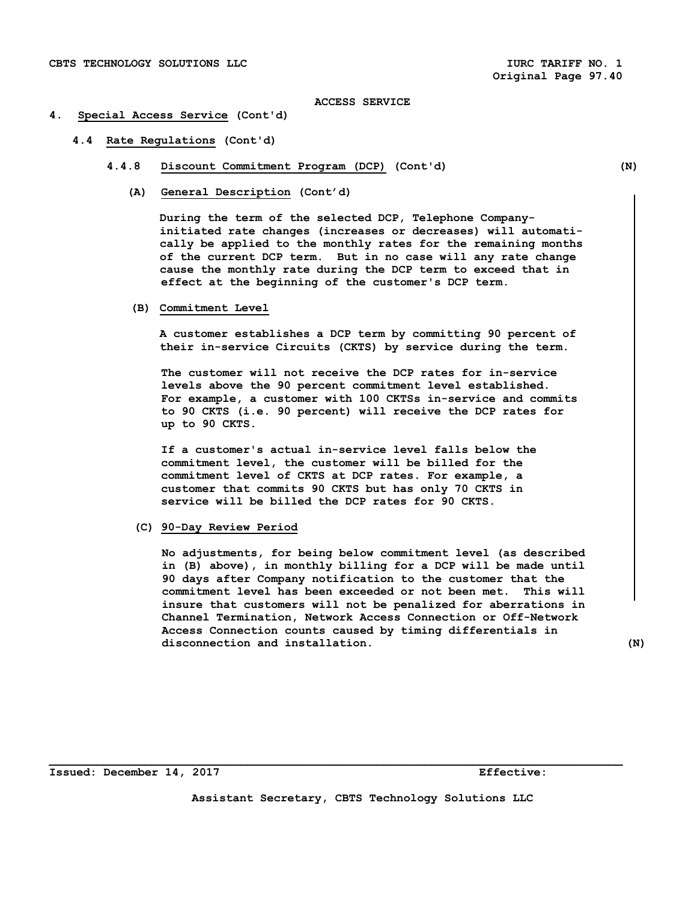#### **4. Special Access Service (Cont'd)**

- **4.4 Rate Regulations (Cont'd)** 
	- **4.4.8 Discount Commitment Program (DCP) (Cont'd) (N)** 
		- **(A) General Description (Cont'd)**

 **During the term of the selected DCP, Telephone Company initiated rate changes (increases or decreases) will automati cally be applied to the monthly rates for the remaining months of the current DCP term. But in no case will any rate change cause the monthly rate during the DCP term to exceed that in effect at the beginning of the customer's DCP term.** 

 **(B) Commitment Level** 

 **A customer establishes a DCP term by committing 90 percent of their in-service Circuits (CKTS) by service during the term.** 

 **The customer will not receive the DCP rates for in-service levels above the 90 percent commitment level established. For example, a customer with 100 CKTSs in-service and commits to 90 CKTS (i.e. 90 percent) will receive the DCP rates for up to 90 CKTS.** 

 **If a customer's actual in-service level falls below the commitment level, the customer will be billed for the commitment level of CKTS at DCP rates. For example, a customer that commits 90 CKTS but has only 70 CKTS in service will be billed the DCP rates for 90 CKTS.** 

 **(C) 90-Day Review Period** 

 **No adjustments, for being below commitment level (as described in (B) above), in monthly billing for a DCP will be made until 90 days after Company notification to the customer that the commitment level has been exceeded or not been met. This will insure that customers will not be penalized for aberrations in Channel Termination, Network Access Connection or Off-Network Access Connection counts caused by timing differentials in disconnection and installation. (N)** 

**Issued: December 14, 2017 Effective:** 

**Assistant Secretary, CBTS Technology Solutions LLC**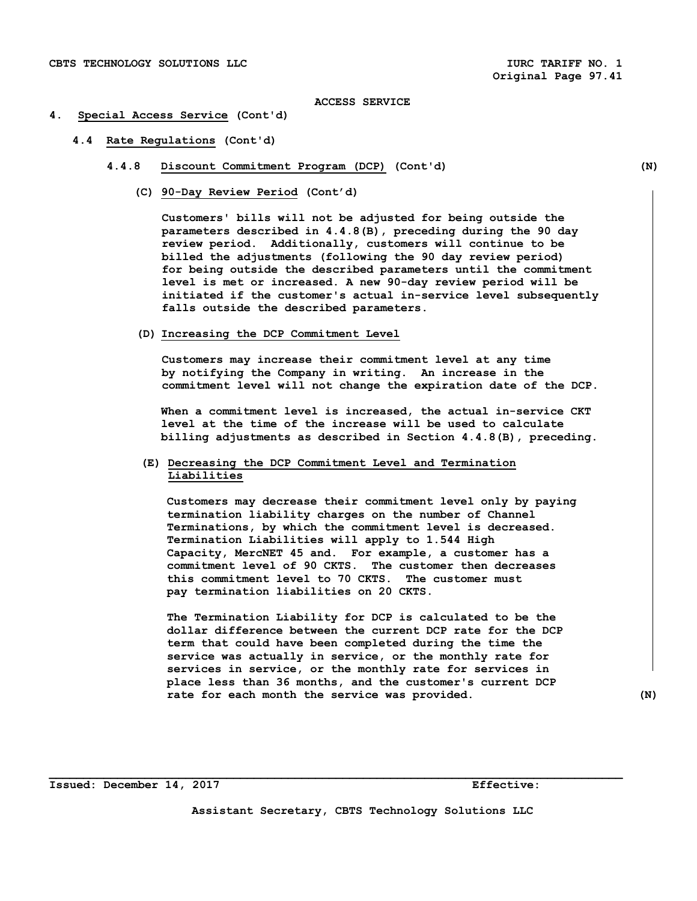#### **4. Special Access Service (Cont'd)**

- **4.4 Rate Regulations (Cont'd)** 
	- **4.4.8 Discount Commitment Program (DCP) (Cont'd) (N)** 
		- **(C) 90-Day Review Period (Cont'd)**

 **Customers' bills will not be adjusted for being outside the parameters described in 4.4.8(B), preceding during the 90 day review period. Additionally, customers will continue to be billed the adjustments (following the 90 day review period) for being outside the described parameters until the commitment level is met or increased. A new 90-day review period will be initiated if the customer's actual in-service level subsequently falls outside the described parameters.** 

 **(D) Increasing the DCP Commitment Level** 

 **Customers may increase their commitment level at any time by notifying the Company in writing. An increase in the commitment level will not change the expiration date of the DCP.** 

 **When a commitment level is increased, the actual in-service CKT level at the time of the increase will be used to calculate billing adjustments as described in Section 4.4.8(B), preceding.** 

# **(E) Decreasing the DCP Commitment Level and Termination Liabilities**

**Customers may decrease their commitment level only by paying termination liability charges on the number of Channel Terminations, by which the commitment level is decreased. Termination Liabilities will apply to 1.544 High Capacity, MercNET 45 and. For example, a customer has a commitment level of 90 CKTS. The customer then decreases this commitment level to 70 CKTS. The customer must pay termination liabilities on 20 CKTS.** 

 **The Termination Liability for DCP is calculated to be the dollar difference between the current DCP rate for the DCP term that could have been completed during the time the service was actually in service, or the monthly rate for services in service, or the monthly rate for services in place less than 36 months, and the customer's current DCP rate for each month the service was provided. (N)**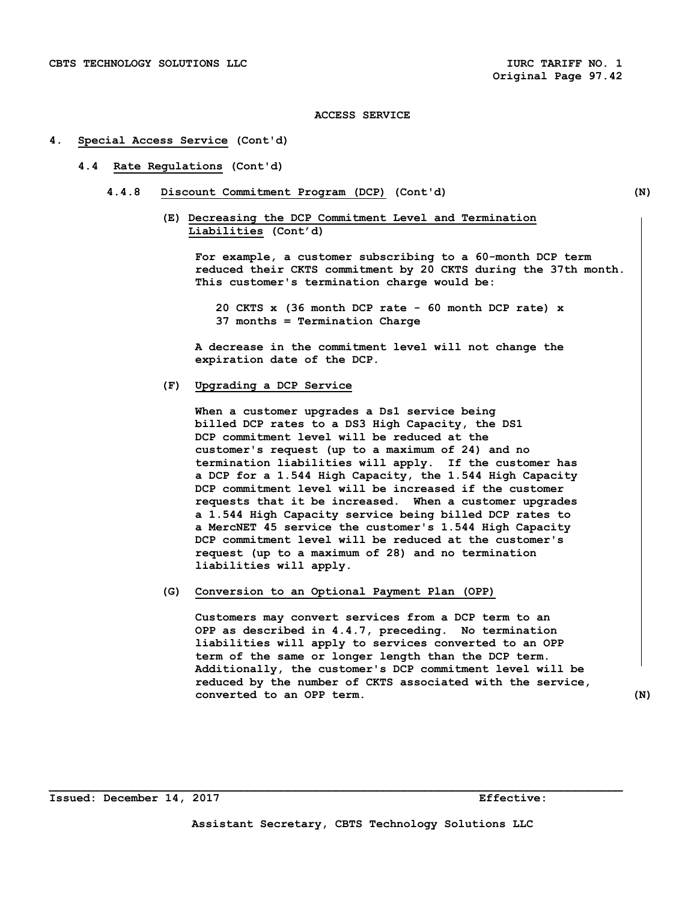#### **4. Special Access Service (Cont'd)**

#### **4.4 Rate Regulations (Cont'd)**

- **4.4.8 Discount Commitment Program (DCP) (Cont'd) (N)** 
	- **(E) Decreasing the DCP Commitment Level and Termination Liabilities (Cont'd)**

 **For example, a customer subscribing to a 60-month DCP term reduced their CKTS commitment by 20 CKTS during the 37th month. This customer's termination charge would be:** 

 **20 CKTS x (36 month DCP rate - 60 month DCP rate) x 37 months = Termination Charge** 

 **A decrease in the commitment level will not change the expiration date of the DCP.** 

#### **(F) Upgrading a DCP Service**

 **When a customer upgrades a Ds1 service being billed DCP rates to a DS3 High Capacity, the DS1 DCP commitment level will be reduced at the customer's request (up to a maximum of 24) and no termination liabilities will apply. If the customer has a DCP for a 1.544 High Capacity, the 1.544 High Capacity DCP commitment level will be increased if the customer requests that it be increased. When a customer upgrades a 1.544 High Capacity service being billed DCP rates to a MercNET 45 service the customer's 1.544 High Capacity DCP commitment level will be reduced at the customer's request (up to a maximum of 28) and no termination liabilities will apply.** 

 **(G) Conversion to an Optional Payment Plan (OPP)** 

 **Customers may convert services from a DCP term to an OPP as described in 4.4.7, preceding. No termination liabilities will apply to services converted to an OPP term of the same or longer length than the DCP term. Additionally, the customer's DCP commitment level will be reduced by the number of CKTS associated with the service, converted to an OPP term. (N)**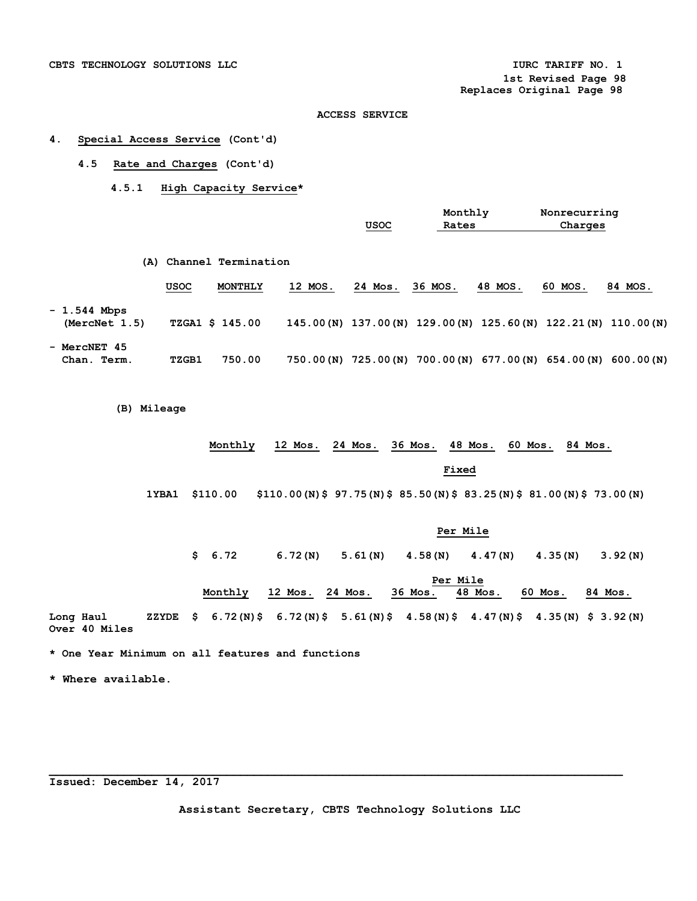#### **4. Special Access Service (Cont'd)**

- **4.5 Rate and Charges (Cont'd)** 
	- **4.5.1 High Capacity Service\***

|                                |              |                         |         | usoc                  | Monthly<br>Rates |         | Nonrecurring<br>Charges                                           |            |
|--------------------------------|--------------|-------------------------|---------|-----------------------|------------------|---------|-------------------------------------------------------------------|------------|
|                                |              | (A) Channel Termination |         |                       |                  |         |                                                                   |            |
|                                | USOC         | MONTHLY                 | 12 MOS. | 24 Mos.               | 36 MOS.          | 48 MOS. | 60 MOS.                                                           | 84 MOS.    |
| $-1.544$ Mbps<br>(MercNet 1.5) |              | <b>TZGA1 \$ 145.00</b>  |         |                       |                  |         | 145.00 (N) 137.00 (N) 129.00 (N) 125.60 (N) 122.21 (N) 110.00 (N) |            |
| - MercNET 45<br>Chan. Term.    | <b>TZGB1</b> | 750.00                  |         | 750.00 (N) 725.00 (N) |                  |         | 700.00(N) 677.00(N) 654.00(N)                                     | 600.00 (N) |

 **(B) Mileage** 

## **Monthly 12 Mos. 24 Mos. 36 Mos. 48 Mos. 60 Mos. 84 Mos.**

**Fixed Fixed** 

 **1YBA1 \$110.00 \$110.00(N)\$ 97.75(N)\$ 85.50(N)\$ 83.25(N)\$ 81.00(N)\$ 73.00(N)** 

## **Per Mile**

 **\$ 6.72 6.72(N) 5.61(N) 4.58(N) 4.47(N) 4.35(N) 3.92(N)** 

|           |  | Per Mile                                                                                  |                 |  |  |  |         |  |         |  |         |         |  |
|-----------|--|-------------------------------------------------------------------------------------------|-----------------|--|--|--|---------|--|---------|--|---------|---------|--|
|           |  | Monthly                                                                                   | 12 Mos. 24 Mos. |  |  |  | 36 Mos. |  | 48 Mos. |  | 60 Mos. | 84 Mos. |  |
| Long Haul |  | ZZYDE \$ 6.72 (N) \$ 6.72 (N) \$ 5.61 (N) \$ 4.58 (N) \$ 4.47 (N) \$ 4.35 (N) \$ 3.92 (N) |                 |  |  |  |         |  |         |  |         |         |  |

**Over 40 Miles** 

**\* One Year Minimum on all features and functions** 

**\* Where available.** 

**Issued: December 14, 2017** 

**Assistant Secretary, CBTS Technology Solutions LLC**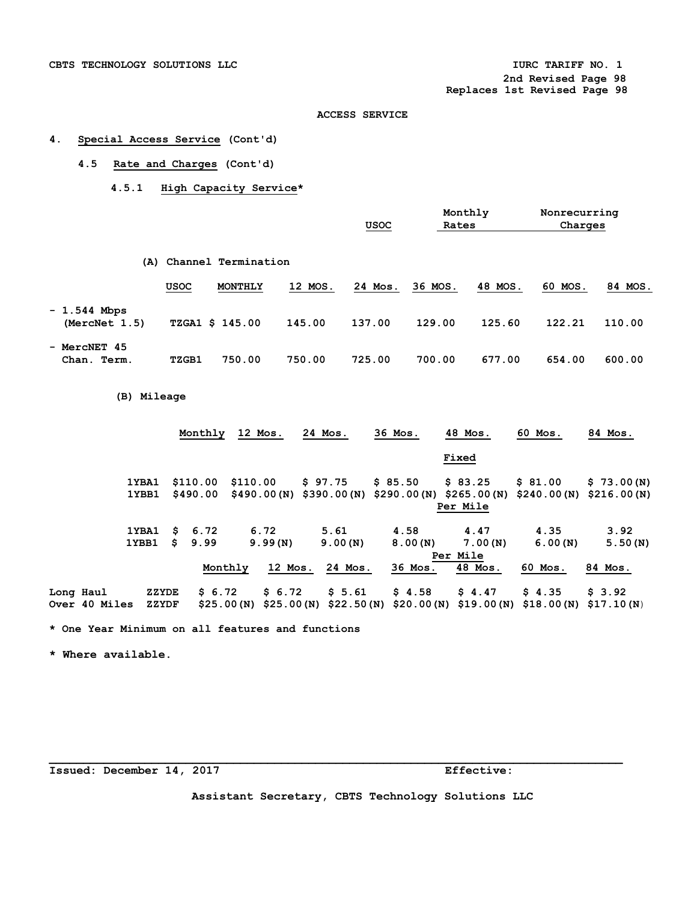**2nd Revised Page 98** 

 **Replaces 1st Revised Page 98** 

#### **ACCESS SERVICE**

## **4. Special Access Service (Cont'd)**

## **4.5 Rate and Charges (Cont'd)**

 **4.5.1 High Capacity Service\*** 

|                                |             |                     |         | <b>USOC</b> | Monthly<br>Rates |         | Nonrecurring<br>Charges |         |
|--------------------------------|-------------|---------------------|---------|-------------|------------------|---------|-------------------------|---------|
| (A)                            |             | Channel Termination |         |             |                  |         |                         |         |
|                                | <u>USOC</u> | MONTHLY             | 12 MOS. | 24 Mos.     | 36 MOS.          | 48 MOS. | 60 MOS.                 | 84 MOS. |
| $-1.544$ Mbps<br>(MercNet 1.5) |             | TZGA1 \$ 145.00     | 145.00  | 137.00      | 129.00           | 125.60  | 122.21                  | 110.00  |
| - MercNET 45<br>Chan. Term.    | TZGB1       | 750.00              | 750.00  | 725.00      | 700.00           | 677.00  | 654.00                  | 600.00  |

### **(B) Mileage**

|           |               |       |    | Monthly  | 12 Mos.                   | 24 Mos. | 36 Mos.                                          | 48 Mos.  | 60 Mos.    | 84 Mos.    |
|-----------|---------------|-------|----|----------|---------------------------|---------|--------------------------------------------------|----------|------------|------------|
|           |               |       |    |          |                           |         |                                                  | Fixed    |            |            |
|           |               | 1YBA1 |    | \$110.00 | \$110.00                  | \$97.75 | \$85.50                                          | \$83.25  | \$81.00    | \$73.00(N) |
|           |               | 1YBB1 |    | \$490.00 | $$490.00(N)$ \$390.00 (N) |         | $$290.00(N)$ \$265.00(N) \$240.00(N) \$216.00(N) |          |            |            |
|           |               |       |    |          |                           |         |                                                  | Per Mile |            |            |
|           |               | 1YBA1 | S. | 6.72     | 6.72                      | 5.61    | 4.58                                             | 4.47     | 4.35       | 3.92       |
|           |               | 1YBB1 | s  | 9.99     | 9.99(N)                   | 9.00(N) | 8.00(N)                                          | 7.00(N)  | 6.00(N)    | 5.50(N)    |
|           |               |       |    |          |                           |         |                                                  | Per Mile |            |            |
|           |               |       |    | Monthly  | 12 Mos.                   | 24 Mos. | 36 Mos.                                          | 48 Mos.  | 60 Mos.    | 84 Mos.    |
| Long Haul |               | ZZYDE |    | \$6.72   | \$6.72                    | \$5.61  | \$4.58                                           | \$4.47   | \$4.35     | \$3.92     |
|           | Over 40 Miles | ZZYDF |    |          | \$25.00 (N)               |         | $$25.00(N)$ $$22.50(N)$ $$20.00(N)$ $$19.00(N)$  |          | \$18.00(N) | \$17.10(N) |

**\* One Year Minimum on all features and functions** 

**\* Where available.** 

**Issued: December 14, 2017 Effective:** 

**Assistant Secretary, CBTS Technology Solutions LLC**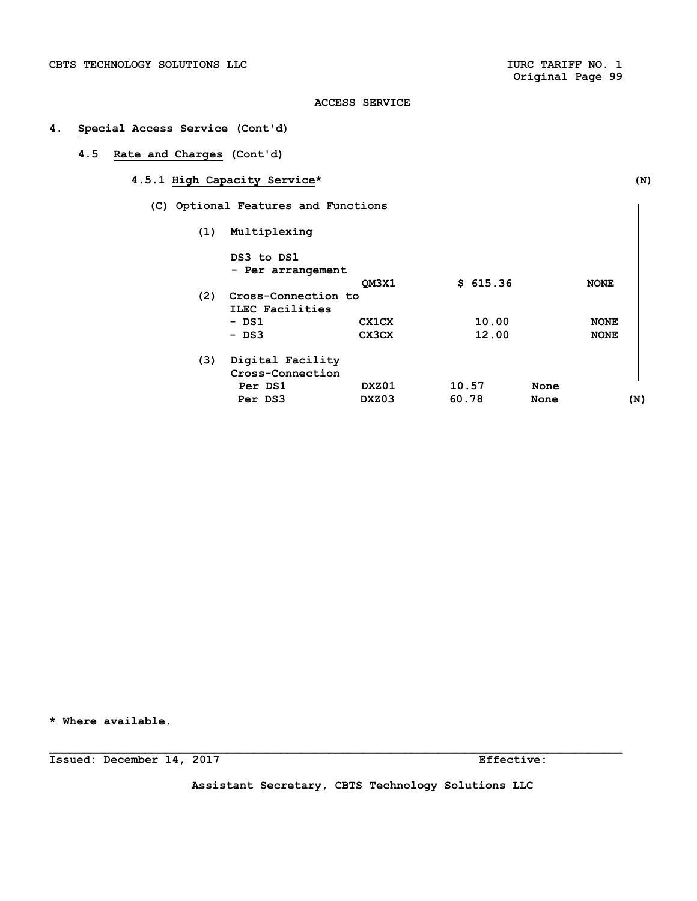## **4. Special Access Service (Cont'd)**

## **4.5 Rate and Charges (Cont'd)**

- **4.5.1 High Capacity Service\* (N)** 
	- **(C) Optional Features and Functions** 
		- **(1) Multiplexing**

| (2) | DS3 to DS1<br>- Per arrangement<br>Cross-Connection to<br>ILEC Facilities | OM3X1                 | \$615.36       |              | <b>NONE</b>                |
|-----|---------------------------------------------------------------------------|-----------------------|----------------|--------------|----------------------------|
|     | - DS1<br>$-$ DS3                                                          | <b>CX1CX</b><br>CX3CX | 10.00<br>12.00 |              | <b>NONE</b><br><b>NONE</b> |
| (3) | Digital Facility<br>Cross-Connection<br>Per DS1<br>Per DS3                | DXZ01<br>DXZ03        | 10.57<br>60.78 | None<br>None | (N)                        |

**\* Where available.** 

**Issued: December 14, 2017 Effective:** 

**Assistant Secretary, CBTS Technology Solutions LLC**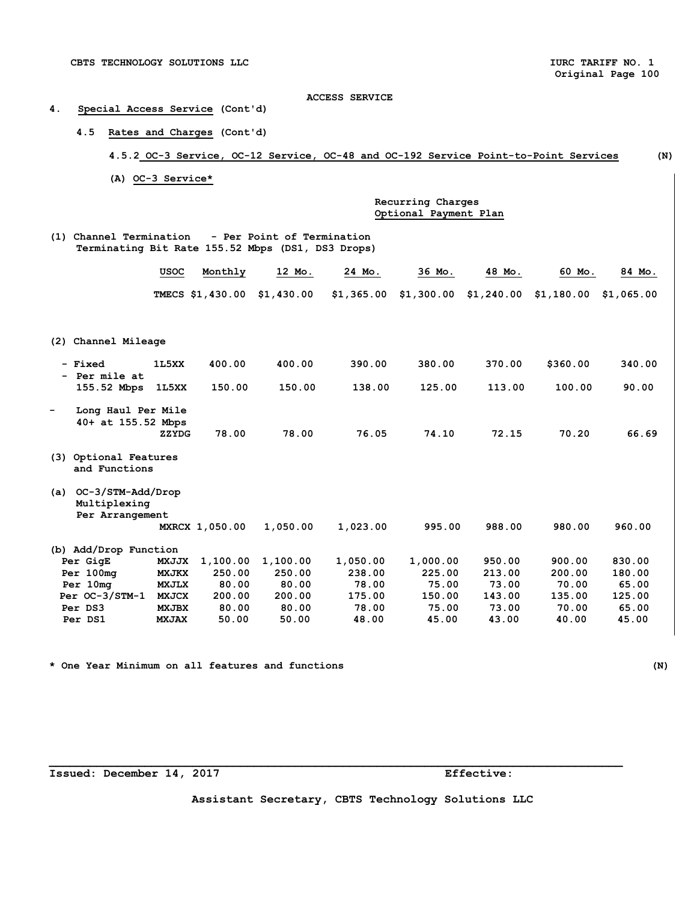## **4. Special Access Service (Cont'd)**

 **4.5 Rates and Charges (Cont'd)** 

## **4.5.2 OC-3 Service, OC-12 Service, OC-48 and OC-192 Service Point-to-Point Services (N)**

 **(A) OC-3 Service\*** 

 **Recurring Charges Optional Payment Plan** 

**(1) Channel Termination - Per Point of Termination Terminating Bit Rate 155.52 Mbps (DS1, DS3 Drops)** 

|                                           | <b>USOC</b>  | Monthly          | 12 Mo.     | 24 Mo.     | 36 Mo.     | 48 Mo.     | 60 Mo.     | 84 Mo.     |
|-------------------------------------------|--------------|------------------|------------|------------|------------|------------|------------|------------|
|                                           |              | TMECS \$1,430.00 | \$1,430.00 | \$1,365.00 | \$1,300.00 | \$1,240.00 | \$1,180.00 | \$1,065.00 |
|                                           |              |                  |            |            |            |            |            |            |
|                                           |              |                  |            |            |            |            |            |            |
| Channel Mileage<br>(2)                    |              |                  |            |            |            |            |            |            |
| - Fixed                                   | 1L5XX        | 400.00           | 400.00     | 390.00     | 380.00     | 370.00     | \$360.00   | 340.00     |
| Per mile at                               |              |                  |            |            |            |            |            |            |
| 155.52 Mbps                               | 1L5XX        | 150.00           | 150.00     | 138.00     | 125.00     | 113.00     | 100.00     | 90.00      |
| Long Haul Per Mile                        |              |                  |            |            |            |            |            |            |
| 40+ at 155.52 Mbps                        |              |                  |            |            |            |            |            |            |
|                                           | ZZYDG        | 78.00            | 78.00      | 76.05      | 74.10      | 72.15      | 70.20      | 66.69      |
| Optional Features<br>(3)<br>and Functions |              |                  |            |            |            |            |            |            |
| OC-3/STM-Add/Drop<br>(a)                  |              |                  |            |            |            |            |            |            |
| Multiplexing                              |              |                  |            |            |            |            |            |            |
| Per Arrangement                           |              |                  |            |            |            |            |            |            |
|                                           |              | MXRCX 1,050.00   | 1,050.00   | 1,023.00   | 995.00     | 988.00     | 980.00     | 960.00     |
| (b) Add/Drop Function                     |              |                  |            |            |            |            |            |            |
| Per GigE                                  | <b>MXJJX</b> | 1,100.00         | 1,100.00   | 1,050.00   | 1,000.00   | 950.00     | 900.00     | 830.00     |
| Per 100mg                                 | <b>MXJKX</b> | 250.00           | 250.00     | 238.00     | 225.00     | 213.00     | 200.00     | 180.00     |
| Per 10mg                                  | <b>MXJLX</b> | 80.00            | 80.00      | 78.00      | 75.00      | 73.00      | 70.00      | 65.00      |
| $Per OC-3/STM-1$                          | <b>MXJCX</b> | 200.00           | 200.00     | 175.00     | 150.00     | 143.00     | 135.00     | 125.00     |
| Per DS3                                   | <b>MXJBX</b> | 80.00            | 80.00      | 78.00      | 75.00      | 73.00      | 70.00      | 65.00      |
| Per DS1                                   | <b>MXJAX</b> | 50.00            | 50.00      | 48.00      | 45.00      | 43.00      | 40.00      | 45.00      |

**\* One Year Minimum on all features and functions (N)** 

**Issued: December 14, 2017 Effective:** 

**Assistant Secretary, CBTS Technology Solutions LLC**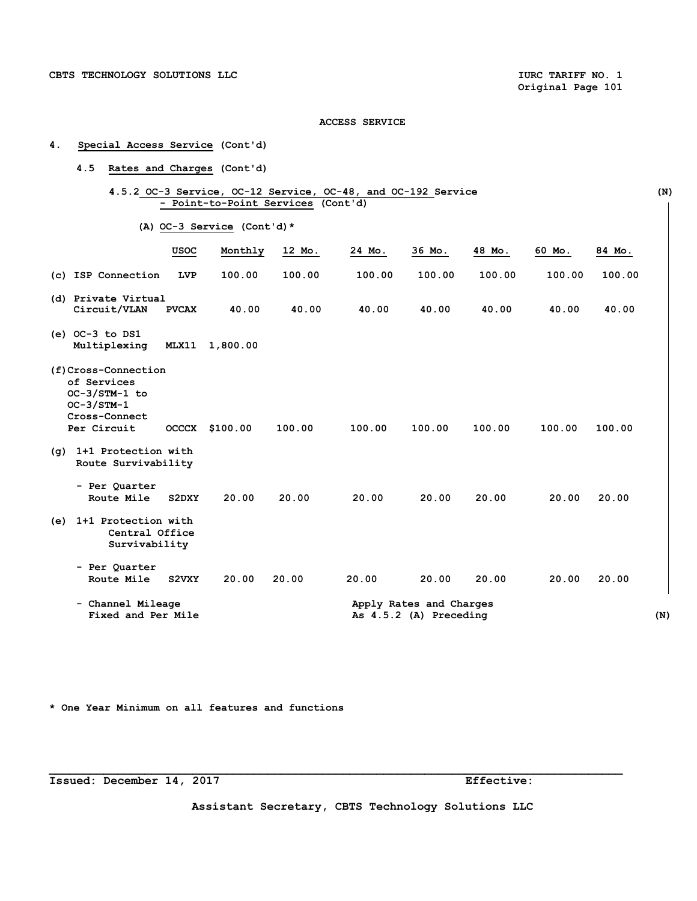- **4. Special Access Service (Cont'd)** 
	- **4.5 Rates and Charges (Cont'd)**

|  | 4.5.2 OC-3 Service, OC-12 Service, OC-48, and OC-192 Service |  |  | (N) |
|--|--------------------------------------------------------------|--|--|-----|
|  | - Point-to-Point Services (Cont'd)                           |  |  |     |

 **(A) OC-3 Service (Cont'd)\*** 

|            |                                                                                                     | <b>USOC</b>  | Monthly  | 12 Mo. | 24 Mo. | 36 Mo.                                            | 48 Mo. | 60 Mo. | 84 Mo. |     |
|------------|-----------------------------------------------------------------------------------------------------|--------------|----------|--------|--------|---------------------------------------------------|--------|--------|--------|-----|
|            | (c) ISP Connection                                                                                  | <b>LVP</b>   | 100.00   | 100.00 | 100.00 | 100.00                                            | 100.00 | 100.00 | 100.00 |     |
|            | (d) Private Virtual<br>Circuit/VLAN                                                                 | <b>PVCAX</b> | 40.00    | 40.00  | 40.00  | 40.00                                             | 40.00  | 40.00  | 40.00  |     |
|            | $(e)$ OC-3 to DS1<br>Multiplexing                                                                   | MLX11        | 1,800.00 |        |        |                                                   |        |        |        |     |
|            | (f)Cross-Connection<br>of Services<br>OC-3/STM-1 to<br>$OC-3/STM-1$<br>Cross-Connect<br>Per Circuit | <b>OCCCX</b> | \$100.00 | 100.00 | 100.00 | 100.00                                            | 100.00 | 100.00 | 100.00 |     |
| $(\sigma)$ | 1+1 Protection with<br>Route Survivability                                                          |              |          |        |        |                                                   |        |        |        |     |
|            | - Per Quarter<br>Route Mile                                                                         | S2DXY        | 20.00    | 20.00  | 20.00  | 20.00                                             | 20.00  | 20.00  | 20.00  |     |
| (e)        | 1+1 Protection with<br>Central Office<br>Survivability                                              |              |          |        |        |                                                   |        |        |        |     |
|            | - Per Quarter<br>Route Mile                                                                         | S2VXY        | 20.00    | 20.00  | 20.00  | 20.00                                             | 20.00  | 20.00  | 20.00  |     |
|            | - Channel Mileage<br>Fixed and Per Mile                                                             |              |          |        |        | Apply Rates and Charges<br>As 4.5.2 (A) Preceding |        |        |        | (N) |

**\* One Year Minimum on all features and functions** 

**Issued: December 14, 2017 Effective:** 

**Assistant Secretary, CBTS Technology Solutions LLC**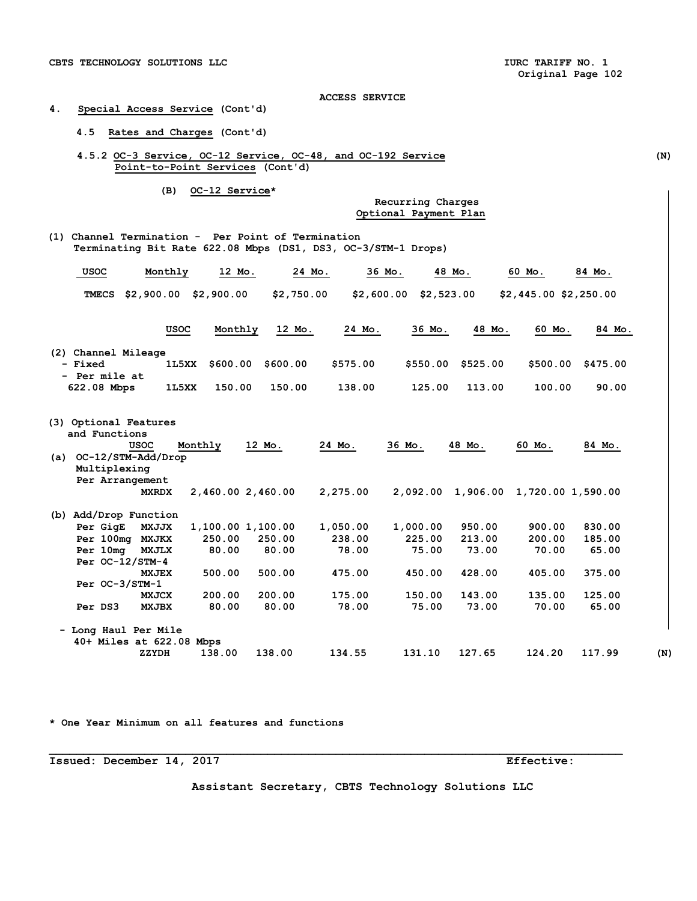## **4. Special Access Service (Cont'd)**

## **4.5 Rates and Charges (Cont'd)**

**4.5.2 OC-3 Service, OC-12 Service, OC-48, and OC-192 Service (N) Point-to-Point Services (Cont'd)** 

 **(B) OC-12 Service\*** 

 **Recurring Charges Optional Payment Plan** 

 **(1) Channel Termination - Per Point of Termination Terminating Bit Rate 622.08 Mbps (DS1, DS3, OC-3/STM-1 Drops)** 

| <b>USOC</b>                                                                        | Monthly                           | 12 Mo.                                | 24 Mo.               | 36 Mo.                  | 48 Mo.           | 60 Mo.                | 84 Mo.           |
|------------------------------------------------------------------------------------|-----------------------------------|---------------------------------------|----------------------|-------------------------|------------------|-----------------------|------------------|
| <b>TMECS</b>                                                                       | $$2,900.00$ $$2,900.00$           |                                       | \$2,750.00           | $$2,600.00$ $$2,523.00$ |                  | \$2,445.00 \$2,250.00 |                  |
|                                                                                    | <b>USOC</b>                       | Monthly                               | 12 Mo.               | 24 Mo.<br>36 Mo.        | 48 Mo.           | 60 Mo.                | 84 Mo.           |
| (2) Channel Mileage<br>- Fixed<br>- Per mile at                                    | 1L5XX                             | \$600.00                              | \$600.00<br>\$575.00 | \$550.00                | \$525.00         | \$500.00              | \$475.00         |
| 622.08 Mbps                                                                        | 1L5XX                             | 150.00                                | 150.00<br>138.00     | 125.00                  | 113.00           | 100.00                | 90.00            |
| (3) Optional Features<br>and Functions<br><b>USOC</b><br>OC-12/STM-Add/Drop<br>(a) | Monthly                           | 12 Mo.                                | 24 Mo.               | 36 Mo.                  | 48 Mo.           | 60 Mo.                | 84 Mo.           |
| Multiplexing<br>Per Arrangement                                                    | <b>MXRDX</b>                      | 2,460.00 2,460.00                     | 2,275.00             | 2,092.00                | 1,906.00         | 1,720.00 1,590.00     |                  |
| (b) Add/Drop Function                                                              |                                   |                                       |                      |                         |                  |                       |                  |
| Per GigE<br>Per 100mg MXJKX                                                        | <b>MXJJX</b>                      | 1,100.00 1,100.00<br>250.00<br>250.00 | 1,050.00<br>238.00   | 1,000.00<br>225.00      | 950.00<br>213.00 | 900.00<br>200.00      | 830.00<br>185.00 |
| Per 10mg<br>Per $OC-12/STM-4$                                                      | <b>MXJLX</b>                      | 80.00<br>80.00                        | 78.00                | 75.00                   | 73.00            | 70.00                 | 65.00            |
| $Per OC-3/STM-1$                                                                   | <b>MXJEX</b>                      | 500.00<br>500.00                      | 475.00               | 450.00                  | 428.00           | 405.00                | 375.00           |
| Per DS3                                                                            | <b>MXJCX</b><br><b>MXJBX</b>      | 200.00<br>200.00<br>80.00<br>80.00    | 175.00<br>78.00      | 150.00<br>75.00         | 143.00<br>73.00  | 135.00<br>70.00       | 125.00<br>65.00  |
| - Long Haul Per Mile                                                               |                                   |                                       |                      |                         |                  |                       |                  |
|                                                                                    | 40+ Miles at 622.08 Mbps<br>ZZYDH | 138.00<br>138.00                      | 134.55               | 131.10                  | 127.65           | 124.20                | 117.99<br>(N)    |

**\* One Year Minimum on all features and functions** 

**Issued: December 14, 2017 Effective:** 

**Assistant Secretary, CBTS Technology Solutions LLC**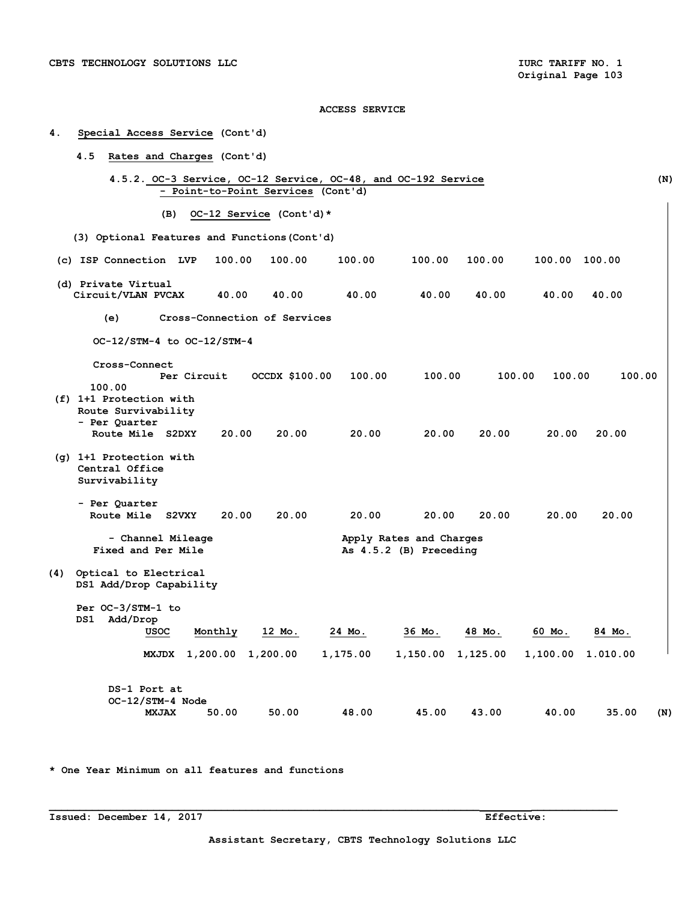| 4.  | Special Access Service (Cont'd)                                                          |         |                                    |          |                                                   |        |               |          |     |
|-----|------------------------------------------------------------------------------------------|---------|------------------------------------|----------|---------------------------------------------------|--------|---------------|----------|-----|
|     | 4.5<br>Rates and Charges (Cont'd)                                                        |         |                                    |          |                                                   |        |               |          |     |
|     | 4.5.2. OC-3 Service, OC-12 Service, OC-48, and OC-192 Service                            |         | - Point-to-Point Services (Cont'd) |          |                                                   |        |               |          | (N) |
|     | (B)                                                                                      |         | OC-12 Service (Cont'd)*            |          |                                                   |        |               |          |     |
|     | (3) Optional Features and Functions (Cont'd)                                             |         |                                    |          |                                                   |        |               |          |     |
|     | (c) ISP Connection LVP                                                                   | 100.00  | 100.00                             | 100.00   | 100.00                                            | 100.00 | 100.00 100.00 |          |     |
|     | (d) Private Virtual<br>Circuit/VLAN PVCAX                                                | 40.00   | 40.00                              | 40.00    | 40.00                                             | 40.00  | 40.00         | 40.00    |     |
|     | (e)                                                                                      |         | Cross-Connection of Services       |          |                                                   |        |               |          |     |
|     | OC-12/STM-4 to OC-12/STM-4                                                               |         |                                    |          |                                                   |        |               |          |     |
|     | Cross-Connect<br>Per Circuit<br>100.00<br>(f) 1+1 Protection with<br>Route Survivability |         | OCCDX \$100.00                     | 100.00   | 100.00                                            | 100.00 | 100.00        | 100.00   |     |
|     | - Per Quarter<br>Route Mile S2DXY                                                        | 20.00   | 20.00                              | 20.00    | 20.00                                             | 20.00  | 20.00         | 20.00    |     |
|     | (g) 1+1 Protection with<br>Central Office<br>Survivability                               |         |                                    |          |                                                   |        |               |          |     |
|     | - Per Quarter<br>Route Mile S2VXY                                                        | 20.00   | 20.00                              | 20.00    | 20.00                                             | 20.00  | 20.00         | 20.00    |     |
|     | - Channel Mileage<br>Fixed and Per Mile                                                  |         |                                    |          | Apply Rates and Charges<br>As 4.5.2 (B) Preceding |        |               |          |     |
| (4) | Optical to Electrical<br>DS1 Add/Drop Capability                                         |         |                                    |          |                                                   |        |               |          |     |
|     | Per OC-3/STM-1 to<br>Add/Drop<br>DS1<br><b>USOC</b>                                      | Monthly | 12 Mo.                             | 24 Mo.   | 36 Mo.                                            | 48 Mo. | 60 Mo.        | 84 Mo.   |     |
|     | MXJDX 1,200.00 1,200.00                                                                  |         |                                    | 1,175.00 | 1,150.00 1,125.00                                 |        | 1,100.00      | 1.010.00 |     |
|     | DS-1 Port at<br>OC-12/STM-4 Node<br><b>MXJAX</b>                                         | 50.00   | 50.00                              | 48.00    | 45.00                                             | 43.00  | 40.00         | 35.00    | (N) |

**\* One Year Minimum on all features and functions** 

**Issued: December 14, 2017** Effective: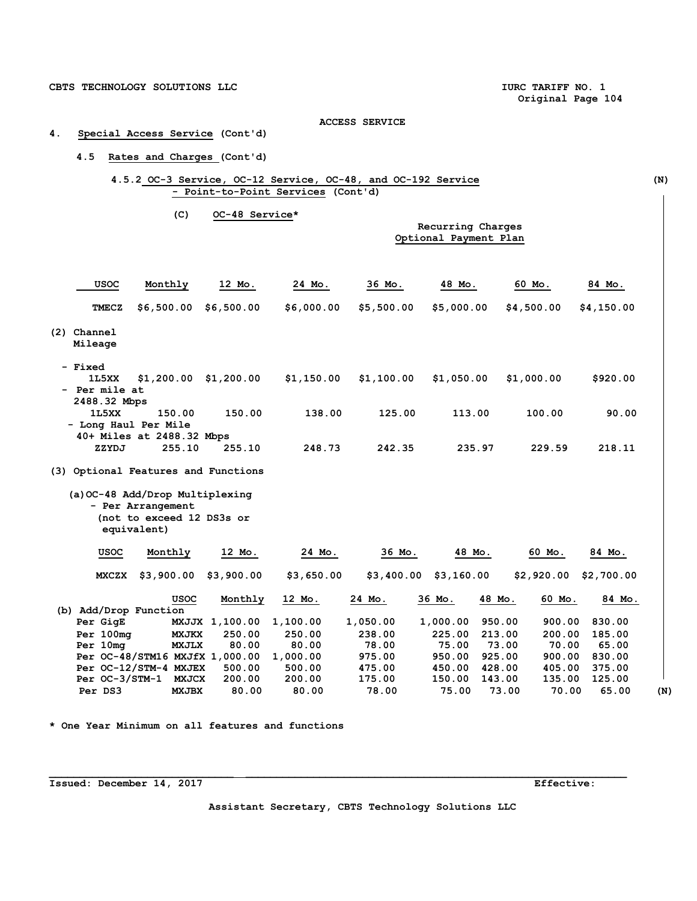## **4. Special Access Service (Cont'd)**

## **4.5 Rates and Charges (Cont'd)**

## **4.5.2 OC-3 Service, OC-12 Service, OC-48, and OC-192 Service (N) - Point-to-Point Services (Cont'd)**

**(C) OC-48 Service\*** 

## **Recurring Charges Optional Payment Plan**

| <b>USOC</b>                         | Monthly                                                                           | 12 Mo.                  | 24 Mo.     | 36 Mo.     | 48 Mo.                  | 60 Mo.     | 84 Mo.           |
|-------------------------------------|-----------------------------------------------------------------------------------|-------------------------|------------|------------|-------------------------|------------|------------------|
| <b>TMECZ</b>                        | \$6,500.00                                                                        | \$6,500.00              | \$6,000.00 | \$5,500.00 | \$5,000.00              | \$4,500.00 | \$4,150.00       |
| (2) Channel                         |                                                                                   |                         |            |            |                         |            |                  |
| Mileage                             |                                                                                   |                         |            |            |                         |            |                  |
| - Fixed                             |                                                                                   |                         |            |            |                         |            |                  |
| 1L5XX                               |                                                                                   | $$1,200.00$ $$1,200.00$ | \$1,150.00 | \$1,100.00 | \$1,050.00              | \$1,000.00 | \$920.00         |
| - Per mile at                       |                                                                                   |                         |            |            |                         |            |                  |
| 2488.32 Mbps                        |                                                                                   |                         |            |            |                         |            |                  |
| 1L5XX                               | 150.00                                                                            | 150.00                  | 138.00     | 125.00     | 113.00                  | 100.00     | 90.00            |
|                                     | - Long Haul Per Mile<br>40+ Miles at 2488.32 Mbps                                 |                         |            |            |                         |            |                  |
| ZZYDJ                               | 255.10                                                                            | 255.10                  | 248.73     | 242.35     | 235.97                  | 229.59     | 218.11           |
|                                     |                                                                                   |                         |            |            |                         |            |                  |
| (3) Optional Features and Functions | (a) OC-48 Add/Drop Multiplexing<br>- Per Arrangement<br>(not to exceed 12 DS3s or |                         |            |            |                         |            |                  |
|                                     | equivalent)                                                                       |                         |            |            |                         |            |                  |
| <b>USOC</b>                         | Monthly                                                                           | 12 Mo.                  | 24 Mo.     | 36 Mo.     | 48 Mo.                  | 60 Mo.     | 84 Mo.           |
| <b>MXCZX</b>                        | \$3,900.00                                                                        | \$3,900.00              | \$3,650.00 |            | $$3,400.00$ $$3,160.00$ | \$2,920.00 | \$2,700.00       |
|                                     | <b>USOC</b>                                                                       | Monthly                 | 12 Mo.     | 24 Mo.     | 36 Mo.                  | 48 Mo.     | 60 Mo.<br>84 Mo. |
| (b) Add/Drop Function               |                                                                                   |                         |            |            |                         |            |                  |
| Per GigE                            |                                                                                   | MXJJX 1,100.00          | 1,100.00   | 1,050.00   | 1,000.00                | 950.00     | 900.00<br>830.00 |
| Per 100mg                           | <b>MXJKX</b>                                                                      | 250.00                  | 250.00     | 238.00     | 225.00                  | 213.00     | 200.00<br>185.00 |
| Per 10mg                            | <b>MXJLX</b>                                                                      | 80.00                   | 80.00      | 78.00      | 75.00                   | 73.00      | 70.00<br>65.00   |
|                                     | Per OC-48/STM16 MXJfX 1,000.00                                                    |                         | 1,000.00   | 975.00     | 950.00                  | 925.00     | 900.00<br>830.00 |
|                                     | Per OC-12/STM-4 MXJEX                                                             | 500.00                  | 500.00     | 475.00     | 450.00                  | 428.00     | 405.00<br>375.00 |
|                                     | Per OC-3/STM-1 MXJCX                                                              | 200.00                  | 200.00     | 175.00     | 150.00                  | 143.00     | 135.00<br>125.00 |
| Per DS3                             | <b>MXJBX</b>                                                                      | 80.00                   | 80.00      | 78.00      | 75.00                   | 73.00      | 70.00<br>65.00   |

**\* One Year Minimum on all features and functions** 

**Issued: December 14, 2017 Effective:** 

**Assistant Secretary, CBTS Technology Solutions LLC**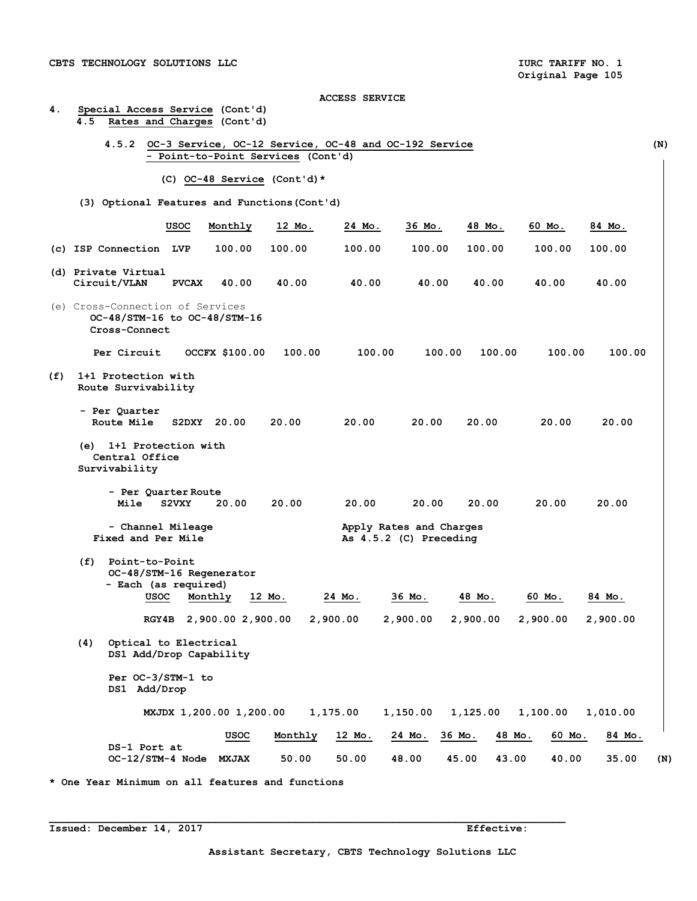**4. Special Access Service (Cont'd)** 

#### **ACCESS SERVICE**

|     |     | 4.5.2                                                                             |              | - Point-to-Point Services (Cont'd) |         | OC-3 Service, OC-12 Service, OC-48 and OC-192 Service |                                                   |                  |          |          |
|-----|-----|-----------------------------------------------------------------------------------|--------------|------------------------------------|---------|-------------------------------------------------------|---------------------------------------------------|------------------|----------|----------|
|     |     |                                                                                   |              | (C) $OC-48$ Service (Cont'd) *     |         |                                                       |                                                   |                  |          |          |
|     |     | (3) Optional Features and Functions (Cont'd)                                      |              |                                    |         |                                                       |                                                   |                  |          |          |
|     |     |                                                                                   | usoc         | Monthly                            | 12 Mo.  | 24 Mo.                                                | 36 Mo.                                            | 48 Mo.           | 60 Mo.   | 84 Mo.   |
|     |     | (c) ISP Connection LVP                                                            |              | 100.00                             | 100.00  | 100.00                                                | 100.00                                            | 100.00           | 100.00   | 100.00   |
|     |     | (d) Private Virtual<br>Circuit/VLAN                                               | <b>PVCAX</b> | 40.00                              | 40.00   | 40.00                                                 | 40.00                                             | 40.00            | 40.00    | 40.00    |
|     |     | (e) Cross-Connection of Services<br>OC-48/STM-16 to OC-48/STM-16<br>Cross-Connect |              |                                    |         |                                                       |                                                   |                  |          |          |
|     |     | Per Circuit                                                                       |              | <b>OCCFX \$100.00</b>              | 100.00  | 100.00                                                | 100.00                                            | 100.00           | 100.00   | 100.00   |
| (f) |     | 1+1 Protection with<br>Route Survivability                                        |              |                                    |         |                                                       |                                                   |                  |          |          |
|     |     | - Per Quarter<br>Route Mile                                                       |              | S2DXY 20.00                        | 20.00   | 20.00                                                 | 20.00                                             | 20.00            | 20.00    | 20.00    |
|     | (e) | 1+1 Protection with<br>Central Office<br>Survivability                            |              |                                    |         |                                                       |                                                   |                  |          |          |
|     |     | - Per Quarter Route<br>Mile                                                       | S2VXY        | 20.00                              | 20.00   | 20.00                                                 | 20.00                                             | 20.00            | 20.00    | 20.00    |
|     |     | - Channel Mileage<br>Fixed and Per Mile                                           |              |                                    |         |                                                       | Apply Rates and Charges<br>As 4.5.2 (C) Preceding |                  |          |          |
|     | (f) | Point-to-Point<br>OC-48/STM-16 Regenerator<br>- Each (as required)<br>usoc        |              | Monthly                            | 12 Mo.  | 24 Mo.                                                | 36 Mo.                                            | 48 Mo.           | 60 Mo.   | 84 Mo.   |
|     |     | RGY4B                                                                             |              | 2,900.00 2,900.00                  |         | 2,900.00                                              | 2,900.00                                          | 2,900.00         | 2,900.00 | 2,900.00 |
|     | (4) | Optical to Electrical<br>DS1 Add/Drop Capability                                  |              |                                    |         |                                                       |                                                   |                  |          |          |
|     |     | Per OC-3/STM-1 to<br>DS1 Add/Drop                                                 |              |                                    |         |                                                       |                                                   |                  |          |          |
|     |     |                                                                                   |              | MXJDX 1,200.00 1,200.00            |         | 1,175.00                                              | 1,150.00                                          | 1,125.00         | 1,100.00 | 1,010.00 |
|     |     |                                                                                   |              | usoc                               | Monthly | 12 Mo.                                                | 24 Mo.                                            | 48 Mo.<br>36 Mo. | 60 Mo.   | 84 Mo.   |
|     |     | DS-1 Port at<br>OC-12/STM-4 Node MXJAX                                            |              |                                    | 50.00   | 50.00                                                 | 48.00                                             | 45.00<br>43.00   | 40.00    | 35.00    |

**Issued: December 14, 2017** Effective: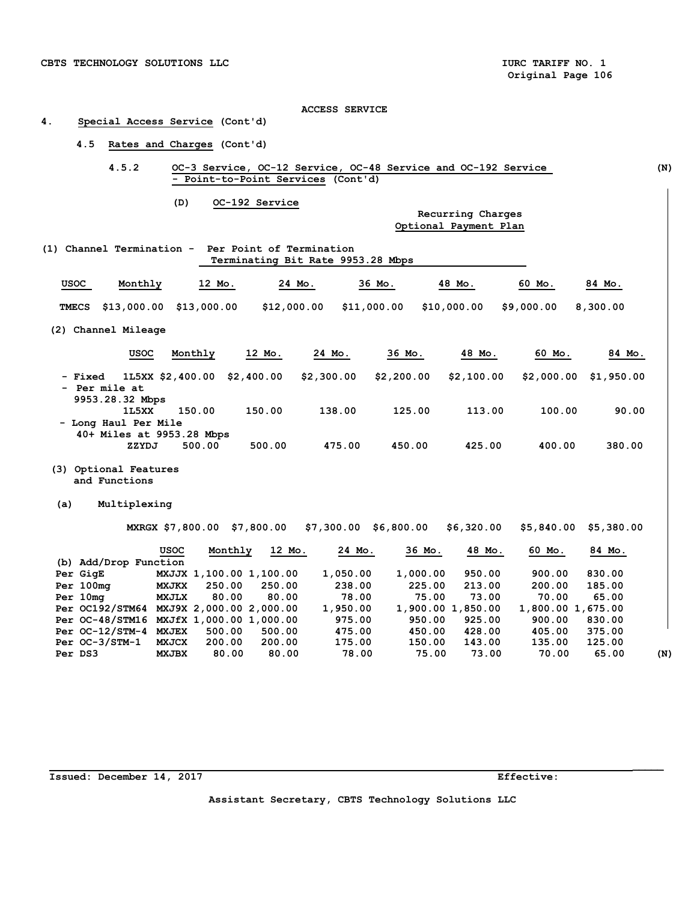## **4. Special Access Service (Cont'd)**

## **4.5 Rates and Charges (Cont'd)**

 **4.5.2 OC-3 Service, OC-12 Service, OC-48 Service and OC-192 Service (N) - Point-to-Point Services (Cont'd)** 

**(D) OC-192 Service** 

#### **Recurring Charges Optional Payment Plan**

|              | $(1)$ Channel Termination -      |                  |            | Per Point of Termination<br>Terminating Bit Rate 9953.28 Mbps |             |             |            |            |
|--------------|----------------------------------|------------------|------------|---------------------------------------------------------------|-------------|-------------|------------|------------|
| USOC         | Monthly                          | 12 Mo.           |            | 24 Mo.                                                        | 36 Mo.      | 48 Mo.      | 60 Mo.     | 84 Mo.     |
| <b>TMECS</b> | \$13,000.00                      | \$13,000.00      |            | \$12,000.00                                                   | \$11,000.00 | \$10,000.00 | \$9,000.00 | 8,300.00   |
|              | (2) Channel Mileage              |                  |            |                                                               |             |             |            |            |
|              | <b>USOC</b>                      | Monthly          | 12 Mo.     | 24 Mo.                                                        | 36 Mo.      | 48 Mo.      | 60 Mo.     | 84 Mo.     |
| - Fixed      | - Per mile at<br>QQ53 28 32 Mhne | 1L5XX \$2,400.00 | \$2,400.00 | \$2,300.00                                                    | \$2,200.00  | \$2,100.00  | \$2,000.00 | \$1,950.00 |

- **9953.28.32 Mbps 1L5XX 150.00 150.00 138.00 125.00 113.00 100.00 90.00 - Long Haul Per Mile 40+ Miles at 9953.28 Mbps ZZYDJ 500.00 500.00 475.00 450.00 425.00 400.00 380.00**
- **(3) Optional Features and Functions**
- **(a) Multiplexing**

 **MXRGX \$7,800.00 \$7,800.00 \$7,300.00 \$6,800.00 \$6,320.00 \$5,840.00 \$5,380.00** 

|         |                                         | <b>USOC</b>  | Monthly                 | 12 Mo. | 24 Mo.   | 36 Mo.   | 48 Mo.            | 60 Mo.            | 84 Mo. |     |
|---------|-----------------------------------------|--------------|-------------------------|--------|----------|----------|-------------------|-------------------|--------|-----|
|         | (b) Add/Drop Function                   |              |                         |        |          |          |                   |                   |        |     |
|         | Per GigE                                |              | MXJJX 1,100.00 1,100.00 |        | 1,050.00 | 1,000.00 | 950.00            | 900.00            | 830.00 |     |
|         | Per 100mg                               | <b>MXJKX</b> | 250.00                  | 250.00 | 238.00   | 225.00   | 213.00            | 200.00            | 185.00 |     |
|         | Per 10mg                                | <b>MXJLX</b> | 80.00                   | 80.00  | 78.00    | 75.00    | 73.00             | 70.00             | 65.00  |     |
|         | Per OC192/STM64 MXJ9X 2,000.00 2,000.00 |              |                         |        | 1,950.00 |          | 1,900.00 1,850.00 | 1,800.00 1,675.00 |        |     |
|         | Per OC-48/STM16 MXJfX 1,000.00 1,000.00 |              |                         |        | 975.00   | 950.00   | 925.00            | 900.00            | 830.00 |     |
|         | $Per$ OC-12/STM-4                       | <b>MXJEX</b> | 500.00                  | 500.00 | 475.00   | 450.00   | 428.00            | 405.00            | 375.00 |     |
|         | Per OC-3/STM-1                          | <b>MXJCX</b> | 200.00                  | 200.00 | 175.00   | 150.00   | 143.00            | 135.00            | 125.00 |     |
| Per DS3 |                                         | <b>MXJBX</b> | 80.00                   | 80.00  | 78.00    | 75.00    | 73.00             | 70.00             | 65.00  | (N) |

 **\_\_\_\_\_**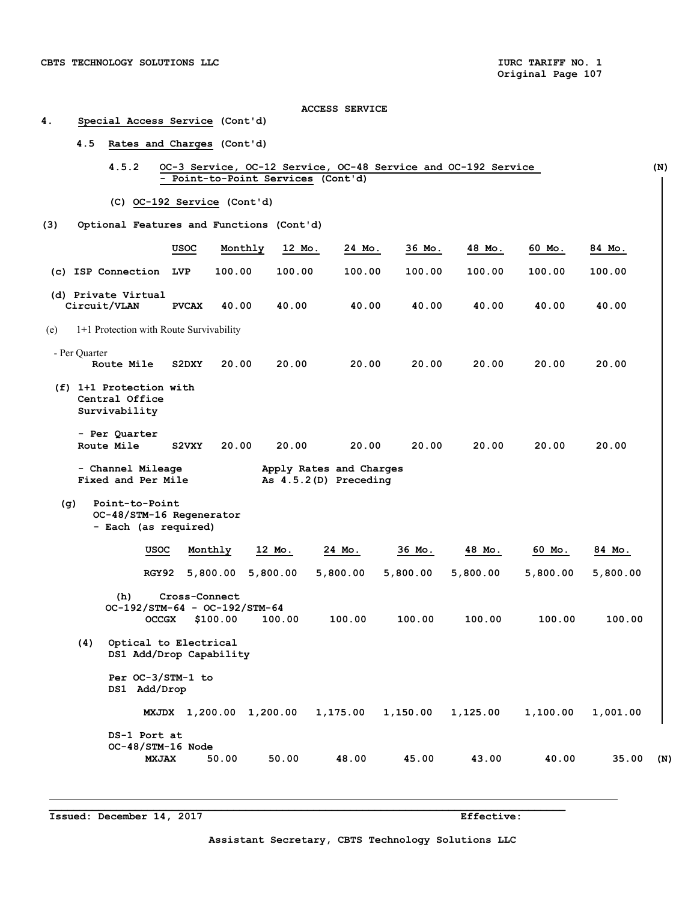## ACCESS SERVICE<br>4. Special Access Service (Cont'd) **4. Special Access Service (Cont'd)**

## **4.5 Rates and Charges (Cont'd)**

| OC-3 Service, OC-12 Service, OC-48 Service and OC-192 Service | (N) |
|---------------------------------------------------------------|-----|
| - Point-to-Point Services (Cont'd)                            |     |
|                                                               |     |
| (C) OC-192 Service (Cont'd)                                   |     |

## **(3) Optional Features and Functions (Cont'd)**

|     |                                                        | <b>USOC</b>  | Monthly | 12 Mo.                                           | 24 Mo. | 36 Mo. | 48 Mo. | 60 Mo. | 84 Mo. |
|-----|--------------------------------------------------------|--------------|---------|--------------------------------------------------|--------|--------|--------|--------|--------|
| (c) | ISP Connection                                         | <b>LVP</b>   | 100.00  | 100.00                                           | 100.00 | 100.00 | 100.00 | 100.00 | 100.00 |
|     | (d) Private Virtual<br>Circuit/VLAN                    | <b>PVCAX</b> | 40.00   | 40.00                                            | 40.00  | 40.00  | 40.00  | 40.00  | 40.00  |
| (e) | 1+1 Protection with Route Survivability                |              |         |                                                  |        |        |        |        |        |
|     | - Per Quarter<br>Route Mile                            | S2DXY        | 20.00   | 20.00                                            | 20.00  | 20.00  | 20.00  | 20.00  | 20.00  |
| (f) | 1+1 Protection with<br>Central Office<br>Survivability |              |         |                                                  |        |        |        |        |        |
|     | - Per Quarter<br>Route Mile                            | S2VXY        | 20.00   | 20.00                                            | 20.00  | 20.00  | 20.00  | 20.00  | 20.00  |
|     | - Channel Mileage<br>Fixed and Per Mile                |              |         | Apply Rates and Charges<br>As 4.5.2(D) Preceding |        |        |        |        |        |

## **(g) Point-to-Point OC-48/STM-16 Regenerator**

 **- Each (as required)** 

|     | USOC                                             | Monthly       | 12 Mo.   | 24 Mo.   | 36 Mo.   | 48 Mo.   | 60 Mo.   | 84 Mo.       |
|-----|--------------------------------------------------|---------------|----------|----------|----------|----------|----------|--------------|
|     | RGY92                                            | 5,800.00      | 5,800.00 | 5,800.00 | 5,800.00 | 5,800.00 | 5,800.00 | 5,800.00     |
|     | (h)                                              | Cross-Connect |          |          |          |          |          |              |
|     | $OC-192/STM-64 - OC-192/STM-64$<br><b>OCCGX</b>  | \$100.00      | 100.00   | 100.00   | 100.00   | 100.00   | 100.00   | 100.00       |
| (4) | Optical to Electrical<br>DS1 Add/Drop Capability |               |          |          |          |          |          |              |
|     | Per OC-3/STM-1 to<br>DS1 Add/Drop                |               |          |          |          |          |          |              |
|     | <b>MXJDX</b>                                     | 1,200.00      | 1,200.00 | 1,175.00 | 1,150.00 | 1,125.00 | 1,100.00 | 1,001.00     |
|     | DS-1 Port at                                     |               |          |          |          |          |          |              |
|     | OC-48/STM-16 Node<br><b>MXJAX</b>                | 50.00         | 50.00    | 48.00    | 45.00    | 43.00    | 40.00    | 35.00<br>(N) |

 $\mathcal{L}_\mathcal{L} = \{ \mathcal{L}_\mathcal{L} = \{ \mathcal{L}_\mathcal{L} = \{ \mathcal{L}_\mathcal{L} = \{ \mathcal{L}_\mathcal{L} = \{ \mathcal{L}_\mathcal{L} = \{ \mathcal{L}_\mathcal{L} = \{ \mathcal{L}_\mathcal{L} = \{ \mathcal{L}_\mathcal{L} = \{ \mathcal{L}_\mathcal{L} = \{ \mathcal{L}_\mathcal{L} = \{ \mathcal{L}_\mathcal{L} = \{ \mathcal{L}_\mathcal{L} = \{ \mathcal{L}_\mathcal{L} = \{ \mathcal{L}_\mathcal{$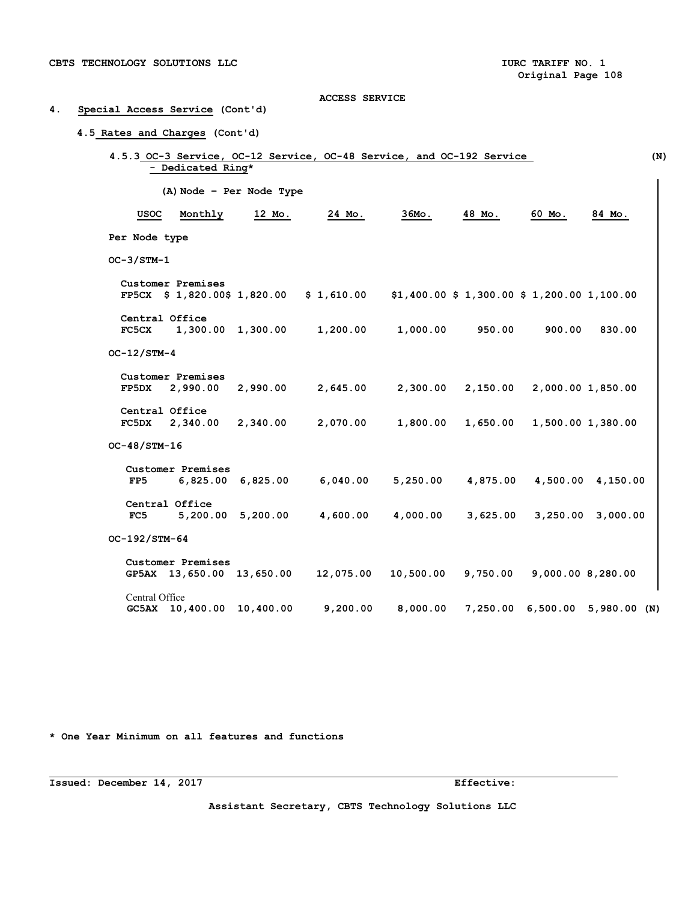## **4. Special Access Service (Cont'd)**

## $4.51$

| (A) Node - Per Node Type<br><b>USOC</b><br>Monthly<br>$36MO$ .<br>48 Mo.<br>60 Mo.<br>12 Mo.<br>24 Mo.<br>Per Node type<br>$OC-3/STM-1$<br>Customer Premises<br>$$1,400.00 $1,300.00 $1,200.00 1,100.00$<br>$FP5CX$ \$ 1,820.00\$ 1,820.00<br>\$1,610.00<br>Central Office<br>1,200.00<br>1,000.00<br>950.00<br>900.00<br><b>FC5CX</b><br>1,300.00 1,300.00<br>$OC-12/STM-4$<br>Customer Premises<br>FP5DX<br>2,990.00<br>2,990.00<br>2,645.00<br>2,300.00<br>2,150.00<br>2,000.00 1,850.00<br>Central Office<br>2,070.00<br>1,800.00<br>1,650.00<br>1,500.00 1,380.00<br><b>FC5DX</b><br>2,340.00<br>2,340.00<br>OC-48/STM-16<br>Customer Premises<br>6,040.00<br>5,250.00<br>4,875.00<br>4,500.00 4,150.00<br>FP5<br>6,825.00 6,825.00<br>Central Office<br>5,200.00 5,200.00<br>4,600.00<br>4,000.00<br>3,625.00<br>3,250.00<br>3,000.00<br>FC5<br>OC-192/STM-64<br>Customer Premises<br>10,500.00<br>9,750.00<br>9,000.00 8,280.00<br>GP5AX 13,650.00 13,650.00<br>12,075.00 | - Dedicated Ring* |  |  |        |
|----------------------------------------------------------------------------------------------------------------------------------------------------------------------------------------------------------------------------------------------------------------------------------------------------------------------------------------------------------------------------------------------------------------------------------------------------------------------------------------------------------------------------------------------------------------------------------------------------------------------------------------------------------------------------------------------------------------------------------------------------------------------------------------------------------------------------------------------------------------------------------------------------------------------------------------------------------------------------------|-------------------|--|--|--------|
|                                                                                                                                                                                                                                                                                                                                                                                                                                                                                                                                                                                                                                                                                                                                                                                                                                                                                                                                                                                  |                   |  |  |        |
|                                                                                                                                                                                                                                                                                                                                                                                                                                                                                                                                                                                                                                                                                                                                                                                                                                                                                                                                                                                  |                   |  |  | 84 Mo. |
|                                                                                                                                                                                                                                                                                                                                                                                                                                                                                                                                                                                                                                                                                                                                                                                                                                                                                                                                                                                  |                   |  |  |        |
|                                                                                                                                                                                                                                                                                                                                                                                                                                                                                                                                                                                                                                                                                                                                                                                                                                                                                                                                                                                  |                   |  |  |        |
|                                                                                                                                                                                                                                                                                                                                                                                                                                                                                                                                                                                                                                                                                                                                                                                                                                                                                                                                                                                  |                   |  |  |        |
|                                                                                                                                                                                                                                                                                                                                                                                                                                                                                                                                                                                                                                                                                                                                                                                                                                                                                                                                                                                  |                   |  |  |        |
|                                                                                                                                                                                                                                                                                                                                                                                                                                                                                                                                                                                                                                                                                                                                                                                                                                                                                                                                                                                  |                   |  |  | 830.00 |
|                                                                                                                                                                                                                                                                                                                                                                                                                                                                                                                                                                                                                                                                                                                                                                                                                                                                                                                                                                                  |                   |  |  |        |
|                                                                                                                                                                                                                                                                                                                                                                                                                                                                                                                                                                                                                                                                                                                                                                                                                                                                                                                                                                                  |                   |  |  |        |
|                                                                                                                                                                                                                                                                                                                                                                                                                                                                                                                                                                                                                                                                                                                                                                                                                                                                                                                                                                                  |                   |  |  |        |
|                                                                                                                                                                                                                                                                                                                                                                                                                                                                                                                                                                                                                                                                                                                                                                                                                                                                                                                                                                                  |                   |  |  |        |
|                                                                                                                                                                                                                                                                                                                                                                                                                                                                                                                                                                                                                                                                                                                                                                                                                                                                                                                                                                                  |                   |  |  |        |
|                                                                                                                                                                                                                                                                                                                                                                                                                                                                                                                                                                                                                                                                                                                                                                                                                                                                                                                                                                                  |                   |  |  |        |
|                                                                                                                                                                                                                                                                                                                                                                                                                                                                                                                                                                                                                                                                                                                                                                                                                                                                                                                                                                                  |                   |  |  |        |
|                                                                                                                                                                                                                                                                                                                                                                                                                                                                                                                                                                                                                                                                                                                                                                                                                                                                                                                                                                                  |                   |  |  |        |
|                                                                                                                                                                                                                                                                                                                                                                                                                                                                                                                                                                                                                                                                                                                                                                                                                                                                                                                                                                                  |                   |  |  |        |
|                                                                                                                                                                                                                                                                                                                                                                                                                                                                                                                                                                                                                                                                                                                                                                                                                                                                                                                                                                                  |                   |  |  |        |
|                                                                                                                                                                                                                                                                                                                                                                                                                                                                                                                                                                                                                                                                                                                                                                                                                                                                                                                                                                                  |                   |  |  |        |
|                                                                                                                                                                                                                                                                                                                                                                                                                                                                                                                                                                                                                                                                                                                                                                                                                                                                                                                                                                                  |                   |  |  |        |

 **GC5AX 10,400.00 10,400.00 9,200.00 8,000.00 7,250.00 6,500.00 5,980.00 (N)** 

**\* One Year Minimum on all features and functions** 

**Issued: December 14, 2017 Effective:** 

**Assistant Secretary, CBTS Technology Solutions LLC**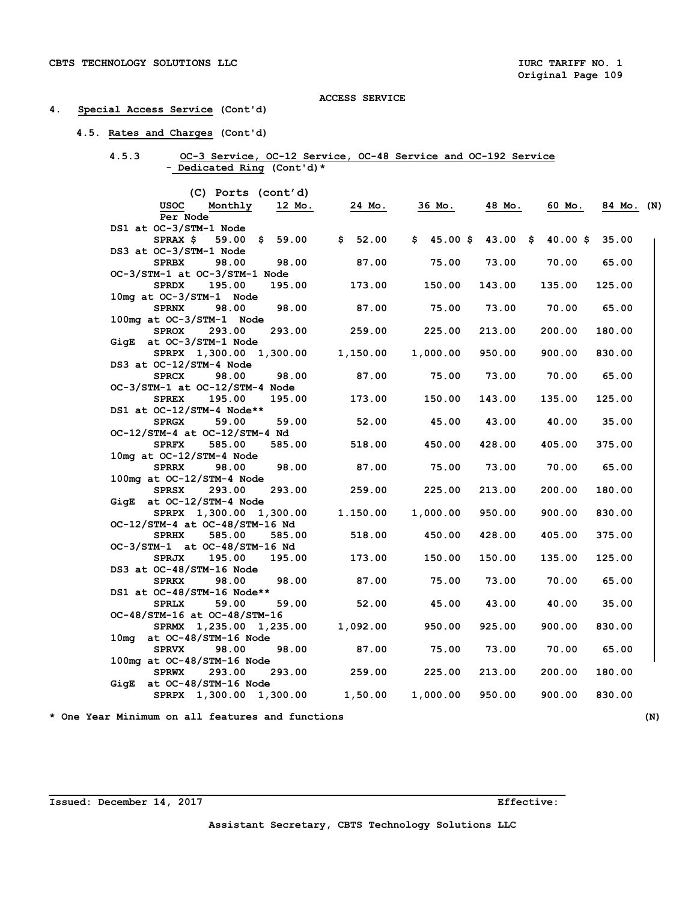## **4. Special Access Service (Cont'd)**

## **4.5. Rates and Charges (Cont'd)**

| 4.5.3 |                            | OC-3 Service, OC-12 Service, OC-48 Service and OC-192 Service |  |  |
|-------|----------------------------|---------------------------------------------------------------|--|--|
|       | - Dedicated Ring (Cont'd)* |                                                               |  |  |

| (C) Ports (cont'd)             |                      |               |                     |        |            |            |  |
|--------------------------------|----------------------|---------------|---------------------|--------|------------|------------|--|
| Monthly<br>usoc                | 12 Mo.               | <u>24 Мо.</u> | 36 Mo.              | 48 Mo. | 60 Mo.     | 84 Mo. (N) |  |
| Per Node                       |                      |               |                     |        |            |            |  |
| DS1 at OC-3/STM-1 Node         |                      |               |                     |        |            |            |  |
| SPRAX \$                       | $59.00 \quad $59.00$ | \$52.00       | $$45.00 \$43.00 \$$ |        | $40.00$ \$ | 35.00      |  |
| DS3 at OC-3/STM-1 Node         |                      |               |                     |        |            |            |  |
| 98.00<br><b>SPRBX</b>          | 98.00                | 87.00         | 75.00               | 73.00  | 70.00      | 65.00      |  |
| OC-3/STM-1 at OC-3/STM-1 Node  |                      |               |                     |        |            |            |  |
| <b>SPRDX</b><br>195.00         | 195.00               | 173.00        | 150.00              | 143.00 | 135.00     | 125.00     |  |
| 10mg at OC-3/STM-1 Node        |                      |               |                     |        |            |            |  |
| <b>SPRNX</b><br>98.00          | 98.00                | 87.00         | 75.00               | 73.00  | 70.00      | 65.00      |  |
| 100mg at OC-3/STM-1 Node       |                      |               |                     |        |            |            |  |
| 293.00<br><b>SPROX</b>         | 293.00               | 259.00        | 225.00              | 213.00 | 200.00     | 180.00     |  |
| GigE at OC-3/STM-1 Node        |                      |               |                     |        |            |            |  |
| SPRPX 1,300.00 1,300.00        |                      | 1,150.00      | 1,000.00            | 950.00 | 900.00     | 830.00     |  |
| DS3 at OC-12/STM-4 Node        |                      |               |                     |        |            |            |  |
| <b>SPRCX</b><br>98.00          | 98.00                | 87.00         | 75.00               | 73.00  | 70.00      | 65.00      |  |
| OC-3/STM-1 at OC-12/STM-4 Node |                      |               |                     |        |            |            |  |
| 195.00<br><b>SPREX</b>         | 195.00               | 173.00        | 150.00              | 143.00 | 135.00     | 125.00     |  |
| DS1 at OC-12/STM-4 Node**      |                      |               |                     |        |            |            |  |
| 59.00<br><b>SPRGX</b>          | 59.00                | 52.00         | 45.00               | 43.00  | 40.00      | 35.00      |  |
| OC-12/STM-4 at OC-12/STM-4 Nd  |                      |               |                     |        |            |            |  |
| <b>SPRFX</b><br>585.00         | 585.00               | 518.00        | 450.00              | 428.00 | 405.00     | 375.00     |  |
| 10mg at OC-12/STM-4 Node       |                      |               |                     |        |            |            |  |
| <b>SPRRX</b><br>98.00          | 98.00                | 87.00         | 75.00               | 73.00  | 70.00      | 65.00      |  |
| 100mg at OC-12/STM-4 Node      |                      |               |                     |        |            |            |  |
| <b>SPRSX</b><br>293.00         | 293.00               | 259.00        | 225.00              | 213.00 | 200.00     | 180.00     |  |
| GigE at OC-12/STM-4 Node       |                      |               |                     |        |            |            |  |
| SPRPX 1,300.00 1,300.00        |                      | 1.150.00      | 1,000.00            | 950.00 | 900.00     | 830.00     |  |
| OC-12/STM-4 at OC-48/STM-16 Nd |                      |               |                     |        |            |            |  |
| <b>SPRHX</b><br>585.00         | 585.00               | 518.00        | 450.00              | 428.00 | 405.00     | 375.00     |  |
| OC-3/STM-1 at OC-48/STM-16 Nd  |                      |               |                     |        |            |            |  |
| 195.00<br><b>SPRJX</b>         | 195.00               | 173.00        | 150.00              | 150.00 | 135.00     | 125.00     |  |
| DS3 at OC-48/STM-16 Node       |                      |               |                     |        |            |            |  |
| <b>SPRKX</b><br>98.00          | 98.00                | 87.00         | 75.00               | 73.00  | 70.00      | 65.00      |  |
| DS1 at OC-48/STM-16 Node**     |                      |               |                     |        |            |            |  |
| <b>SPRLX</b><br>59.00          | 59.00                | 52.00         | 45.00               | 43.00  | 40.00      | 35.00      |  |
| OC-48/STM-16 at OC-48/STM-16   |                      |               |                     |        |            |            |  |
| SPRMX 1,235.00 1,235.00        |                      | 1,092.00      | 950.00              | 925.00 | 900.00     | 830.00     |  |
| 10mg at OC-48/STM-16 Node      |                      |               |                     |        |            |            |  |
| <b>SPRVX</b><br>98.00          | 98.00                | 87.00         | 75.00               | 73.00  | 70.00      | 65.00      |  |
| 100mg at OC-48/STM-16 Node     |                      |               |                     |        |            |            |  |
| 293.00<br><b>SPRWX</b>         | 293.00               | 259.00        | 225.00              | 213.00 | 200.00     | 180.00     |  |
| GigE at OC-48/STM-16 Node      |                      |               |                     |        |            |            |  |
| SPRPX 1,300.00 1,300.00        |                      | 1,50.00       | 1,000.00            | 950.00 | 900.00     | 830.00     |  |
|                                |                      |               |                     |        |            |            |  |

**\* One Year Minimum on all features and functions (N)** 

**Issued: December 14, 2017 Effective:**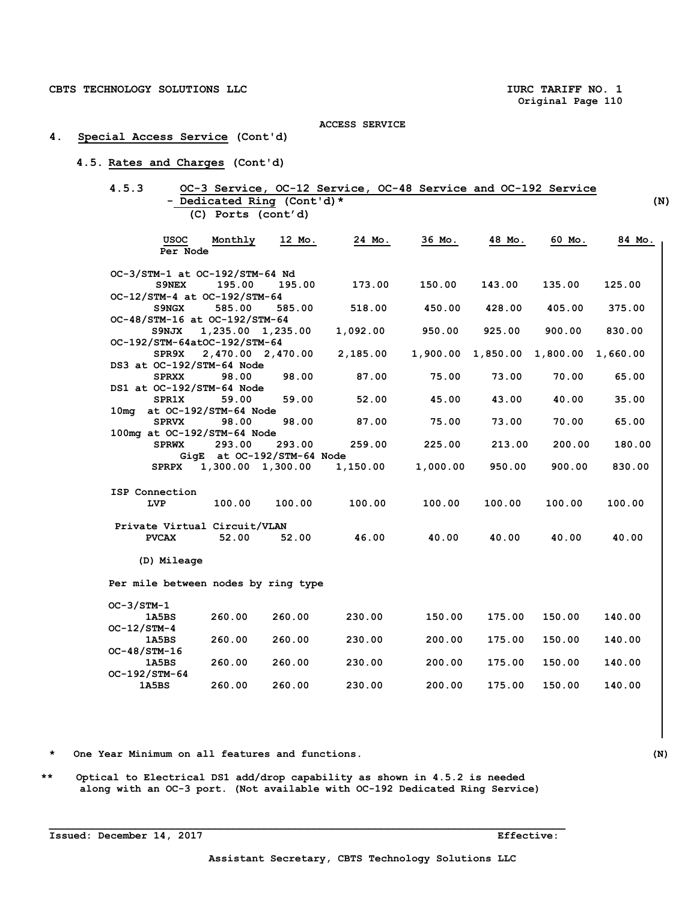## **4. Special Access Service (Cont'd)**

## **4.5. Rates and Charges (Cont'd)**

## **4.5.3 OC-3 Service, OC-12 Service, OC-48 Service and OC-192 Service - Dedicated Ring (Cont'd)\* (N) (C) Ports (cont'd)**

| <b>USOC</b><br>Per Node                        | Monthly               | 12 Mo.                     | 24 Mo.   | 36 Mo.   | 48 Mo.   | 60 Mo.   | 84 Mo.   |  |
|------------------------------------------------|-----------------------|----------------------------|----------|----------|----------|----------|----------|--|
|                                                |                       |                            |          |          |          |          |          |  |
| OC-3/STM-1 at OC-192/STM-64 Nd<br><b>S9NEX</b> | 195.00                | 195.00                     | 173.00   | 150.00   | 143.00   | 135.00   | 125.00   |  |
| OC-12/STM-4 at OC-192/STM-64                   |                       |                            |          |          |          |          |          |  |
| S9NGX                                          | 585.00                | 585.00                     | 518.00   | 450.00   | 428.00   | 405.00   | 375.00   |  |
| OC-48/STM-16 at OC-192/STM-64                  |                       |                            |          |          |          |          |          |  |
| S9NJX                                          |                       | 1,235.00 1,235.00          | 1,092.00 | 950.00   | 925.00   | 900.00   | 830.00   |  |
| OC-192/STM-64atOC-192/STM-64                   |                       |                            |          |          |          |          |          |  |
| SPR9X                                          |                       | 2,470.00 2,470.00          | 2,185.00 | 1,900.00 | 1,850.00 | 1,800.00 | 1,660.00 |  |
| DS3 at OC-192/STM-64 Node                      |                       |                            |          |          |          |          |          |  |
| <b>SPRXX</b>                                   | 98.00                 | 98.00                      | 87.00    | 75.00    | 73.00    | 70.00    | 65.00    |  |
| DS1 at OC-192/STM-64 Node                      |                       |                            |          |          |          |          |          |  |
| <b>SPR1X</b>                                   | 59.00                 | 59.00                      | 52.00    | 45.00    | 43.00    | 40.00    | 35.00    |  |
| 10ma                                           | at OC-192/STM-64 Node |                            |          |          |          |          |          |  |
| <b>SPRVX</b>                                   | 98.00                 | 98.00                      | 87.00    | 75.00    | 73.00    | 70.00    | 65.00    |  |
| 100mg at OC-192/STM-64 Node                    |                       |                            |          |          |          |          |          |  |
| <b>SPRWX</b>                                   | 293.00                | 293.00                     | 259.00   | 225.00   | 213.00   | 200.00   | 180.00   |  |
|                                                |                       | GigE at OC-192/STM-64 Node |          |          |          |          |          |  |
|                                                |                       | SPRPX 1,300.00 1,300.00    | 1,150.00 | 1,000.00 | 950.00   | 900.00   | 830.00   |  |
| ISP Connection                                 |                       |                            |          |          |          |          |          |  |
| <b>LVP</b>                                     | 100.00                | 100.00                     | 100.00   | 100.00   | 100.00   | 100.00   | 100.00   |  |
| Private Virtual Circuit/VLAN                   |                       |                            |          |          |          |          |          |  |
| <b>PVCAX</b>                                   | 52.00                 | 52.00                      | 46.00    | 40.00    | 40.00    | 40.00    | 40.00    |  |
| (D) Mileage                                    |                       |                            |          |          |          |          |          |  |
| Per mile between nodes by ring type            |                       |                            |          |          |          |          |          |  |
| $OC-3/STM-1$                                   |                       |                            |          |          |          |          |          |  |
| 1A5BS                                          | 260.00                | 260.00                     | 230.00   | 150.00   | 175.00   | 150.00   | 140.00   |  |
| $OC-12/STM-4$                                  |                       |                            |          |          |          |          |          |  |
| 1A5BS                                          | 260.00                | 260.00                     | 230.00   | 200.00   | 175.00   | 150.00   | 140.00   |  |
| $OC-48/STM-16$                                 |                       |                            |          |          |          |          |          |  |
| 1A5BS                                          | 260.00                | 260.00                     | 230.00   | 200.00   | 175.00   | 150.00   | 140.00   |  |
| OC-192/STM-64                                  |                       |                            |          |          |          |          |          |  |
| 1A5BS                                          | 260.00                | 260.00                     | 230.00   | 200.00   | 175.00   | 150.00   | 140.00   |  |

- **\* One Year Minimum on all features and functions. (N)**
- **\*\* Optical to Electrical DS1 add/drop capability as shown in 4.5.2 is needed along with an OC-3 port. (Not available with OC-192 Dedicated Ring Service)**

**\_\_\_\_\_\_\_\_\_\_\_\_\_\_\_\_\_\_\_\_\_\_\_\_\_\_\_\_\_\_\_\_\_\_\_\_\_\_\_\_\_\_\_\_\_\_\_\_\_\_\_\_\_\_\_\_\_\_\_\_\_\_\_\_\_\_\_\_\_\_\_\_\_\_\_\_\_\_\_\_\_\_\_\_** 

 **1A5BS 260.00 260.00 230.00 200.00 175.00 150.00 140.00**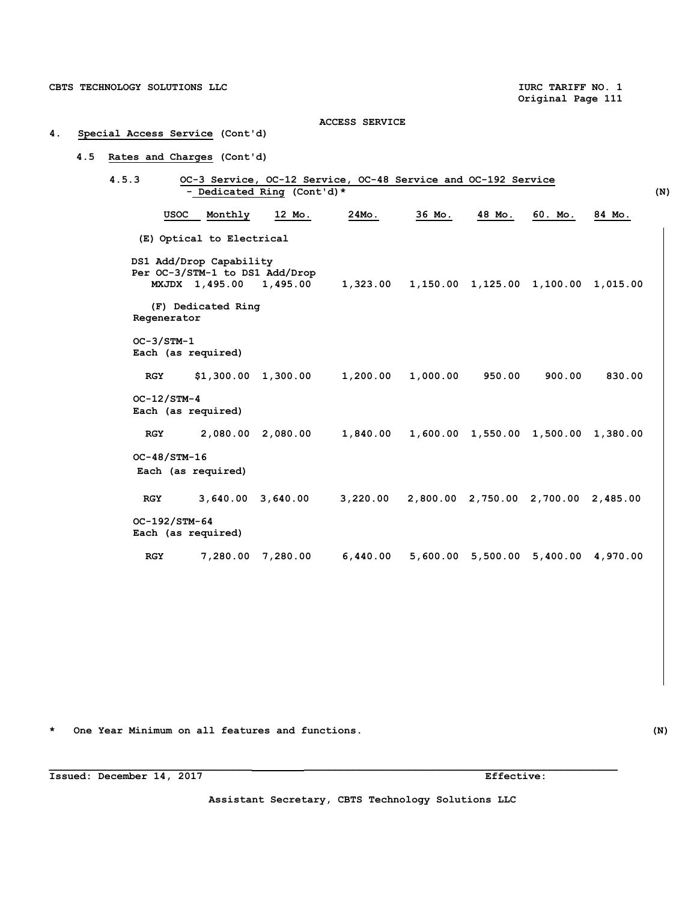# **4. Special Access Service (Cont'd)**

## **4.5 Rates and Charges (Cont'd)**

| 4.5.3 |               | OC-3 Service, OC-12 Service, OC-48 Service and OC-192 Service<br>- Dedicated Ring (Cont'd)* |                   |                                   |                                              |                                     |         |        | (N) |
|-------|---------------|---------------------------------------------------------------------------------------------|-------------------|-----------------------------------|----------------------------------------------|-------------------------------------|---------|--------|-----|
|       |               | <b>USOC</b><br>Monthly                                                                      | 12 Mo.            | $24MO$ .                          | 36 Mo.                                       | 48 Mo.                              | 60. Mo. | 84 Mo. |     |
|       |               | (E) Optical to Electrical                                                                   |                   |                                   |                                              |                                     |         |        |     |
|       |               | DS1 Add/Drop Capability<br>Per OC-3/STM-1 to DS1 Add/Drop<br>MXJDX 1,495.00 1,495.00        |                   |                                   | 1,323.00 1,150.00 1,125.00 1,100.00 1,015.00 |                                     |         |        |     |
|       | Regenerator   | (F) Dedicated Ring                                                                          |                   |                                   |                                              |                                     |         |        |     |
|       | $OC-3/STM-1$  | Each (as required)                                                                          |                   |                                   |                                              |                                     |         |        |     |
|       | <b>RGY</b>    |                                                                                             |                   | $$1,300.00$ $1,300.00$ $1,200.00$ | 1,000.00                                     | 950.00                              | 900.00  | 830.00 |     |
|       | $OC-12/STM-4$ | Each (as required)                                                                          |                   |                                   |                                              |                                     |         |        |     |
|       | <b>RGY</b>    |                                                                                             | 2,080.00 2,080.00 | 1,840.00                          |                                              | 1,600.00 1,550.00 1,500.00 1,380.00 |         |        |     |
|       |               | OC-48/STM-16<br>Each (as required)                                                          |                   |                                   |                                              |                                     |         |        |     |
|       | RGY           |                                                                                             |                   | 3,640.00 3,640.00 3,220.00        |                                              | 2,800.00 2,750.00 2,700.00 2,485.00 |         |        |     |
|       |               | OC-192/STM-64<br>Each (as required)                                                         |                   |                                   |                                              |                                     |         |        |     |
|       | <b>RGY</b>    |                                                                                             | 7,280.00 7,280.00 | 6,440.00                          |                                              | 5,600.00 5,500.00 5,400.00 4,970.00 |         |        |     |

**\* One Year Minimum on all features and functions. (N)** 

**Assistant Secretary, CBTS Technology Solutions LLC**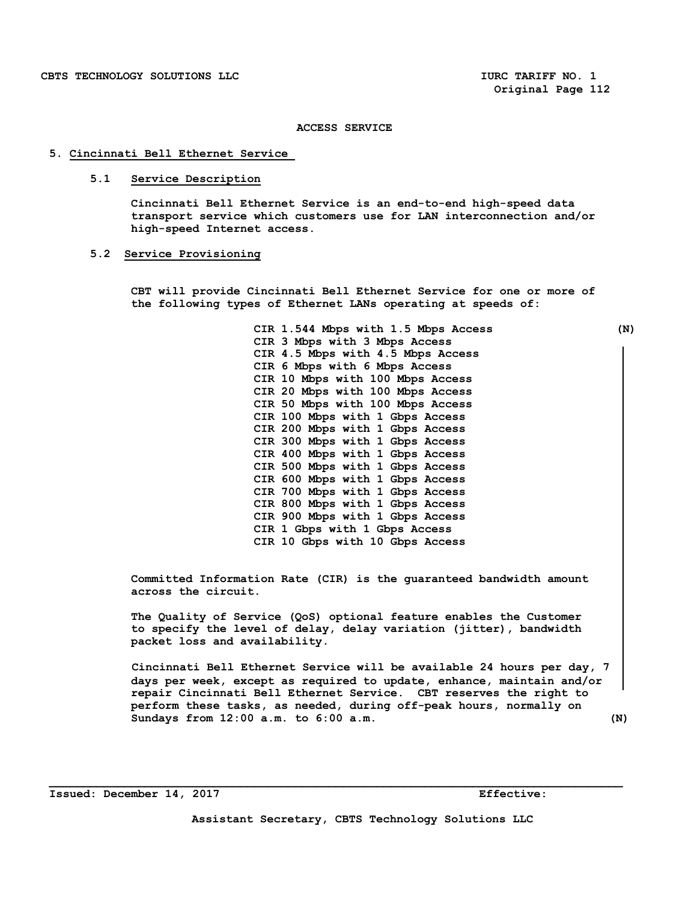#### **5. Cincinnati Bell Ethernet Service**

#### **5.1 Service Description**

 **Cincinnati Bell Ethernet Service is an end-to-end high-speed data transport service which customers use for LAN interconnection and/or high-speed Internet access.** 

#### **5.2 Service Provisioning**

**CBT will provide Cincinnati Bell Ethernet Service for one or more of the following types of Ethernet LANs operating at speeds of:** 

> **CIR 1.544 Mbps with 1.5 Mbps Access (N) CIR 3 Mbps with 3 Mbps Access CIR 4.5 Mbps with 4.5 Mbps Access CIR 6 Mbps with 6 Mbps Access CIR 10 Mbps with 100 Mbps Access CIR 20 Mbps with 100 Mbps Access CIR 50 Mbps with 100 Mbps Access CIR 100 Mbps with 1 Gbps Access CIR 200 Mbps with 1 Gbps Access CIR 300 Mbps with 1 Gbps Access CIR 400 Mbps with 1 Gbps Access CIR 500 Mbps with 1 Gbps Access CIR 600 Mbps with 1 Gbps Access CIR 700 Mbps with 1 Gbps Access CIR 800 Mbps with 1 Gbps Access CIR 900 Mbps with 1 Gbps Access CIR 1 Gbps with 1 Gbps Access CIR 10 Gbps with 10 Gbps Access**

**Committed Information Rate (CIR) is the guaranteed bandwidth amount across the circuit.** 

**The Quality of Service (QoS) optional feature enables the Customer to specify the level of delay, delay variation (jitter), bandwidth packet loss and availability.** 

 **Cincinnati Bell Ethernet Service will be available 24 hours per day, 7 days per week, except as required to update, enhance, maintain and/or repair Cincinnati Bell Ethernet Service. CBT reserves the right to perform these tasks, as needed, during off-peak hours, normally on Sundays from 12:00 a.m. to 6:00 a.m. (N)**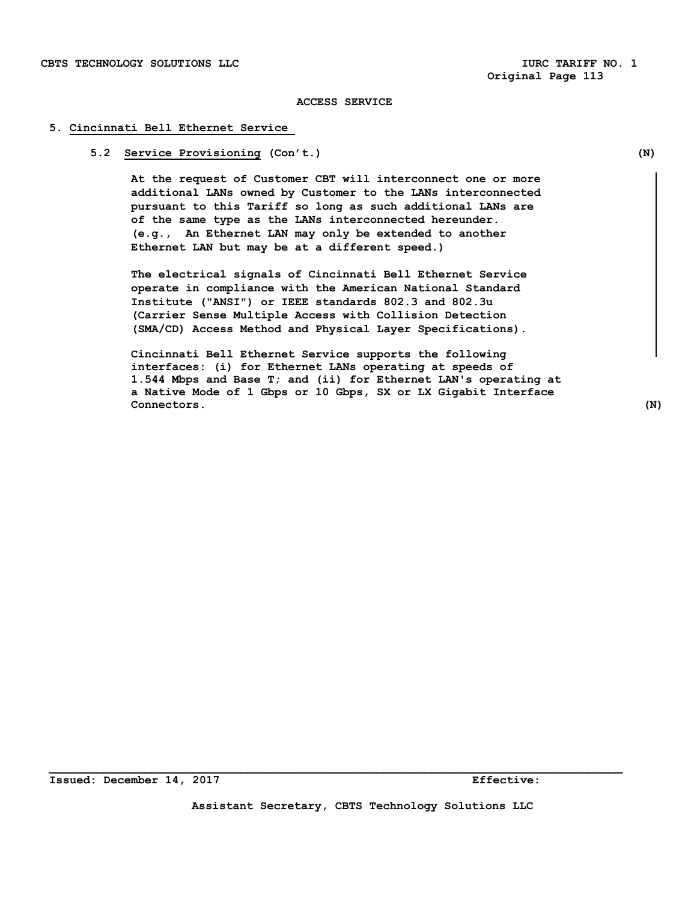#### **5. Cincinnati Bell Ethernet Service**

#### **5.2 Service Provisioning (Con't.) (N)**

 **At the request of Customer CBT will interconnect one or more additional LANs owned by Customer to the LANs interconnected pursuant to this Tariff so long as such additional LANs are of the same type as the LANs interconnected hereunder. (e.g., An Ethernet LAN may only be extended to another Ethernet LAN but may be at a different speed.)** 

 **The electrical signals of Cincinnati Bell Ethernet Service operate in compliance with the American National Standard Institute ("ANSI") or IEEE standards 802.3 and 802.3u (Carrier Sense Multiple Access with Collision Detection (SMA/CD) Access Method and Physical Layer Specifications).** 

 **Cincinnati Bell Ethernet Service supports the following interfaces: (i) for Ethernet LANs operating at speeds of 1.544 Mbps and Base T; and (ii) for Ethernet LAN's operating at a Native Mode of 1 Gbps or 10 Gbps, SX or LX Gigabit Interface Connectors. (N)**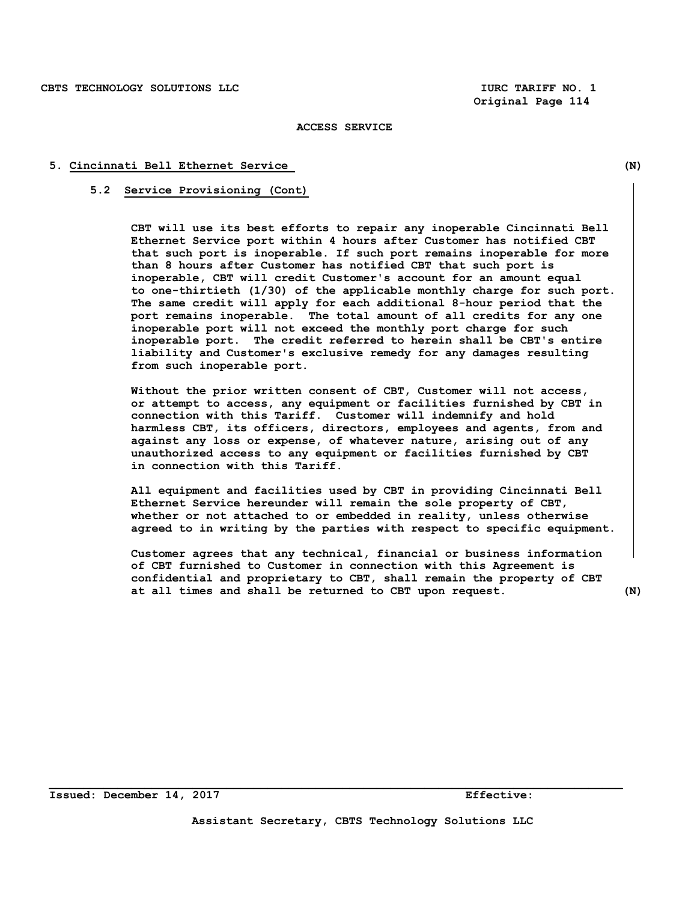#### **5. Cincinnati Bell Ethernet Service (N)**

#### **5.2 Service Provisioning (Cont)**

 **CBT will use its best efforts to repair any inoperable Cincinnati Bell Ethernet Service port within 4 hours after Customer has notified CBT that such port is inoperable. If such port remains inoperable for more than 8 hours after Customer has notified CBT that such port is inoperable, CBT will credit Customer's account for an amount equal to one-thirtieth (1/30) of the applicable monthly charge for such port. The same credit will apply for each additional 8-hour period that the port remains inoperable. The total amount of all credits for any one inoperable port will not exceed the monthly port charge for such inoperable port. The credit referred to herein shall be CBT's entire liability and Customer's exclusive remedy for any damages resulting from such inoperable port.** 

 **Without the prior written consent of CBT, Customer will not access, or attempt to access, any equipment or facilities furnished by CBT in connection with this Tariff. Customer will indemnify and hold harmless CBT, its officers, directors, employees and agents, from and against any loss or expense, of whatever nature, arising out of any unauthorized access to any equipment or facilities furnished by CBT in connection with this Tariff.** 

 **All equipment and facilities used by CBT in providing Cincinnati Bell Ethernet Service hereunder will remain the sole property of CBT, whether or not attached to or embedded in reality, unless otherwise agreed to in writing by the parties with respect to specific equipment.** 

 **Customer agrees that any technical, financial or business information of CBT furnished to Customer in connection with this Agreement is confidential and proprietary to CBT, shall remain the property of CBT at all times and shall be returned to CBT upon request. (N)**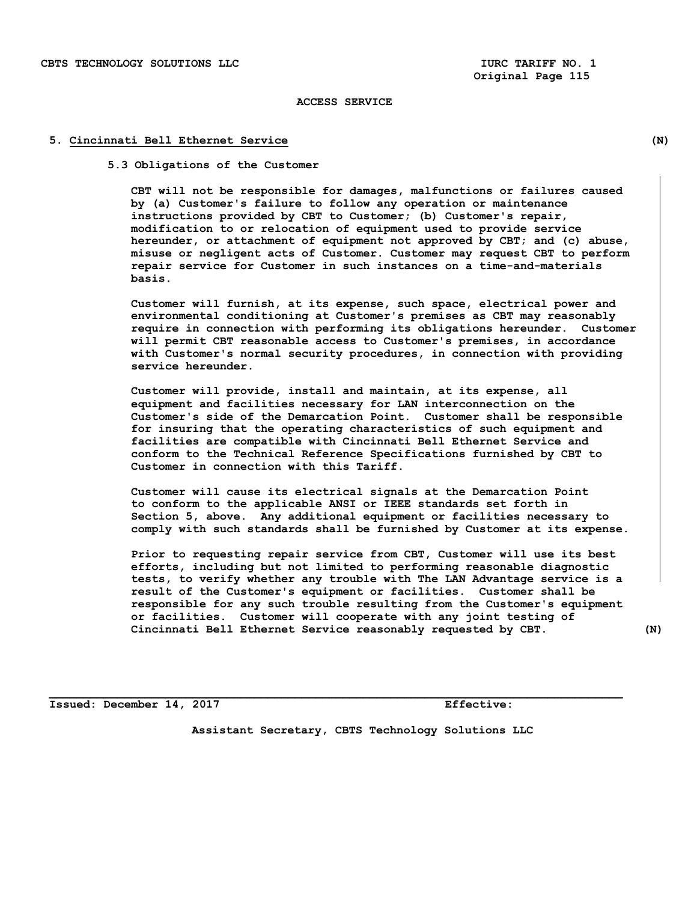#### **5. Cincinnati Bell Ethernet Service (N)**

 **5.3 Obligations of the Customer** 

**CBT will not be responsible for damages, malfunctions or failures caused by (a) Customer's failure to follow any operation or maintenance instructions provided by CBT to Customer; (b) Customer's repair, modification to or relocation of equipment used to provide service hereunder, or attachment of equipment not approved by CBT; and (c) abuse, misuse or negligent acts of Customer. Customer may request CBT to perform repair service for Customer in such instances on a time-and-materials basis.** 

 **Customer will furnish, at its expense, such space, electrical power and environmental conditioning at Customer's premises as CBT may reasonably require in connection with performing its obligations hereunder. Customer will permit CBT reasonable access to Customer's premises, in accordance with Customer's normal security procedures, in connection with providing service hereunder.** 

**Customer will provide, install and maintain, at its expense, all equipment and facilities necessary for LAN interconnection on the Customer's side of the Demarcation Point. Customer shall be responsible for insuring that the operating characteristics of such equipment and facilities are compatible with Cincinnati Bell Ethernet Service and conform to the Technical Reference Specifications furnished by CBT to Customer in connection with this Tariff.** 

 **Customer will cause its electrical signals at the Demarcation Point to conform to the applicable ANSI or IEEE standards set forth in Section 5, above. Any additional equipment or facilities necessary to comply with such standards shall be furnished by Customer at its expense.** 

 **Prior to requesting repair service from CBT, Customer will use its best efforts, including but not limited to performing reasonable diagnostic tests, to verify whether any trouble with The LAN Advantage service is a result of the Customer's equipment or facilities. Customer shall be responsible for any such trouble resulting from the Customer's equipment or facilities. Customer will cooperate with any joint testing of Cincinnati Bell Ethernet Service reasonably requested by CBT. (N)** 

**Issued: December 14, 2017 Effective:** 

**Assistant Secretary, CBTS Technology Solutions LLC**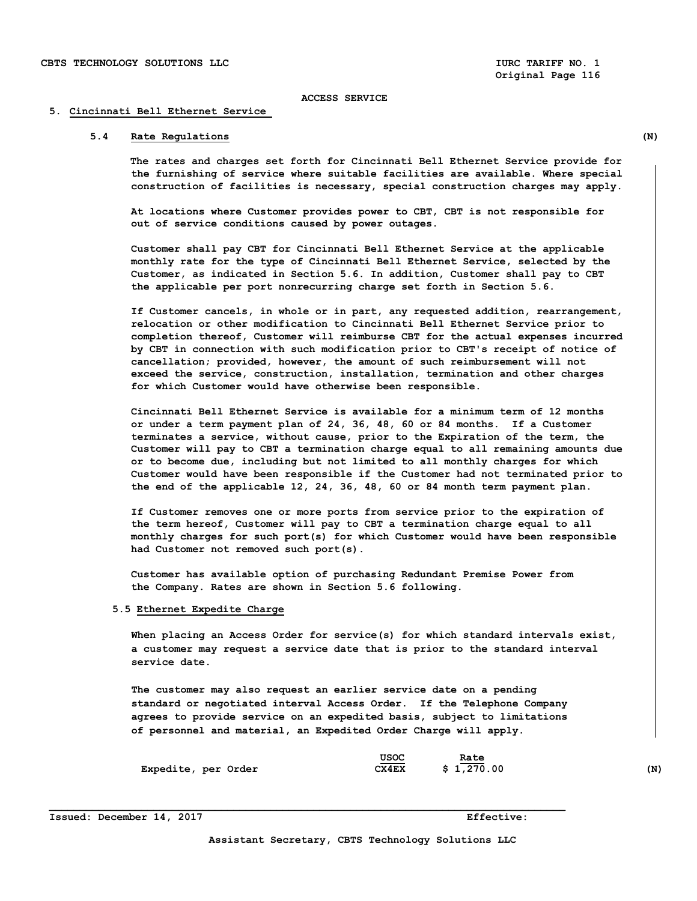**Original Page 116** 

#### **ACCESS SERVICE**

#### **5. Cincinnati Bell Ethernet Service**

## **5.4 Rate Regulations (N)**

**The rates and charges set forth for Cincinnati Bell Ethernet Service provide for the furnishing of service where suitable facilities are available. Where special construction of facilities is necessary, special construction charges may apply.**

 **At locations where Customer provides power to CBT, CBT is not responsible for out of service conditions caused by power outages.** 

 **Customer shall pay CBT for Cincinnati Bell Ethernet Service at the applicable monthly rate for the type of Cincinnati Bell Ethernet Service, selected by the Customer, as indicated in Section 5.6. In addition, Customer shall pay to CBT the applicable per port nonrecurring charge set forth in Section 5.6.** 

 **If Customer cancels, in whole or in part, any requested addition, rearrangement, relocation or other modification to Cincinnati Bell Ethernet Service prior to completion thereof, Customer will reimburse CBT for the actual expenses incurred by CBT in connection with such modification prior to CBT's receipt of notice of cancellation; provided, however, the amount of such reimbursement will not exceed the service, construction, installation, termination and other charges for which Customer would have otherwise been responsible.** 

 **Cincinnati Bell Ethernet Service is available for a minimum term of 12 months or under a term payment plan of 24, 36, 48, 60 or 84 months. If a Customer terminates a service, without cause, prior to the Expiration of the term, the Customer will pay to CBT a termination charge equal to all remaining amounts due or to become due, including but not limited to all monthly charges for which Customer would have been responsible if the Customer had not terminated prior to the end of the applicable 12, 24, 36, 48, 60 or 84 month term payment plan.** 

 **If Customer removes one or more ports from service prior to the expiration of the term hereof, Customer will pay to CBT a termination charge equal to all monthly charges for such port(s) for which Customer would have been responsible had Customer not removed such port(s).** 

**Customer has available option of purchasing Redundant Premise Power from the Company. Rates are shown in Section 5.6 following.** 

#### **5.5 Ethernet Expedite Charge**

 **When placing an Access Order for service(s) for which standard intervals exist, a customer may request a service date that is prior to the standard interval service date.** 

 **The customer may also request an earlier service date on a pending standard or negotiated interval Access Order. If the Telephone Company agrees to provide service on an expedited basis, subject to limitations of personnel and material, an Expedited Order Charge will apply.** 

**Expedite, per Order CX4EX \$ 1,270.00 (N)** 



**Issued: December 14, 2017 Effective:**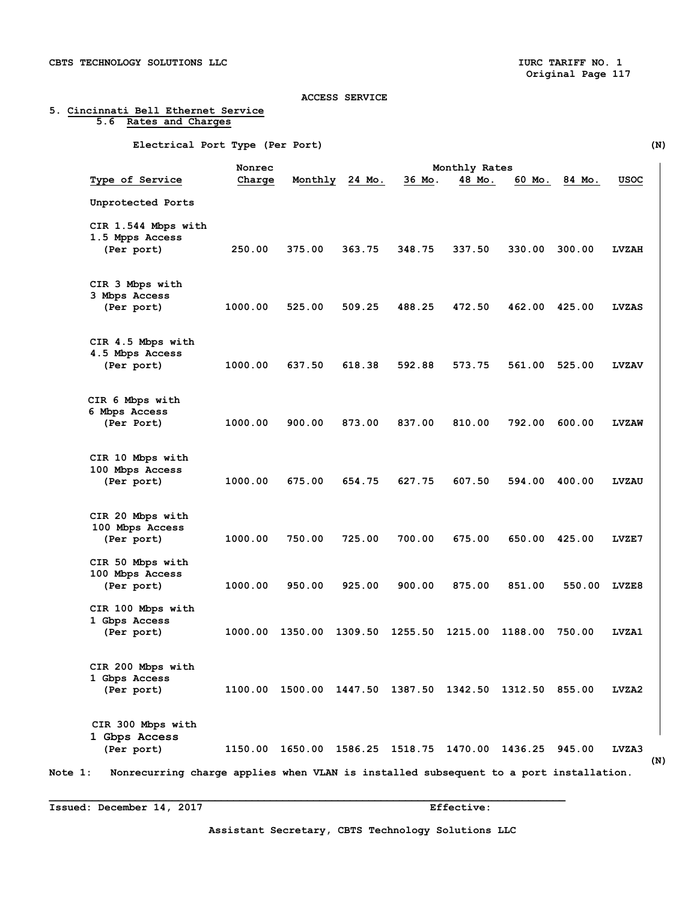## **5. Cincinnati Bell Ethernet Service 5.6 Rates and Charges**

 **Electrical Port Type (Per Port) (N)** 

| <b>Type of Service</b>                 | Charge                                                                                | Monthly                                                | 24 Mo.  | 36 Mo.  | Monthly Rates<br>48 Mo. | 60 Mo.                                  | 84 Mo. | usoc         |
|----------------------------------------|---------------------------------------------------------------------------------------|--------------------------------------------------------|---------|---------|-------------------------|-----------------------------------------|--------|--------------|
| Unprotected Ports                      |                                                                                       |                                                        |         |         |                         |                                         |        |              |
|                                        |                                                                                       |                                                        |         |         |                         |                                         |        |              |
| CIR 1.544 Mbps with<br>1.5 Mpps Access |                                                                                       |                                                        |         |         |                         |                                         |        |              |
| (Per port)                             | 250.00                                                                                | 375.00                                                 | 363.75  | 348.75  | 337.50                  | 330.00                                  | 300.00 | <b>LVZAH</b> |
|                                        |                                                                                       |                                                        |         |         |                         |                                         |        |              |
| CIR 3 Mbps with                        |                                                                                       |                                                        |         |         |                         |                                         |        |              |
| 3 Mbps Access                          |                                                                                       |                                                        |         |         |                         |                                         |        |              |
| (Per port)                             | 1000.00                                                                               | 525.00                                                 | 509.25  | 488.25  | 472.50                  | 462.00                                  | 425.00 | <b>LVZAS</b> |
| CIR 4.5 Mbps with                      |                                                                                       |                                                        |         |         |                         |                                         |        |              |
| 4.5 Mbps Access                        |                                                                                       |                                                        |         |         |                         |                                         |        |              |
| (Per port)                             | 1000.00                                                                               | 637.50                                                 | 618.38  | 592.88  | 573.75                  | 561.00                                  | 525.00 | <b>LVZAV</b> |
|                                        |                                                                                       |                                                        |         |         |                         |                                         |        |              |
| CIR 6 Mbps with                        |                                                                                       |                                                        |         |         |                         |                                         |        |              |
| 6 Mbps Access                          |                                                                                       |                                                        |         |         |                         |                                         |        |              |
| (Per Port)                             | 1000.00                                                                               | 900.00                                                 | 873.00  | 837.00  | 810.00                  | 792.00                                  | 600.00 | <b>LVZAW</b> |
| CIR 10 Mbps with                       |                                                                                       |                                                        |         |         |                         |                                         |        |              |
| 100 Mbps Access                        |                                                                                       |                                                        |         |         |                         |                                         |        |              |
| (Per port)                             | 1000.00                                                                               | 675.00                                                 | 654.75  | 627.75  | 607.50                  | 594.00                                  | 400.00 | <b>LVZAU</b> |
|                                        |                                                                                       |                                                        |         |         |                         |                                         |        |              |
| CIR 20 Mbps with<br>100 Mbps Access    |                                                                                       |                                                        |         |         |                         |                                         |        |              |
| (Per port)                             | 1000.00                                                                               | 750.00                                                 | 725.00  | 700.00  | 675.00                  | 650.00                                  | 425.00 | LVZE7        |
| CIR 50 Mbps with                       |                                                                                       |                                                        |         |         |                         |                                         |        |              |
| 100 Mbps Access                        |                                                                                       |                                                        |         |         |                         |                                         |        |              |
| (Per port)                             | 1000.00                                                                               | 950.00                                                 | 925.00  | 900.00  | 875.00                  | 851.00                                  | 550.00 | <b>LVZE8</b> |
| CIR 100 Mbps with                      |                                                                                       |                                                        |         |         |                         |                                         |        |              |
| 1 Gbps Access                          |                                                                                       |                                                        |         |         |                         |                                         |        |              |
| (Per port)                             | 1000.00                                                                               | 1350.00                                                | 1309.50 | 1255.50 | 1215.00                 | 1188.00                                 | 750.00 | LVZA1        |
| CIR 200 Mbps with                      |                                                                                       |                                                        |         |         |                         |                                         |        |              |
| 1 Gbps Access                          |                                                                                       |                                                        |         |         |                         |                                         |        |              |
| (Per port)                             |                                                                                       | 1100.00 1500.00 1447.50 1387.50 1342.50 1312.50 855.00 |         |         |                         |                                         |        | LVZA2        |
|                                        |                                                                                       |                                                        |         |         |                         |                                         |        |              |
| CIR 300 Mbps with                      |                                                                                       |                                                        |         |         |                         |                                         |        |              |
| 1 Gbps Access                          |                                                                                       |                                                        |         |         |                         |                                         |        |              |
| (Per port)                             | 1150.00                                                                               |                                                        |         |         |                         | 1650.00 1586.25 1518.75 1470.00 1436.25 | 945.00 | LVZA3        |
|                                        | Nonrecurring charge applies when VLAN is installed subsequent to a port installation. |                                                        |         |         |                         |                                         |        |              |

**Issued: December 14, 2017 Effective:** 

**Assistant Secretary, CBTS Technology Solutions LLC**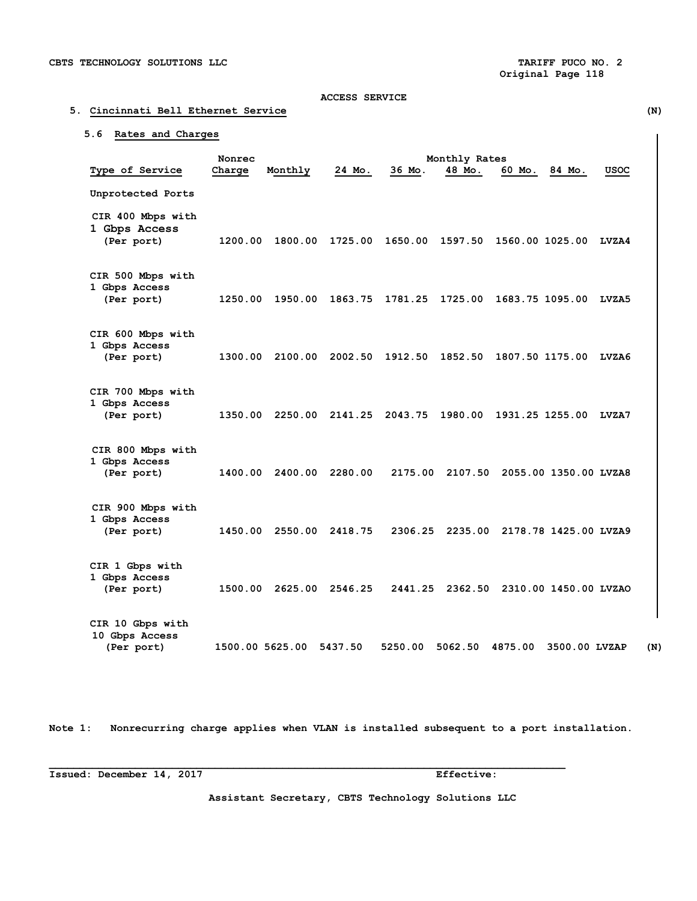#### **5. Cincinnati Bell Ethernet Service (N)**

#### **5.6 Rates and Charges**

Monrec Monthly Rates<br>Charge Monthly 24 Mo. 36 Mo. 48 Mo. 6  **Type of Service Charge Monthly 24 Mo. 36 Mo. 48 Mo. 60 Mo. 84 Mo. USOC Unprotected Ports CIR 400 Mbps with 1 Gbps Access (Per port) 1200.00 1800.00 1725.00 1650.00 1597.50 1560.00 1025.00 LVZA4 CIR 500 Mbps with 1 Gbps Access (Per port) 1250.00 1950.00 1863.75 1781.25 1725.00 1683.75 1095.00 LVZA5 CIR 600 Mbps with 1 Gbps Access (Per port) 1300.00 2100.00 2002.50 1912.50 1852.50 1807.50 1175.00 LVZA6 CIR 700 Mbps with 1 Gbps Access (Per port) 1350.00 2250.00 2141.25 2043.75 1980.00 1931.25 1255.00 LVZA7 CIR 800 Mbps with 1 Gbps Access (Per port) 1400.00 2400.00 2280.00 2175.00 2107.50 2055.00 1350.00 LVZA8 CIR 900 Mbps with 1 Gbps Access (Per port) 1450.00 2550.00 2418.75 2306.25 2235.00 2178.78 1425.00 LVZA9 CIR 1 Gbps with 1 Gbps Access (Per port) 1500.00 2625.00 2546.25 2441.25 2362.50 2310.00 1450.00 LVZAO CIR 10 Gbps with 10 Gbps Access (Per port) 1500.00 5625.00 5437.50 5250.00 5062.50 4875.00 3500.00 LVZAP (N)** 

**Note 1: Nonrecurring charge applies when VLAN is installed subsequent to a port installation.** 

**\_\_\_\_\_\_\_\_\_\_\_\_\_\_\_\_\_\_\_\_\_\_\_\_\_\_\_\_\_\_\_\_\_\_\_\_\_\_\_\_\_\_\_\_\_\_\_\_\_\_\_\_\_\_\_\_\_\_\_\_\_\_\_\_\_\_\_\_\_\_\_\_\_\_\_\_\_\_\_\_\_\_\_\_** 

**Issued: December 14, 2017 Effective:** 

**Assistant Secretary, CBTS Technology Solutions LLC**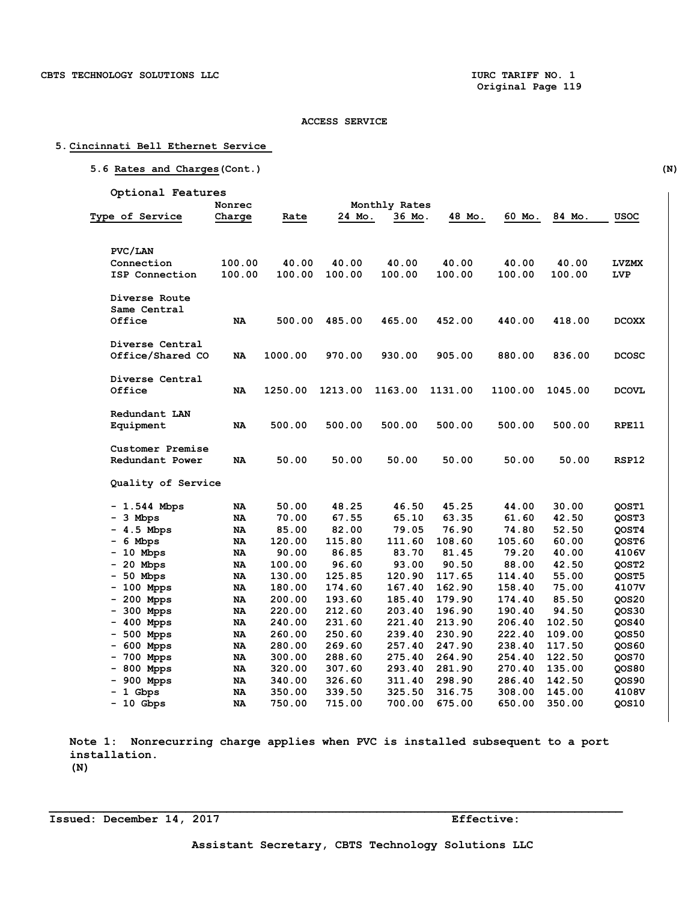#### **5. Cincinnati Bell Ethernet Service**

|                               | Nonrec   |                  |                  | Monthly Rates    |                  |                  |                  |                |
|-------------------------------|----------|------------------|------------------|------------------|------------------|------------------|------------------|----------------|
| Type of Service               | Charge   | Rate             | 24 Mo.           | 36 Mo.           | 48 Mo.           | 60 Mo.           | 84 Mo.           | USOC           |
| PVC/LAN                       |          |                  |                  |                  |                  |                  |                  |                |
| Connection                    | 100.00   | 40.00            | 40.00            | 40.00            | 40.00            | 40.00            | 40.00            | <b>LVZMX</b>   |
| ISP Connection                | 100.00   | 100.00           | 100.00           | 100.00           | 100.00           | 100.00           | 100.00           | LVP            |
| Diverse Route<br>Same Central |          |                  |                  |                  |                  |                  |                  |                |
| Office                        | NA       | 500.00           | 485.00           | 465.00           | 452.00           | 440.00           | 418.00           | <b>DCOXX</b>   |
| Diverse Central               |          |                  |                  |                  |                  |                  |                  |                |
| Office/Shared CO              | NA       | 1000.00          | 970.00           | 930.00           | 905.00           | 880.00           | 836.00           | <b>DCOSC</b>   |
| Diverse Central               |          |                  |                  |                  |                  |                  |                  |                |
| Office                        | NA       | 1250.00          | 1213.00          | 1163.00          | 1131.00          | 1100.00          | 1045.00          | <b>DCOVL</b>   |
| Redundant LAN                 |          |                  |                  |                  |                  |                  |                  |                |
| Equipment                     | NA       | 500.00           | 500.00           | 500.00           | 500.00           | 500.00           | 500.00           | RPE11          |
| Customer Premise              |          |                  |                  |                  |                  |                  |                  |                |
| Redundant Power               | NA       | 50.00            | 50.00            | 50.00            | 50.00            | 50.00            | 50.00            | RSP12          |
| Quality of Service            |          |                  |                  |                  |                  |                  |                  |                |
| $-1.544$ Mbps                 | NA       | 50.00            | 48.25            | 46.50            | 45.25            | 44.00            | 30.00            | QOST1          |
| $-3$ Mbps                     | NA       | 70.00            | 67.55            | 65.10            | 63.35            | 61.60            | 42.50            | QOST3          |
| $-4.5$ Mbps                   | NA       | 85.00            | 82.00            | 79.05            | 76.90            | 74.80            | 52.50            | QOST4          |
| $-6$ Mbps                     | NA       | 120.00           | 115.80           | 111.60           | 108.60           | 105.60           | 60.00            | QOST6          |
| $-10$ Mbps                    | NA       | 90.00            | 86.85            | 83.70            | 81.45            | 79.20            | 40.00            | 4106V          |
| $-20$ Mbps                    | NA       | 100.00           | 96.60            | 93.00            | 90.50            | 88.00            | 42.50            | QOST2          |
| $-50$ Mbps                    | NA       | 130.00           | 125.85           | 120.90           | 117.65           | 114.40           | 55.00            | QOST5          |
| $-100$ Mpps                   | NA       | 180.00           | 174.60           | 167.40           | 162.90           | 158.40           | 75.00            | 4107V          |
| $-200$ Mpps                   | NA       | 200.00           | 193.60           | 185.40           | 179.90           | 174.40           | 85.50            | QOS20          |
| - 300 Mpps                    | NA       | 220.00           | 212.60           | 203.40           | 196.90           | 190.40           | 94.50            | QOS30          |
| $-400$ Mpps                   | NA       | 240.00           | 231.60           | 221.40           | 213.90           | 206.40           | 102.50           | QOS40          |
| $-500$ Mpps                   | NA       | 260.00           | 250.60           | 239.40           | 230.90           | 222.40           | 109.00           | QOS50          |
| $-600$ Mpps                   | NA       | 280.00           | 269.60           | 257.40           | 247.90           | 238.40           | 117.50           | QOS60          |
| - 700 Mpps                    | NA       | 300.00           | 288.60           | 275.40           | 264.90           | 254.40           | 122.50           | QOS70          |
| - 800 Mpps                    | NA       | 320.00           | 307.60           | 293.40           | 281.90           | 270.40           | 135.00           | QOS80          |
| $-900$ Mpps<br>- 1 Gbps       | NA<br>NA | 340.00<br>350.00 | 326.60<br>339.50 | 311.40<br>325.50 | 298.90<br>316.75 | 286.40<br>308.00 | 142.50<br>145.00 | QOS90<br>4108V |

 **Note 1: Nonrecurring charge applies when PVC is installed subsequent to a port installation. (N)** 

**\_\_\_\_\_\_\_\_\_\_\_\_\_\_\_\_\_\_\_\_\_\_\_\_\_\_\_\_\_\_\_\_\_\_\_\_\_\_\_\_\_\_\_\_\_\_\_\_\_\_\_\_\_\_\_\_\_\_\_\_\_\_\_\_\_\_\_\_\_\_\_\_\_\_\_\_\_\_\_\_\_\_\_\_** 

 **- 10 Gbps NA 750.00 715.00 700.00 675.00 650.00 350.00 QOS10** 

**Issued: December 14, 2017 Effective:**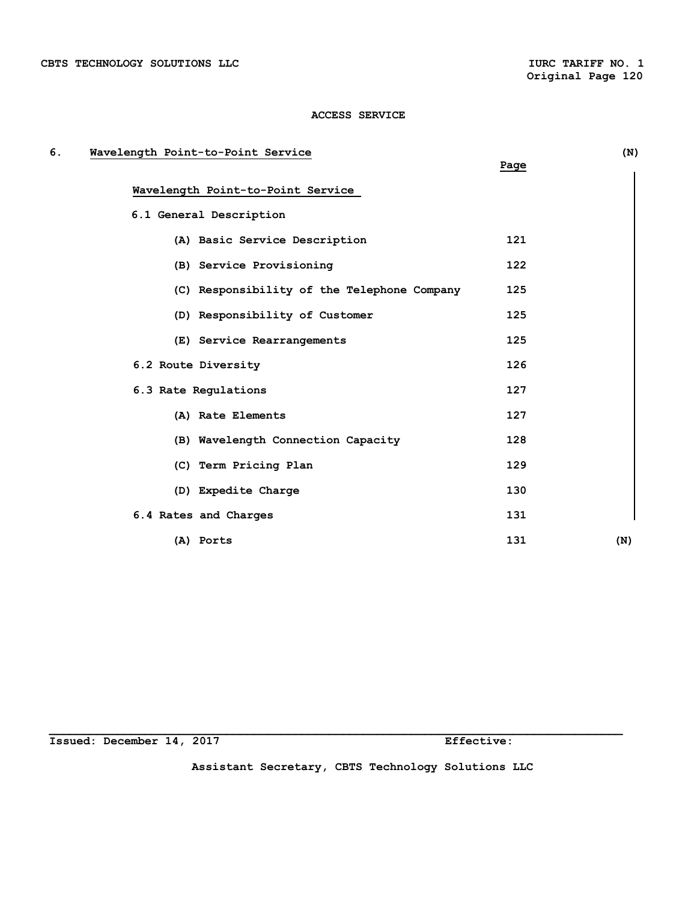| б. | Wavelength Point-to-Point Service           |      | (N) |
|----|---------------------------------------------|------|-----|
|    |                                             | Page |     |
|    | Wavelength Point-to-Point Service           |      |     |
|    | 6.1 General Description                     |      |     |
|    | (A) Basic Service Description               | 121  |     |
|    | (B) Service Provisioning                    | 122  |     |
|    | (C) Responsibility of the Telephone Company | 125  |     |
|    | (D) Responsibility of Customer              | 125  |     |
|    | (E) Service Rearrangements                  | 125  |     |
|    | 6.2 Route Diversity                         | 126  |     |
|    | 6.3 Rate Regulations                        | 127  |     |
|    | (A) Rate Elements                           | 127  |     |
|    | (B) Wavelength Connection Capacity          | 128  |     |
|    | (C) Term Pricing Plan                       | 129  |     |
|    | (D) Expedite Charge                         | 130  |     |
|    | 6.4 Rates and Charges                       | 131  |     |
|    | (A) Ports                                   | 131  | (N) |

**Issued: December 14, 2017 Effective:** 

**Assistant Secretary, CBTS Technology Solutions LLC**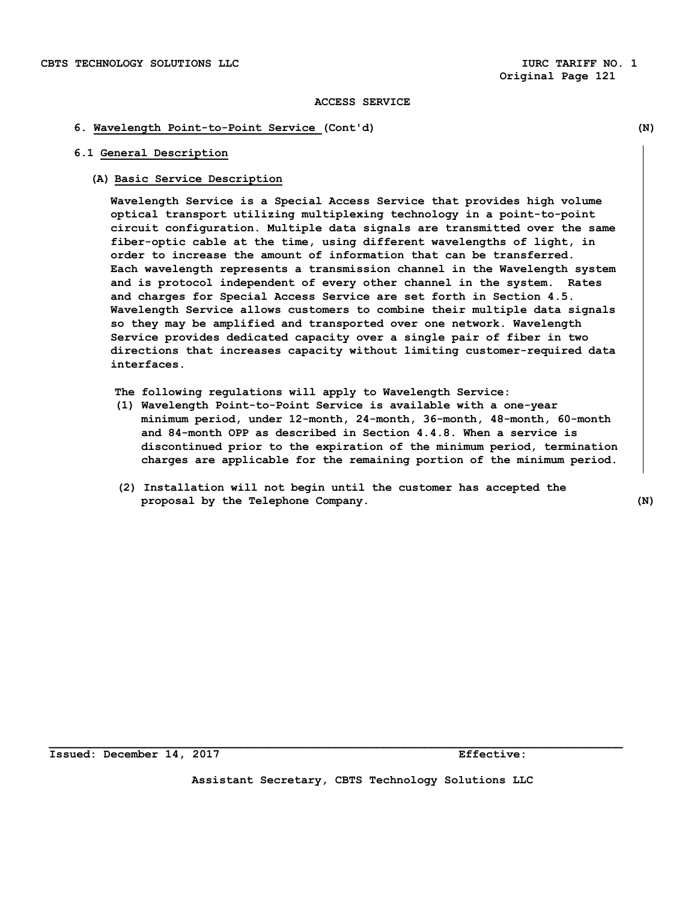#### **6. Wavelength Point-to-Point Service (Cont'd) (N)**

#### **6.1 General Description**

#### **(A) Basic Service Description**

 **Wavelength Service is a Special Access Service that provides high volume optical transport utilizing multiplexing technology in a point-to-point circuit configuration. Multiple data signals are transmitted over the same fiber-optic cable at the time, using different wavelengths of light, in order to increase the amount of information that can be transferred. Each wavelength represents a transmission channel in the Wavelength system and is protocol independent of every other channel in the system. Rates and charges for Special Access Service are set forth in Section 4.5. Wavelength Service allows customers to combine their multiple data signals so they may be amplified and transported over one network. Wavelength Service provides dedicated capacity over a single pair of fiber in two directions that increases capacity without limiting customer-required data interfaces.** 

**The following regulations will apply to Wavelength Service:** 

- **(1) Wavelength Point-to-Point Service is available with a one-year minimum period, under 12-month, 24-month, 36-month, 48-month, 60-month and 84-month OPP as described in Section 4.4.8. When a service is discontinued prior to the expiration of the minimum period, termination charges are applicable for the remaining portion of the minimum period.**
- **(2) Installation will not begin until the customer has accepted the proposal by the Telephone Company. (N)**

**Issued: December 14, 2017 Effective:** 

**Assistant Secretary, CBTS Technology Solutions LLC**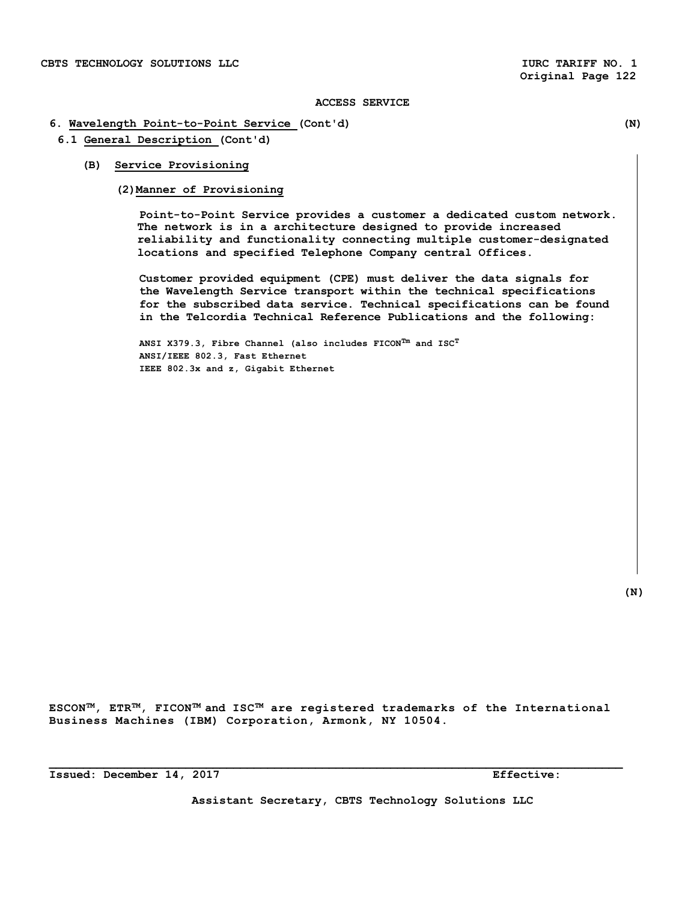## **6. Wavelength Point-to-Point Service (Cont'd) (N)**

- **6.1 General Description (Cont'd)** 
	- **(B) Service Provisioning** 
		- **(2)Manner of Provisioning**

**Point-to-Point Service provides a customer a dedicated custom network. The network is in a architecture designed to provide increased reliability and functionality connecting multiple customer-designated locations and specified Telephone Company central Offices.** 

 **Customer provided equipment (CPE) must deliver the data signals for the Wavelength Service transport within the technical specifications for the subscribed data service. Technical specifications can be found in the Telcordia Technical Reference Publications and the following:** 

**ANSI X379.3, Fibre Channel (also includes FICONTm and ISCT ANSI/IEEE 802.3, Fast Ethernet IEEE 802.3x and z, Gigabit Ethernet** 

 **(N)** 

**ESCONTM, ETRTM, FICONTM and ISCTM are registered trademarks of the International Business Machines (IBM) Corporation, Armonk, NY 10504.** 

**\_\_\_\_\_\_\_\_\_\_\_\_\_\_\_\_\_\_\_\_\_\_\_\_\_\_\_\_\_\_\_\_\_\_\_\_\_\_\_\_\_\_\_\_\_\_\_\_\_\_\_\_\_\_\_\_\_\_\_\_\_\_\_\_\_\_\_\_\_\_\_\_\_\_\_\_\_\_\_\_\_\_\_\_** 

**Issued: December 14, 2017 Effective:**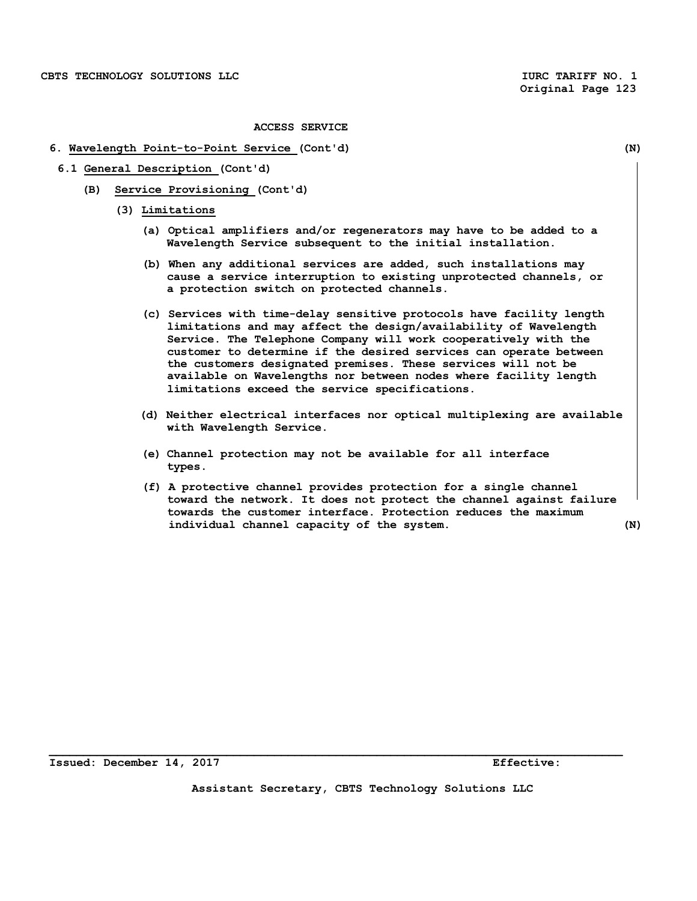#### **6. Wavelength Point-to-Point Service (Cont'd) (N)**

- **6.1 General Description (Cont'd)** 
	- **(B) Service Provisioning (Cont'd)** 
		- **(3) Limitations** 
			- **(a) Optical amplifiers and/or regenerators may have to be added to a Wavelength Service subsequent to the initial installation.**
			- **(b) When any additional services are added, such installations may cause a service interruption to existing unprotected channels, or a protection switch on protected channels.**
			- **(c) Services with time-delay sensitive protocols have facility length limitations and may affect the design/availability of Wavelength Service. The Telephone Company will work cooperatively with the customer to determine if the desired services can operate between the customers designated premises. These services will not be available on Wavelengths nor between nodes where facility length limitations exceed the service specifications.**
			- **(d) Neither electrical interfaces nor optical multiplexing are available with Wavelength Service.**
			- **(e) Channel protection may not be available for all interface types.**
			- **(f) A protective channel provides protection for a single channel toward the network. It does not protect the channel against failure towards the customer interface. Protection reduces the maximum individual channel capacity of the system. (N)**

**Assistant Secretary, CBTS Technology Solutions LLC**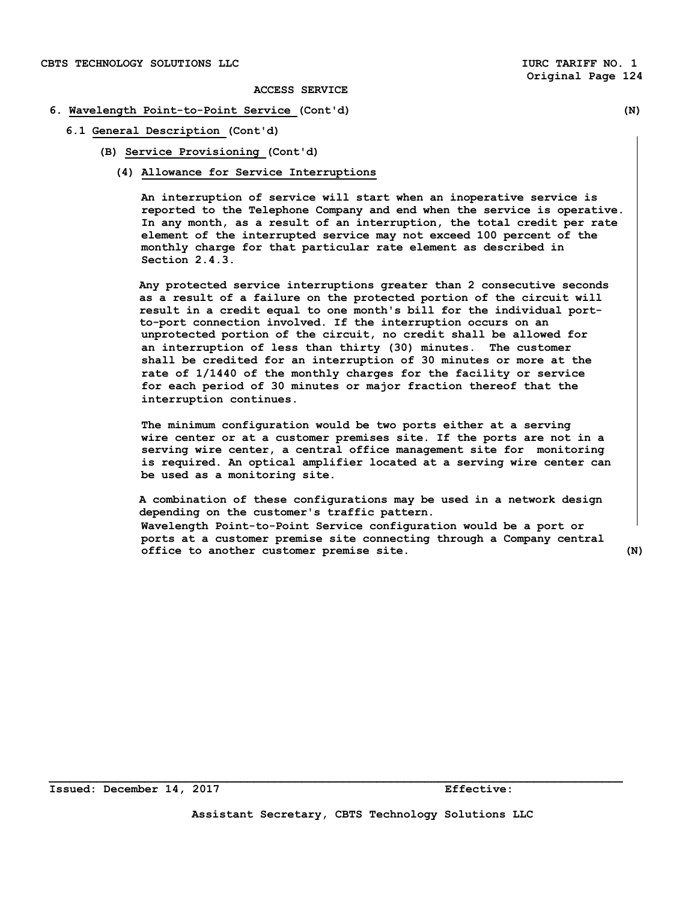#### **6. Wavelength Point-to-Point Service (Cont'd) (N)**

- **6.1 General Description (Cont'd)** 
	- **(B) Service Provisioning (Cont'd)** 
		- **(4) Allowance for Service Interruptions**

**An interruption of service will start when an inoperative service is reported to the Telephone Company and end when the service is operative. In any month, as a result of an interruption, the total credit per rate element of the interrupted service may not exceed 100 percent of the monthly charge for that particular rate element as described in Section 2.4.3.** 

**Any protected service interruptions greater than 2 consecutive seconds as a result of a failure on the protected portion of the circuit will result in a credit equal to one month's bill for the individual portto-port connection involved. If the interruption occurs on an unprotected portion of the circuit, no credit shall be allowed for an interruption of less than thirty (30) minutes. The customer shall be credited for an interruption of 30 minutes or more at the rate of 1/1440 of the monthly charges for the facility or service for each period of 30 minutes or major fraction thereof that the interruption continues.** 

**The minimum configuration would be two ports either at a serving wire center or at a customer premises site. If the ports are not in a serving wire center, a central office management site for monitoring is required. An optical amplifier located at a serving wire center can be used as a monitoring site.** 

 **A combination of these configurations may be used in a network design depending on the customer's traffic pattern. Wavelength Point-to-Point Service configuration would be a port or ports at a customer premise site connecting through a Company central office to another customer premise site. (N)**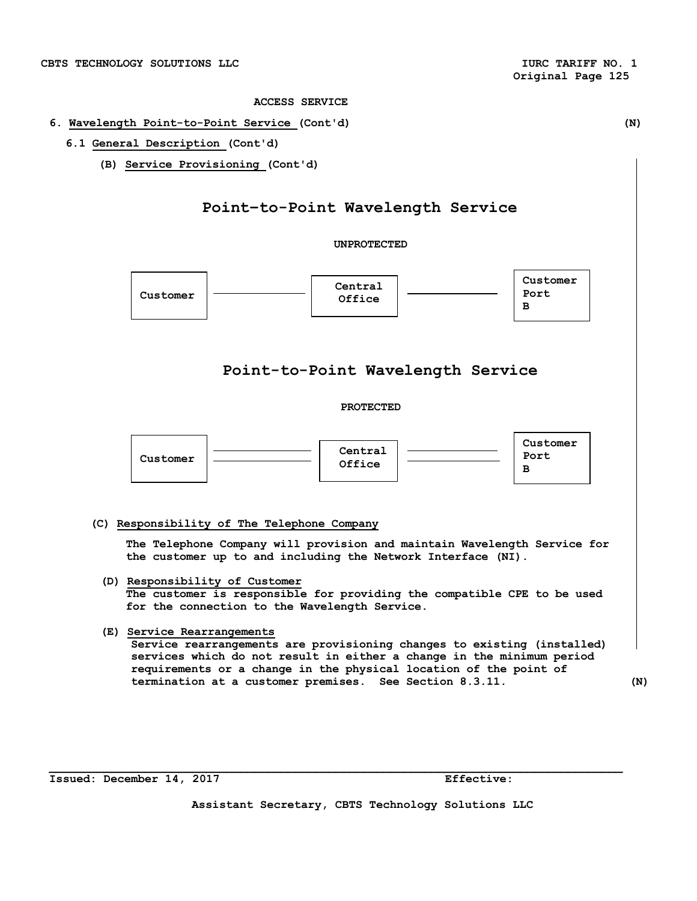### **6. Wavelength Point-to-Point Service (Cont'd) (N)**

## **6.1 General Description (Cont'd)**

**(B) Service Provisioning (Cont'd)** 

## **Point–to-Point Wavelength Service**

**UNPROTECTED** 



**Issued: December 14, 2017 Effective:** 

**Assistant Secretary, CBTS Technology Solutions LLC**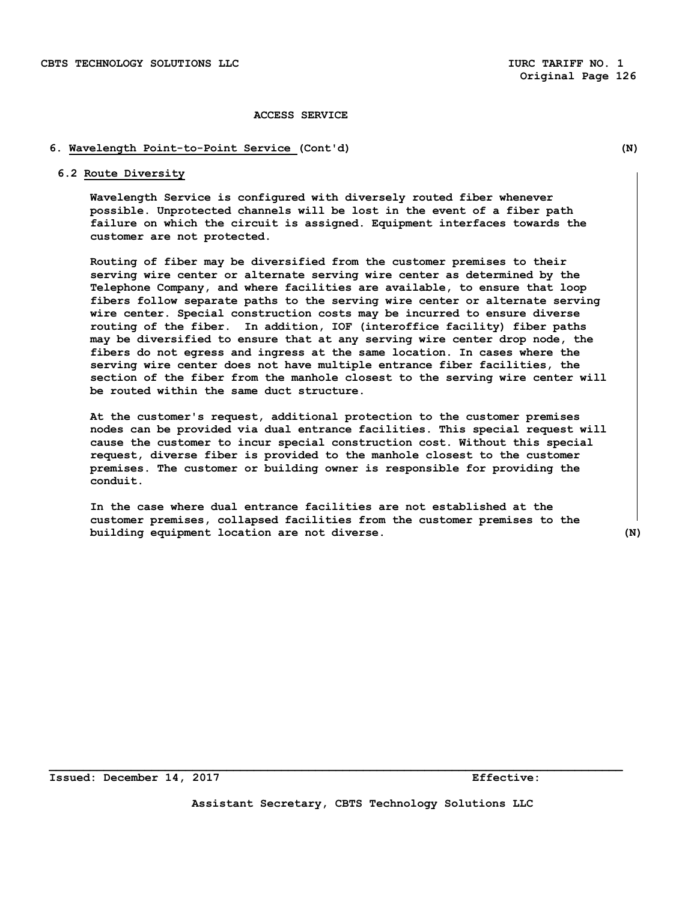#### **6. Wavelength Point-to-Point Service (Cont'd) (N)**

#### **6.2 Route Diversity**

**Wavelength Service is configured with diversely routed fiber whenever possible. Unprotected channels will be lost in the event of a fiber path failure on which the circuit is assigned. Equipment interfaces towards the customer are not protected.** 

**Routing of fiber may be diversified from the customer premises to their serving wire center or alternate serving wire center as determined by the Telephone Company, and where facilities are available, to ensure that loop fibers follow separate paths to the serving wire center or alternate serving wire center. Special construction costs may be incurred to ensure diverse routing of the fiber. In addition, IOF (interoffice facility) fiber paths may be diversified to ensure that at any serving wire center drop node, the fibers do not egress and ingress at the same location. In cases where the serving wire center does not have multiple entrance fiber facilities, the section of the fiber from the manhole closest to the serving wire center will be routed within the same duct structure.** 

**At the customer's request, additional protection to the customer premises nodes can be provided via dual entrance facilities. This special request will cause the customer to incur special construction cost. Without this special request, diverse fiber is provided to the manhole closest to the customer premises. The customer or building owner is responsible for providing the conduit.** 

**In the case where dual entrance facilities are not established at the customer premises, collapsed facilities from the customer premises to the building equipment location are not diverse. (N)**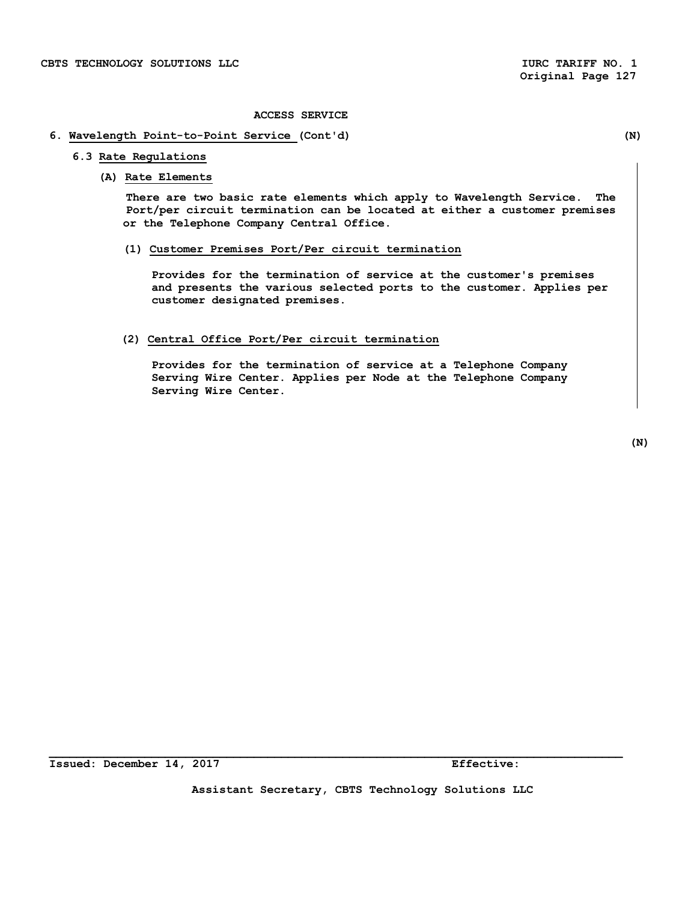## **6. Wavelength Point-to-Point Service (Cont'd) (N)**

## **6.3 Rate Regulations**

#### **(A) Rate Elements**

**There are two basic rate elements which apply to Wavelength Service. The Port/per circuit termination can be located at either a customer premises or the Telephone Company Central Office.** 

## **(1) Customer Premises Port/Per circuit termination**

**Provides for the termination of service at the customer's premises and presents the various selected ports to the customer. Applies per customer designated premises.** 

## **(2) Central Office Port/Per circuit termination**

**Provides for the termination of service at a Telephone Company Serving Wire Center. Applies per Node at the Telephone Company Serving Wire Center.** 

 **(N)** 

**Assistant Secretary, CBTS Technology Solutions LLC**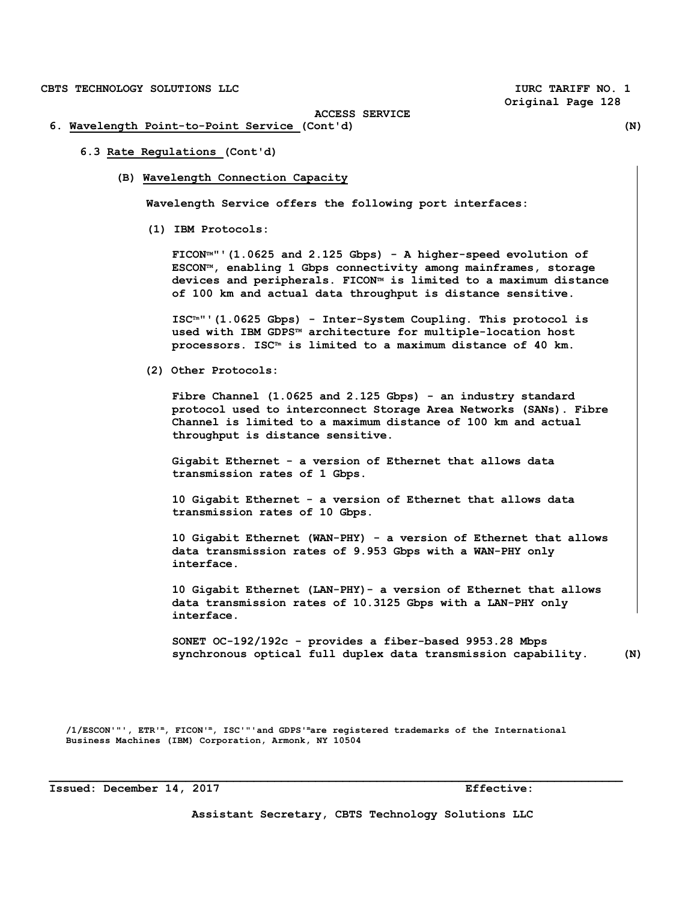**Original Page 128** 

**ACCESS SERVICE** 

- **6. Wavelength Point-to-Point Service (Cont'd) (N)** 
	- **6.3 Rate Regulations (Cont'd)** 
		- **(B) Wavelength Connection Capacity**

**Wavelength Service offers the following port interfaces:** 

**(1) IBM Protocols:** 

**FICONTM"'(1.0625 and 2.125 Gbps) - A higher-speed evolution of ESCONTM, enabling 1 Gbps connectivity among mainframes, storage devices and peripherals. FICONTM is limited to a maximum distance of 100 km and actual data throughput is distance sensitive.** 

**ISCTm"'(1.0625 Gbps) - Inter-System Coupling. This protocol is used with IBM GDPSTM architecture for multiple-location host processors. ISCTm is limited to a maximum distance of 40 km.** 

 **(2) Other Protocols:** 

**Fibre Channel (1.0625 and 2.125 Gbps) - an industry standard protocol used to interconnect Storage Area Networks (SANs). Fibre Channel is limited to a maximum distance of 100 km and actual throughput is distance sensitive.** 

**Gigabit Ethernet - a version of Ethernet that allows data transmission rates of 1 Gbps.** 

**10 Gigabit Ethernet - a version of Ethernet that allows data transmission rates of 10 Gbps.** 

**10 Gigabit Ethernet (WAN-PHY) - a version of Ethernet that allows data transmission rates of 9.953 Gbps with a WAN-PHY only interface.** 

 **10 Gigabit Ethernet (LAN-PHY)- a version of Ethernet that allows data transmission rates of 10.3125 Gbps with a LAN-PHY only interface.** 

**SONET OC-192/192c - provides a fiber-based 9953.28 Mbps synchronous optical full duplex data transmission capability. (N)** 

 **/1/ESCON'"', ETR'm, FICON'm, ISC'"'and GDPS'mare registered trademarks of the International Business Machines (IBM) Corporation, Armonk, NY 10504** 

**Assistant Secretary, CBTS Technology Solutions LLC**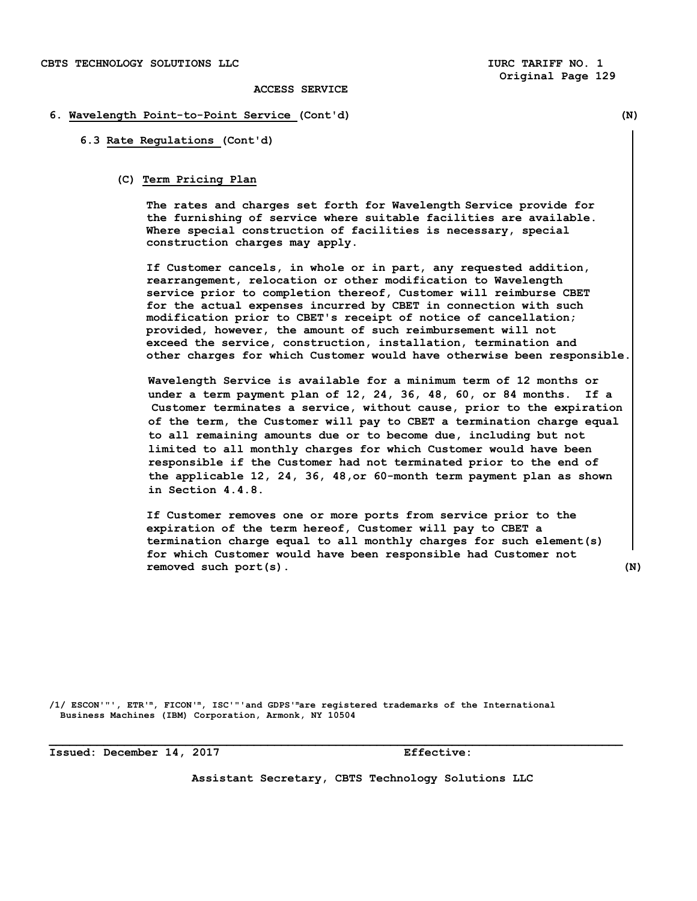#### **6. Wavelength Point-to-Point Service (Cont'd) (N)**

**6.3 Rate Regulations (Cont'd)** 

#### **(C) Term Pricing Plan**

 **The rates and charges set forth for Wavelength Service provide for the furnishing of service where suitable facilities are available. Where special construction of facilities is necessary, special construction charges may apply.** 

 **If Customer cancels, in whole or in part, any requested addition, rearrangement, relocation or other modification to Wavelength service prior to completion thereof, Customer will reimburse CBET for the actual expenses incurred by CBET in connection with such modification prior to CBET's receipt of notice of cancellation; provided, however, the amount of such reimbursement will not exceed the service, construction, installation, termination and other charges for which Customer would have otherwise been responsible.** 

 **Wavelength Service is available for a minimum term of 12 months or under a term payment plan of 12, 24, 36, 48, 60, or 84 months. If a Customer terminates a service, without cause, prior to the expiration of the term, the Customer will pay to CBET a termination charge equal to all remaining amounts due or to become due, including but not limited to all monthly charges for which Customer would have been responsible if the Customer had not terminated prior to the end of the applicable 12, 24, 36, 48,or 60-month term payment plan as shown in Section 4.4.8.** 

**If Customer removes one or more ports from service prior to the expiration of the term hereof, Customer will pay to CBET a termination charge equal to all monthly charges for such element(s) for which Customer would have been responsible had Customer not removed such port(s). (N)** 

**/1/ ESCON'"', ETR'm, FICON'm, ISC'"'and GDPS'mare registered trademarks of the International Business Machines (IBM) Corporation, Armonk, NY 10504** 

**Issued: December 14, 2017 Effective:** 

**Assistant Secretary, CBTS Technology Solutions LLC**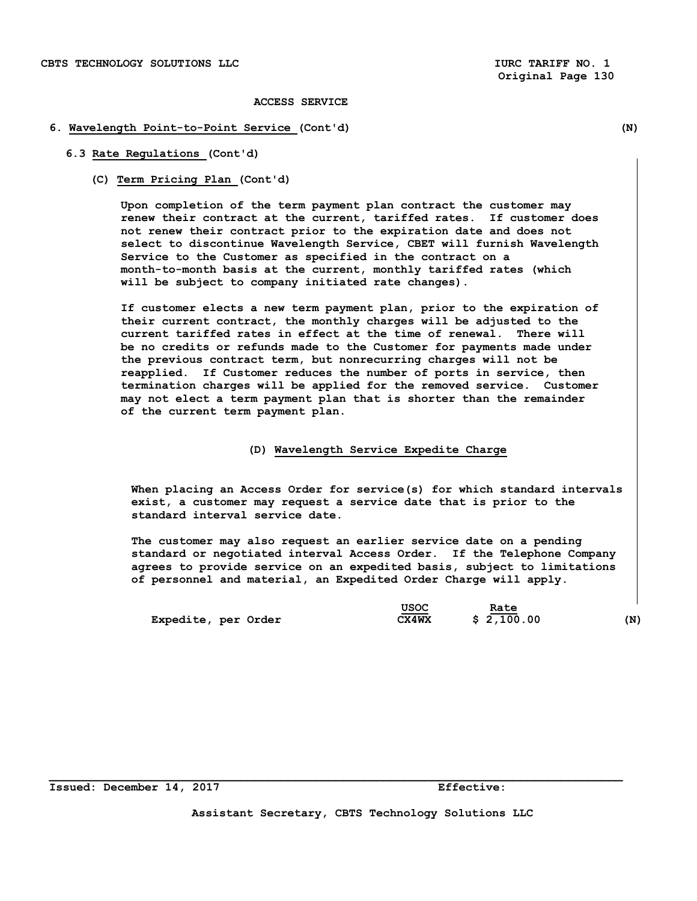#### **6. Wavelength Point-to-Point Service (Cont'd) (N)**

- **6.3 Rate Regulations (Cont'd)** 
	- **(C) Term Pricing Plan (Cont'd)**

 **Upon completion of the term payment plan contract the customer may renew their contract at the current, tariffed rates. If customer does not renew their contract prior to the expiration date and does not select to discontinue Wavelength Service, CBET will furnish Wavelength Service to the Customer as specified in the contract on a month-to-month basis at the current, monthly tariffed rates (which will be subject to company initiated rate changes).** 

 **If customer elects a new term payment plan, prior to the expiration of their current contract, the monthly charges will be adjusted to the current tariffed rates in effect at the time of renewal. There will be no credits or refunds made to the Customer for payments made under the previous contract term, but nonrecurring charges will not be reapplied. If Customer reduces the number of ports in service, then termination charges will be applied for the removed service. Customer may not elect a term payment plan that is shorter than the remainder of the current term payment plan.** 

#### **(D) Wavelength Service Expedite Charge**

 **When placing an Access Order for service(s) for which standard intervals exist, a customer may request a service date that is prior to the standard interval service date.** 

 **The customer may also request an earlier service date on a pending standard or negotiated interval Access Order. If the Telephone Company agrees to provide service on an expedited basis, subject to limitations of personnel and material, an Expedited Order Charge will apply.** 

|                     | USOC         | Rate       |     |
|---------------------|--------------|------------|-----|
| Expedite, per Order | <b>CX4WX</b> | \$2,100.00 | (N) |

**Assistant Secretary, CBTS Technology Solutions LLC**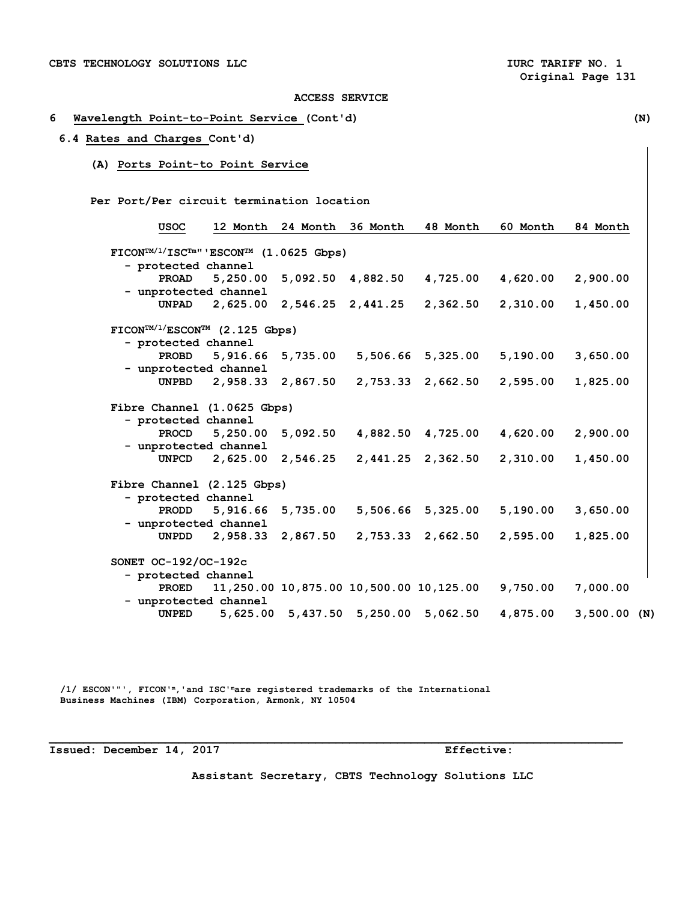## **6 Wavelength Point-to-Point Service (Cont'd) (N)**

## **6.4 Rates and Charges Cont'd)**

**(A) Ports Point-to Point Service** 

 **Per Port/Per circuit termination location** 

| USOC                                                                                            | 12 Month              | 24 Month | 36 Month          | 48 Month                                | 60 Month | 84 Month    |
|-------------------------------------------------------------------------------------------------|-----------------------|----------|-------------------|-----------------------------------------|----------|-------------|
| $\text{FICON}^{\text{TM}/1/\text{ISC}^{\text{TM}}\text{''}}$ 'ESCON <sup>TM</sup> (1.0625 Gbps) |                       |          |                   |                                         |          |             |
| - protected channel                                                                             |                       |          |                   |                                         |          |             |
| PROAD                                                                                           | 5,250.00              |          | 5,092.50 4,882.50 | 4,725.00                                | 4,620.00 | 2,900.00    |
|                                                                                                 | - unprotected channel |          |                   |                                         |          |             |
| <b>UNPAD</b>                                                                                    | 2,625.00              |          | 2,546.25 2,441.25 | 2,362.50                                | 2,310.00 | 1,450.00    |
| $\text{FICON}^{\text{TM}/1/\text{ESCON}^{\text{TM}}}$ (2.125 Gbps)                              |                       |          |                   |                                         |          |             |
| - protected channel                                                                             |                       |          |                   |                                         |          |             |
| <b>PROBD</b>                                                                                    | 5,916.66              | 5,735.00 |                   | 5,506.66 5,325.00                       | 5,190.00 | 3,650.00    |
|                                                                                                 | - unprotected channel |          |                   |                                         |          |             |
| <b>UNPBD</b>                                                                                    | 2,958.33              | 2,867.50 | 2,753.33          | 2,662.50                                | 2,595.00 | 1,825.00    |
| Fibre Channel (1.0625 Gbps)                                                                     |                       |          |                   |                                         |          |             |
| - protected channel                                                                             |                       |          |                   |                                         |          |             |
| PROCD                                                                                           | 5,250.00              | 5,092.50 | 4,882.50          | 4,725.00                                | 4,620.00 | 2,900.00    |
|                                                                                                 | - unprotected channel |          |                   |                                         |          |             |
| <b>UNPCD</b>                                                                                    | 2,625.00              | 2,546.25 | 2,441.25          | 2,362.50                                | 2,310.00 | 1,450.00    |
| Fibre Channel (2.125 Gbps)                                                                      |                       |          |                   |                                         |          |             |
| - protected channel                                                                             |                       |          |                   |                                         |          |             |
| <b>PRODD</b>                                                                                    | 5,916.66              | 5,735.00 | 5,506.66          | 5,325.00                                | 5,190.00 | 3,650.00    |
|                                                                                                 | - unprotected channel |          |                   |                                         |          |             |
| UNPDD                                                                                           | 2,958.33              | 2,867.50 | 2,753.33          | 2,662.50                                | 2,595.00 | 1,825.00    |
| SONET OC-192/OC-192c                                                                            |                       |          |                   |                                         |          |             |
| - protected channel                                                                             |                       |          |                   |                                         |          |             |
| PROED                                                                                           |                       |          |                   | 11,250.00 10,875.00 10,500.00 10,125.00 | 9,750.00 | 7,000.00    |
|                                                                                                 | - unprotected channel |          |                   |                                         |          |             |
| <b>UNPED</b>                                                                                    | 5,625.00              |          | 5,437.50 5,250.00 | 5,062.50                                | 4,875.00 | 3,500.00(N) |

 **/1/ ESCON'"', FICON'm,'and ISC'mare registered trademarks of the International Business Machines (IBM) Corporation, Armonk, NY 10504** 

**Issued: December 14, 2017 Effective:** 

**Assistant Secretary, CBTS Technology Solutions LLC**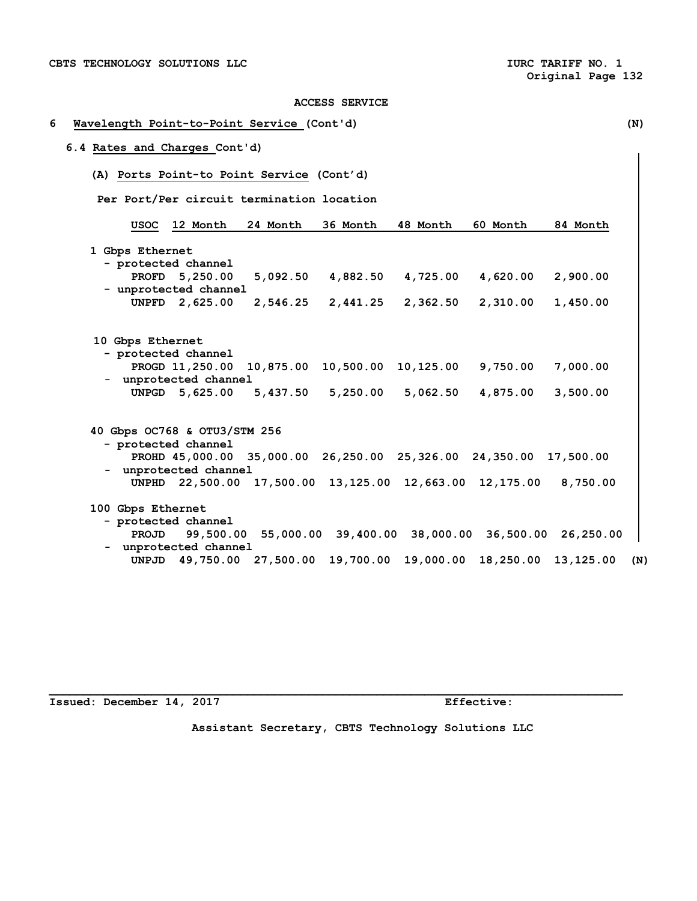# **6 Wavelength Point-to-Point Service (Cont'd) (N) 6.4 Rates and Charges Cont'd) (A) Ports Point-to Point Service (Cont'd) Per Port/Per circuit termination location USOC 12 Month 24 Month 36 Month 48 Month 60 Month 84 Month 1 Gbps Ethernet - protected channel PROFD 5,250.00 5,092.50 4,882.50 4,725.00 4,620.00 2,900.00 - unprotected channel UNPFD 2,625.00 2,546.25 2,441.25 2,362.50 2,310.00 1,450.00 10 Gbps Ethernet - protected channel PROGD 11,250.00 10,875.00 10,500.00 10,125.00 9,750.00 7,000.00 - unprotected channel UNPGD 5,625.00 5,437.50 5,250.00 5,062.50 4,875.00 3,500.00 40 Gbps OC768 & OTU3/STM 256 - protected channel PROHD 45,000.00 35,000.00 26,250.00 25,326.00 24,350.00 17,500.00 - unprotected channel UNPHD 22,500.00 17,500.00 13,125.00 12,663.00 12,175.00 8,750.00 100 Gbps Ethernet - protected channel PROJD 99,500.00 55,000.00 39,400.00 38,000.00 36,500.00 26,250.00 - unprotected channel UNPJD 49,750.00 27,500.00 19,700.00 19,000.00 18,250.00 13,125.00 (N)**

Issued: December 14, 2017 **Effective:** 

**Assistant Secretary, CBTS Technology Solutions LLC**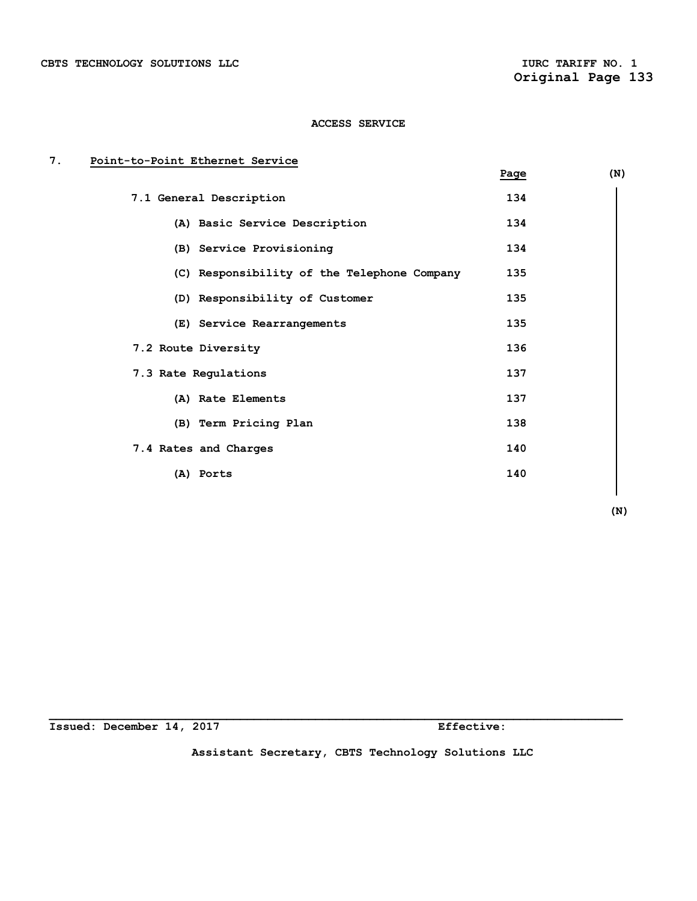# **7. Point-to-Point Ethernet Service**

|                                             | Page | (N) |
|---------------------------------------------|------|-----|
| 7.1 General Description                     | 134  |     |
| (A) Basic Service Description               | 134  |     |
| (B) Service Provisioning                    | 134  |     |
| (C) Responsibility of the Telephone Company | 135  |     |
| (D) Responsibility of Customer              | 135  |     |
| (E) Service Rearrangements                  | 135  |     |
| 7.2 Route Diversity                         | 136  |     |
| 7.3 Rate Regulations                        | 137  |     |
| (A) Rate Elements                           | 137  |     |
| (B) Term Pricing Plan                       | 138  |     |
| 7.4 Rates and Charges                       | 140  |     |
| (A) Ports                                   | 140  |     |
|                                             |      |     |

 **(N)** 

**Issued: December 14, 2017 Effective:** 

**Assistant Secretary, CBTS Technology Solutions LLC**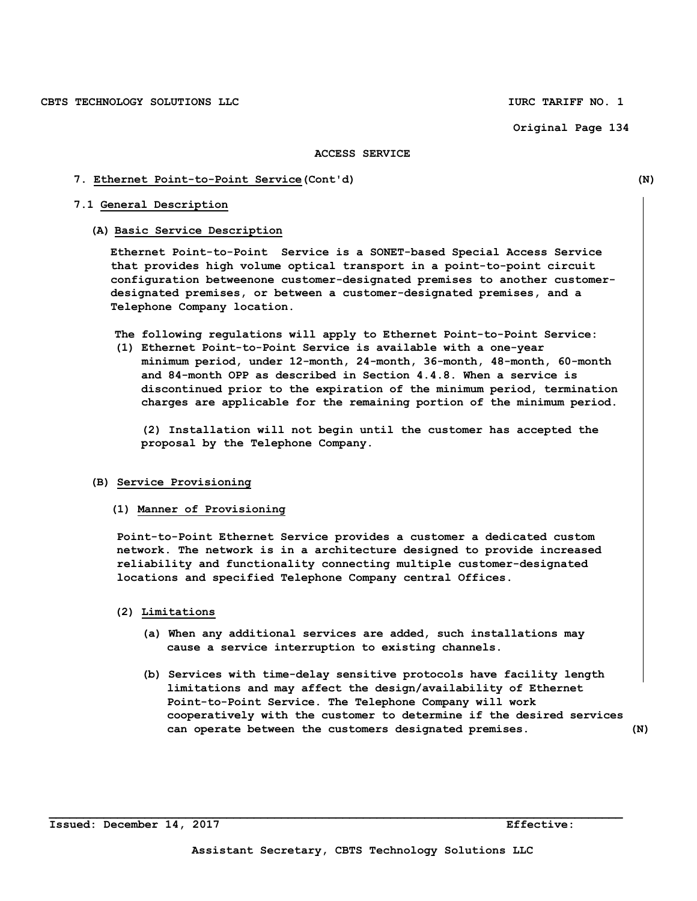#### **ACCESS SERVICE**

#### **7. Ethernet Point-to-Point Service(Cont'd) (N)**

# **7.1 General Description**

#### **(A) Basic Service Description**

**Ethernet Point-to-Point Service is a SONET-based Special Access Service that provides high volume optical transport in a point-to-point circuit configuration betweenone customer-designated premises to another customerdesignated premises, or between a customer-designated premises, and a Telephone Company location.** 

**The following regulations will apply to Ethernet Point-to-Point Service:** 

**(1) Ethernet Point-to-Point Service is available with a one-year minimum period, under 12-month, 24-month, 36-month, 48-month, 60-month and 84-month OPP as described in Section 4.4.8. When a service is discontinued prior to the expiration of the minimum period, termination charges are applicable for the remaining portion of the minimum period.** 

**(2) Installation will not begin until the customer has accepted the proposal by the Telephone Company.** 

#### **(B) Service Provisioning**

**(1) Manner of Provisioning** 

**Point-to-Point Ethernet Service provides a customer a dedicated custom network. The network is in a architecture designed to provide increased reliability and functionality connecting multiple customer-designated locations and specified Telephone Company central Offices.** 

- **(2) Limitations** 
	- **(a) When any additional services are added, such installations may cause a service interruption to existing channels.**
	- **(b) Services with time-delay sensitive protocols have facility length limitations and may affect the design/availability of Ethernet Point-to-Point Service. The Telephone Company will work cooperatively with the customer to determine if the desired services can operate between the customers designated premises. (N)**

**Issued: December 14, 2017 Effective:**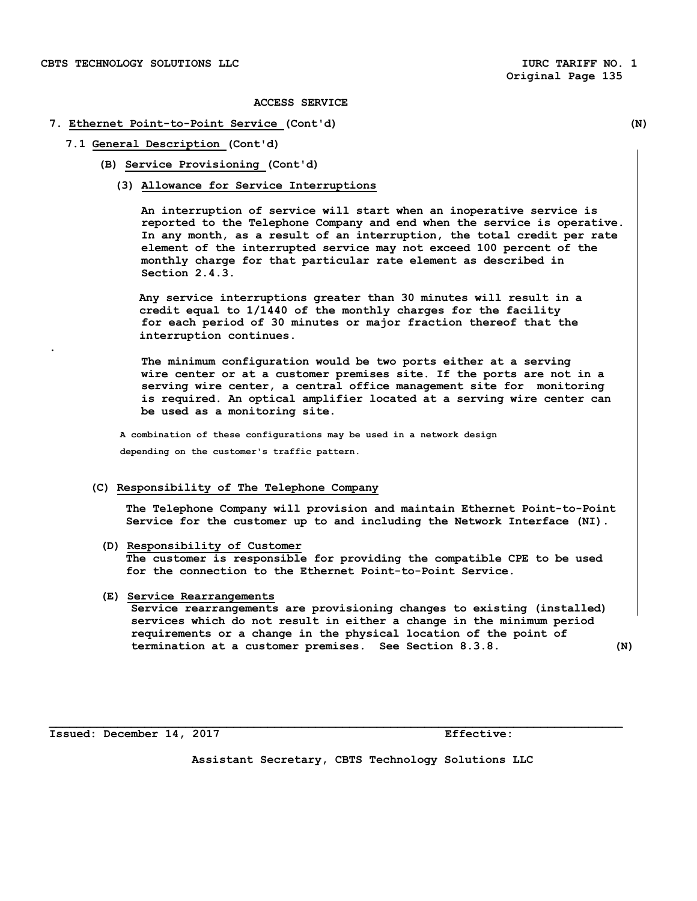**.** 

**ACCESS SERVICE** 

# **7. Ethernet Point-to-Point Service (Cont'd) (N)**

# **7.1 General Description (Cont'd)**

**(B) Service Provisioning (Cont'd)** 

#### **(3) Allowance for Service Interruptions**

**An interruption of service will start when an inoperative service is reported to the Telephone Company and end when the service is operative. In any month, as a result of an interruption, the total credit per rate element of the interrupted service may not exceed 100 percent of the monthly charge for that particular rate element as described in Section 2.4.3.** 

**Any service interruptions greater than 30 minutes will result in a credit equal to 1/1440 of the monthly charges for the facility for each period of 30 minutes or major fraction thereof that the interruption continues.** 

**The minimum configuration would be two ports either at a serving wire center or at a customer premises site. If the ports are not in a serving wire center, a central office management site for monitoring is required. An optical amplifier located at a serving wire center can be used as a monitoring site.** 

 **A combination of these configurations may be used in a network design depending on the customer's traffic pattern.** 

#### **(C) Responsibility of The Telephone Company**

**The Telephone Company will provision and maintain Ethernet Point-to-Point Service for the customer up to and including the Network Interface (NI).** 

#### **(D) Responsibility of Customer**

**The customer is responsible for providing the compatible CPE to be used for the connection to the Ethernet Point-to-Point Service.** 

#### **(E) Service Rearrangements**

**Service rearrangements are provisioning changes to existing (installed) services which do not result in either a change in the minimum period requirements or a change in the physical location of the point of termination at a customer premises. See Section 8.3.8. (N)** 

**Issued: December 14, 2017 Effective:** 

**Assistant Secretary, CBTS Technology Solutions LLC**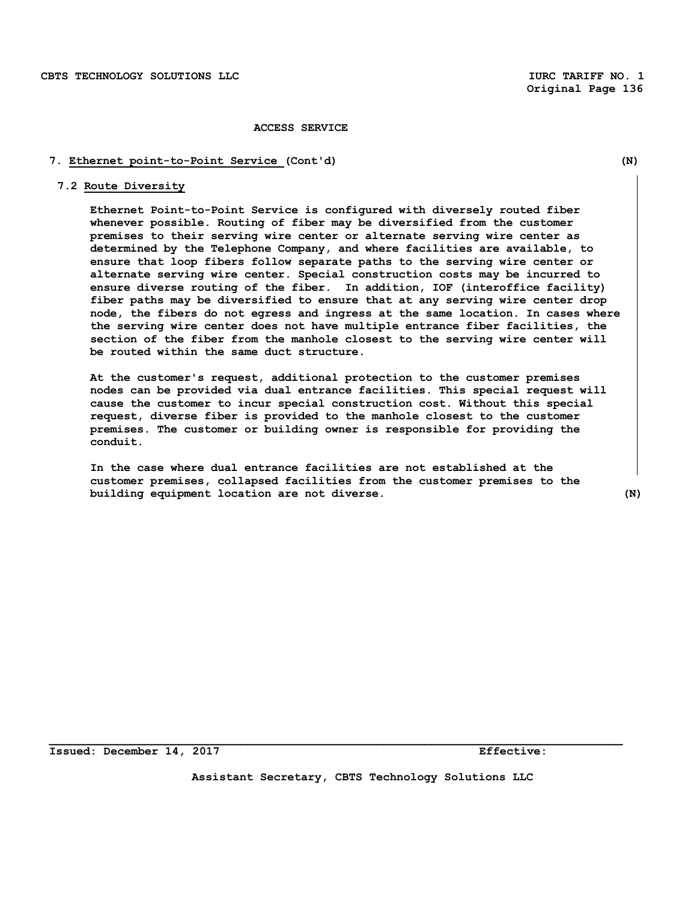#### **7. Ethernet point-to-Point Service (Cont'd) (N)**

# **7.2 Route Diversity**

**Ethernet Point-to-Point Service is configured with diversely routed fiber whenever possible. Routing of fiber may be diversified from the customer premises to their serving wire center or alternate serving wire center as determined by the Telephone Company, and where facilities are available, to ensure that loop fibers follow separate paths to the serving wire center or alternate serving wire center. Special construction costs may be incurred to ensure diverse routing of the fiber. In addition, IOF (interoffice facility) fiber paths may be diversified to ensure that at any serving wire center drop node, the fibers do not egress and ingress at the same location. In cases where the serving wire center does not have multiple entrance fiber facilities, the section of the fiber from the manhole closest to the serving wire center will be routed within the same duct structure.** 

**At the customer's request, additional protection to the customer premises nodes can be provided via dual entrance facilities. This special request will cause the customer to incur special construction cost. Without this special request, diverse fiber is provided to the manhole closest to the customer premises. The customer or building owner is responsible for providing the conduit.** 

**In the case where dual entrance facilities are not established at the customer premises, collapsed facilities from the customer premises to the building equipment location are not diverse. (N)** 

**Issued: December 14, 2017 Effective:** 

**Assistant Secretary, CBTS Technology Solutions LLC**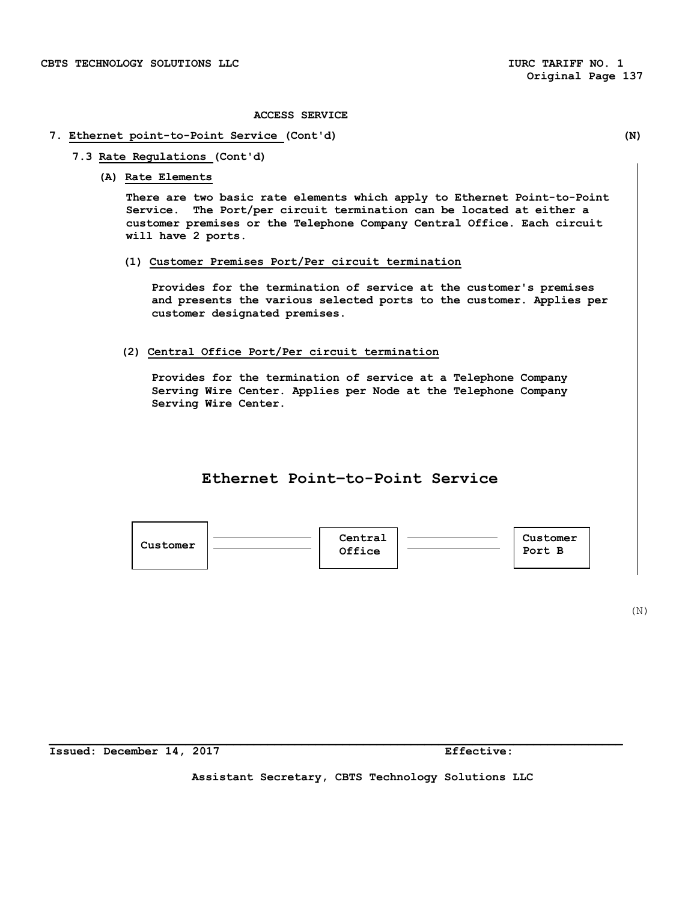# **7. Ethernet point-to-Point Service (Cont'd) (N)**

- **7.3 Rate Regulations (Cont'd)** 
	- **(A) Rate Elements**

**There are two basic rate elements which apply to Ethernet Point-to-Point Service. The Port/per circuit termination can be located at either a customer premises or the Telephone Company Central Office. Each circuit will have 2 ports.** 

**(1) Customer Premises Port/Per circuit termination** 

**Provides for the termination of service at the customer's premises and presents the various selected ports to the customer. Applies per customer designated premises.** 

**(2) Central Office Port/Per circuit termination** 

**Provides for the termination of service at a Telephone Company Serving Wire Center. Applies per Node at the Telephone Company Serving Wire Center.** 

# **Ethernet Point–to-Point Service**



 $(N)$ 

**Assistant Secretary, CBTS Technology Solutions LLC**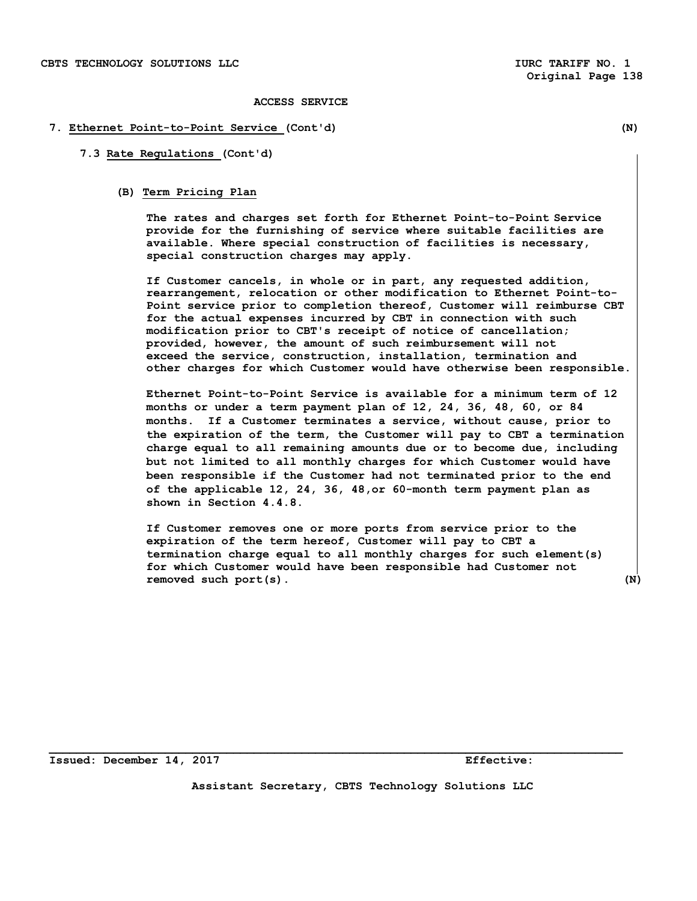#### **7. Ethernet Point-to-Point Service (Cont'd) (N)**

#### **7.3 Rate Regulations (Cont'd)**

# **(B) Term Pricing Plan**

 **The rates and charges set forth for Ethernet Point-to-Point Service provide for the furnishing of service where suitable facilities are available. Where special construction of facilities is necessary, special construction charges may apply.** 

 **If Customer cancels, in whole or in part, any requested addition, rearrangement, relocation or other modification to Ethernet Point-to-Point service prior to completion thereof, Customer will reimburse CBT for the actual expenses incurred by CBT in connection with such modification prior to CBT's receipt of notice of cancellation; provided, however, the amount of such reimbursement will not exceed the service, construction, installation, termination and other charges for which Customer would have otherwise been responsible.** 

**Ethernet Point-to-Point Service is available for a minimum term of 12 months or under a term payment plan of 12, 24, 36, 48, 60, or 84 months. If a Customer terminates a service, without cause, prior to the expiration of the term, the Customer will pay to CBT a termination charge equal to all remaining amounts due or to become due, including but not limited to all monthly charges for which Customer would have been responsible if the Customer had not terminated prior to the end of the applicable 12, 24, 36, 48,or 60-month term payment plan as shown in Section 4.4.8.** 

**If Customer removes one or more ports from service prior to the expiration of the term hereof, Customer will pay to CBT a termination charge equal to all monthly charges for such element(s) for which Customer would have been responsible had Customer not removed such port(s). (N)** 

**Issued: December 14, 2017 Effective: Effective:** 

**Assistant Secretary, CBTS Technology Solutions LLC**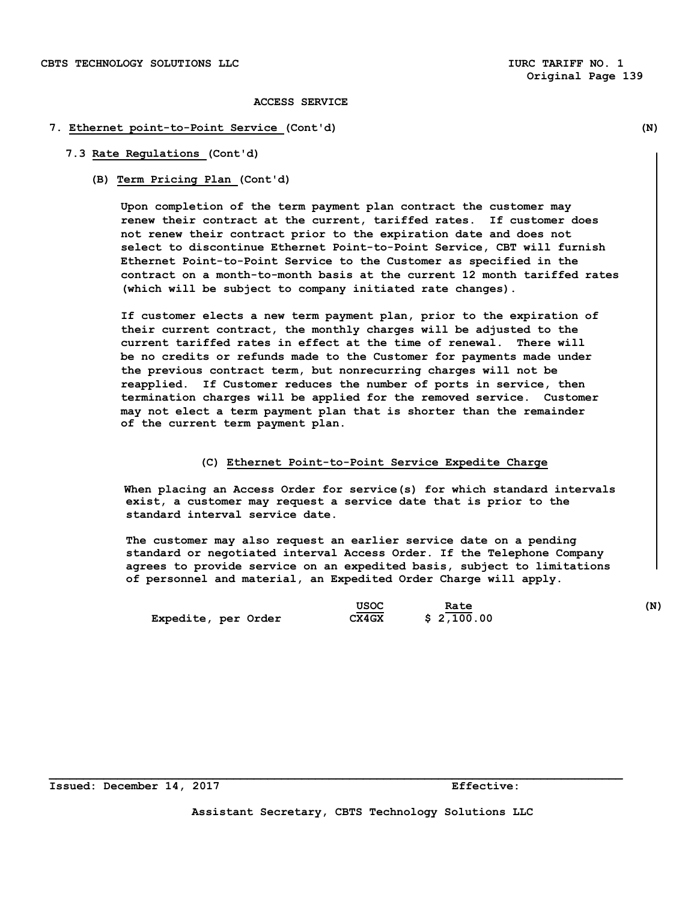#### **7. Ethernet point-to-Point Service (Cont'd) (N)**

#### **7.3 Rate Regulations (Cont'd)**

**(B) Term Pricing Plan (Cont'd)** 

 **Upon completion of the term payment plan contract the customer may renew their contract at the current, tariffed rates. If customer does not renew their contract prior to the expiration date and does not select to discontinue Ethernet Point-to-Point Service, CBT will furnish Ethernet Point-to-Point Service to the Customer as specified in the contract on a month-to-month basis at the current 12 month tariffed rates (which will be subject to company initiated rate changes).** 

 **If customer elects a new term payment plan, prior to the expiration of their current contract, the monthly charges will be adjusted to the current tariffed rates in effect at the time of renewal. There will be no credits or refunds made to the Customer for payments made under the previous contract term, but nonrecurring charges will not be reapplied. If Customer reduces the number of ports in service, then termination charges will be applied for the removed service. Customer may not elect a term payment plan that is shorter than the remainder of the current term payment plan.** 

#### **(C) Ethernet Point-to-Point Service Expedite Charge**

 **When placing an Access Order for service(s) for which standard intervals exist, a customer may request a service date that is prior to the standard interval service date.** 

 **The customer may also request an earlier service date on a pending standard or negotiated interval Access Order. If the Telephone Company agrees to provide service on an expedited basis, subject to limitations of personnel and material, an Expedited Order Charge will apply.** 

|                     | <b>USOC</b>  | Rate       | (N) |
|---------------------|--------------|------------|-----|
| Expedite, per Order | <b>CX4GX</b> | \$2,100.00 |     |

**Issued: December 14, 2017 Effective:**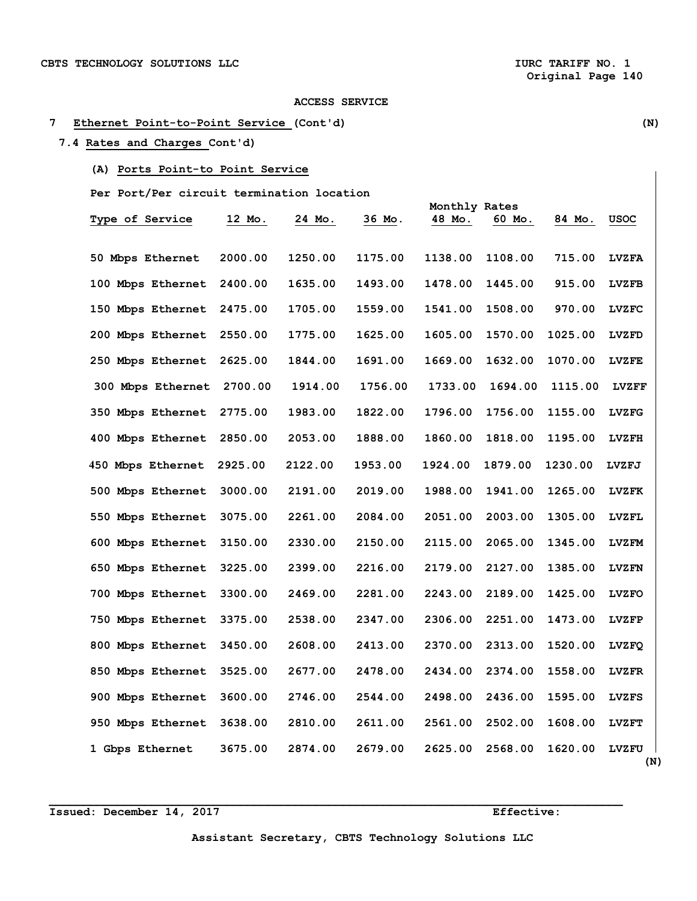# **7 Ethernet Point-to-Point Service (Cont'd) (N)**

# **7.4 Rates and Charges Cont'd)**

# **(A) Ports Point-to Point Service**

 **Per Port/Per circuit termination location** 

|                        |         |         |         | Monthly Rates |         |         |                     |  |
|------------------------|---------|---------|---------|---------------|---------|---------|---------------------|--|
| <b>Type of Service</b> | 12 Mo.  | 24 Mo.  | 36 Mo.  | 48 Mo.        | 60 Mo.  | 84 Mo.  | USOC                |  |
| 50 Mbps Ethernet       | 2000.00 | 1250.00 | 1175.00 | 1138.00       | 1108.00 | 715.00  | <b>LVZFA</b>        |  |
| 100 Mbps Ethernet      | 2400.00 | 1635.00 | 1493.00 | 1478.00       | 1445.00 | 915.00  | <b>LVZFB</b>        |  |
| 150 Mbps Ethernet      | 2475.00 | 1705.00 | 1559.00 | 1541.00       | 1508.00 | 970.00  | <b>LVZFC</b>        |  |
| 200 Mbps Ethernet      | 2550.00 | 1775.00 | 1625.00 | 1605.00       | 1570.00 | 1025.00 | <b>LVZFD</b>        |  |
| 250 Mbps Ethernet      | 2625.00 | 1844.00 | 1691.00 | 1669.00       | 1632.00 | 1070.00 | <b>LVZFE</b>        |  |
| 300 Mbps Ethernet      | 2700.00 | 1914.00 | 1756.00 | 1733.00       | 1694.00 | 1115.00 | <b>LVZFF</b>        |  |
| 350 Mbps Ethernet      | 2775.00 | 1983.00 | 1822.00 | 1796.00       | 1756.00 | 1155.00 | <b>LVZFG</b>        |  |
| 400 Mbps Ethernet      | 2850.00 | 2053.00 | 1888.00 | 1860.00       | 1818.00 | 1195.00 | <b>LVZFH</b>        |  |
| 450 Mbps Ethernet      | 2925.00 | 2122.00 | 1953.00 | 1924.00       | 1879.00 | 1230.00 | LVZFJ               |  |
| 500 Mbps Ethernet      | 3000.00 | 2191.00 | 2019.00 | 1988.00       | 1941.00 | 1265.00 | <b>LVZFK</b>        |  |
| 550 Mbps Ethernet      | 3075.00 | 2261.00 | 2084.00 | 2051.00       | 2003.00 | 1305.00 | LVZFL               |  |
| 600 Mbps Ethernet      | 3150.00 | 2330.00 | 2150.00 | 2115.00       | 2065.00 | 1345.00 | <b>LVZFM</b>        |  |
| 650 Mbps Ethernet      | 3225.00 | 2399.00 | 2216.00 | 2179.00       | 2127.00 | 1385.00 | <b>LVZFN</b>        |  |
| 700 Mbps Ethernet      | 3300.00 | 2469.00 | 2281.00 | 2243.00       | 2189.00 | 1425.00 | <b>LVZFO</b>        |  |
| 750 Mbps Ethernet      | 3375.00 | 2538.00 | 2347.00 | 2306.00       | 2251.00 | 1473.00 | <b>LVZFP</b>        |  |
| 800 Mbps Ethernet      | 3450.00 | 2608.00 | 2413.00 | 2370.00       | 2313.00 | 1520.00 | LVZFQ               |  |
| 850 Mbps Ethernet      | 3525.00 | 2677.00 | 2478.00 | 2434.00       | 2374.00 | 1558.00 | <b>LVZFR</b>        |  |
| 900 Mbps Ethernet      | 3600.00 | 2746.00 | 2544.00 | 2498.00       | 2436.00 | 1595.00 | <b>LVZFS</b>        |  |
| 950 Mbps Ethernet      | 3638.00 | 2810.00 | 2611.00 | 2561.00       | 2502.00 | 1608.00 | <b>LVZFT</b>        |  |
| 1 Gbps Ethernet        | 3675.00 | 2874.00 | 2679.00 | 2625.00       | 2568.00 | 1620.00 | <b>LVZFU</b><br>(N) |  |

**Issued: December 14, 2017 Effective:**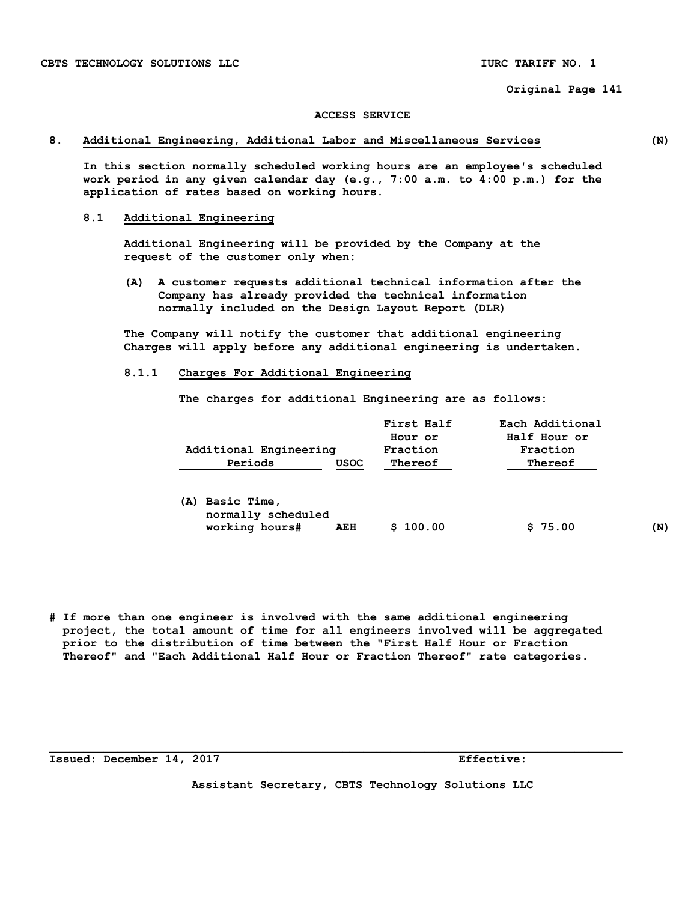#### **ACCESS SERVICE**

#### **8. Additional Engineering, Additional Labor and Miscellaneous Services (N)**

 **In this section normally scheduled working hours are an employee's scheduled work period in any given calendar day (e.g., 7:00 a.m. to 4:00 p.m.) for the application of rates based on working hours.** 

#### **8.1 Additional Engineering**

 **Additional Engineering will be provided by the Company at the request of the customer only when:** 

 **(A) A customer requests additional technical information after the Company has already provided the technical information normally included on the Design Layout Report (DLR)** 

 **The Company will notify the customer that additional engineering Charges will apply before any additional engineering is undertaken.** 

 **8.1.1 Charges For Additional Engineering** 

 **The charges for additional Engineering are as follows:** 

| Additional Engineering                                     |             | First Half<br>Hour or<br>Fraction | Each Additional<br>Half Hour or<br>Fraction |     |
|------------------------------------------------------------|-------------|-----------------------------------|---------------------------------------------|-----|
| Periods                                                    | <b>USOC</b> | Thereof                           | Thereof                                     |     |
| Basic Time,<br>(A)<br>normally scheduled<br>working hours# | AEH         | 100.00<br>s                       | \$75.00                                     | (N) |

**# If more than one engineer is involved with the same additional engineering project, the total amount of time for all engineers involved will be aggregated prior to the distribution of time between the "First Half Hour or Fraction Thereof" and "Each Additional Half Hour or Fraction Thereof" rate categories.** 

**\_\_\_\_\_\_\_\_\_\_\_\_\_\_\_\_\_\_\_\_\_\_\_\_\_\_\_\_\_\_\_\_\_\_\_\_\_\_\_\_\_\_\_\_\_\_\_\_\_\_\_\_\_\_\_\_\_\_\_\_\_\_\_\_\_\_\_\_\_\_\_\_\_\_\_\_\_\_\_\_\_\_\_\_** 

**Issued: December 14, 2017 Effective: Effective:** 

**Assistant Secretary, CBTS Technology Solutions LLC**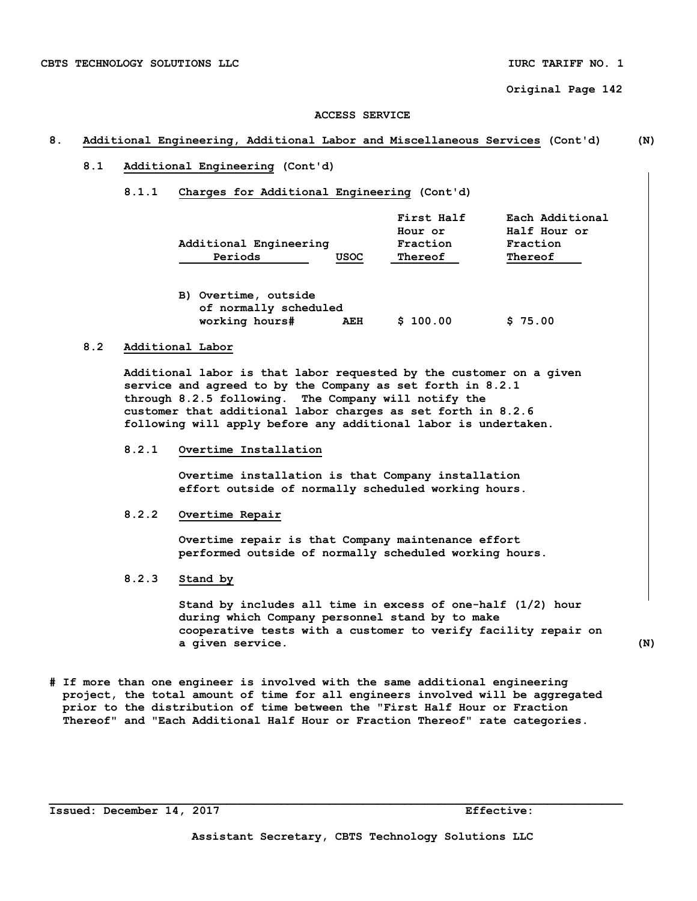#### **ACCESS SERVICE**

# **8. Additional Engineering, Additional Labor and Miscellaneous Services (Cont'd) (N)**

### **8.1 Additional Engineering (Cont'd)**

#### **8.1.1 Charges for Additional Engineering (Cont'd)**

|                        |             | First Half | Each Additional |
|------------------------|-------------|------------|-----------------|
|                        |             | Hour or    | Half Hour or    |
| Additional Engineering |             | Fraction   | Fraction        |
| Periods                | <b>USOC</b> | Thereof    | Thereof         |

| B) Overtime, outside  |     |          |         |
|-----------------------|-----|----------|---------|
| of normally scheduled |     |          |         |
| working hours#        | AEH | \$100.00 | \$75.00 |

# **8.2 Additional Labor**

 **Additional labor is that labor requested by the customer on a given service and agreed to by the Company as set forth in 8.2.1 through 8.2.5 following. The Company will notify the customer that additional labor charges as set forth in 8.2.6 following will apply before any additional labor is undertaken.** 

### **8.2.1 Overtime Installation**

 **Overtime installation is that Company installation effort outside of normally scheduled working hours.** 

#### **8.2.2 Overtime Repair**

 **Overtime repair is that Company maintenance effort performed outside of normally scheduled working hours.** 

# **8.2.3 Stand by**

 **Stand by includes all time in excess of one-half (1/2) hour during which Company personnel stand by to make cooperative tests with a customer to verify facility repair on a given service. (N)** 

**# If more than one engineer is involved with the same additional engineering project, the total amount of time for all engineers involved will be aggregated prior to the distribution of time between the "First Half Hour or Fraction Thereof" and "Each Additional Half Hour or Fraction Thereof" rate categories.** 

**Issued: December 14, 2017 Effective:**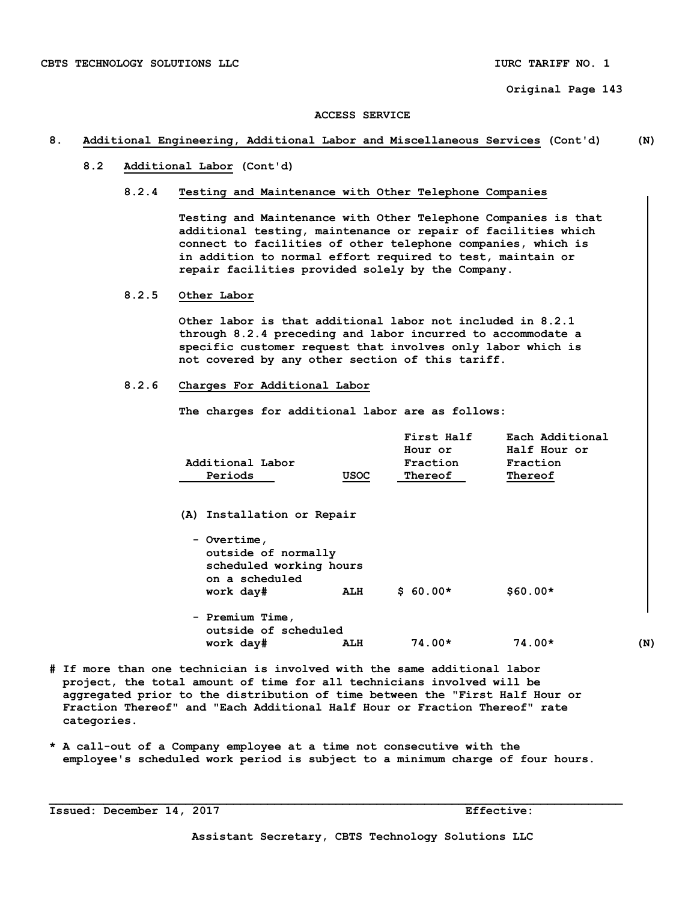#### **ACCESS SERVICE**

#### **8. Additional Engineering, Additional Labor and Miscellaneous Services (Cont'd) (N)**

 **8.2 Additional Labor (Cont'd)** 

#### **8.2.4 Testing and Maintenance with Other Telephone Companies**

 **Testing and Maintenance with Other Telephone Companies is that additional testing, maintenance or repair of facilities which connect to facilities of other telephone companies, which is in addition to normal effort required to test, maintain or repair facilities provided solely by the Company.** 

 **8.2.5 Other Labor** 

 **Other labor is that additional labor not included in 8.2.1 through 8.2.4 preceding and labor incurred to accommodate a specific customer request that involves only labor which is not covered by any other section of this tariff.** 

#### **8.2.6 Charges For Additional Labor**

 **The charges for additional labor are as follows:** 

|                  |      | First Half | Each Additional |
|------------------|------|------------|-----------------|
|                  |      | Hour or    | Half Hour or    |
| Additional Labor |      | Fraction   | Fraction        |
| Periods          | USOC | Thereof    | Thereof         |

 **(A) Installation or Repair** 

| - Overtime,                               |     |           |           |
|-------------------------------------------|-----|-----------|-----------|
| outside of normally                       |     |           |           |
| scheduled working hours<br>on a scheduled |     |           |           |
| work day#                                 | ALH | $$60.00*$ | $$60.00*$ |
| - Premium Time,                           |     |           |           |

- **outside of scheduled work day# ALH 74.00\* 74.00\* (N) # If more than one technician is involved with the same additional labor**
- **project, the total amount of time for all technicians involved will be aggregated prior to the distribution of time between the "First Half Hour or Fraction Thereof" and "Each Additional Half Hour or Fraction Thereof" rate categories.**
- **\* A call-out of a Company employee at a time not consecutive with the employee's scheduled work period is subject to a minimum charge of four hours.**

**\_\_\_\_\_\_\_\_\_\_\_\_\_\_\_\_\_\_\_\_\_\_\_\_\_\_\_\_\_\_\_\_\_\_\_\_\_\_\_\_\_\_\_\_\_\_\_\_\_\_\_\_\_\_\_\_\_\_\_\_\_\_\_\_\_\_\_\_\_\_\_\_\_\_\_\_\_\_\_\_\_\_\_\_** 

**Issued: December 14, 2017 Effective:**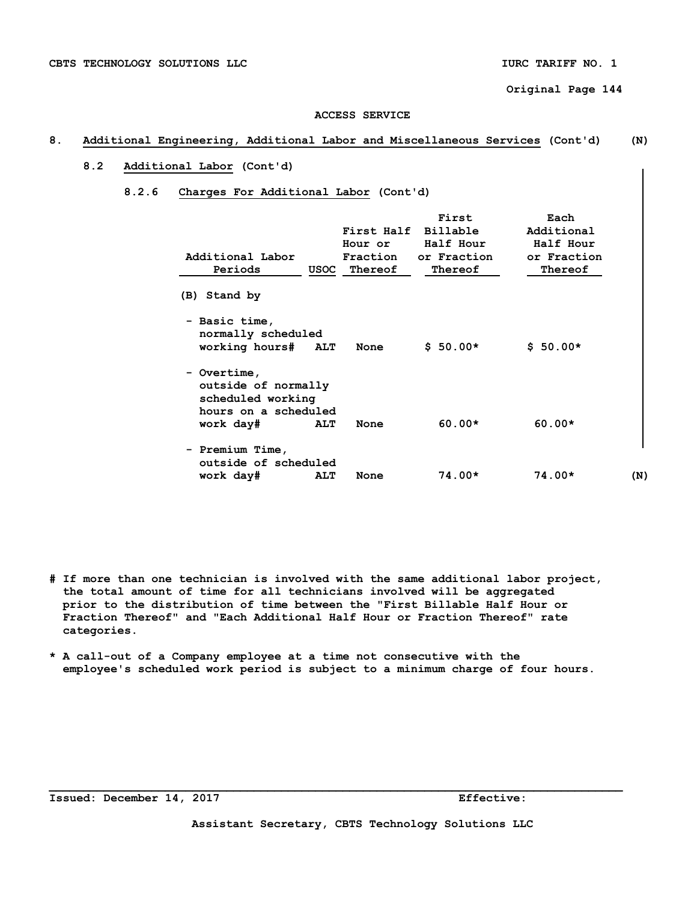#### **ACCESS SERVICE**

# **8. Additional Engineering, Additional Labor and Miscellaneous Services (Cont'd) (N)**

# **8.2 Additional Labor (Cont'd)**

#### **8.2.6 Charges For Additional Labor (Cont'd)**

| Additional Labor<br>Periods                                                                  |            | First Half<br>Hour or<br>Fraction<br>USOC Thereof | First<br>Billable<br>Half Hour<br>or Fraction<br>Thereof | Each<br>Additional<br>Half Hour<br>or Fraction<br>Thereof |     |
|----------------------------------------------------------------------------------------------|------------|---------------------------------------------------|----------------------------------------------------------|-----------------------------------------------------------|-----|
| (B) Stand by                                                                                 |            |                                                   |                                                          |                                                           |     |
| - Basic time,<br>normally scheduled<br>working hours#                                        | <b>ALT</b> | None                                              | $$50.00*$                                                | $$50.00*$                                                 |     |
| - Overtime,<br>outside of normally<br>scheduled working<br>hours on a scheduled<br>work day# | <b>ALT</b> | None                                              | $60.00*$                                                 | $60.00*$                                                  |     |
| - Premium Time,<br>outside of scheduled<br>work day#                                         | <b>ALT</b> | None                                              | $74.00*$                                                 | $74.00*$                                                  | (N) |

- **# If more than one technician is involved with the same additional labor project, the total amount of time for all technicians involved will be aggregated prior to the distribution of time between the "First Billable Half Hour or Fraction Thereof" and "Each Additional Half Hour or Fraction Thereof" rate categories.**
- **\* A call-out of a Company employee at a time not consecutive with the employee's scheduled work period is subject to a minimum charge of four hours.**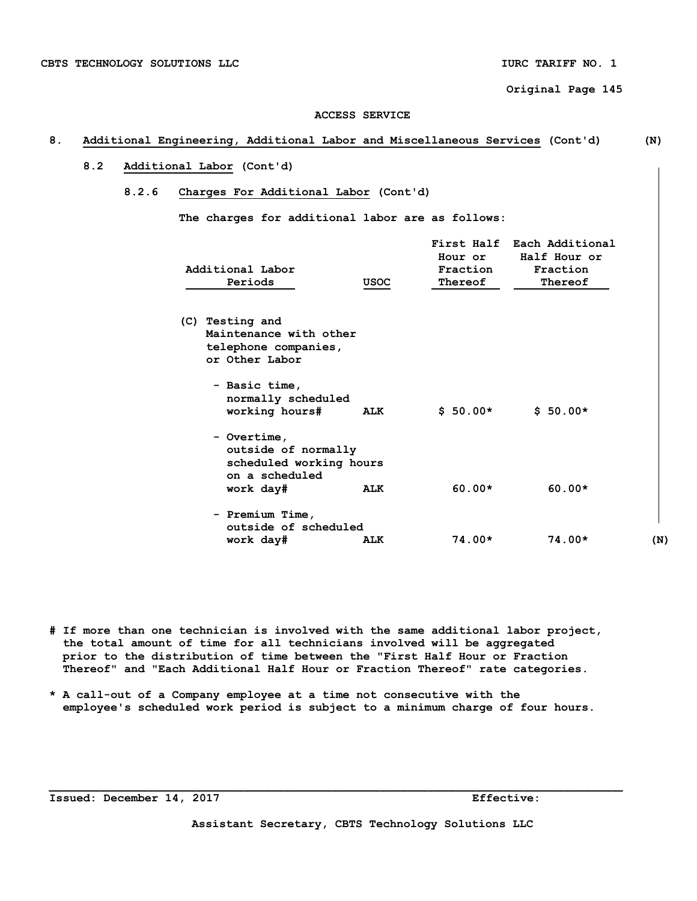### **ACCESS SERVICE**

### **8. Additional Engineering, Additional Labor and Miscellaneous Services (Cont'd) (N)**

# **8.2 Additional Labor (Cont'd)**

#### **8.2.6 Charges For Additional Labor (Cont'd)**

 **The charges for additional labor are as follows:** 

| Additional Labor<br>Periods                                                                  | USOC       | First Half<br>Hour or<br>Fraction<br>Thereof | Each Additional<br>Half Hour or<br>Fraction<br>Thereof |     |
|----------------------------------------------------------------------------------------------|------------|----------------------------------------------|--------------------------------------------------------|-----|
|                                                                                              |            |                                              |                                                        |     |
| (C) Testing and<br>Maintenance with other<br>telephone companies,<br>or Other Labor          |            |                                              |                                                        |     |
| - Basic time,<br>normally scheduled<br>working hours#                                        | <b>ALK</b> | $$50.00*$                                    | $$50.00*$                                              |     |
| - Overtime,<br>outside of normally<br>scheduled working hours<br>on a scheduled<br>work day# | ALK        | $60.00*$                                     | $60.00*$                                               |     |
| - Premium Time,<br>outside of scheduled                                                      |            |                                              |                                                        |     |
| work day#                                                                                    | <b>ALK</b> | 74.00*                                       | $74.00*$                                               | (N) |

**# If more than one technician is involved with the same additional labor project, the total amount of time for all technicians involved will be aggregated prior to the distribution of time between the "First Half Hour or Fraction Thereof" and "Each Additional Half Hour or Fraction Thereof" rate categories.** 

**\* A call-out of a Company employee at a time not consecutive with the employee's scheduled work period is subject to a minimum charge of four hours.** 

**Issued: December 14, 2017 Effective:**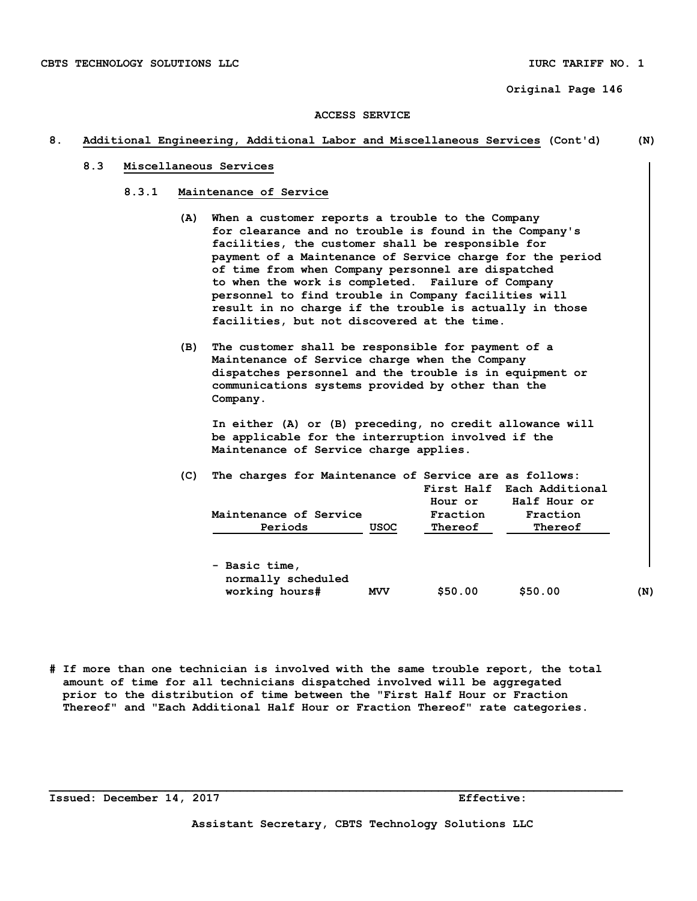#### **ACCESS SERVICE**

#### **8. Additional Engineering, Additional Labor and Miscellaneous Services (Cont'd) (N)**

#### **8.3 Miscellaneous Services**

- **8.3.1 Maintenance of Service** 
	- **(A) When a customer reports a trouble to the Company for clearance and no trouble is found in the Company's facilities, the customer shall be responsible for payment of a Maintenance of Service charge for the period of time from when Company personnel are dispatched to when the work is completed. Failure of Company personnel to find trouble in Company facilities will result in no charge if the trouble is actually in those facilities, but not discovered at the time.**
	- **(B) The customer shall be responsible for payment of a Maintenance of Service charge when the Company dispatches personnel and the trouble is in equipment or communications systems provided by other than the Company.**

 **In either (A) or (B) preceding, no credit allowance will be applicable for the interruption involved if the Maintenance of Service charge applies.** 

| (C) | The charges for Maintenance of Service are as follows:<br>Maintenance of Service |             | Hour or<br>Fraction | First Half Each Additional<br>Half Hour or<br>Fraction |     |
|-----|----------------------------------------------------------------------------------|-------------|---------------------|--------------------------------------------------------|-----|
|     | Periods                                                                          | <b>USOC</b> | Thereof             | Thereof                                                |     |
|     | - Basic time,<br>normally scheduled                                              |             |                     |                                                        |     |
|     | working hours#                                                                   | <b>MVV</b>  | \$50.00             | \$50.00                                                | (N) |

**# If more than one technician is involved with the same trouble report, the total amount of time for all technicians dispatched involved will be aggregated prior to the distribution of time between the "First Half Hour or Fraction Thereof" and "Each Additional Half Hour or Fraction Thereof" rate categories.**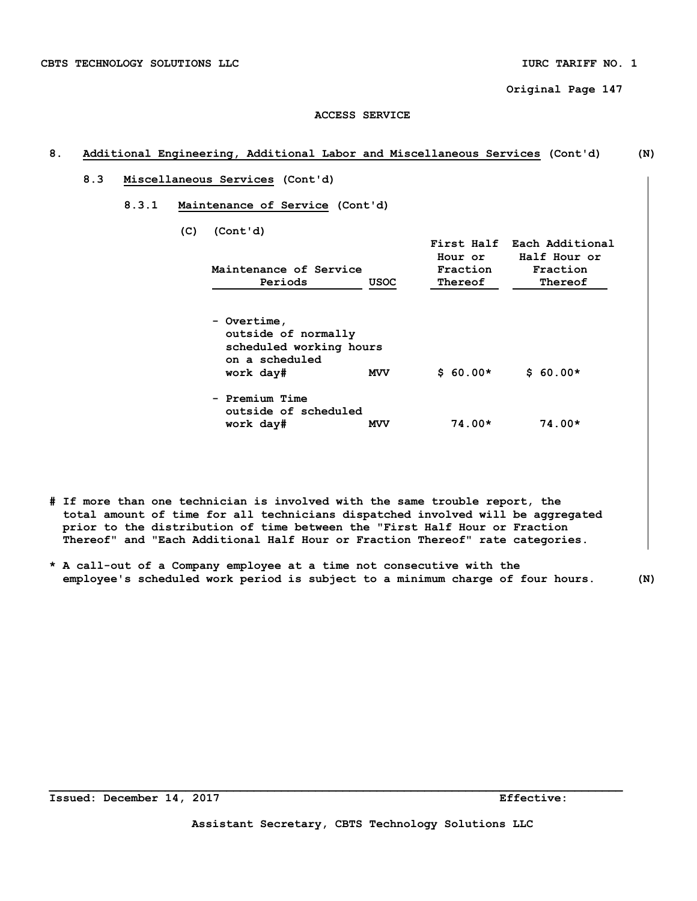### **ACCESS SERVICE**

# **8. Additional Engineering, Additional Labor and Miscellaneous Services (Cont'd) (N)**

- **8.3 Miscellaneous Services (Cont'd)** 
	- **8.3.1 Maintenance of Service (Cont'd)** 
		- **(C) (Cont'd)**

| Maintenance of Service<br>Periods                                                            | <b>USOC</b> | Hour or<br>Fraction<br>Thereof | First Half Each Additional<br>Half Hour or<br>Fraction<br>Thereof |
|----------------------------------------------------------------------------------------------|-------------|--------------------------------|-------------------------------------------------------------------|
| - Overtime,<br>outside of normally<br>scheduled working hours<br>on a scheduled<br>work day# | <b>MVV</b>  | $$60.00*$                      | $$60.00*$                                                         |
| - Premium Time<br>outside of scheduled<br>work day#                                          | <b>MVV</b>  | $74.00*$                       | $74.00*$                                                          |

- **# If more than one technician is involved with the same trouble report, the total amount of time for all technicians dispatched involved will be aggregated prior to the distribution of time between the "First Half Hour or Fraction Thereof" and "Each Additional Half Hour or Fraction Thereof" rate categories.**
- **\* A call-out of a Company employee at a time not consecutive with the employee's scheduled work period is subject to a minimum charge of four hours. (N)**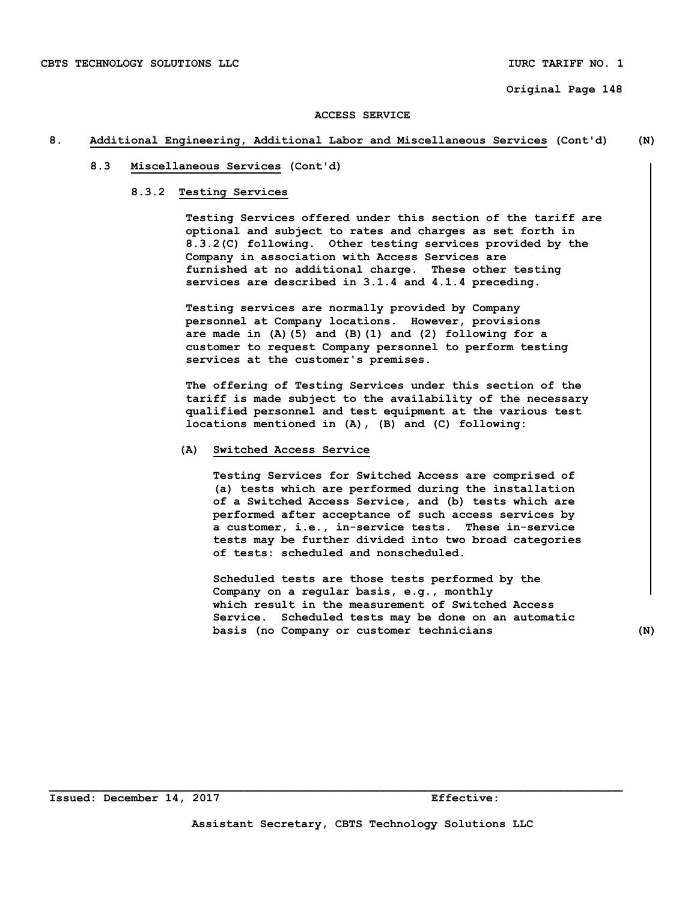#### **8. Additional Engineering, Additional Labor and Miscellaneous Services (Cont'd) (N)**

#### **8.3 Miscellaneous Services (Cont'd)**

#### **8.3.2 Testing Services**

 **Testing Services offered under this section of the tariff are optional and subject to rates and charges as set forth in 8.3.2(C) following. Other testing services provided by the Company in association with Access Services are furnished at no additional charge. These other testing services are described in 3.1.4 and 4.1.4 preceding.** 

 **Testing services are normally provided by Company personnel at Company locations. However, provisions are made in (A)(5) and (B)(1) and (2) following for a customer to request Company personnel to perform testing services at the customer's premises.** 

 **The offering of Testing Services under this section of the tariff is made subject to the availability of the necessary qualified personnel and test equipment at the various test locations mentioned in (A), (B) and (C) following:** 

#### **(A) Switched Access Service**

 **Testing Services for Switched Access are comprised of (a) tests which are performed during the installation of a Switched Access Service, and (b) tests which are performed after acceptance of such access services by a customer, i.e., in-service tests. These in-service tests may be further divided into two broad categories of tests: scheduled and nonscheduled.** 

 **Scheduled tests are those tests performed by the Company on a regular basis, e.g., monthly which result in the measurement of Switched Access Service. Scheduled tests may be done on an automatic basis (no Company or customer technicians (N)**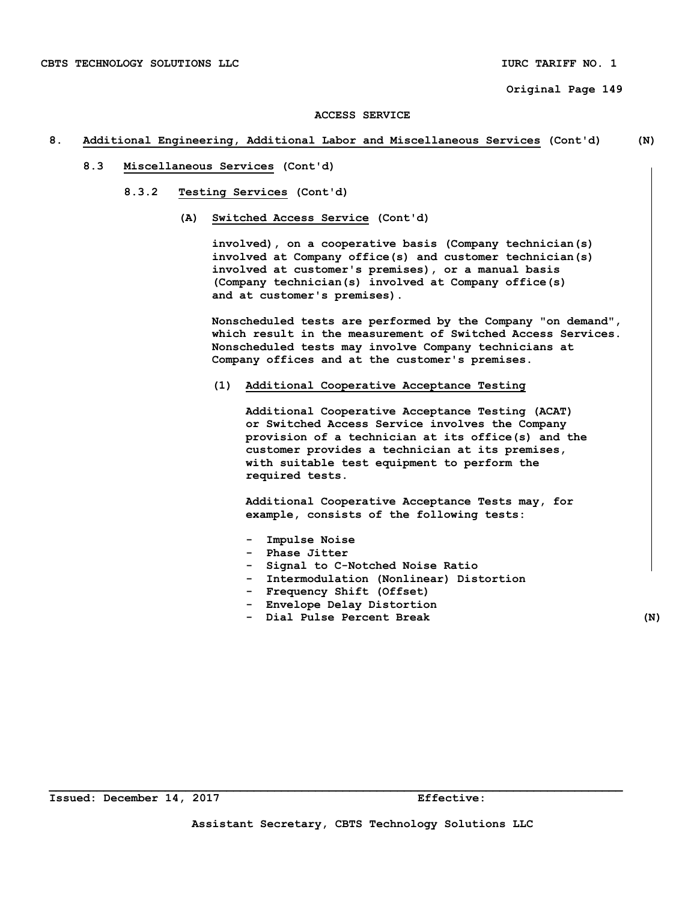#### **8. Additional Engineering, Additional Labor and Miscellaneous Services (Cont'd) (N)**

- **8.3 Miscellaneous Services (Cont'd)** 
	- **8.3.2 Testing Services (Cont'd)** 
		- **(A) Switched Access Service (Cont'd)**

 **involved), on a cooperative basis (Company technician(s) involved at Company office(s) and customer technician(s) involved at customer's premises), or a manual basis (Company technician(s) involved at Company office(s) and at customer's premises).** 

 **Nonscheduled tests are performed by the Company "on demand", which result in the measurement of Switched Access Services. Nonscheduled tests may involve Company technicians at Company offices and at the customer's premises.** 

 **(1) Additional Cooperative Acceptance Testing** 

 **Additional Cooperative Acceptance Testing (ACAT) or Switched Access Service involves the Company provision of a technician at its office(s) and the customer provides a technician at its premises, with suitable test equipment to perform the required tests.** 

 **Additional Cooperative Acceptance Tests may, for example, consists of the following tests:** 

- **Impulse Noise**
- **Phase Jitter**
- **Signal to C-Notched Noise Ratio**
- **Intermodulation (Nonlinear) Distortion**
- **Frequency Shift (Offset)**
- **Envelope Delay Distortion**
- **Dial Pulse Percent Break (N)**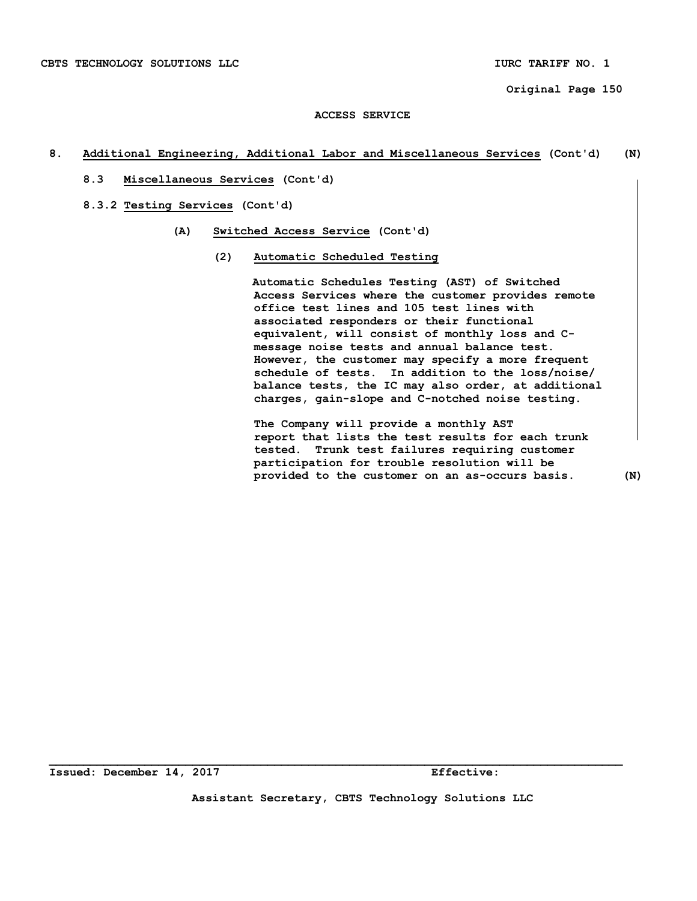# **8. Additional Engineering, Additional Labor and Miscellaneous Services (Cont'd) (N)**

 **8.3 Miscellaneous Services (Cont'd)** 

 **8.3.2 Testing Services (Cont'd)** 

- **(A) Switched Access Service (Cont'd)** 
	- **(2) Automatic Scheduled Testing**

 **Automatic Schedules Testing (AST) of Switched Access Services where the customer provides remote office test lines and 105 test lines with associated responders or their functional equivalent, will consist of monthly loss and C message noise tests and annual balance test. However, the customer may specify a more frequent schedule of tests. In addition to the loss/noise/ balance tests, the IC may also order, at additional charges, gain-slope and C-notched noise testing.** 

 **The Company will provide a monthly AST report that lists the test results for each trunk tested. Trunk test failures requiring customer participation for trouble resolution will be provided to the customer on an as-occurs basis. (N)**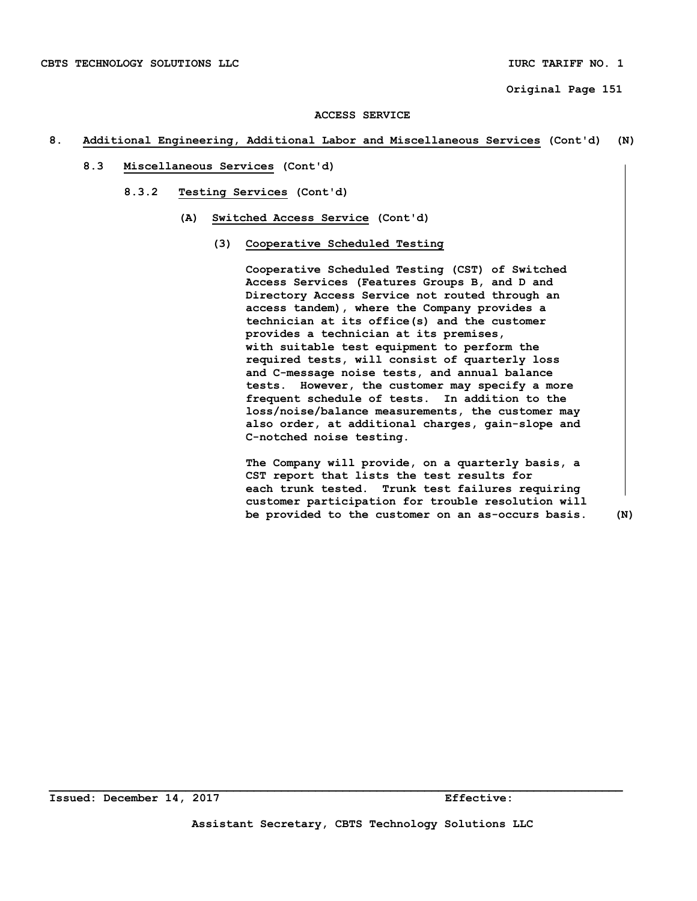#### **8. Additional Engineering, Additional Labor and Miscellaneous Services (Cont'd) (N)**

- **8.3 Miscellaneous Services (Cont'd)** 
	- **8.3.2 Testing Services (Cont'd)** 
		- **(A) Switched Access Service (Cont'd)** 
			- **(3) Cooperative Scheduled Testing**

 **Cooperative Scheduled Testing (CST) of Switched Access Services (Features Groups B, and D and Directory Access Service not routed through an access tandem), where the Company provides a technician at its office(s) and the customer provides a technician at its premises, with suitable test equipment to perform the required tests, will consist of quarterly loss and C-message noise tests, and annual balance tests. However, the customer may specify a more frequent schedule of tests. In addition to the loss/noise/balance measurements, the customer may also order, at additional charges, gain-slope and C-notched noise testing.** 

 **The Company will provide, on a quarterly basis, a CST report that lists the test results for each trunk tested. Trunk test failures requiring customer participation for trouble resolution will be provided to the customer on an as-occurs basis. (N)**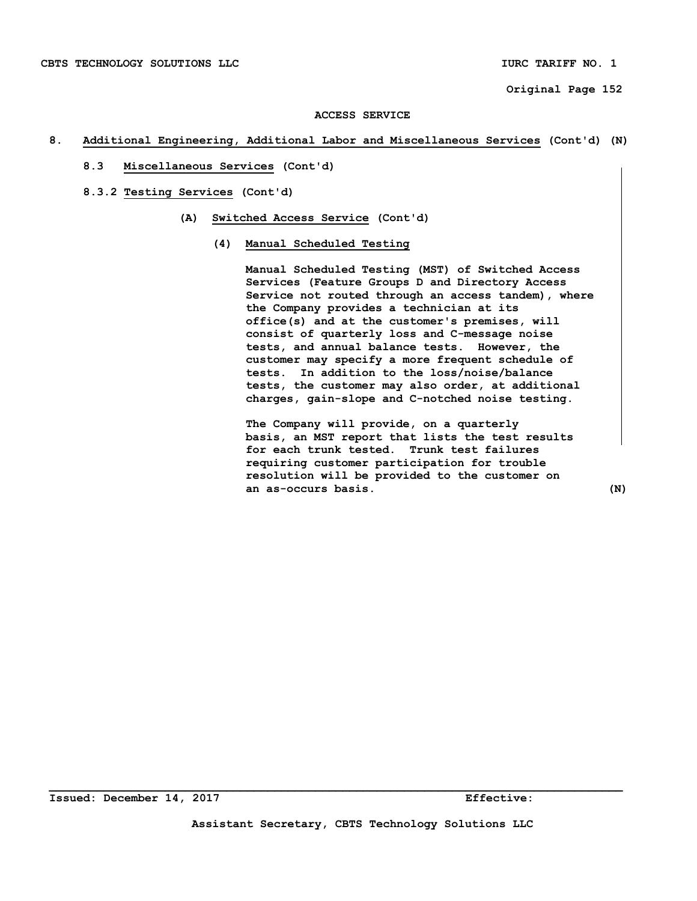#### **8. Additional Engineering, Additional Labor and Miscellaneous Services (Cont'd) (N)**

- **8.3 Miscellaneous Services (Cont'd)**
- **8.3.2 Testing Services (Cont'd)** 
	- **(A) Switched Access Service (Cont'd)** 
		- **(4) Manual Scheduled Testing**

 **Manual Scheduled Testing (MST) of Switched Access Services (Feature Groups D and Directory Access Service not routed through an access tandem), where the Company provides a technician at its office(s) and at the customer's premises, will consist of quarterly loss and C-message noise tests, and annual balance tests. However, the customer may specify a more frequent schedule of tests. In addition to the loss/noise/balance tests, the customer may also order, at additional charges, gain-slope and C-notched noise testing.** 

 **The Company will provide, on a quarterly basis, an MST report that lists the test results for each trunk tested. Trunk test failures requiring customer participation for trouble resolution will be provided to the customer on an as-occurs basis. (N)**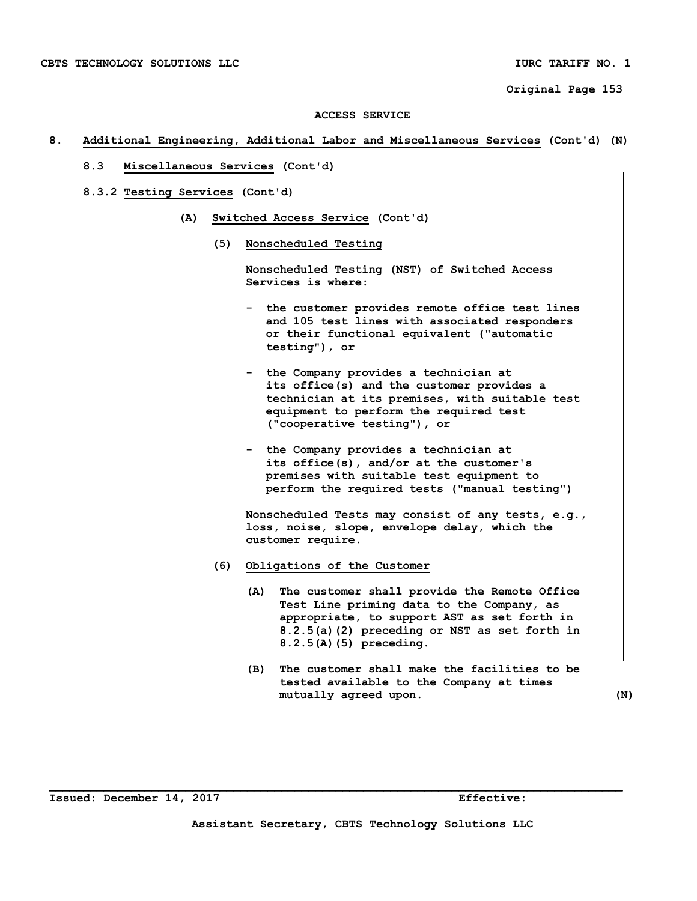#### **8. Additional Engineering, Additional Labor and Miscellaneous Services (Cont'd) (N)**

- **8.3 Miscellaneous Services (Cont'd)**
- **8.3.2 Testing Services (Cont'd)** 
	- **(A) Switched Access Service (Cont'd)** 
		- **(5) Nonscheduled Testing**

 **Nonscheduled Testing (NST) of Switched Access Services is where:** 

- **the customer provides remote office test lines and 105 test lines with associated responders or their functional equivalent ("automatic testing"), or**
- **the Company provides a technician at its office(s) and the customer provides a technician at its premises, with suitable test equipment to perform the required test ("cooperative testing"), or**
- **the Company provides a technician at its office(s), and/or at the customer's premises with suitable test equipment to perform the required tests ("manual testing")**

 **Nonscheduled Tests may consist of any tests, e.g., loss, noise, slope, envelope delay, which the customer require.** 

- **(6) Obligations of the Customer** 
	- **(A) The customer shall provide the Remote Office Test Line priming data to the Company, as appropriate, to support AST as set forth in 8.2.5(a)(2) preceding or NST as set forth in 8.2.5(A)(5) preceding.**
	- **(B) The customer shall make the facilities to be tested available to the Company at times mutually agreed upon. (N)**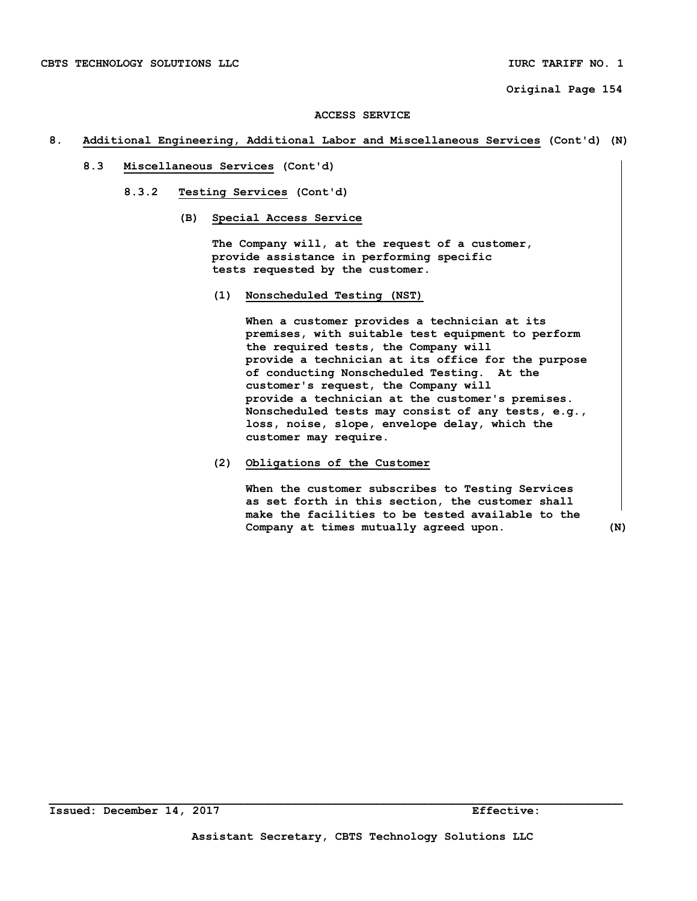#### **8. Additional Engineering, Additional Labor and Miscellaneous Services (Cont'd) (N)**

- **8.3 Miscellaneous Services (Cont'd)** 
	- **8.3.2 Testing Services (Cont'd)** 
		- **(B) Special Access Service**

 **The Company will, at the request of a customer, provide assistance in performing specific tests requested by the customer.** 

 **(1) Nonscheduled Testing (NST)** 

 **When a customer provides a technician at its premises, with suitable test equipment to perform the required tests, the Company will provide a technician at its office for the purpose of conducting Nonscheduled Testing. At the customer's request, the Company will provide a technician at the customer's premises. Nonscheduled tests may consist of any tests, e.g., loss, noise, slope, envelope delay, which the customer may require.** 

# **(2) Obligations of the Customer**

 **When the customer subscribes to Testing Services as set forth in this section, the customer shall make the facilities to be tested available to the Company at times mutually agreed upon. (N)**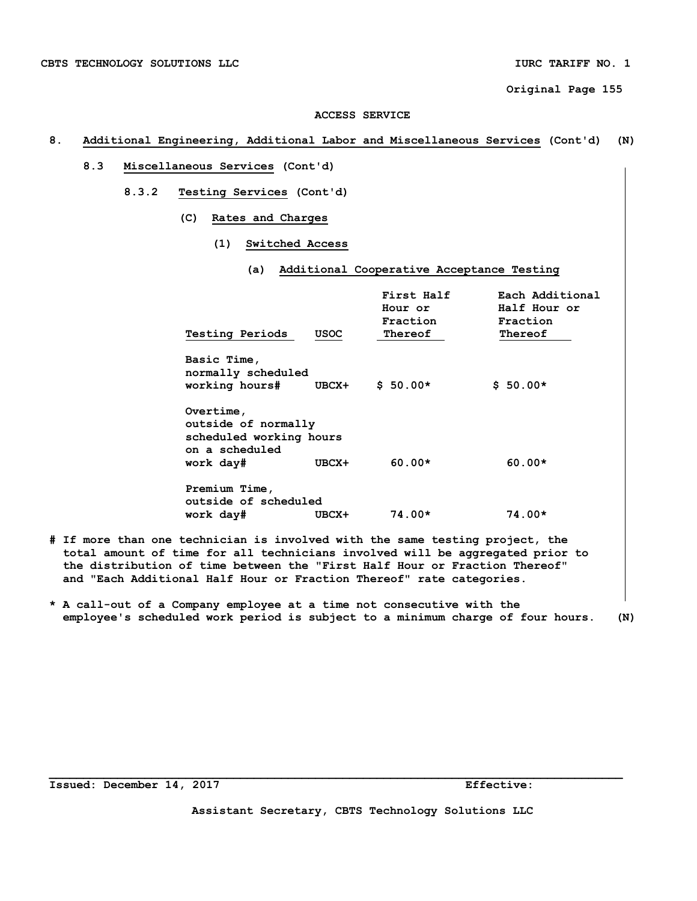### **ACCESS SERVICE**

#### **8. Additional Engineering, Additional Labor and Miscellaneous Services (Cont'd) (N)**

- **8.3 Miscellaneous Services (Cont'd)** 
	- **8.3.2 Testing Services (Cont'd)** 
		- **(C) Rates and Charges** 
			- **(1) Switched Access** 
				- **(a) Additional Cooperative Acceptance Testing**

|                                                                               |             | First Half<br>Hour or<br>Fraction | Each Additional<br>Half Hour or<br>Fraction |
|-------------------------------------------------------------------------------|-------------|-----------------------------------|---------------------------------------------|
| <b>Testing Periods</b>                                                        | <b>USOC</b> | Thereof                           | Thereof                                     |
| Basic Time,<br>normally scheduled<br>working hours#                           | UBCX+       | $$50.00*$                         | $$50.00*$                                   |
| Overtime,<br>outside of normally<br>scheduled working hours<br>on a scheduled | UBCX+       | $60.00*$                          | $60.00*$                                    |
| work day#                                                                     |             |                                   |                                             |
| Premium Time,<br>outside of scheduled<br>work day#                            | UBCX+       | 74.00*                            | 74.00*                                      |
|                                                                               |             |                                   |                                             |

- **# If more than one technician is involved with the same testing project, the total amount of time for all technicians involved will be aggregated prior to the distribution of time between the "First Half Hour or Fraction Thereof" and "Each Additional Half Hour or Fraction Thereof" rate categories.**
- **\* A call-out of a Company employee at a time not consecutive with the employee's scheduled work period is subject to a minimum charge of four hours. (N)**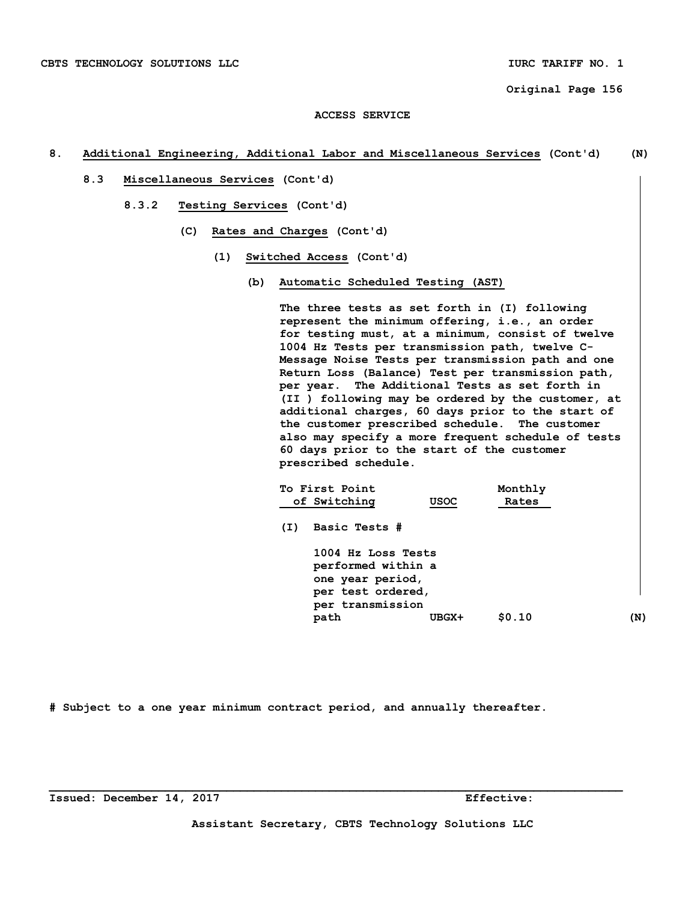# **8. Additional Engineering, Additional Labor and Miscellaneous Services (Cont'd) (N)**

- **8.3 Miscellaneous Services (Cont'd)** 
	- **8.3.2 Testing Services (Cont'd)** 
		- **(C) Rates and Charges (Cont'd)** 
			- **(1) Switched Access (Cont'd)** 
				- **(b) Automatic Scheduled Testing (AST)**

 **The three tests as set forth in (I) following represent the minimum offering, i.e., an order for testing must, at a minimum, consist of twelve 1004 Hz Tests per transmission path, twelve C- Message Noise Tests per transmission path and one Return Loss (Balance) Test per transmission path, per year. The Additional Tests as set forth in (II ) following may be ordered by the customer, at additional charges, 60 days prior to the start of the customer prescribed schedule. The customer also may specify a more frequent schedule of tests 60 days prior to the start of the customer prescribed schedule.** 

|     | To First Point                                                                                        |             | Monthly |     |
|-----|-------------------------------------------------------------------------------------------------------|-------------|---------|-----|
|     | of Switching                                                                                          | <b>USOC</b> | Rates   |     |
| (I) | Basic Tests #                                                                                         |             |         |     |
|     | 1004 Hz Loss Tests<br>performed within a<br>one year period,<br>per test ordered,<br>per transmission |             |         |     |
|     | path                                                                                                  | UBGX+       | \$0.10  | (N) |

**# Subject to a one year minimum contract period, and annually thereafter.**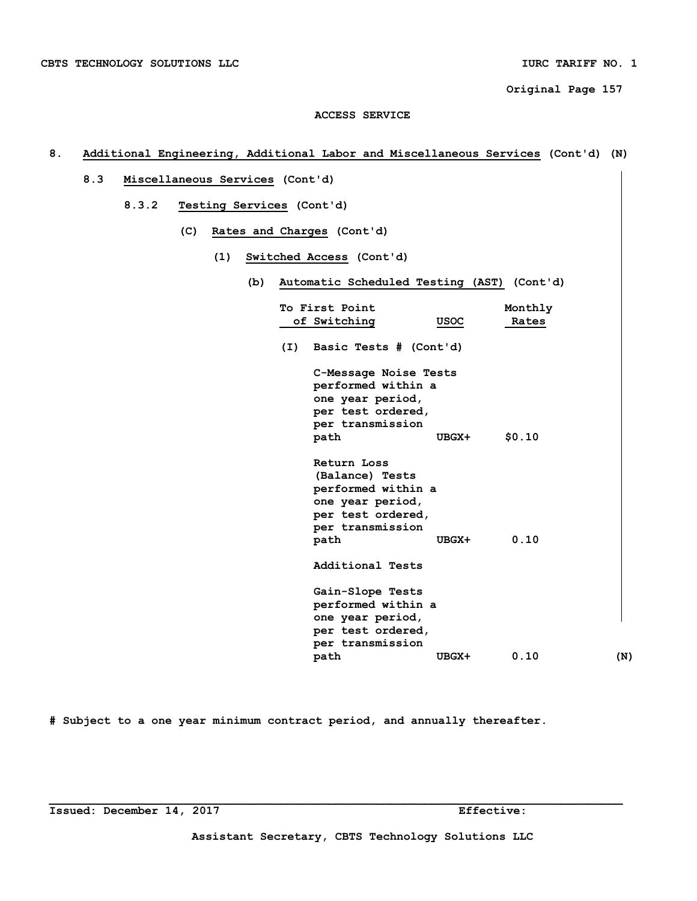# **ACCESS SERVICE**

# **8. Additional Engineering, Additional Labor and Miscellaneous Services (Cont'd) (N)**

- **8.3 Miscellaneous Services (Cont'd)** 
	- **8.3.2 Testing Services (Cont'd)** 
		- **(C) Rates and Charges (Cont'd)** 
			- **(1) Switched Access (Cont'd)** 
				- **(b) Automatic Scheduled Testing (AST) (Cont'd)**

|     | To First Point         |       | Monthly |     |
|-----|------------------------|-------|---------|-----|
|     | of Switching           | USOC  | Rates   |     |
| (I) | Basic Tests # (Cont'd) |       |         |     |
|     | C-Message Noise Tests  |       |         |     |
|     | performed within a     |       |         |     |
|     | one year period,       |       |         |     |
|     | per test ordered,      |       |         |     |
|     | per transmission       |       |         |     |
|     | path                   | UBGX+ | \$0.10  |     |
|     | Return Loss            |       |         |     |
|     | (Balance) Tests        |       |         |     |
|     | performed within a     |       |         |     |
|     | one year period,       |       |         |     |
|     | per test ordered,      |       |         |     |
|     | per transmission       |       |         |     |
|     | path                   | UBGX+ | 0.10    |     |
|     | Additional Tests       |       |         |     |
|     | Gain-Slope Tests       |       |         |     |
|     | performed within a     |       |         |     |
|     | one year period,       |       |         |     |
|     | per test ordered,      |       |         |     |
|     | per transmission       |       |         |     |
|     | path                   | UBGX+ | 0.10    | (N) |

**# Subject to a one year minimum contract period, and annually thereafter.**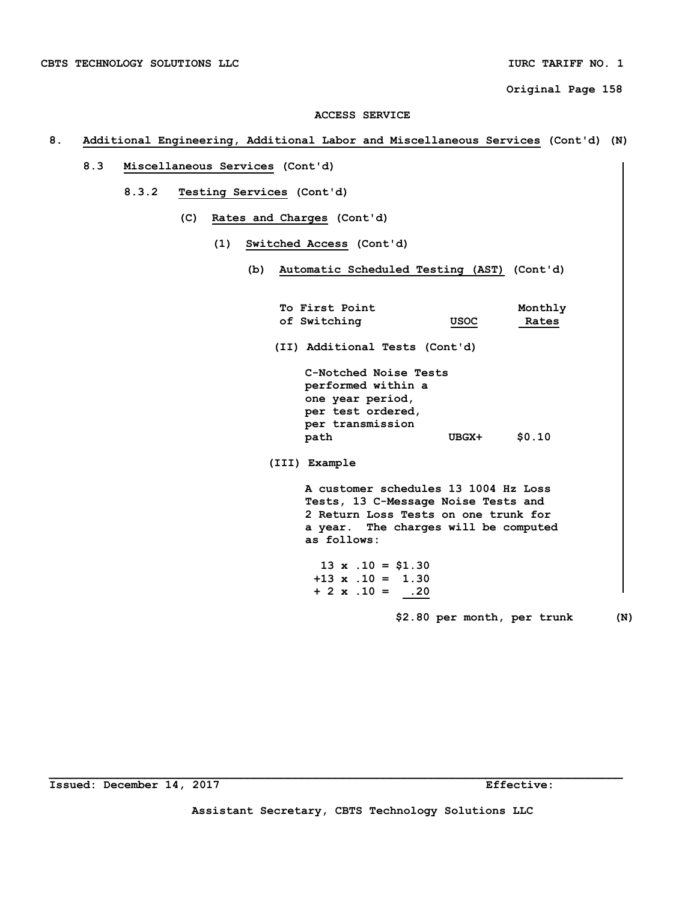# **8. Additional Engineering, Additional Labor and Miscellaneous Services (Cont'd) (N)**

- **8.3 Miscellaneous Services (Cont'd)** 
	- **8.3.2 Testing Services (Cont'd)** 
		- **(C) Rates and Charges (Cont'd)** 
			- **(1) Switched Access (Cont'd)** 
				- **(b) Automatic Scheduled Testing (AST) (Cont'd)**

| To First Point                                                                                                                                                             |             | Monthly                     |     |
|----------------------------------------------------------------------------------------------------------------------------------------------------------------------------|-------------|-----------------------------|-----|
| of Switching                                                                                                                                                               | <b>USOC</b> | Rates                       |     |
| (II) Additional Tests (Cont'd)                                                                                                                                             |             |                             |     |
| C-Notched Noise Tests<br>performed within a<br>one year period,<br>per test ordered,                                                                                       |             |                             |     |
| per transmission<br>path                                                                                                                                                   | UBGX+       | \$0.10                      |     |
| (III) Example                                                                                                                                                              |             |                             |     |
| A customer schedules 13 1004 Hz Loss<br>Tests, 13 C-Message Noise Tests and<br>2 Return Loss Tests on one trunk for<br>a year. The charges will be computed<br>as follows: |             |                             |     |
| $13 \times .10 = $1.30$<br>$+13 \times .10 = 1.30$<br>$+ 2 \times .10 = .20$                                                                                               |             |                             |     |
|                                                                                                                                                                            |             | \$2.80 per month, per trunk | (N) |

**Assistant Secretary, CBTS Technology Solutions LLC**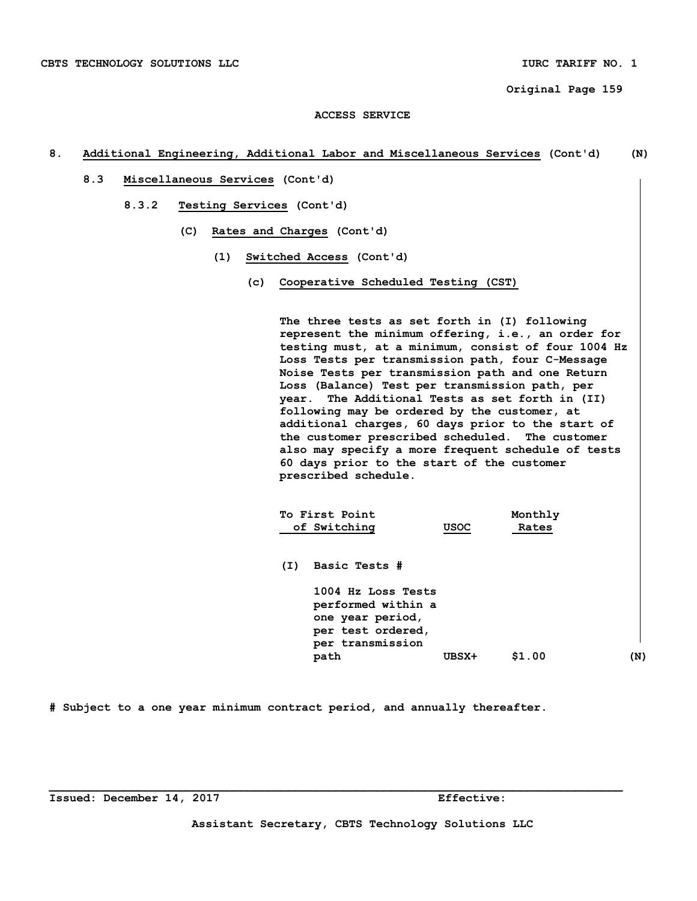# **ACCESS SERVICE**

# **8. Additional Engineering, Additional Labor and Miscellaneous Services (Cont'd) (N)**

- **8.3 Miscellaneous Services (Cont'd)** 
	- **8.3.2 Testing Services (Cont'd)** 
		- **(C) Rates and Charges (Cont'd)** 
			- **(1) Switched Access (Cont'd)** 
				- **(c) Cooperative Scheduled Testing (CST)**

 **The three tests as set forth in (I) following represent the minimum offering, i.e., an order for testing must, at a minimum, consist of four 1004 Hz Loss Tests per transmission path, four C-Message Noise Tests per transmission path and one Return Loss (Balance) Test per transmission path, per year. The Additional Tests as set forth in (II) following may be ordered by the customer, at additional charges, 60 days prior to the start of the customer prescribed scheduled. The customer also may specify a more frequent schedule of tests 60 days prior to the start of the customer prescribed schedule.** 

|     | To First Point<br>of Switching                                                                        | <b>USOC</b> | Monthly<br>Rates |     |
|-----|-------------------------------------------------------------------------------------------------------|-------------|------------------|-----|
| (I) | Basic Tests #                                                                                         |             |                  |     |
|     | 1004 Hz Loss Tests<br>performed within a<br>one year period,<br>per test ordered,<br>per transmission |             |                  |     |
|     | path                                                                                                  | UBSX+       | \$1.00           | (N) |

**# Subject to a one year minimum contract period, and annually thereafter.** 

**Assistant Secretary, CBTS Technology Solutions LLC**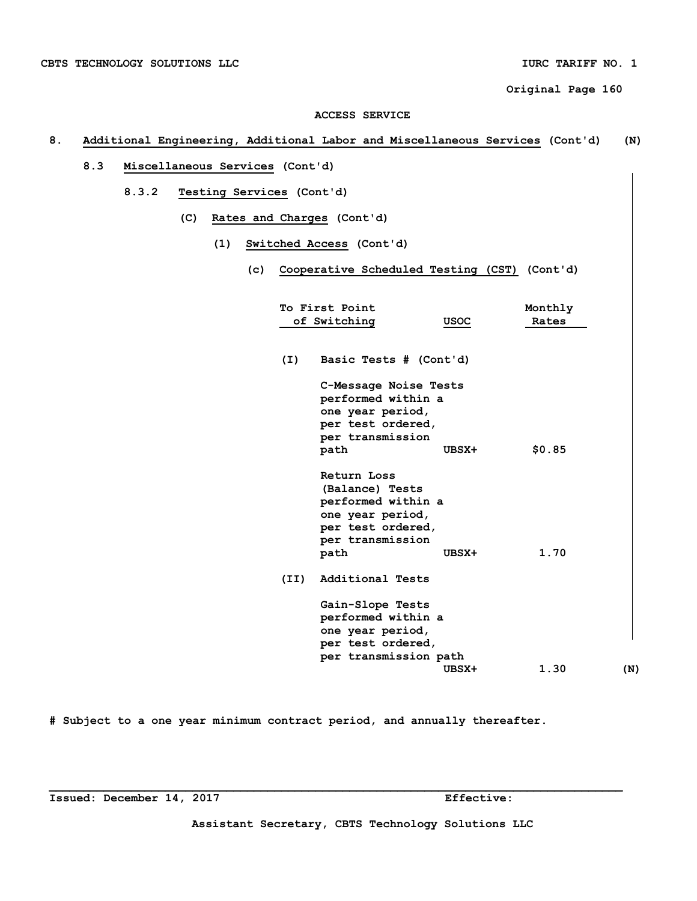#### **ACCESS SERVICE**

# **8. Additional Engineering, Additional Labor and Miscellaneous Services (Cont'd) (N)**

- **8.3 Miscellaneous Services (Cont'd)** 
	- **8.3.2 Testing Services (Cont'd)** 
		- **(C) Rates and Charges (Cont'd)** 
			- **(1) Switched Access (Cont'd)** 
				- **(c) Cooperative Scheduled Testing (CST) (Cont'd)**

|      | To First Point                                                                                                            |       | Monthly |     |
|------|---------------------------------------------------------------------------------------------------------------------------|-------|---------|-----|
|      | of Switching                                                                                                              | USOC  | Rates   |     |
|      |                                                                                                                           |       |         |     |
| (I)  | Basic Tests # (Cont'd)                                                                                                    |       |         |     |
|      | C-Message Noise Tests<br>performed within a<br>one year period,<br>per test ordered,                                      |       |         |     |
|      | per transmission<br>path                                                                                                  | UBSX+ | \$0.85  |     |
|      | Return Loss<br>(Balance) Tests<br>performed within a<br>one year period,<br>per test ordered,<br>per transmission<br>path | UBSX+ | 1.70    |     |
| (II) | Additional Tests                                                                                                          |       |         |     |
|      | Gain-Slope Tests<br>performed within a<br>one year period,<br>per test ordered,<br>per transmission path                  |       |         |     |
|      |                                                                                                                           | UBSX+ | 1.30    | (N) |

**# Subject to a one year minimum contract period, and annually thereafter.**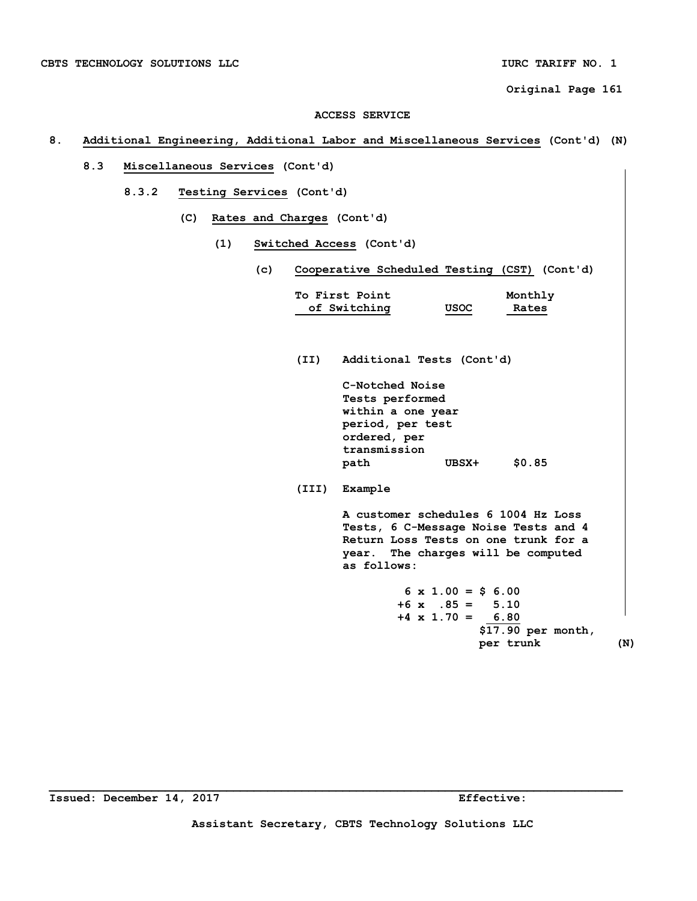#### **ACCESS SERVICE**

# **8. Additional Engineering, Additional Labor and Miscellaneous Services (Cont'd) (N)**

- **8.3 Miscellaneous Services (Cont'd)** 
	- **8.3.2 Testing Services (Cont'd)** 
		- **(C) Rates and Charges (Cont'd)** 
			- **(1) Switched Access (Cont'd)** 
				- **(c) Cooperative Scheduled Testing (CST) (Cont'd)**

| To First Point<br>Monthly<br>of Switching<br>USOC<br>Rates                                                                                                               |
|--------------------------------------------------------------------------------------------------------------------------------------------------------------------------|
| Additional Tests (Cont'd)                                                                                                                                                |
| C-Notched Noise<br>Tests performed<br>within a one year<br>period, per test<br>ordered, per<br>transmission<br>\$0.85<br>UBSX+<br>path                                   |
| (III)<br>Example                                                                                                                                                         |
| A customer schedules 6 1004 Hz Loss<br>Tests, 6 C-Message Noise Tests and 4<br>Return Loss Tests on one trunk for a<br>year. The charges will be computed<br>as follows: |
| $6 \times 1.00 = $ 6.00$<br>$+6$ x $.85 = 5.10$<br>$+4 \times 1.70 = 6.80$<br>\$17.90 per month,<br>per trunk<br>(N)                                                     |
|                                                                                                                                                                          |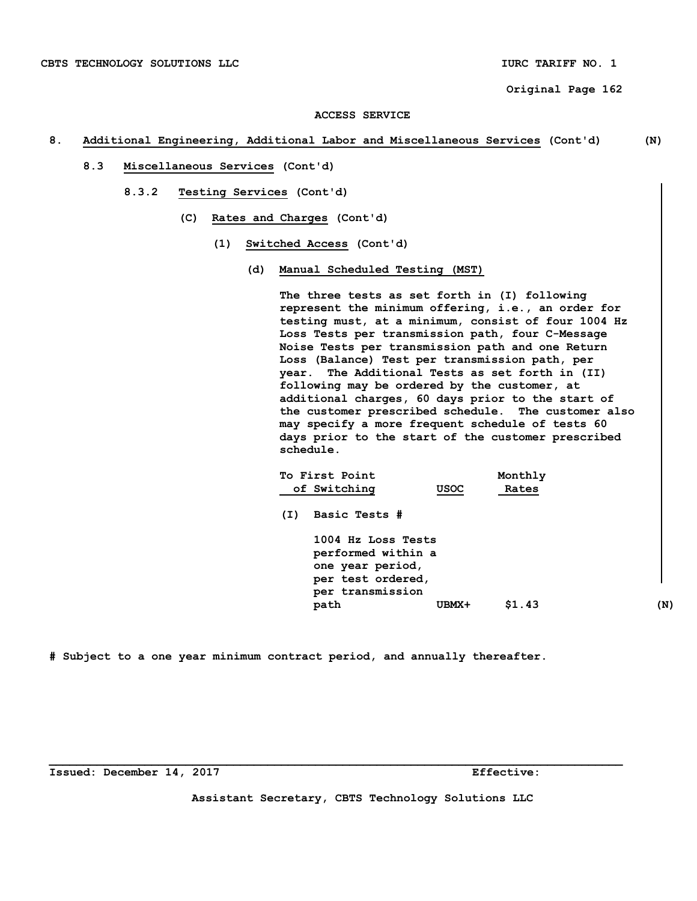#### **ACCESS SERVICE**

### **8. Additional Engineering, Additional Labor and Miscellaneous Services (Cont'd) (N)**

- **8.3 Miscellaneous Services (Cont'd)** 
	- **8.3.2 Testing Services (Cont'd)** 
		- **(C) Rates and Charges (Cont'd)** 
			- **(1) Switched Access (Cont'd)** 
				- **(d) Manual Scheduled Testing (MST)**

 **The three tests as set forth in (I) following represent the minimum offering, i.e., an order for testing must, at a minimum, consist of four 1004 Hz Loss Tests per transmission path, four C-Message Noise Tests per transmission path and one Return Loss (Balance) Test per transmission path, per year. The Additional Tests as set forth in (II) following may be ordered by the customer, at additional charges, 60 days prior to the start of the customer prescribed schedule. The customer also may specify a more frequent schedule of tests 60 days prior to the start of the customer prescribed schedule.** 

|     | To First Point                                                                                        |       | Monthly |     |
|-----|-------------------------------------------------------------------------------------------------------|-------|---------|-----|
|     | of Switching                                                                                          | USOC  | Rates   |     |
| (I) | Basic Tests #                                                                                         |       |         |     |
|     | 1004 Hz Loss Tests<br>performed within a<br>one year period,<br>per test ordered,<br>per transmission |       |         |     |
|     | path                                                                                                  | UBMX+ | \$1.43  | (N) |
|     |                                                                                                       |       |         |     |

**# Subject to a one year minimum contract period, and annually thereafter.** 

**Issued: December 14, 2017 Effective:** 

**Assistant Secretary, CBTS Technology Solutions LLC**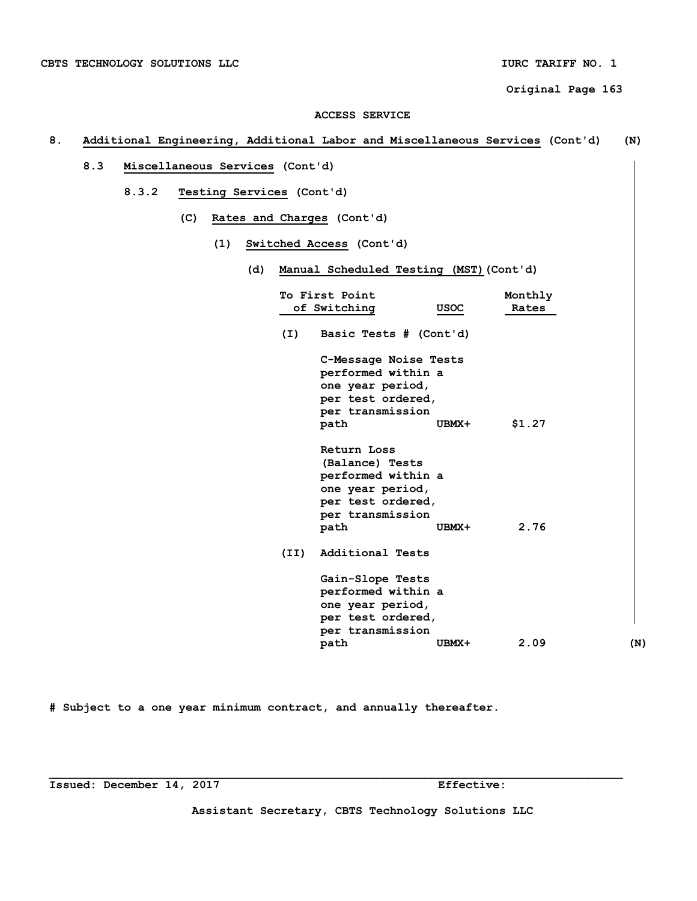### **ACCESS SERVICE**

# **8. Additional Engineering, Additional Labor and Miscellaneous Services (Cont'd) (N)**

- **8.3 Miscellaneous Services (Cont'd)** 
	- **8.3.2 Testing Services (Cont'd)** 
		- **(C) Rates and Charges (Cont'd)** 
			- **(1) Switched Access (Cont'd)** 
				- **(d) Manual Scheduled Testing (MST)(Cont'd)**

|      | To First Point                                                                                                            |             | Monthly |     |
|------|---------------------------------------------------------------------------------------------------------------------------|-------------|---------|-----|
|      | of Switching                                                                                                              | <b>USOC</b> | Rates   |     |
| (I)  | Basic Tests # (Cont'd)                                                                                                    |             |         |     |
|      | C-Message Noise Tests<br>performed within a<br>one year period,<br>per test ordered,<br>per transmission<br>path          | UBMX+       | \$1.27  |     |
|      | Return Loss<br>(Balance) Tests<br>performed within a<br>one year period,<br>per test ordered,<br>per transmission<br>path | UBMX+       | 2.76    |     |
| (II) | Additional Tests                                                                                                          |             |         |     |
|      | Gain-Slope Tests<br>performed within a<br>one year period,<br>per test ordered,<br>per transmission                       |             |         |     |
|      | path                                                                                                                      | UBMX+       | 2.09    | (N) |

**# Subject to a one year minimum contract, and annually thereafter.** 

**Issued: December 14, 2017 Effective:** 

**Assistant Secretary, CBTS Technology Solutions LLC**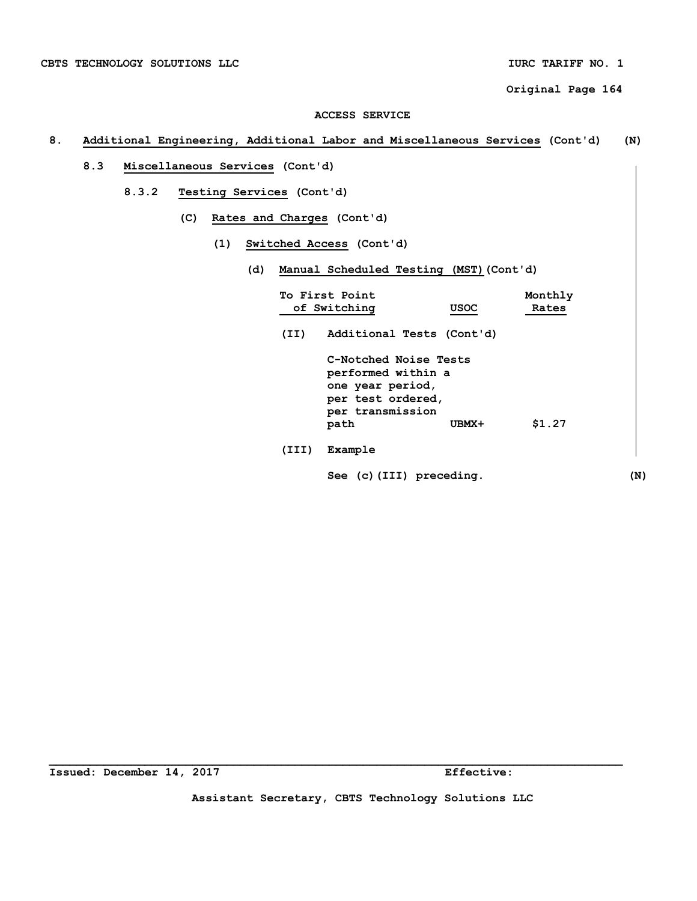#### **ACCESS SERVICE**

# **8. Additional Engineering, Additional Labor and Miscellaneous Services (Cont'd) (N)**

- **8.3 Miscellaneous Services (Cont'd)** 
	- **8.3.2 Testing Services (Cont'd)** 
		- **(C) Rates and Charges (Cont'd)** 
			- **(1) Switched Access (Cont'd)** 
				- **(d) Manual Scheduled Testing (MST)(Cont'd)**

|       | To First Point<br>of Switching                                                                                   | <b>USOC</b> | Monthly<br>Rates |     |
|-------|------------------------------------------------------------------------------------------------------------------|-------------|------------------|-----|
| (II)  | Additional Tests (Cont'd)                                                                                        |             |                  |     |
|       | C-Notched Noise Tests<br>performed within a<br>one year period,<br>per test ordered,<br>per transmission<br>path | UBMX+       | \$1.27           |     |
| (III) | Example                                                                                                          |             |                  |     |
|       | See (c) (III) preceding.                                                                                         |             |                  | (N) |

**Assistant Secretary, CBTS Technology Solutions LLC**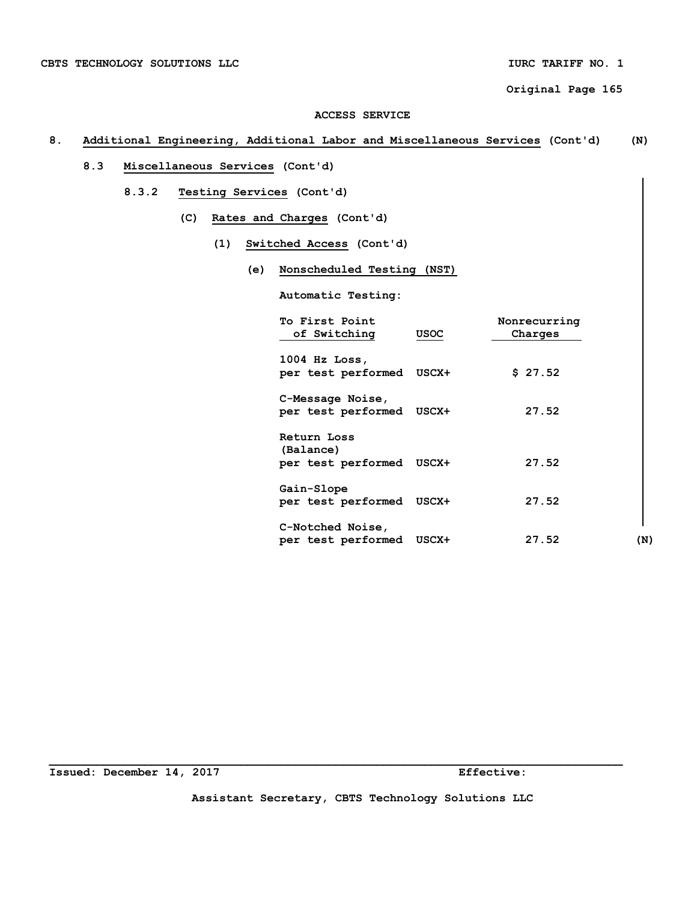### **ACCESS SERVICE**

# **8. Additional Engineering, Additional Labor and Miscellaneous Services (Cont'd) (N)**

- **8.3 Miscellaneous Services (Cont'd)** 
	- **8.3.2 Testing Services (Cont'd)** 
		- **(C) Rates and Charges (Cont'd)** 
			- **(1) Switched Access (Cont'd)** 
				- **(e) Nonscheduled Testing (NST)**

 **Automatic Testing:** 

| To First Point<br>of Switching                       | <b>USOC</b> | Nonrecurring<br>Charges |     |
|------------------------------------------------------|-------------|-------------------------|-----|
| $1004$ Hz Loss,<br>per test performed USCX+          |             | \$27.52                 |     |
| C-Message Noise,<br>per test performed USCX+         |             | 27.52                   |     |
| Return Loss<br>(Balance)<br>per test performed USCX+ |             | 27.52                   |     |
| Gain-Slope<br>per test performed                     | USCX+       | 27.52                   |     |
| C-Notched Noise,<br>per test performed               | USCX+       | 27.52                   | (N) |

**Issued: December 14, 2017 Effective:** 

**Assistant Secretary, CBTS Technology Solutions LLC**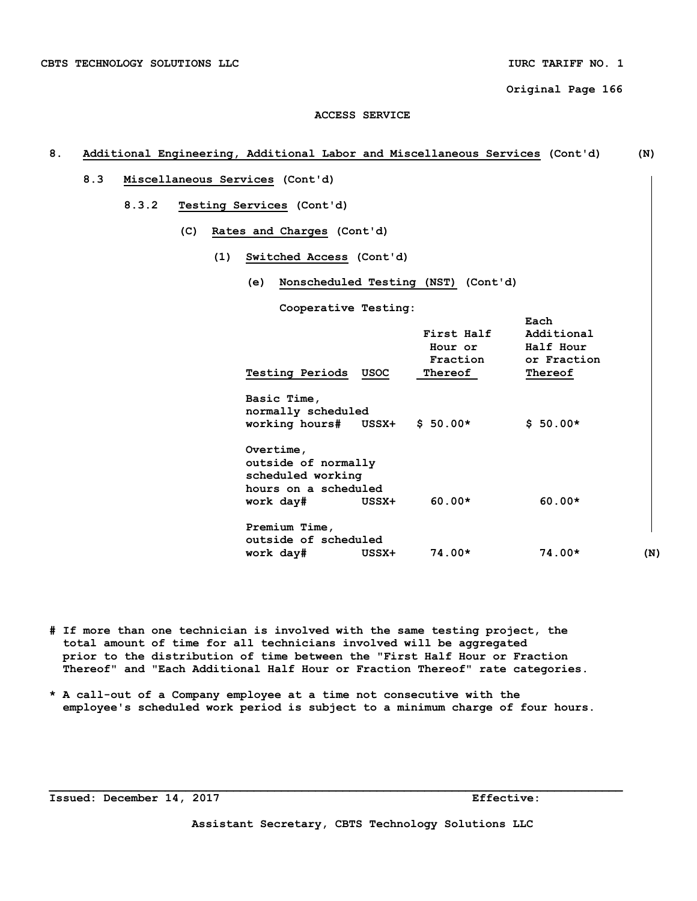#### **ACCESS SERVICE**

# **8. Additional Engineering, Additional Labor and Miscellaneous Services (Cont'd) (N) 8.3 Miscellaneous Services (Cont'd) 8.3.2 Testing Services (Cont'd) (C) Rates and Charges (Cont'd) (1) Switched Access (Cont'd) (e) Nonscheduled Testing (NST) (Cont'd) Cooperative Testing: Each Each Each First Half Additional Hour or Half Hour Fraction or Fraction Testing Periods USOC Thereof Thereof Basic Time, normally scheduled working hours# USSX+ \$ 50.00\* \$ 50.00\* Overtime, outside of normally scheduled working hours on a scheduled work day# USSX+ 60.00\* 60.00\* Premium Time, outside of scheduled work day# USSX+ 74.00\* 74.00\* (N)**

- **# If more than one technician is involved with the same testing project, the total amount of time for all technicians involved will be aggregated prior to the distribution of time between the "First Half Hour or Fraction Thereof" and "Each Additional Half Hour or Fraction Thereof" rate categories.**
- **\* A call-out of a Company employee at a time not consecutive with the employee's scheduled work period is subject to a minimum charge of four hours.**

**Issued: December 14, 2017 Effective:**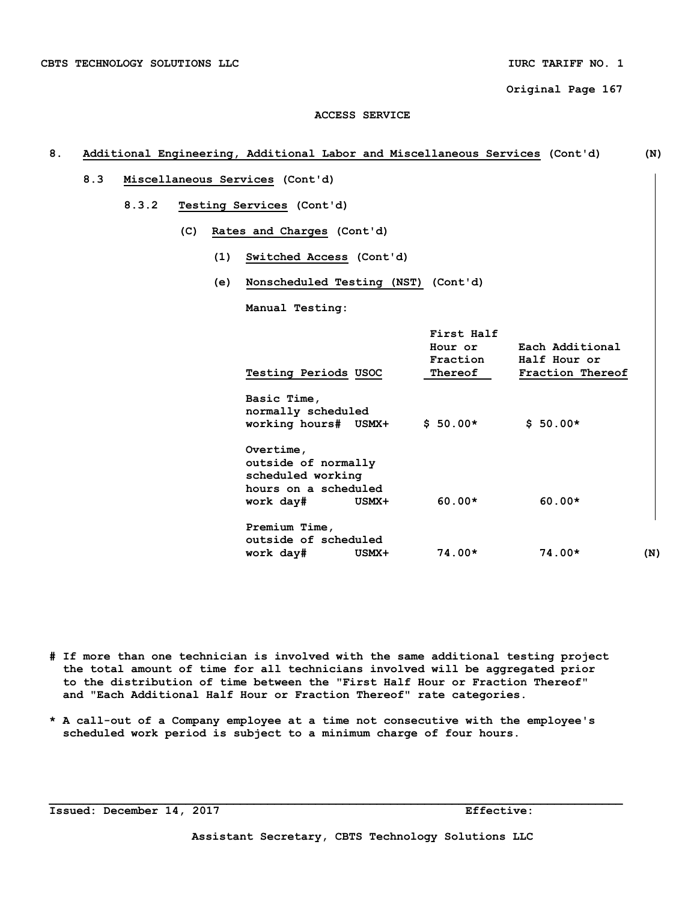#### **ACCESS SERVICE**

# **8. Additional Engineering, Additional Labor and Miscellaneous Services (Cont'd) (N) 8.3 Miscellaneous Services (Cont'd) 8.3.2 Testing Services (Cont'd) (C) Rates and Charges (Cont'd) (1) Switched Access (Cont'd) (e) Nonscheduled Testing (NST) (Cont'd) Manual Testing: First Half Hour or Each Additional Fraction Half Hour or Testing Periods USOC Thereof Fraction Thereof Basic Time, normally scheduled working hours# USMX+ \$ 50.00\* \$ 50.00\* Overtime, outside of normally scheduled working hours on a scheduled work day# USMX+ 60.00\* 60.00\* Premium Time, outside of scheduled work day# USMX+ 74.00\* 74.00\* (N)**

**# If more than one technician is involved with the same additional testing project the total amount of time for all technicians involved will be aggregated prior to the distribution of time between the "First Half Hour or Fraction Thereof" and "Each Additional Half Hour or Fraction Thereof" rate categories.** 

**\* A call-out of a Company employee at a time not consecutive with the employee's scheduled work period is subject to a minimum charge of four hours.** 

**\_\_\_\_\_\_\_\_\_\_\_\_\_\_\_\_\_\_\_\_\_\_\_\_\_\_\_\_\_\_\_\_\_\_\_\_\_\_\_\_\_\_\_\_\_\_\_\_\_\_\_\_\_\_\_\_\_\_\_\_\_\_\_\_\_\_\_\_\_\_\_\_\_\_\_\_\_\_\_\_\_\_\_\_** 

**Issued: December 14, 2017 Effective:**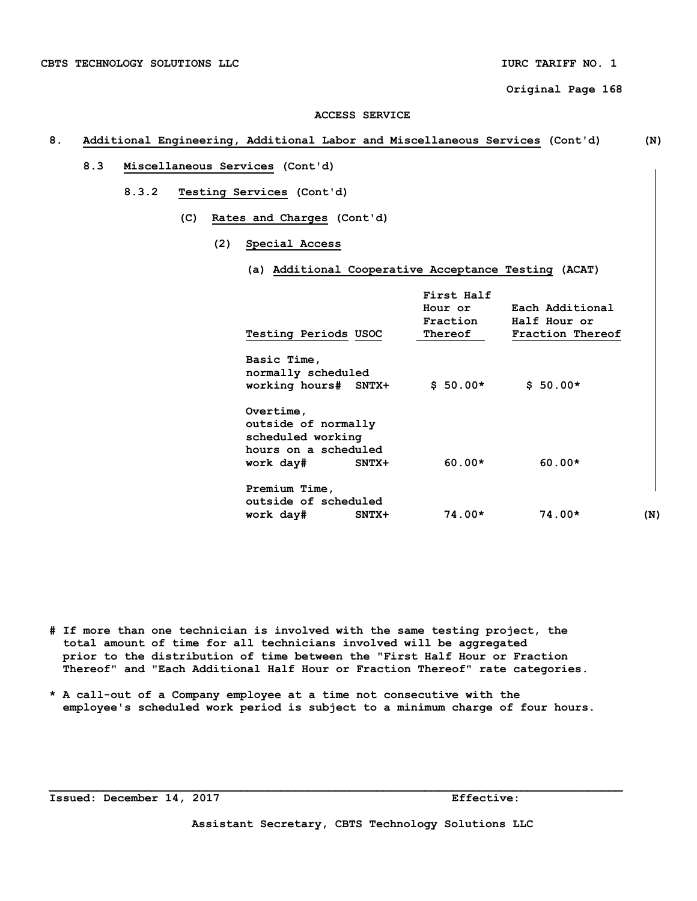## **ACCESS SERVICE**

## **8. Additional Engineering, Additional Labor and Miscellaneous Services (Cont'd) (N)**

- **8.3 Miscellaneous Services (Cont'd)** 
	- **8.3.2 Testing Services (Cont'd)** 
		- **(C) Rates and Charges (Cont'd)** 
			- **(2) Special Access** 
				- **(a) Additional Cooperative Acceptance Testing (ACAT)**

|                      | First Half |                  |     |
|----------------------|------------|------------------|-----|
|                      | Hour or    | Each Additional  |     |
|                      | Fraction   | Half Hour or     |     |
| Testing Periods USOC | Thereof    | Fraction Thereof |     |
| Basic Time,          |            |                  |     |
| normally scheduled   |            |                  |     |
| working hours# SNTX+ | $$50.00*$  | $$50.00*$        |     |
| Overtime,            |            |                  |     |
| outside of normally  |            |                  |     |
| scheduled working    |            |                  |     |
| hours on a scheduled |            |                  |     |
| work day#<br>$SNTX+$ | $60.00*$   | $60.00*$         |     |
| Premium Time,        |            |                  |     |
| outside of scheduled |            |                  |     |
| work day#<br>$SNTX+$ | $74.00*$   | $74.00*$         | (N) |
|                      |            |                  |     |

- **# If more than one technician is involved with the same testing project, the total amount of time for all technicians involved will be aggregated prior to the distribution of time between the "First Half Hour or Fraction Thereof" and "Each Additional Half Hour or Fraction Thereof" rate categories.**
- **\* A call-out of a Company employee at a time not consecutive with the employee's scheduled work period is subject to a minimum charge of four hours.**

**Issued: December 14, 2017 Effective:** 

**\_\_\_\_\_\_\_\_\_\_\_\_\_\_\_\_\_\_\_\_\_\_\_\_\_\_\_\_\_\_\_\_\_\_\_\_\_\_\_\_\_\_\_\_\_\_\_\_\_\_\_\_\_\_\_\_\_\_\_\_\_\_\_\_\_\_\_\_\_\_\_\_\_\_\_\_\_\_\_\_\_\_\_\_**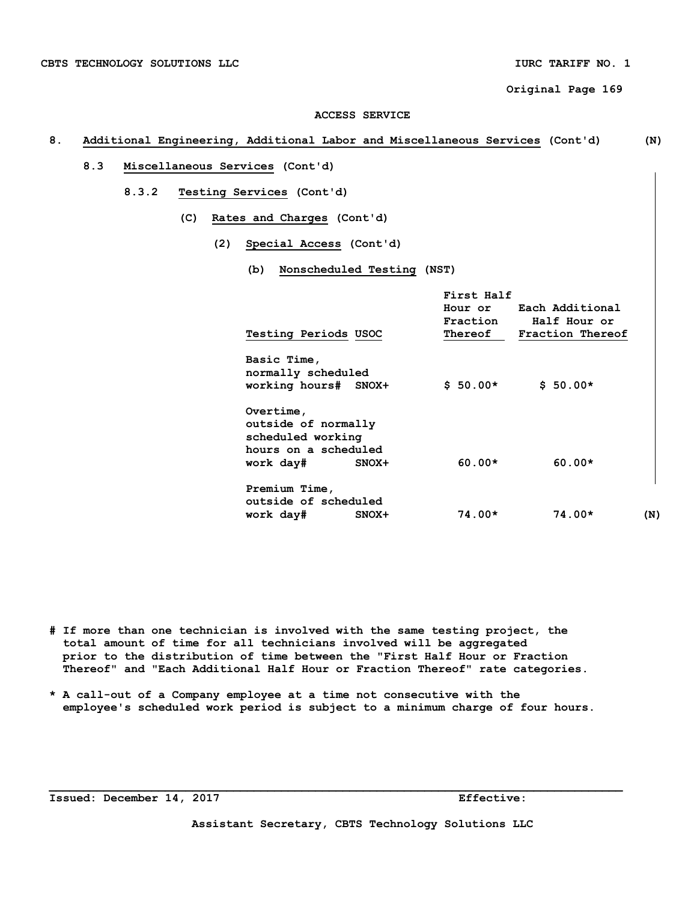## **ACCESS SERVICE**

## **8. Additional Engineering, Additional Labor and Miscellaneous Services (Cont'd) (N)**

- **8.3 Miscellaneous Services (Cont'd)** 
	- **8.3.2 Testing Services (Cont'd)** 
		- **(C) Rates and Charges (Cont'd)** 
			- **(2) Special Access (Cont'd)** 
				- **(b) Nonscheduled Testing (NST)**

|                                                                                                     | First Half          |                                                             |
|-----------------------------------------------------------------------------------------------------|---------------------|-------------------------------------------------------------|
| <b>Testing Periods USOC</b>                                                                         | Fraction<br>Thereof | Hour or Each Additional<br>Half Hour or<br>Fraction Thereof |
| Basic Time,<br>normally scheduled<br>working hours# SNOX+                                           | $$50.00*$           | $$50.00*$                                                   |
| Overtime,<br>outside of normally<br>scheduled working<br>hours on a scheduled<br>work day#<br>SNOX+ | $60.00*$            | $60.00*$                                                    |
| Premium Time,<br>outside of scheduled<br>work day#<br>SNOX+                                         | 74.00*              | $74.00*$<br>(N)                                             |

- **# If more than one technician is involved with the same testing project, the total amount of time for all technicians involved will be aggregated prior to the distribution of time between the "First Half Hour or Fraction Thereof" and "Each Additional Half Hour or Fraction Thereof" rate categories.**
- **\* A call-out of a Company employee at a time not consecutive with the employee's scheduled work period is subject to a minimum charge of four hours.**

**Issued: December 14, 2017** Effective:

**\_\_\_\_\_\_\_\_\_\_\_\_\_\_\_\_\_\_\_\_\_\_\_\_\_\_\_\_\_\_\_\_\_\_\_\_\_\_\_\_\_\_\_\_\_\_\_\_\_\_\_\_\_\_\_\_\_\_\_\_\_\_\_\_\_\_\_\_\_\_\_\_\_\_\_\_\_\_\_\_\_\_\_\_**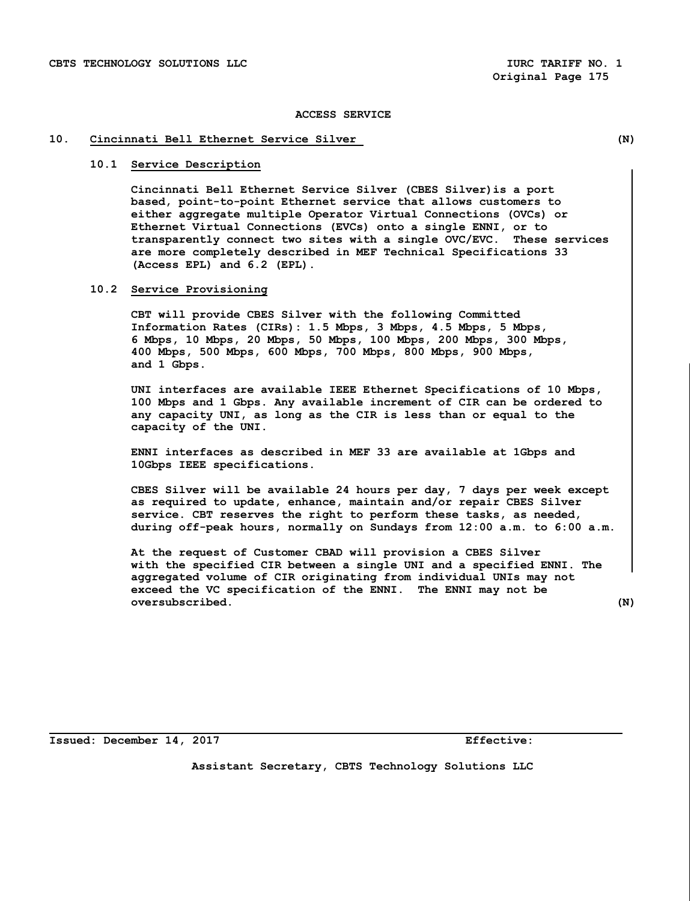## **10. Cincinnati Bell Ethernet Service Silver (N)**

## **10.1 Service Description**

 **Cincinnati Bell Ethernet Service Silver (CBES Silver)is a port based, point-to-point Ethernet service that allows customers to either aggregate multiple Operator Virtual Connections (OVCs) or Ethernet Virtual Connections (EVCs) onto a single ENNI, or to transparently connect two sites with a single OVC/EVC. These services are more completely described in MEF Technical Specifications 33 (Access EPL) and 6.2 (EPL).**

#### **10.2 Service Provisioning**

 **CBT will provide CBES Silver with the following Committed Information Rates (CIRs): 1.5 Mbps, 3 Mbps, 4.5 Mbps, 5 Mbps, 6 Mbps, 10 Mbps, 20 Mbps, 50 Mbps, 100 Mbps, 200 Mbps, 300 Mbps, 400 Mbps, 500 Mbps, 600 Mbps, 700 Mbps, 800 Mbps, 900 Mbps, and 1 Gbps.**

 **UNI interfaces are available IEEE Ethernet Specifications of 10 Mbps, 100 Mbps and 1 Gbps. Any available increment of CIR can be ordered to any capacity UNI, as long as the CIR is less than or equal to the capacity of the UNI.**

 **ENNI interfaces as described in MEF 33 are available at 1Gbps and 10Gbps IEEE specifications.** 

 **CBES Silver will be available 24 hours per day, 7 days per week except as required to update, enhance, maintain and/or repair CBES Silver service. CBT reserves the right to perform these tasks, as needed, during off-peak hours, normally on Sundays from 12:00 a.m. to 6:00 a.m.**

 **At the request of Customer CBAD will provision a CBES Silver with the specified CIR between a single UNI and a specified ENNI. The aggregated volume of CIR originating from individual UNIs may not exceed the VC specification of the ENNI. The ENNI may not be oversubscribed. (N)** 

**Issued: December 14, 2017 Effective:**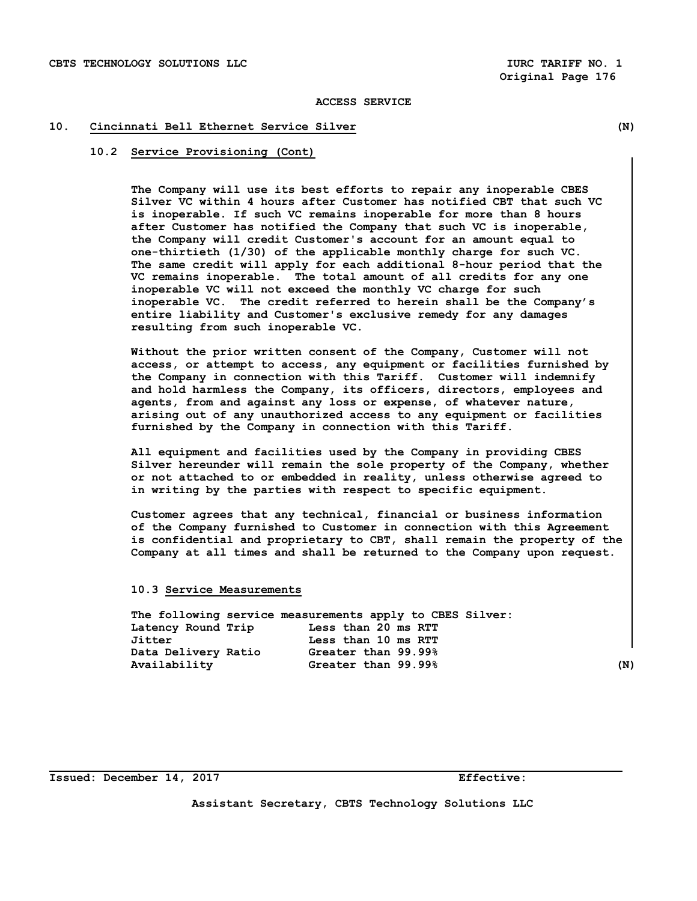## **10. Cincinnati Bell Ethernet Service Silver (N)**

## **10.2 Service Provisioning (Cont)**

 **The Company will use its best efforts to repair any inoperable CBES Silver VC within 4 hours after Customer has notified CBT that such VC is inoperable. If such VC remains inoperable for more than 8 hours after Customer has notified the Company that such VC is inoperable, the Company will credit Customer's account for an amount equal to one-thirtieth (1/30) of the applicable monthly charge for such VC. The same credit will apply for each additional 8-hour period that the VC remains inoperable. The total amount of all credits for any one inoperable VC will not exceed the monthly VC charge for such inoperable VC. The credit referred to herein shall be the Company's entire liability and Customer's exclusive remedy for any damages resulting from such inoperable VC.** 

 **Without the prior written consent of the Company, Customer will not access, or attempt to access, any equipment or facilities furnished by the Company in connection with this Tariff. Customer will indemnify and hold harmless the Company, its officers, directors, employees and agents, from and against any loss or expense, of whatever nature, arising out of any unauthorized access to any equipment or facilities furnished by the Company in connection with this Tariff.**

 **All equipment and facilities used by the Company in providing CBES Silver hereunder will remain the sole property of the Company, whether or not attached to or embedded in reality, unless otherwise agreed to in writing by the parties with respect to specific equipment.**

 **Customer agrees that any technical, financial or business information of the Company furnished to Customer in connection with this Agreement is confidential and proprietary to CBT, shall remain the property of the Company at all times and shall be returned to the Company upon request.** 

#### **10.3 Service Measurements**

|                     | The following service measurements apply to CBES Silver: |     |
|---------------------|----------------------------------------------------------|-----|
| Latency Round Trip  | Less than 20 ms RTT                                      |     |
| Jitter              | Less than 10 ms RTT                                      |     |
| Data Delivery Ratio | Greater than 99.99%                                      |     |
| Availability        | Greater than 99.99%                                      | (N) |

**Issued: December 14, 2017 Effective: Effective:**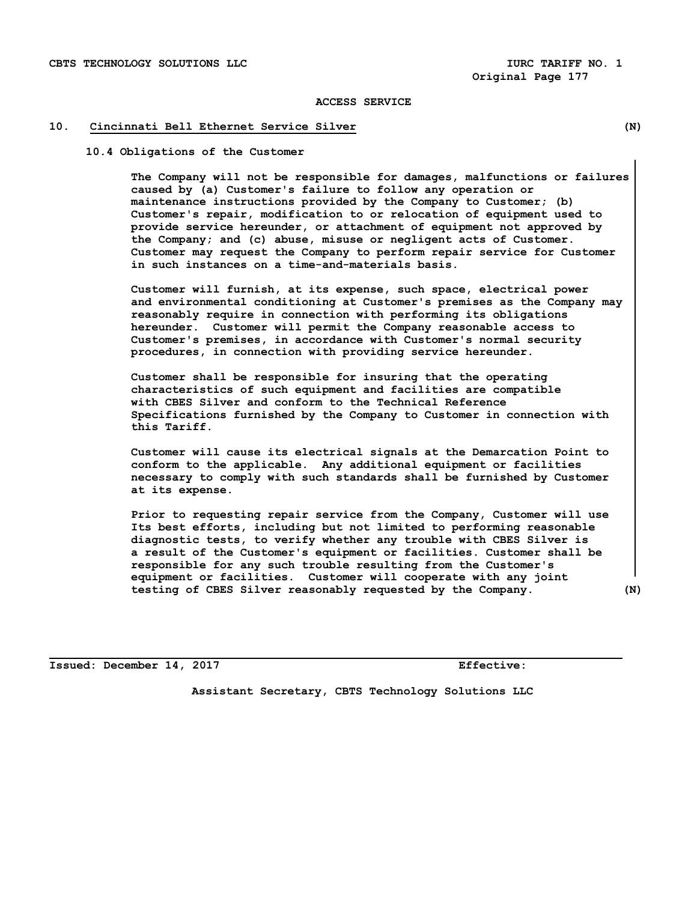#### **10. Cincinnati Bell Ethernet Service Silver (N)**

 **10.4 Obligations of the Customer** 

**The Company will not be responsible for damages, malfunctions or failures caused by (a) Customer's failure to follow any operation or maintenance instructions provided by the Company to Customer; (b) Customer's repair, modification to or relocation of equipment used to provide service hereunder, or attachment of equipment not approved by the Company; and (c) abuse, misuse or negligent acts of Customer. Customer may request the Company to perform repair service for Customer in such instances on a time-and-materials basis.**

 **Customer will furnish, at its expense, such space, electrical power and environmental conditioning at Customer's premises as the Company may reasonably require in connection with performing its obligations hereunder. Customer will permit the Company reasonable access to Customer's premises, in accordance with Customer's normal security procedures, in connection with providing service hereunder.**

 **Customer shall be responsible for insuring that the operating characteristics of such equipment and facilities are compatible with CBES Silver and conform to the Technical Reference Specifications furnished by the Company to Customer in connection with this Tariff.**

 **Customer will cause its electrical signals at the Demarcation Point to conform to the applicable. Any additional equipment or facilities necessary to comply with such standards shall be furnished by Customer at its expense.**

 **Prior to requesting repair service from the Company, Customer will use Its best efforts, including but not limited to performing reasonable diagnostic tests, to verify whether any trouble with CBES Silver is a result of the Customer's equipment or facilities. Customer shall be responsible for any such trouble resulting from the Customer's equipment or facilities. Customer will cooperate with any joint testing of CBES Silver reasonably requested by the Company. (N)** 

**Issued: December 14, 2017 Effective:**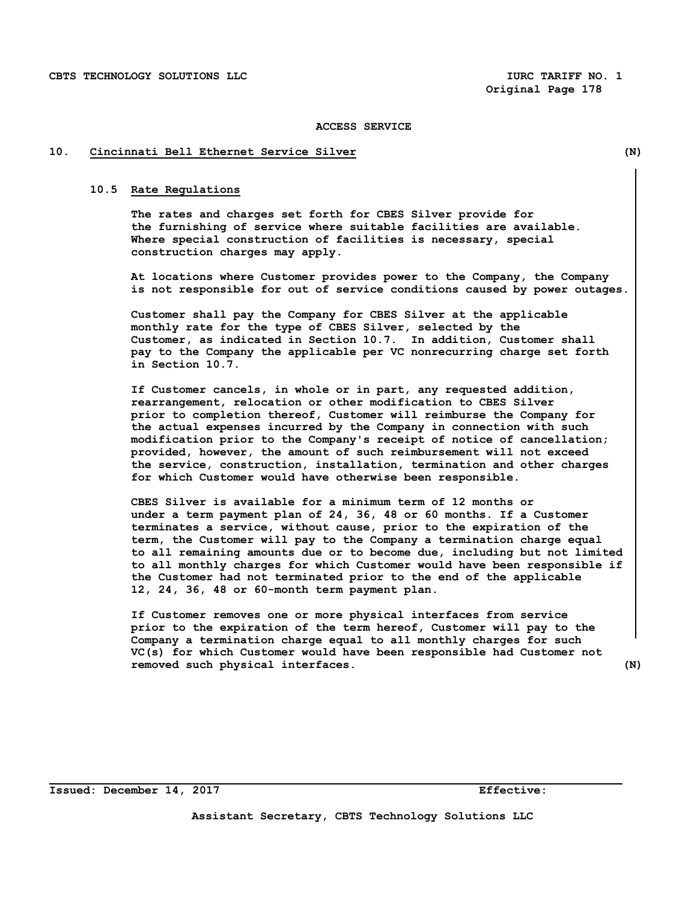#### **10. Cincinnati Bell Ethernet Service Silver (N)**

#### **10.5 Rate Regulations**

 **The rates and charges set forth for CBES Silver provide for the furnishing of service where suitable facilities are available. Where special construction of facilities is necessary, special construction charges may apply.**

 **At locations where Customer provides power to the Company, the Company is not responsible for out of service conditions caused by power outages.**

 **Customer shall pay the Company for CBES Silver at the applicable monthly rate for the type of CBES Silver, selected by the Customer, as indicated in Section 10.7. In addition, Customer shall pay to the Company the applicable per VC nonrecurring charge set forth in Section 10.7.** 

 **If Customer cancels, in whole or in part, any requested addition, rearrangement, relocation or other modification to CBES Silver prior to completion thereof, Customer will reimburse the Company for the actual expenses incurred by the Company in connection with such modification prior to the Company's receipt of notice of cancellation; provided, however, the amount of such reimbursement will not exceed the service, construction, installation, termination and other charges for which Customer would have otherwise been responsible.**

 **CBES Silver is available for a minimum term of 12 months or under a term payment plan of 24, 36, 48 or 60 months. If a Customer terminates a service, without cause, prior to the expiration of the term, the Customer will pay to the Company a termination charge equal to all remaining amounts due or to become due, including but not limited to all monthly charges for which Customer would have been responsible if the Customer had not terminated prior to the end of the applicable 12, 24, 36, 48 or 60-month term payment plan.** 

 **If Customer removes one or more physical interfaces from service prior to the expiration of the term hereof, Customer will pay to the Company a termination charge equal to all monthly charges for such VC(s) for which Customer would have been responsible had Customer not removed such physical interfaces. (N)**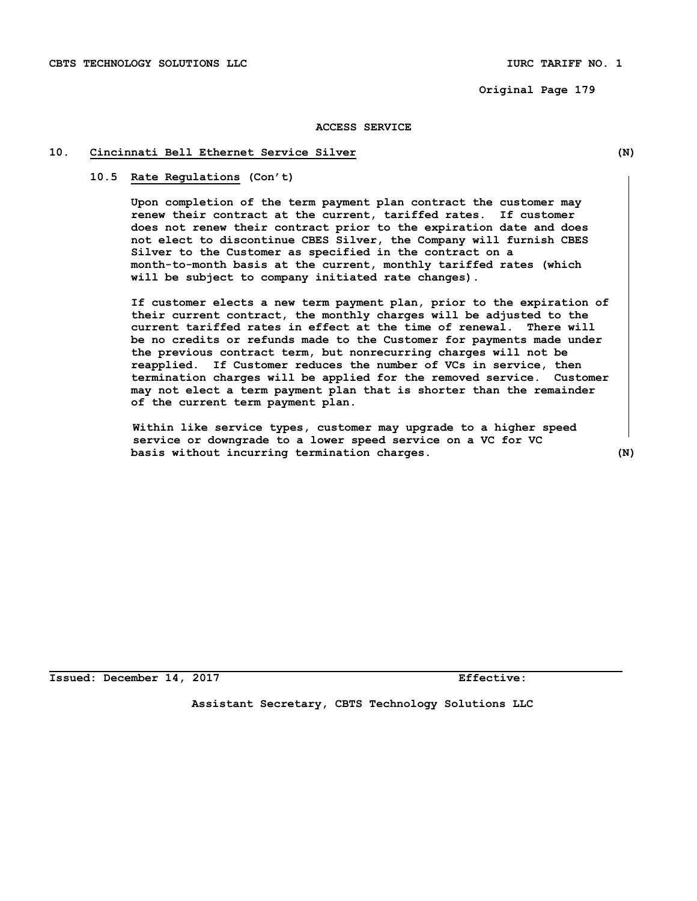CBTS TECHNOLOGY SOLUTIONS LLC **IURC TARIFF NO. 1** 

 **Original Page 179**

## **ACCESS SERVICE**

## **10. Cincinnati Bell Ethernet Service Silver (N)**

## **10.5 Rate Regulations (Con't)**

**Upon completion of the term payment plan contract the customer may renew their contract at the current, tariffed rates. If customer does not renew their contract prior to the expiration date and does not elect to discontinue CBES Silver, the Company will furnish CBES Silver to the Customer as specified in the contract on a month-to-month basis at the current, monthly tariffed rates (which will be subject to company initiated rate changes).** 

**If customer elects a new term payment plan, prior to the expiration of their current contract, the monthly charges will be adjusted to the current tariffed rates in effect at the time of renewal. There will be no credits or refunds made to the Customer for payments made under the previous contract term, but nonrecurring charges will not be reapplied. If Customer reduces the number of VCs in service, then termination charges will be applied for the removed service. Customer may not elect a term payment plan that is shorter than the remainder of the current term payment plan.** 

 **Within like service types, customer may upgrade to a higher speed service or downgrade to a lower speed service on a VC for VC basis without incurring termination charges. (N)**

**Issued: December 14, 2017 Effective:**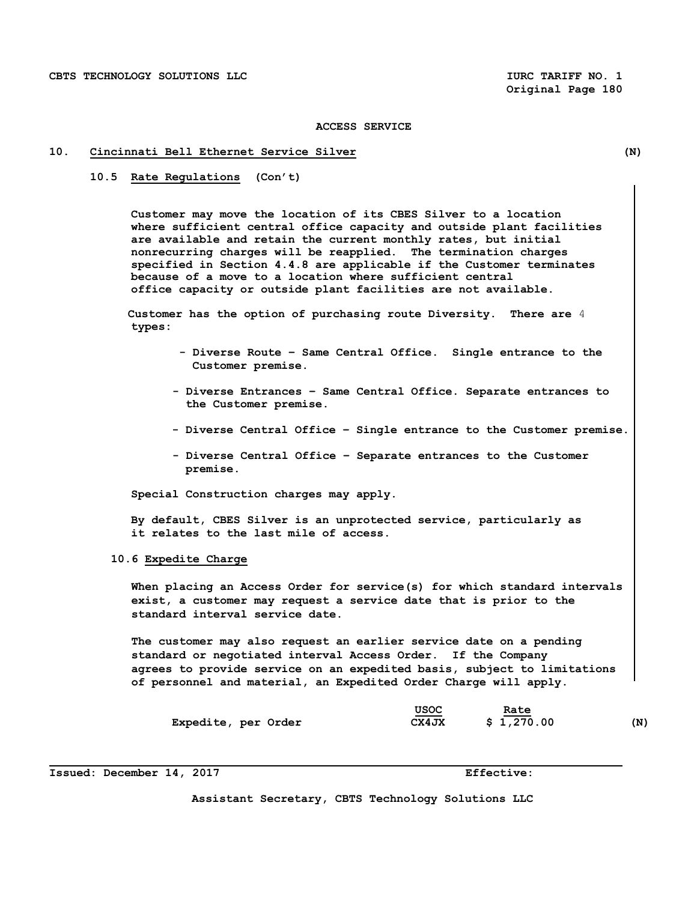#### **10. Cincinnati Bell Ethernet Service Silver (N)**

 **10.5 Rate Regulations (Con't)**

**Customer may move the location of its CBES Silver to a location where sufficient central office capacity and outside plant facilities are available and retain the current monthly rates, but initial nonrecurring charges will be reapplied. The termination charges specified in Section 4.4.8 are applicable if the Customer terminates because of a move to a location where sufficient central office capacity or outside plant facilities are not available.**

 **Customer has the option of purchasing route Diversity. There are** 4  **types:**

- **Diverse Route Same Central Office. Single entrance to the Customer premise.**
- **Diverse Entrances Same Central Office. Separate entrances to the Customer premise.**
- **Diverse Central Office Single entrance to the Customer premise.**
- **Diverse Central Office Separate entrances to the Customer premise.**

 **Special Construction charges may apply.**

 **By default, CBES Silver is an unprotected service, particularly as it relates to the last mile of access.** 

## **10.6 Expedite Charge**

 **When placing an Access Order for service(s) for which standard intervals exist, a customer may request a service date that is prior to the standard interval service date.** 

 **The customer may also request an earlier service date on a pending standard or negotiated interval Access Order. If the Company agrees to provide service on an expedited basis, subject to limitations of personnel and material, an Expedited Order Charge will apply.**

|                     | USOC  | Rate       |     |
|---------------------|-------|------------|-----|
| Expedite, per Order | CX4JX | \$1,270.00 | (N) |

**Issued: December 14, 2017 Effective: Effective:**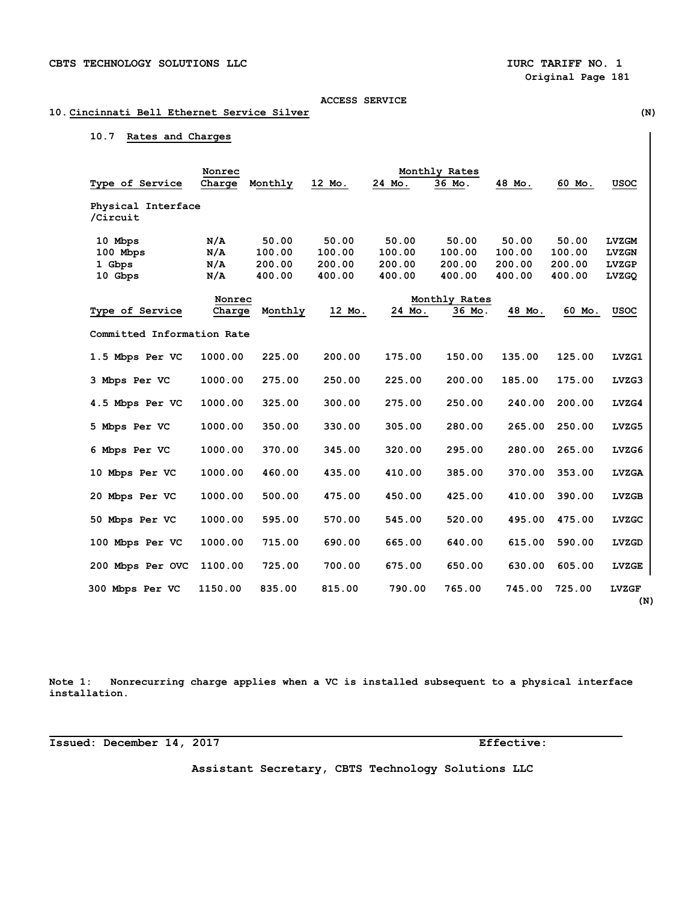# **10. Cincinnati Bell Ethernet Service Silver (N)**

## **10.7 Rates and Charges**

|                            | Nonrec  |         |        |        | Monthly Rates |        |        |              |
|----------------------------|---------|---------|--------|--------|---------------|--------|--------|--------------|
| Type of Service            | Charge  | Monthly | 12 Mo. | 24 Mo. | 36 Mo.        | 48 Mo. | 60 Mo. | <b>USOC</b>  |
| Physical Interface         |         |         |        |        |               |        |        |              |
| /Circuit                   |         |         |        |        |               |        |        |              |
| 10 Mbps                    | N/A     | 50.00   | 50.00  | 50.00  | 50.00         | 50.00  | 50.00  | <b>LVZGM</b> |
| 100 Mbps                   | N/A     | 100.00  | 100.00 | 100.00 | 100.00        | 100.00 | 100.00 | <b>LVZGN</b> |
| 1 Gbps                     | N/A     | 200.00  | 200.00 | 200.00 | 200.00        | 200.00 | 200.00 | <b>LVZGP</b> |
| 10 Gbps                    | N/A     | 400.00  | 400.00 | 400.00 | 400.00        | 400.00 | 400.00 | LVZGQ        |
|                            | Nonrec  |         |        |        | Monthly Rates |        |        |              |
| Type of Service            | Charge  | Monthly | 12 Mo. | 24 Mo. | 36 Mo.        | 48 Mo. | 60 Mo. | <b>USOC</b>  |
|                            |         |         |        |        |               |        |        |              |
| Committed Information Rate |         |         |        |        |               |        |        |              |
| 1.5 Mbps Per VC            | 1000.00 | 225.00  | 200.00 | 175.00 | 150.00        | 135.00 | 125.00 | LVZG1        |
| 3 Mbps Per VC              | 1000.00 | 275.00  | 250.00 | 225.00 | 200.00        | 185.00 | 175.00 | LVZG3        |
| 4.5 Mbps Per VC            | 1000.00 | 325.00  | 300.00 | 275.00 | 250.00        | 240.00 | 200.00 | LVZG4        |
| 5 Mbps Per VC              | 1000.00 | 350.00  | 330.00 | 305.00 | 280.00        | 265.00 | 250.00 | LVZG5        |
| 6 Mbps Per VC              | 1000.00 | 370.00  | 345.00 | 320.00 | 295.00        | 280.00 | 265.00 | LVZG6        |
| 10 Mbps Per VC             | 1000.00 | 460.00  | 435.00 | 410.00 | 385.00        | 370.00 | 353.00 | <b>LVZGA</b> |
| 20 Mbps Per VC             | 1000.00 | 500.00  | 475.00 | 450.00 | 425.00        | 410.00 | 390.00 | <b>LVZGB</b> |
| 50 Mbps Per VC             | 1000.00 | 595.00  | 570.00 | 545.00 | 520.00        | 495.00 | 475.00 | LVZGC        |
| 100 Mbps Per VC            | 1000.00 | 715.00  | 690.00 | 665.00 | 640.00        | 615.00 | 590.00 | LVZGD        |
| 200 Mbps Per OVC           | 1100.00 | 725.00  | 700.00 | 675.00 | 650.00        | 630.00 | 605.00 | LVZGE        |
| 300 Mbps Per VC            | 1150.00 | 835.00  | 815.00 | 790.00 | 765.00        | 745.00 | 725.00 | <b>LVZGF</b> |

**Note 1: Nonrecurring charge applies when a VC is installed subsequent to a physical interface installation.**

**Issued: December 14, 2017 Effective:**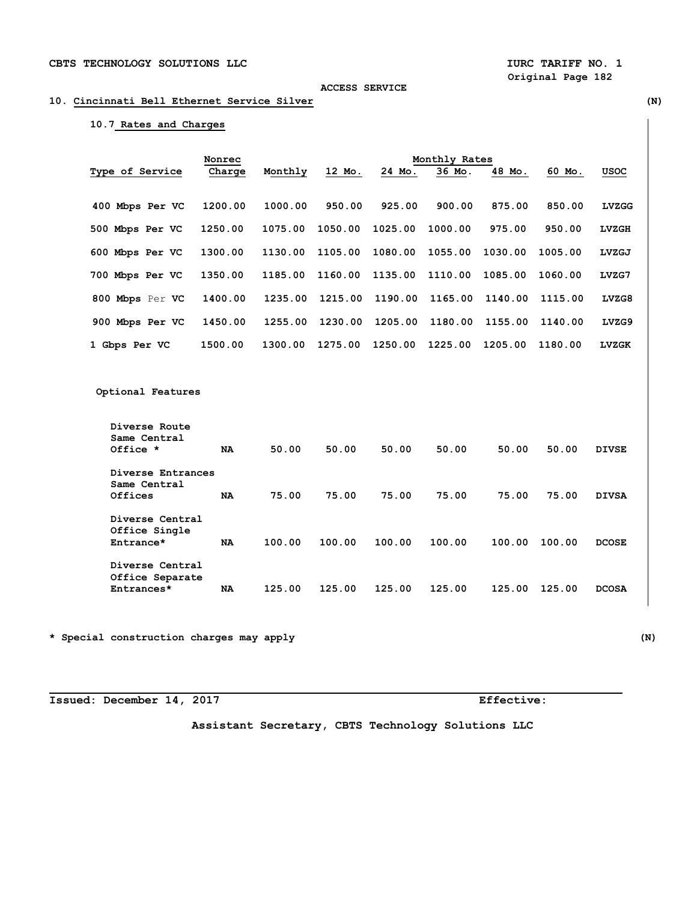## **10. Cincinnati Bell Ethernet Service Silver (N)**

# **10.7 Rates and Charges**

|                 | Nonrec  |         |         | Monthly Rates |         |         |         |              |
|-----------------|---------|---------|---------|---------------|---------|---------|---------|--------------|
| Type of Service | Charge  | Monthly | 12 Mo.  | 24 Mo.        | 36 Mo.  | 48 Mo.  | 60 Mo.  | <b>USOC</b>  |
| 400 Mbps Per VC | 1200.00 | 1000.00 | 950.00  | 925.00        | 900.00  | 875.00  | 850.00  | <b>LVZGG</b> |
| 500 Mbps Per VC | 1250.00 | 1075.00 | 1050.00 | 1025.00       | 1000.00 | 975.00  | 950.00  | <b>LVZGH</b> |
| 600 Mbps Per VC | 1300.00 | 1130.00 | 1105.00 | 1080.00       | 1055.00 | 1030.00 | 1005.00 | LVZGJ        |
| 700 Mbps Per VC | 1350.00 | 1185.00 | 1160.00 | 1135.00       | 1110.00 | 1085.00 | 1060.00 | LVZG7        |
| 800 Mbps Per VC | 1400.00 | 1235.00 | 1215.00 | 1190.00       | 1165.00 | 1140.00 | 1115.00 | LVZG8        |
| 900 Mbps Per VC | 1450.00 | 1255.00 | 1230.00 | 1205.00       | 1180.00 | 1155.00 | 1140.00 | LVZG9        |
| 1 Gbps Per VC   | 1500.00 | 1300.00 | 1275.00 | 1250.00       | 1225.00 | 1205.00 | 1180.00 | <b>LVZGK</b> |

 **Optional Features** 

| Diverse Route<br>Same Central<br>Office *        | NA        | 50.00  | 50.00  | 50.00  | 50.00  | 50.00  | 50.00  | <b>DIVSE</b> |
|--------------------------------------------------|-----------|--------|--------|--------|--------|--------|--------|--------------|
| Diverse Entrances<br>Same Central<br>Offices     | NA        | 75.00  | 75.00  | 75.00  | 75.00  | 75.00  | 75.00  | <b>DIVSA</b> |
| Diverse Central<br>Office Single<br>Entrance*    | <b>NA</b> | 100.00 | 100.00 | 100.00 | 100.00 | 100.00 | 100.00 | <b>DCOSE</b> |
| Diverse Central<br>Office Separate<br>Entrances* | NA        | 125.00 | 125.00 | 125.00 | 125.00 | 125.00 | 125.00 | <b>DCOSA</b> |

**\* Special construction charges may apply (N)** 

**Issued: December 14, 2017 Effective:**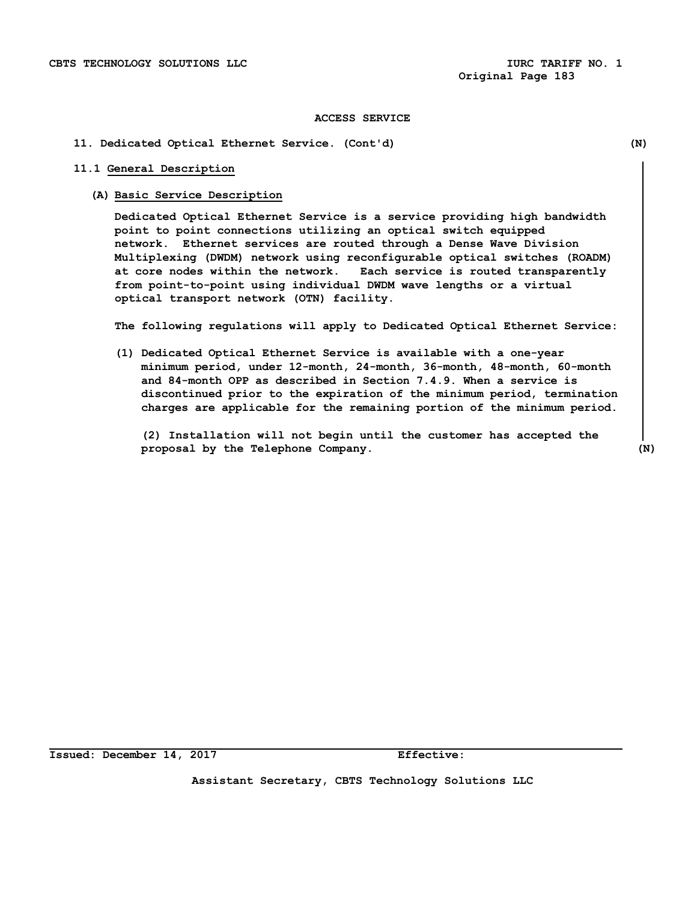## **11. Dedicated Optical Ethernet Service. (Cont'd) (N)**

## **11.1 General Description**

### **(A) Basic Service Description**

**Dedicated Optical Ethernet Service is a service providing high bandwidth point to point connections utilizing an optical switch equipped network. Ethernet services are routed through a Dense Wave Division Multiplexing (DWDM) network using reconfigurable optical switches (ROADM) at core nodes within the network. Each service is routed transparently from point-to-point using individual DWDM wave lengths or a virtual optical transport network (OTN) facility.** 

**The following regulations will apply to Dedicated Optical Ethernet Service:**

**(1) Dedicated Optical Ethernet Service is available with a one-year minimum period, under 12-month, 24-month, 36-month, 48-month, 60-month and 84-month OPP as described in Section 7.4.9. When a service is discontinued prior to the expiration of the minimum period, termination charges are applicable for the remaining portion of the minimum period.**

**(2) Installation will not begin until the customer has accepted the proposal by the Telephone Company. (N)**

**Issued: December 14, 2017 Effective:**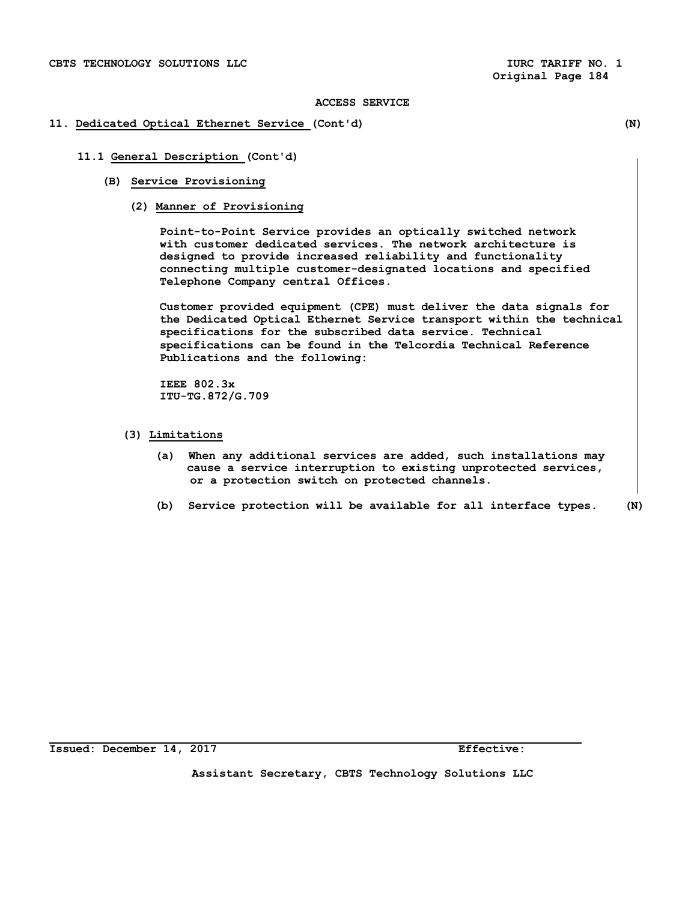## **11. Dedicated Optical Ethernet Service (Cont'd) (N)**

 **11.1 General Description (Cont'd)**

- **(B) Service Provisioning**
	- **(2) Manner of Provisioning**

 **Point-to-Point Service provides an optically switched network with customer dedicated services. The network architecture is designed to provide increased reliability and functionality connecting multiple customer-designated locations and specified Telephone Company central Offices.**

 **Customer provided equipment (CPE) must deliver the data signals for the Dedicated Optical Ethernet Service transport within the technical specifications for the subscribed data service. Technical specifications can be found in the Telcordia Technical Reference Publications and the following:**

 **IEEE 802.3x ITU-TG.872/G.709**

- **(3) Limitations**
	- **(a) When any additional services are added, such installations may cause a service interruption to existing unprotected services, or a protection switch on protected channels.**
	- **(b) Service protection will be available for all interface types. (N)**

**Issued: December 14, 2017 Effective:**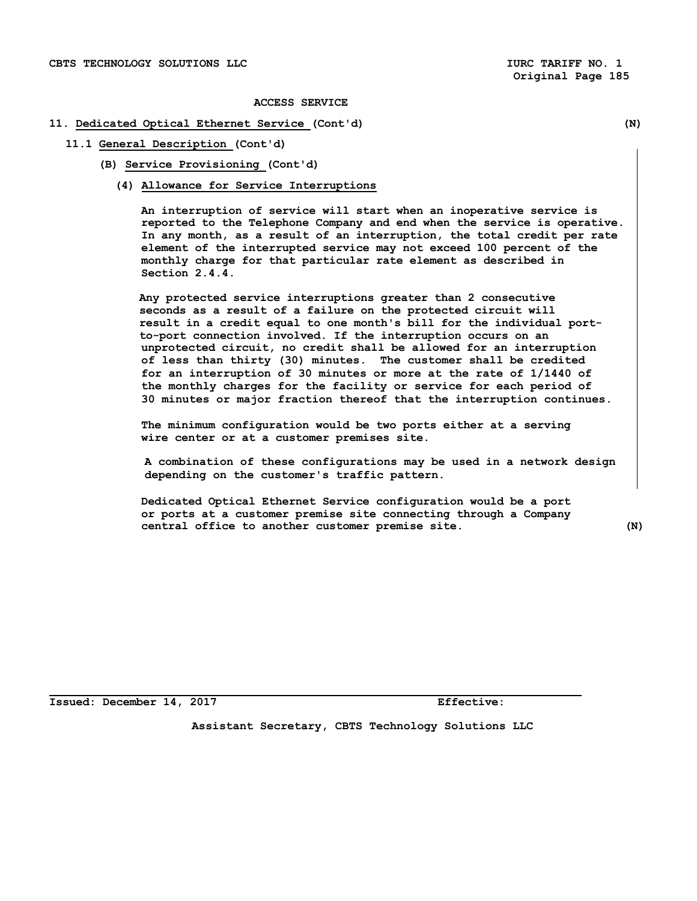## **11. Dedicated Optical Ethernet Service (Cont'd) (N)**

**11.1 General Description (Cont'd)**

**(B) Service Provisioning (Cont'd)**

**(4) Allowance for Service Interruptions**

**An interruption of service will start when an inoperative service is reported to the Telephone Company and end when the service is operative. In any month, as a result of an interruption, the total credit per rate element of the interrupted service may not exceed 100 percent of the monthly charge for that particular rate element as described in Section 2.4.4.**

**Any protected service interruptions greater than 2 consecutive seconds as a result of a failure on the protected circuit will result in a credit equal to one month's bill for the individual portto-port connection involved. If the interruption occurs on an unprotected circuit, no credit shall be allowed for an interruption of less than thirty (30) minutes. The customer shall be credited for an interruption of 30 minutes or more at the rate of 1/1440 of the monthly charges for the facility or service for each period of 30 minutes or major fraction thereof that the interruption continues.** 

**The minimum configuration would be two ports either at a serving wire center or at a customer premises site.** 

 **A combination of these configurations may be used in a network design depending on the customer's traffic pattern.**

**Dedicated Optical Ethernet Service configuration would be a port or ports at a customer premise site connecting through a Company central office to another customer premise site. (N)**

**Issued: December 14, 2017 Effective:**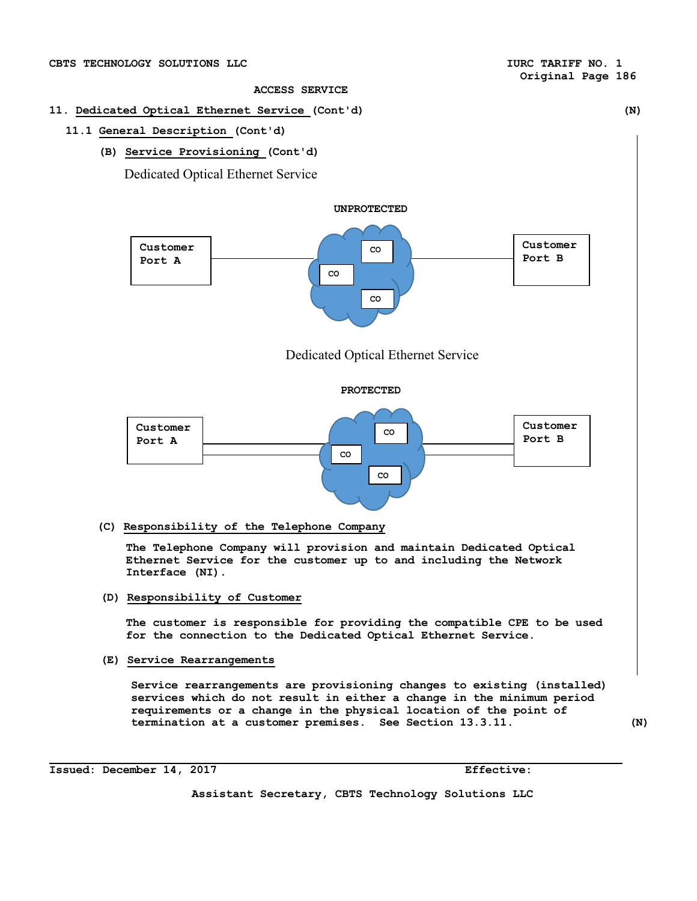- **11. Dedicated Optical Ethernet Service (Cont'd) (N)** 
	- **11.1 General Description (Cont'd)**
		- **(B) Service Provisioning (Cont'd)**

Dedicated Optical Ethernet Service





 **(C) Responsibility of the Telephone Company**

**The Telephone Company will provision and maintain Dedicated Optical Ethernet Service for the customer up to and including the Network Interface (NI).**

**(D) Responsibility of Customer**

**The customer is responsible for providing the compatible CPE to be used for the connection to the Dedicated Optical Ethernet Service.**

**(E) Service Rearrangements**

**Service rearrangements are provisioning changes to existing (installed) services which do not result in either a change in the minimum period requirements or a change in the physical location of the point of termination at a customer premises. See Section 13.3.11. (N)**

**Issued: December 14, 2017 Effective:**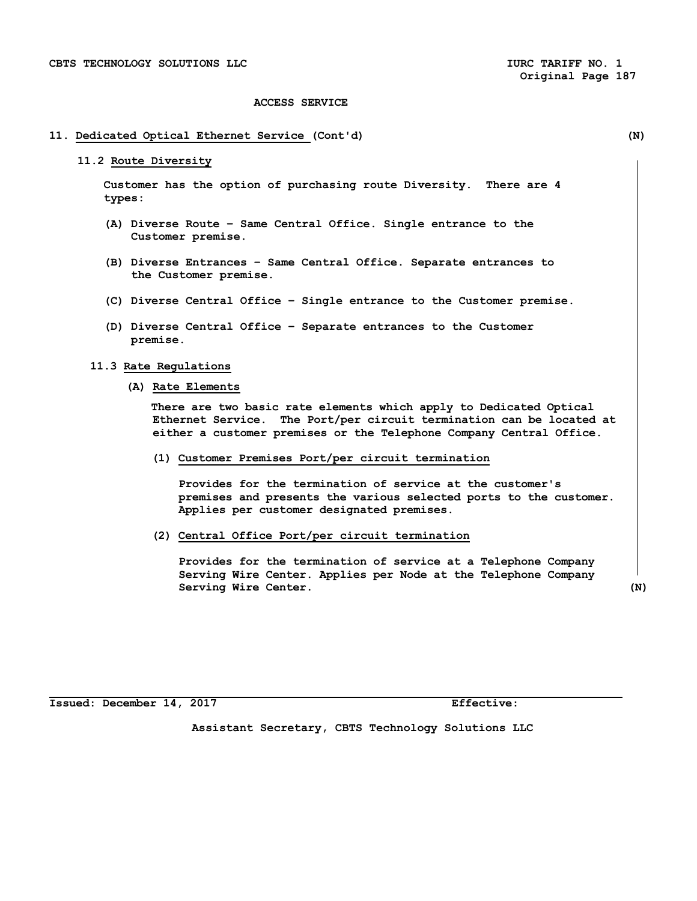## **11. Dedicated Optical Ethernet Service (Cont'd) (N)**

#### **11.2 Route Diversity**

 **Customer has the option of purchasing route Diversity. There are 4 types:** 

- **(A) Diverse Route Same Central Office. Single entrance to the Customer premise.**
- **(B) Diverse Entrances Same Central Office. Separate entrances to the Customer premise.**
- **(C) Diverse Central Office Single entrance to the Customer premise.**
- **(D) Diverse Central Office Separate entrances to the Customer premise.**

# **11.3 Rate Regulations**

**(A) Rate Elements** 

 **There are two basic rate elements which apply to Dedicated Optical Ethernet Service. The Port/per circuit termination can be located at either a customer premises or the Telephone Company Central Office.**

**(1) Customer Premises Port/per circuit termination**

 **Provides for the termination of service at the customer's premises and presents the various selected ports to the customer. Applies per customer designated premises.** 

**(2) Central Office Port/per circuit termination**

 **Provides for the termination of service at a Telephone Company Serving Wire Center. Applies per Node at the Telephone Company Serving Wire Center.** (N)

**Issued: December 14, 2017 Effective:**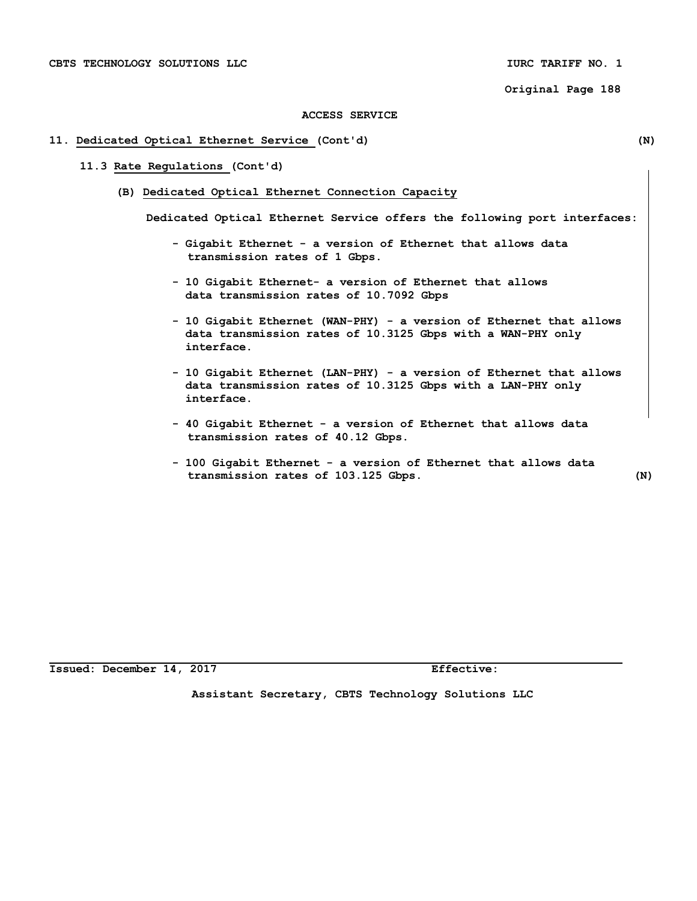### **ACCESS SERVICE**

#### **11. Dedicated Optical Ethernet Service (Cont'd) (N)**

## **11.3 Rate Regulations (Cont'd)**

**(B) Dedicated Optical Ethernet Connection Capacity**

**Dedicated Optical Ethernet Service offers the following port interfaces:**

- **Gigabit Ethernet a version of Ethernet that allows data transmission rates of 1 Gbps.**
- **10 Gigabit Ethernet- a version of Ethernet that allows data transmission rates of 10.7092 Gbps**
- **10 Gigabit Ethernet (WAN-PHY) a version of Ethernet that allows data transmission rates of 10.3125 Gbps with a WAN-PHY only interface.**
- **10 Gigabit Ethernet (LAN-PHY) a version of Ethernet that allows data transmission rates of 10.3125 Gbps with a LAN-PHY only interface.**
- **40 Gigabit Ethernet a version of Ethernet that allows data transmission rates of 40.12 Gbps.**
- **100 Gigabit Ethernet a version of Ethernet that allows data transmission rates of 103.125 Gbps. (N)**

**Issued: December 14, 2017 Effective:**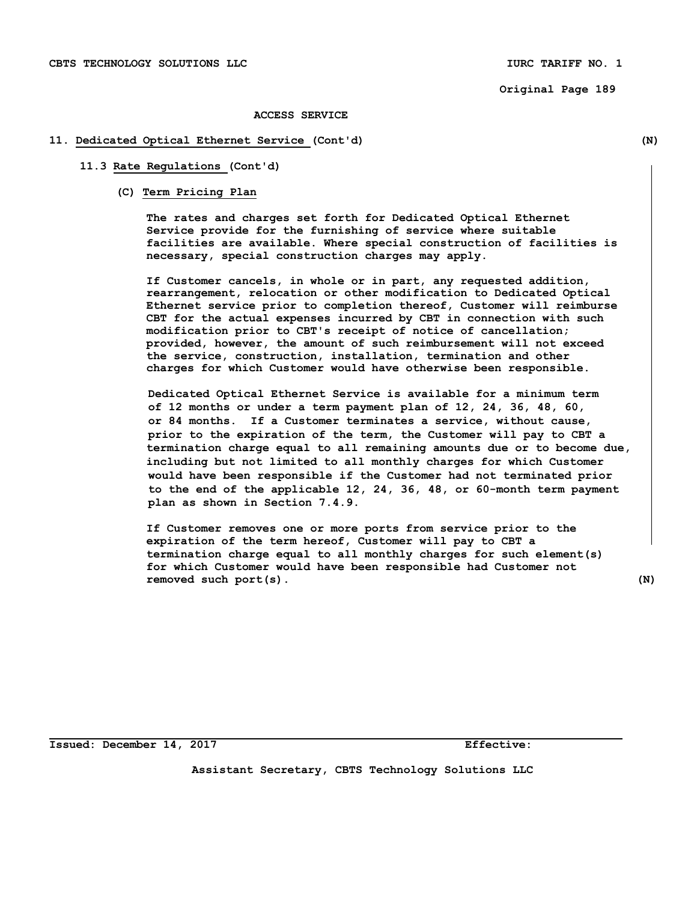#### **ACCESS SERVICE**

#### **11. Dedicated Optical Ethernet Service (Cont'd) (N)**

**11.3 Rate Regulations (Cont'd)**

**(C) Term Pricing Plan**

 **The rates and charges set forth for Dedicated Optical Ethernet Service provide for the furnishing of service where suitable facilities are available. Where special construction of facilities is necessary, special construction charges may apply.**

 **If Customer cancels, in whole or in part, any requested addition, rearrangement, relocation or other modification to Dedicated Optical Ethernet service prior to completion thereof, Customer will reimburse CBT for the actual expenses incurred by CBT in connection with such modification prior to CBT's receipt of notice of cancellation; provided, however, the amount of such reimbursement will not exceed the service, construction, installation, termination and other charges for which Customer would have otherwise been responsible.**

 **Dedicated Optical Ethernet Service is available for a minimum term of 12 months or under a term payment plan of 12, 24, 36, 48, 60, or 84 months. If a Customer terminates a service, without cause, prior to the expiration of the term, the Customer will pay to CBT a termination charge equal to all remaining amounts due or to become due, including but not limited to all monthly charges for which Customer would have been responsible if the Customer had not terminated prior to the end of the applicable 12, 24, 36, 48, or 60-month term payment plan as shown in Section 7.4.9.**

**If Customer removes one or more ports from service prior to the expiration of the term hereof, Customer will pay to CBT a termination charge equal to all monthly charges for such element(s) for which Customer would have been responsible had Customer not removed such port(s). (N)** 

**Issued: December 14, 2017 Effective:**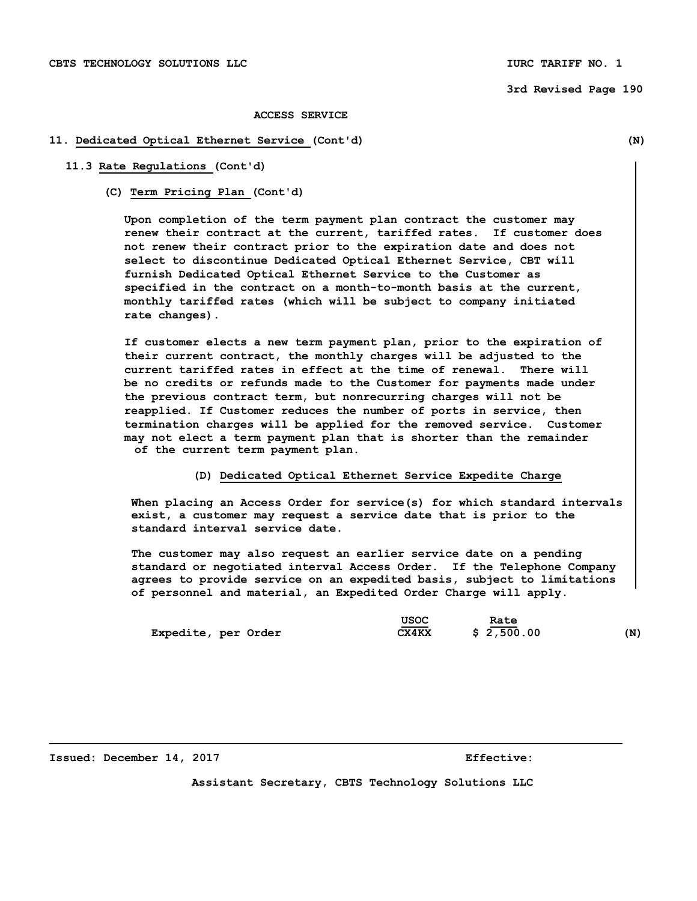#### **3rd Revised Page 190**

#### **ACCESS SERVICE**

#### **11. Dedicated Optical Ethernet Service (Cont'd) (N)**

# **11.3 Rate Regulations (Cont'd)**

 **(C) Term Pricing Plan (Cont'd)**

 **Upon completion of the term payment plan contract the customer may renew their contract at the current, tariffed rates. If customer does not renew their contract prior to the expiration date and does not select to discontinue Dedicated Optical Ethernet Service, CBT will furnish Dedicated Optical Ethernet Service to the Customer as specified in the contract on a month-to-month basis at the current, monthly tariffed rates (which will be subject to company initiated rate changes).** 

 **If customer elects a new term payment plan, prior to the expiration of their current contract, the monthly charges will be adjusted to the current tariffed rates in effect at the time of renewal. There will be no credits or refunds made to the Customer for payments made under the previous contract term, but nonrecurring charges will not be reapplied. If Customer reduces the number of ports in service, then termination charges will be applied for the removed service. Customer may not elect a term payment plan that is shorter than the remainder of the current term payment plan.** 

## **(D) Dedicated Optical Ethernet Service Expedite Charge**

 **When placing an Access Order for service(s) for which standard intervals exist, a customer may request a service date that is prior to the standard interval service date.** 

 **The customer may also request an earlier service date on a pending standard or negotiated interval Access Order. If the Telephone Company agrees to provide service on an expedited basis, subject to limitations of personnel and material, an Expedited Order Charge will apply.**

|                     | USOC                              | Rate       |     |
|---------------------|-----------------------------------|------------|-----|
| Expedite, per Order | $\overline{\phantom{a}}$<br>CX4KX | \$2,500.00 | (N) |

#### **Issued: December 14, 2017 Effective:**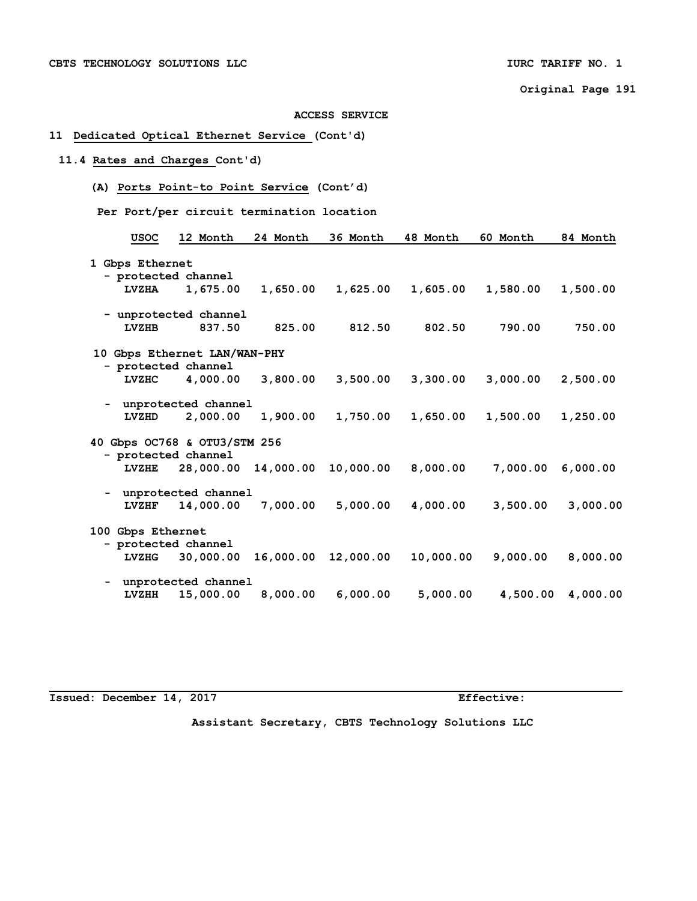**ACCESS SERVICE**

## **11 Dedicated Optical Ethernet Service (Cont'd)**

# **11.4 Rates and Charges Cont'd)**

- **(A) Ports Point-to Point Service (Cont'd)**
- **Per Port/per circuit termination location**

| <b>USOC</b>                  | 12 Month                     | 24 Month  | 36 Month  | 48 Month  | 60 Month | 84 Month |
|------------------------------|------------------------------|-----------|-----------|-----------|----------|----------|
|                              |                              |           |           |           |          |          |
| 1 Gbps Ethernet              |                              |           |           |           |          |          |
|                              | - protected channel          |           |           |           |          |          |
| <b>LVZHA</b>                 | 1,675.00                     | 1,650.00  | 1,625.00  | 1,605.00  | 1,580.00 | 1,500.00 |
|                              | - unprotected channel        |           |           |           |          |          |
| <b>LVZHB</b>                 | 837.50                       | 825.00    | 812.50    | 802.50    | 790.00   | 750.00   |
|                              | 10 Gbps Ethernet LAN/WAN-PHY |           |           |           |          |          |
|                              | - protected channel          |           |           |           |          |          |
| <b>LVZHC</b>                 | 4,000.00                     | 3,800.00  | 3,500.00  | 3,300.00  | 3,000.00 | 2,500.00 |
|                              | - unprotected channel        |           |           |           |          |          |
| LVZHD                        | 2,000.00                     | 1,900.00  | 1,750.00  | 1,650.00  | 1,500.00 | 1,250.00 |
| 40 Gbps OC768 & OTU3/STM 256 |                              |           |           |           |          |          |
|                              | - protected channel          |           |           |           |          |          |
| <b>LVZHE</b>                 | 28,000.00                    | 14,000.00 | 10,000.00 | 8,000.00  | 7,000.00 | 6,000.00 |
|                              | - unprotected channel        |           |           |           |          |          |
| LVZHF                        | 14,000.00                    | 7,000.00  | 5,000.00  | 4,000.00  | 3,500.00 | 3,000.00 |
| 100 Gbps Ethernet            |                              |           |           |           |          |          |
|                              | - protected channel          |           |           |           |          |          |
| LVZHG                        | 30,000.00                    | 16,000.00 | 12,000.00 | 10,000.00 | 9,000.00 | 8,000.00 |
|                              | unprotected channel          |           |           |           |          |          |
| <b>LVZHH</b>                 | 15,000.00                    | 8,000.00  | 6,000.00  | 5,000.00  | 4,500.00 | 4,000.00 |

**Issued: December 14, 2017** Effective: